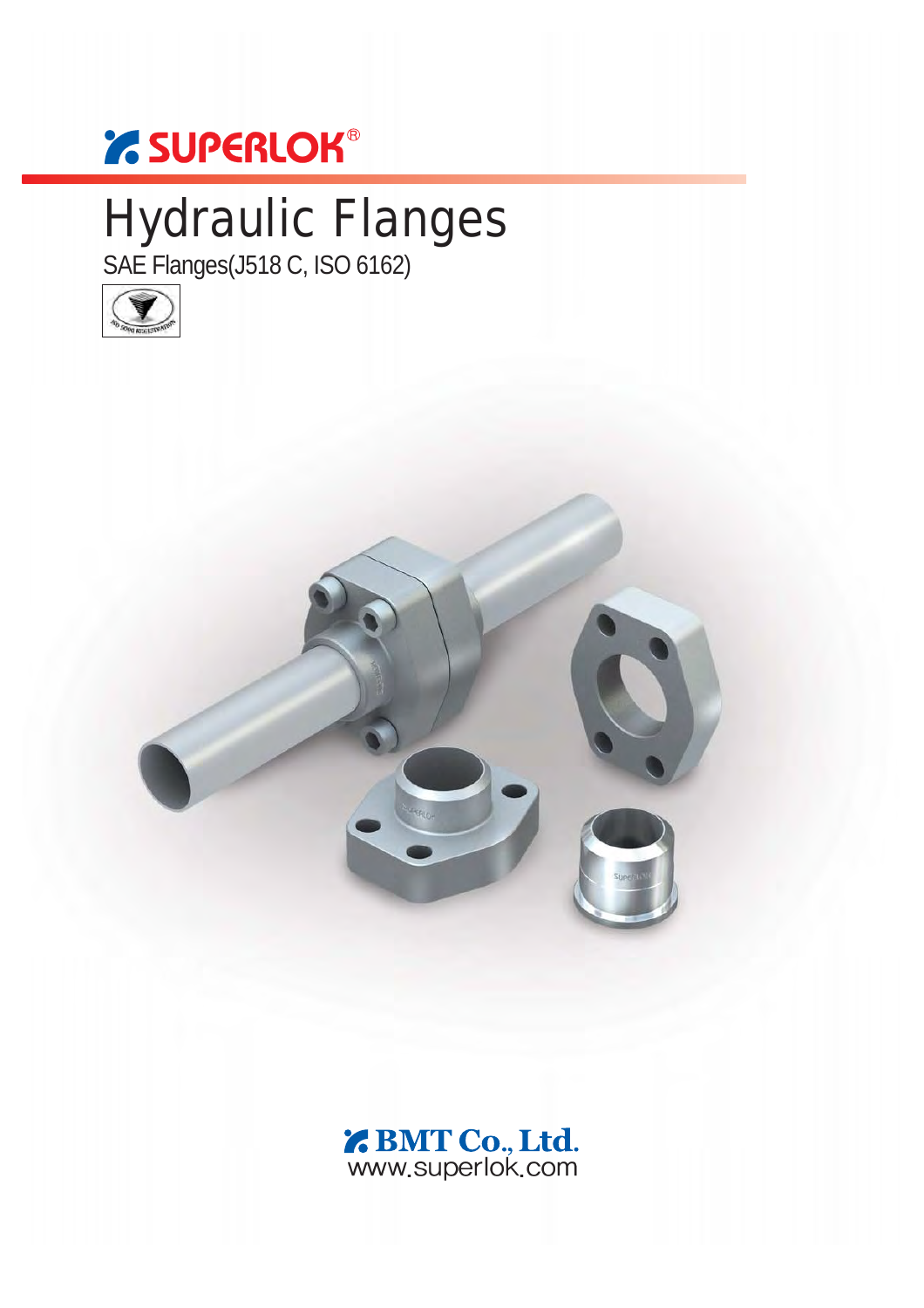# *' SUPERLOK®*

# Hydraulic Flanges

SAE Flanges(J518 C, ISO 6162)



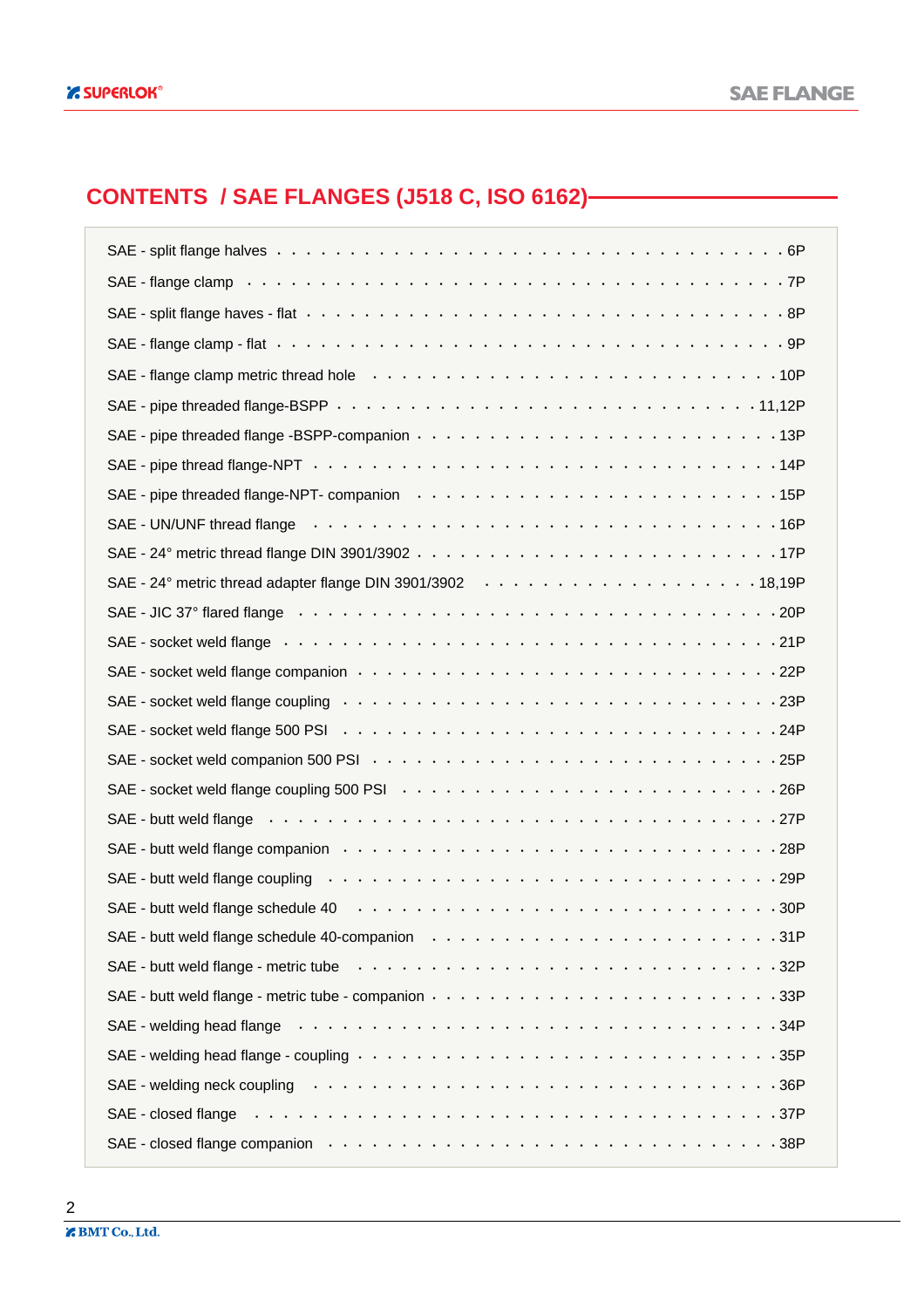### **CONTENTS / SAE FLANGES (J518 C, ISO 6162)**

| SAE - flange clamp (a) and a contract of the contract of the contract of the contract of the contract of the contract of the contract of the contract of the contract of the contract of the contract of the contract of the c |
|--------------------------------------------------------------------------------------------------------------------------------------------------------------------------------------------------------------------------------|
|                                                                                                                                                                                                                                |
|                                                                                                                                                                                                                                |
|                                                                                                                                                                                                                                |
|                                                                                                                                                                                                                                |
|                                                                                                                                                                                                                                |
|                                                                                                                                                                                                                                |
| SAE - pipe threaded flange-NPT- companion (a) and a set of the set of the set of the set of the set of the set of the set of the set of the set of the set of the set of the set of the set of the set of the set of the set o |
|                                                                                                                                                                                                                                |
|                                                                                                                                                                                                                                |
|                                                                                                                                                                                                                                |
|                                                                                                                                                                                                                                |
| SAE - socket weld flange enterprise research with the set of the contract of the set of the set of the set of the set of the set of the set of the set of the set of the set of the set of the set of the set of the set of th |
|                                                                                                                                                                                                                                |
| SAE - socket weld flange coupling we want to contact the control of the control of the socket weld flange coupling we were contact to contact the contact of the socket weld                                                   |
|                                                                                                                                                                                                                                |
|                                                                                                                                                                                                                                |
|                                                                                                                                                                                                                                |
|                                                                                                                                                                                                                                |
| SAE - butt weld flange companion we want with the set of the set of the set of the set of the set of the set of the set of the set of the set of the set of the set of the set of the set of the set of the set of the set of  |
| SAE - butt weld flange coupling www.accommunity.com/www.accommunity/set-                                                                                                                                                       |
|                                                                                                                                                                                                                                |
| SAE - butt weld flange schedule 40-companion enterpretation of the state of the schedule of the state of the s                                                                                                                 |
| SAE - butt weld flange - metric tube with the window of the content of the set of the set of the set of the set of the set of the set of the set of the set of the set of the set of the set of the set of the set of the set  |
|                                                                                                                                                                                                                                |
| SAE - welding head flange enterprise to serve the server of the server of the server of the server of the server of the server of the server of the server of the server of the server of the server of the server of the serv |
| SAE - welding head flange - coupling www.community.community of the state of the state of the state of the state of the state of the state of the state of the state of the state of the state of the state of the state of th |
|                                                                                                                                                                                                                                |
| SAE - closed flange enterprise research in the set of the contract of the set of the set of the set of the set of the set of the set of the set of the set of the set of the set of the set of the set of the set of the set o |
|                                                                                                                                                                                                                                |

2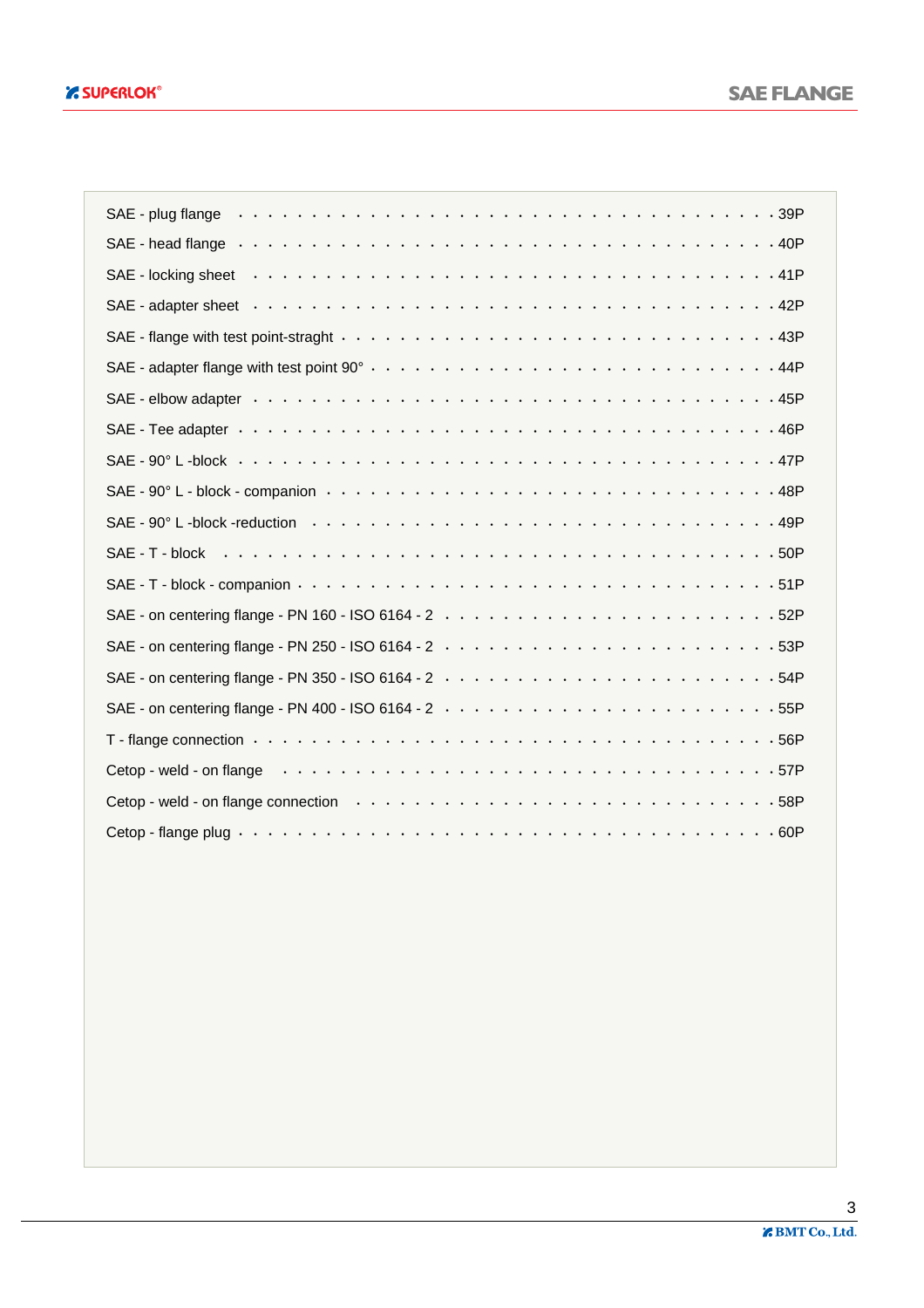| SAE - plug flange entertainment is not all that is not all the state of the state is not all the state in the state is not all the state in the state in the state in the state in the state in the state in the state in the  |
|--------------------------------------------------------------------------------------------------------------------------------------------------------------------------------------------------------------------------------|
|                                                                                                                                                                                                                                |
|                                                                                                                                                                                                                                |
|                                                                                                                                                                                                                                |
|                                                                                                                                                                                                                                |
|                                                                                                                                                                                                                                |
|                                                                                                                                                                                                                                |
|                                                                                                                                                                                                                                |
|                                                                                                                                                                                                                                |
|                                                                                                                                                                                                                                |
|                                                                                                                                                                                                                                |
| SAE - T - block $\cdots \cdots \cdots \cdots \cdots$                                                                                                                                                                           |
|                                                                                                                                                                                                                                |
|                                                                                                                                                                                                                                |
|                                                                                                                                                                                                                                |
|                                                                                                                                                                                                                                |
|                                                                                                                                                                                                                                |
| T - flange connection $\cdots$ $\cdots$ $\cdots$ $\cdots$ $\cdots$ $\cdots$ $\cdots$ $\cdots$ $\cdots$ $\cdots$ $\cdots$ $\cdots$ $\cdots$ $\cdots$ $\cdots$ 56P                                                               |
| Cetop - weld - on flange enterprise with the state of the state of the state of the state of the state of the state of the state of the state of the state of the state of the state of the state of the state of the state of |
|                                                                                                                                                                                                                                |
|                                                                                                                                                                                                                                |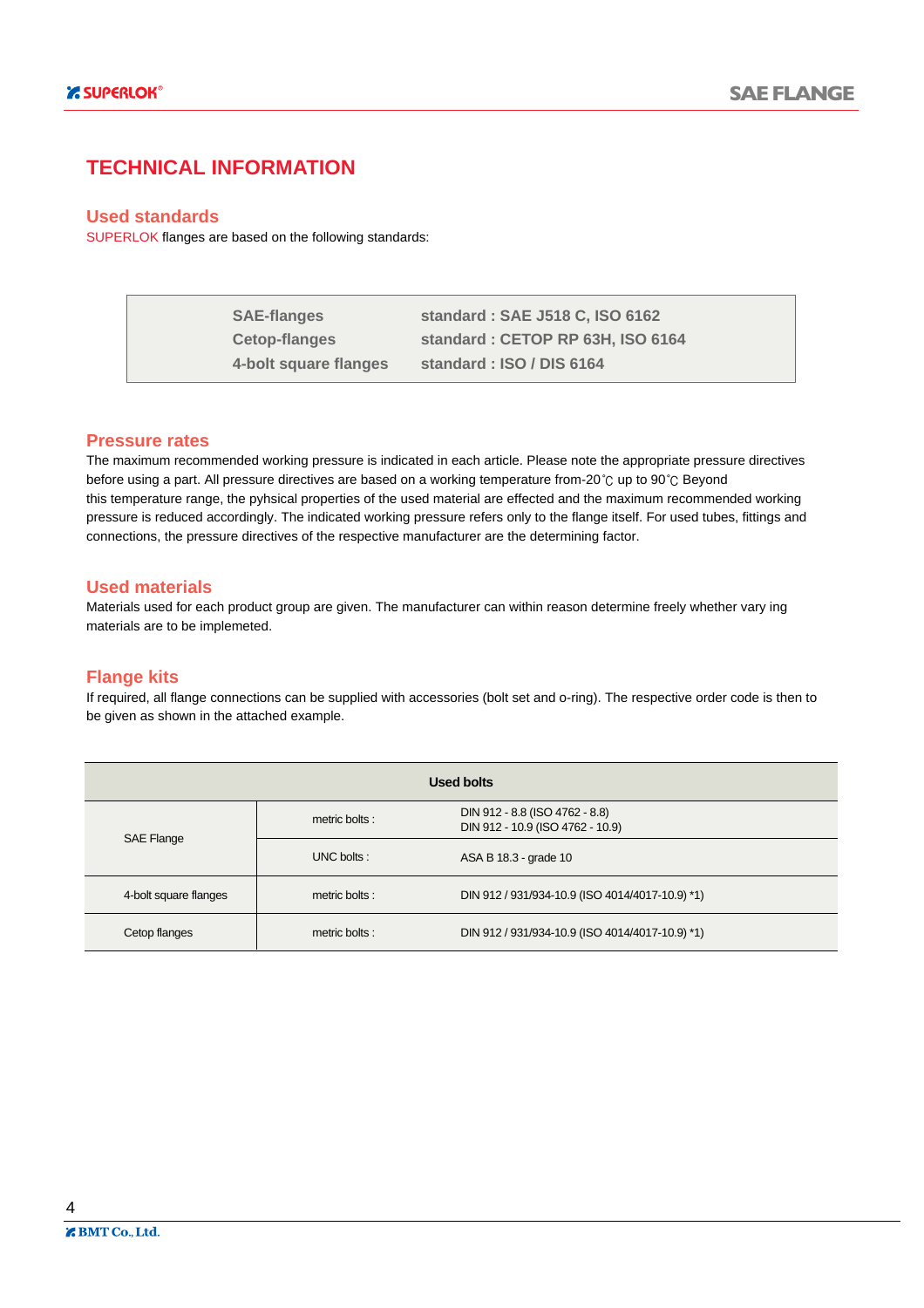#### **TECHNICAL INFORMATION**

#### **Used standards**

SUPERLOK flanges are based on the following standards:

| <b>SAE-flanges</b>    | standard: SAE J518 C, ISO 6162   |
|-----------------------|----------------------------------|
| <b>Cetop-flanges</b>  | standard: CETOP RP 63H, ISO 6164 |
| 4-bolt square flanges | standard: ISO / DIS 6164         |

#### **Pressure rates**

The maximum recommended working pressure is indicated in each article. Please note the appropriate pressure directives before using a part. All pressure directives are based on a working temperature from-20°C up to 90°C Beyond this temperature range, the pyhsical properties of the used material are effected and the maximum recommended working pressure is reduced accordingly. The indicated working pressure refers only to the flange itself. For used tubes, fittings and connections, the pressure directives of the respective manufacturer are the determining factor.

#### **Used materials**

Materials used for each product group are given. The manufacturer can within reason determine freely whether vary ing materials are to be implemeted.

#### **Flange kits**

If required, all flange connections can be supplied with accessories (bolt set and o-ring). The respective order code is then to be given as shown in the attached example.

|                       |                | Used bolts                                                         |
|-----------------------|----------------|--------------------------------------------------------------------|
|                       | metric bolts : | DIN 912 - 8.8 (ISO 4762 - 8.8)<br>DIN 912 - 10.9 (ISO 4762 - 10.9) |
| SAE Flange            | UNC bolts:     | ASA B 18.3 - grade 10                                              |
| 4-bolt square flanges | metric bolts:  | DIN 912 / 931/934-10.9 (ISO 4014/4017-10.9) *1)                    |
| Cetop flanges         | metric bolts:  | DIN 912 / 931/934-10.9 (ISO 4014/4017-10.9) *1)                    |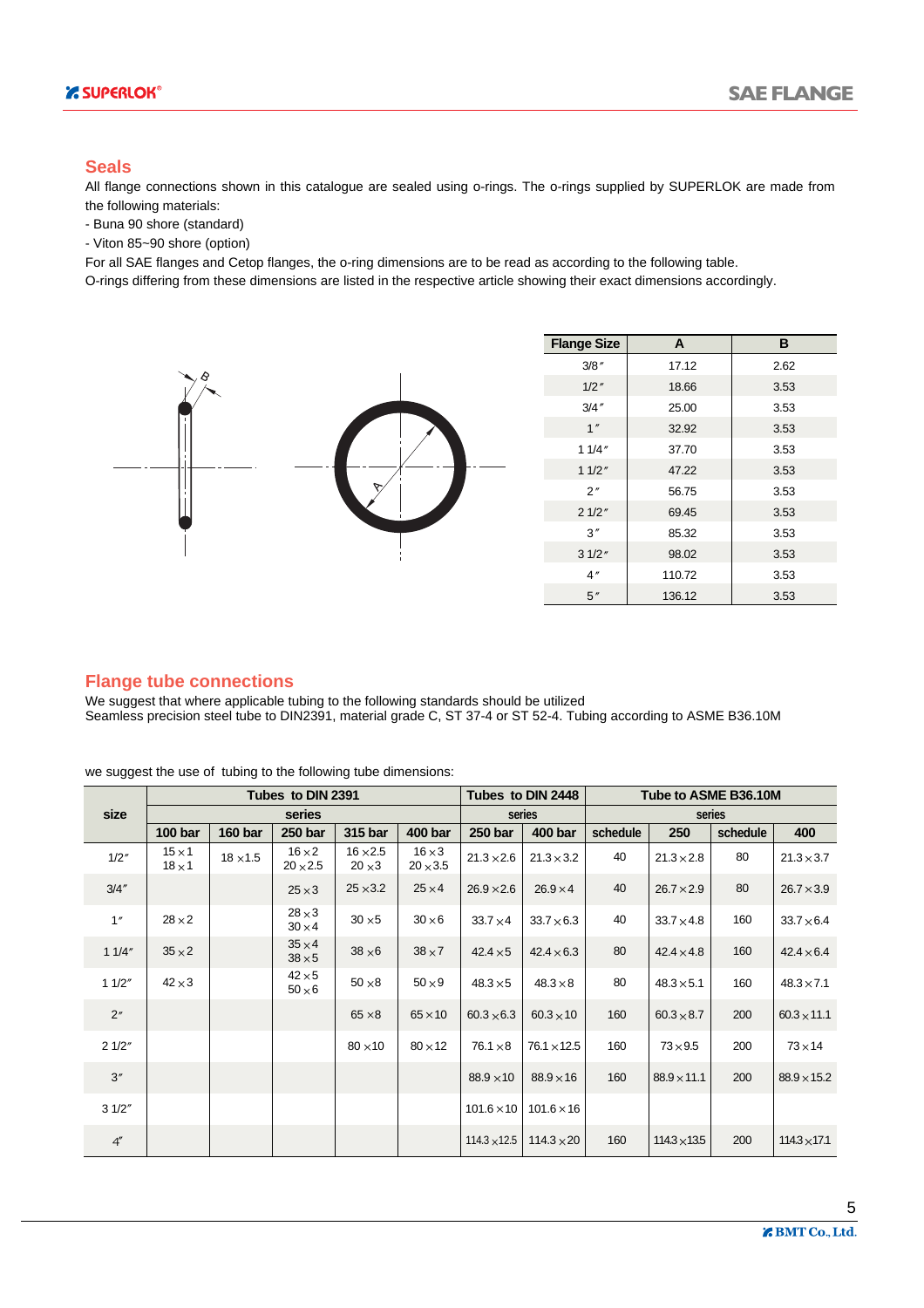#### **Seals**

All flange connections shown in this catalogue are sealed using o-rings. The o-rings supplied by SUPERLOK are made from the following materials:

- Buna 90 shore (standard)

- Viton 85~90 shore (option)

For all SAE flanges and Cetop flanges, the o-ring dimensions are to be read as according to the following table.

O-rings differing from these dimensions are listed in the respective article showing their exact dimensions accordingly.



#### **Flange tube connections**

We suggest that where applicable tubing to the following standards should be utilized Seamless precision steel tube to DIN2391, material grade C, ST 37-4 or ST 52-4. Tubing according to ASME B36.10M

we suggest the use of tubing to the following tube dimensions:

|                |                              |                 | Tubes to DIN 2391                |                                  |                                  |                     | Tubes to DIN 2448  | Tube to ASME B36.10M |                     |          |                     |  |  |
|----------------|------------------------------|-----------------|----------------------------------|----------------------------------|----------------------------------|---------------------|--------------------|----------------------|---------------------|----------|---------------------|--|--|
| size           |                              |                 | series                           |                                  |                                  |                     | series             |                      |                     | series   |                     |  |  |
|                | 100 <sub>bar</sub>           | <b>160 bar</b>  | 250 bar                          | 315 bar                          | 400 bar                          | <b>250 bar</b>      | 400 bar            | schedule             | 250                 | schedule | 400                 |  |  |
| 1/2"           | $15 \times 1$<br>$18\times1$ | $18 \times 1.5$ | $16 \times 2$<br>$20 \times 2.5$ | $16 \times 2.5$<br>$20 \times 3$ | $16 \times 3$<br>$20 \times 3.5$ | $21.3 \times 2.6$   | $21.3 \times 3.2$  | 40                   | $21.3 \times 2.8$   | 80       | $21.3 \times 3.7$   |  |  |
| 3/4''          |                              |                 | $25 \times 3$                    | $25 \times 3.2$                  | $25 \times 4$                    | $26.9 \times 2.6$   | $26.9 \times 4$    | 40                   | $26.7 \times 2.9$   | 80       | $26.7 \times 3.9$   |  |  |
| 1''            | $28\times2$                  |                 | $28\times3$<br>$30 \times 4$     | $30 \times 5$                    | $30\times 6$                     | $33.7 \times 4$     | $33.7\times6.3$    | 40                   | $33.7 \times 4.8$   | 160      | $33.7\times 6.4$    |  |  |
| 11/4"          | $35 \times 2$                |                 | $35 \times 4$<br>$38\times5$     | $38\times 6$                     | $38\times7$                      | $42.4 \times 5$     | $42.4 \times 6.3$  | 80                   | $42.4 \times 4.8$   | 160      | $42.4 \times 6.4$   |  |  |
| 11/2"          | $42 \times 3$                |                 | $42\times5$<br>$50\times 6$      | $50\times8$                      | $50\times9$                      | $48.3 \times 5$     | $48.3\times8$      | 80                   | $48.3 \times 5.1$   | 160      | $48.3 \times 7.1$   |  |  |
| 2 <sup>n</sup> |                              |                 |                                  | $65 \times 8$                    | $65 \times 10$                   | $60.3 \times 6.3$   | $60.3 \times 10$   | 160                  | $60.3 \times 8.7$   | 200      | $60.3 \times 11.1$  |  |  |
| 21/2"          |                              |                 |                                  | $80 \times 10$                   | $80 \times 12$                   | $76.1 \times 8$     | $76.1 \times 12.5$ | 160                  | $73\times9.5$       | 200      | $73 \times 14$      |  |  |
| 3''            |                              |                 |                                  |                                  |                                  | $88.9 \times 10$    | $88.9 \times 16$   | 160                  | $88.9 \times 11.1$  | 200      | $88.9 \times 15.2$  |  |  |
| 31/2"          |                              |                 |                                  |                                  |                                  | $101.6 \times 10$   | $101.6 \times 16$  |                      |                     |          |                     |  |  |
| 4''            |                              |                 |                                  |                                  |                                  | $114.3 \times 12.5$ | $114.3 \times 20$  | 160                  | $114.3 \times 13.5$ | 200      | $114.3 \times 17.1$ |  |  |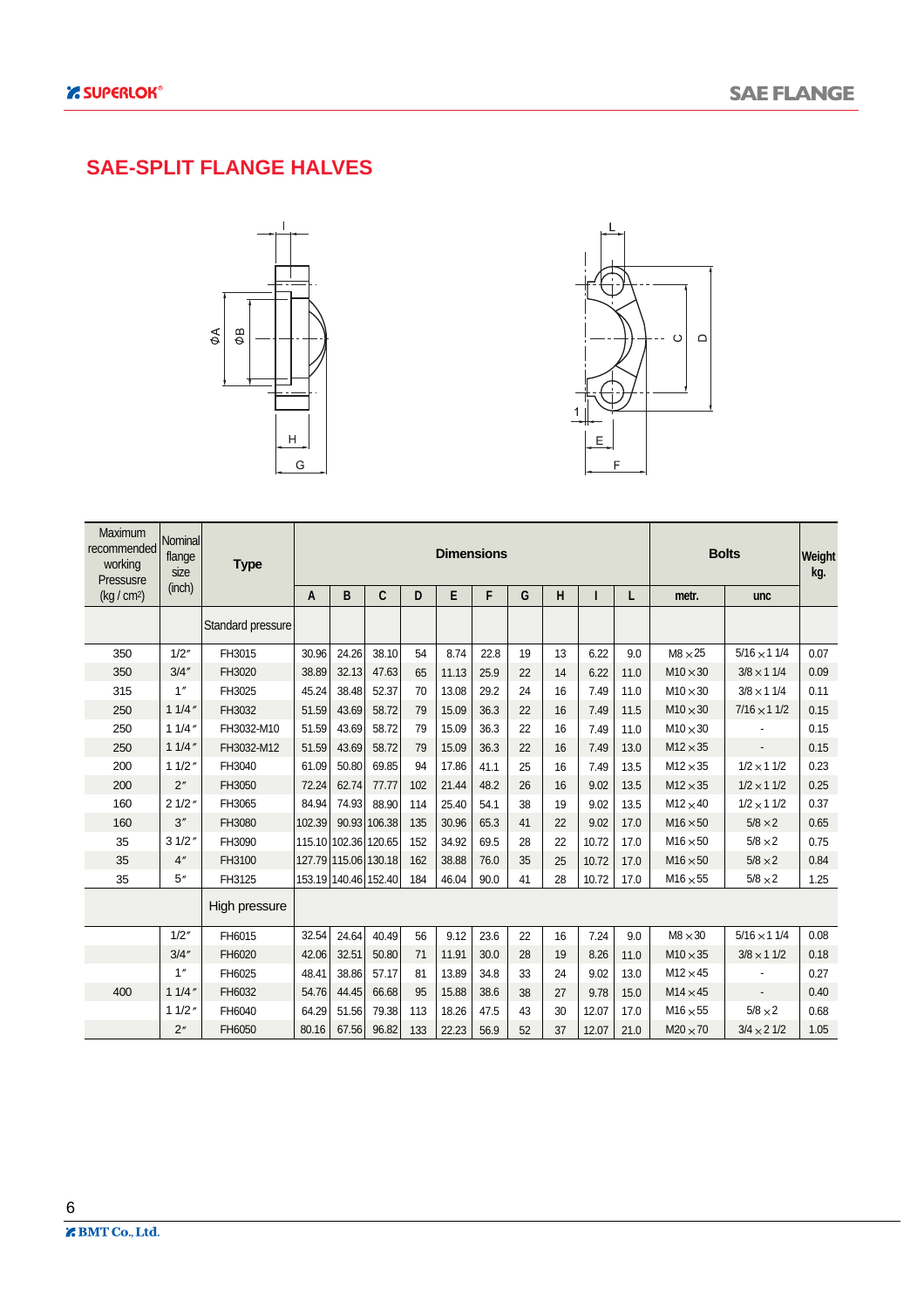### **SAE-SPLIT FLANGE HALVES**





| <b>Maximum</b><br>recommended<br>working<br>Pressusre | Nominal<br>flange<br>size | <b>Type</b>       |        | <b>Dimensions</b>    |                      |     |       |      |    |    |       |      |                 | <b>Bolts</b>       |      |  |  |
|-------------------------------------------------------|---------------------------|-------------------|--------|----------------------|----------------------|-----|-------|------|----|----|-------|------|-----------------|--------------------|------|--|--|
| (kg/cm <sup>2</sup> )                                 | (inch)                    |                   | A      | B                    | C                    | D   | E     | F    | G  | H  |       | L    | metr.           | unc                |      |  |  |
|                                                       |                           | Standard pressure |        |                      |                      |     |       |      |    |    |       |      |                 |                    |      |  |  |
| 350                                                   | 1/2"                      | FH3015            | 30.96  | 24.26                | 38.10                | 54  | 8.74  | 22.8 | 19 | 13 | 6.22  | 9.0  | $M8 \times 25$  | $5/16 \times 11/4$ | 0.07 |  |  |
| 350                                                   | 3/4''                     | FH3020            | 38.89  | 32.13                | 47.63                | 65  | 11.13 | 25.9 | 22 | 14 | 6.22  | 11.0 | $M10 \times 30$ | $3/8 \times 11/4$  | 0.09 |  |  |
| 315                                                   | 1''                       | FH3025            | 45.24  | 38.48                | 52.37                | 70  | 13.08 | 29.2 | 24 | 16 | 7.49  | 11.0 | $M10 \times 30$ | $3/8 \times 11/4$  | 0.11 |  |  |
| 250                                                   | 11/4''                    | FH3032            | 51.59  | 43.69                | 58.72                | 79  | 15.09 | 36.3 | 22 | 16 | 7.49  | 11.5 | $M10 \times 30$ | $7/16 \times 11/2$ | 0.15 |  |  |
| 250                                                   | 11/4''                    | FH3032-M10        | 51.59  | 43.69                | 58.72                | 79  | 15.09 | 36.3 | 22 | 16 | 7.49  | 11.0 | $M10 \times 30$ |                    | 0.15 |  |  |
| 250                                                   | 11/4''                    | FH3032-M12        | 51.59  | 43.69                | 58.72                | 79  | 15.09 | 36.3 | 22 | 16 | 7.49  | 13.0 | $M12 \times 35$ |                    | 0.15 |  |  |
| 200                                                   | 11/2''                    | FH3040            | 61.09  | 50.80                | 69.85                | 94  | 17.86 | 41.1 | 25 | 16 | 7.49  | 13.5 | $M12 \times 35$ | $1/2 \times 11/2$  | 0.23 |  |  |
| 200                                                   | 2"                        | FH3050            | 72.24  | 62.74                | 77.77                | 102 | 21.44 | 48.2 | 26 | 16 | 9.02  | 13.5 | $M12 \times 35$ | $1/2 \times 11/2$  | 0.25 |  |  |
| 160                                                   | 21/2"                     | FH3065            | 84.94  | 74.93                | 88.90                | 114 | 25.40 | 54.1 | 38 | 19 | 9.02  | 13.5 | $M12 \times 40$ | $1/2 \times 11/2$  | 0.37 |  |  |
| 160                                                   | 3''                       | FH3080            | 102.39 |                      | 90.93 106.38         | 135 | 30.96 | 65.3 | 41 | 22 | 9.02  | 17.0 | $M16 \times 50$ | $5/8 \times 2$     | 0.65 |  |  |
| 35                                                    | 31/2''                    | FH3090            |        | 115.10 102.36 120.65 |                      | 152 | 34.92 | 69.5 | 28 | 22 | 10.72 | 17.0 | $M16 \times 50$ | $5/8 \times 2$     | 0.75 |  |  |
| 35                                                    | 4"                        | FH3100            |        | 127.79 115.06 130.18 |                      | 162 | 38.88 | 76.0 | 35 | 25 | 10.72 | 17.0 | $M16 \times 50$ | $5/8 \times 2$     | 0.84 |  |  |
| 35                                                    | 5''                       | FH3125            |        |                      | 153.19 140.46 152.40 | 184 | 46.04 | 90.0 | 41 | 28 | 10.72 | 17.0 | $M16 \times 55$ | $5/8 \times 2$     | 1.25 |  |  |
|                                                       |                           | High pressure     |        |                      |                      |     |       |      |    |    |       |      |                 |                    |      |  |  |
|                                                       | 1/2"                      | FH6015            | 32.54  | 24.64                | 40.49                | 56  | 9.12  | 23.6 | 22 | 16 | 7.24  | 9.0  | $M8 \times 30$  | $5/16 \times 11/4$ | 0.08 |  |  |
|                                                       | 3/4''                     | FH6020            | 42.06  | 32.51                | 50.80                | 71  | 11.91 | 30.0 | 28 | 19 | 8.26  | 11.0 | $M10 \times 35$ | $3/8 \times 11/2$  | 0.18 |  |  |
|                                                       | 1''                       | FH6025            | 48.41  | 38.86                | 57.17                | 81  | 13.89 | 34.8 | 33 | 24 | 9.02  | 13.0 | $M12 \times 45$ |                    | 0.27 |  |  |
| 400                                                   | 11/4''                    | FH6032            | 54.76  | 44.45                | 66.68                | 95  | 15.88 | 38.6 | 38 | 27 | 9.78  | 15.0 | $M14 \times 45$ |                    | 0.40 |  |  |
|                                                       | 11/2''                    | FH6040            | 64.29  | 51.56                | 79.38                | 113 | 18.26 | 47.5 | 43 | 30 | 12.07 | 17.0 | $M16 \times 55$ | $5/8 \times 2$     | 0.68 |  |  |
|                                                       | 2"                        | FH6050            | 80.16  | 67.56                | 96.82                | 133 | 22.23 | 56.9 | 52 | 37 | 12.07 | 21.0 | $M20 \times 70$ | $3/4 \times 21/2$  | 1.05 |  |  |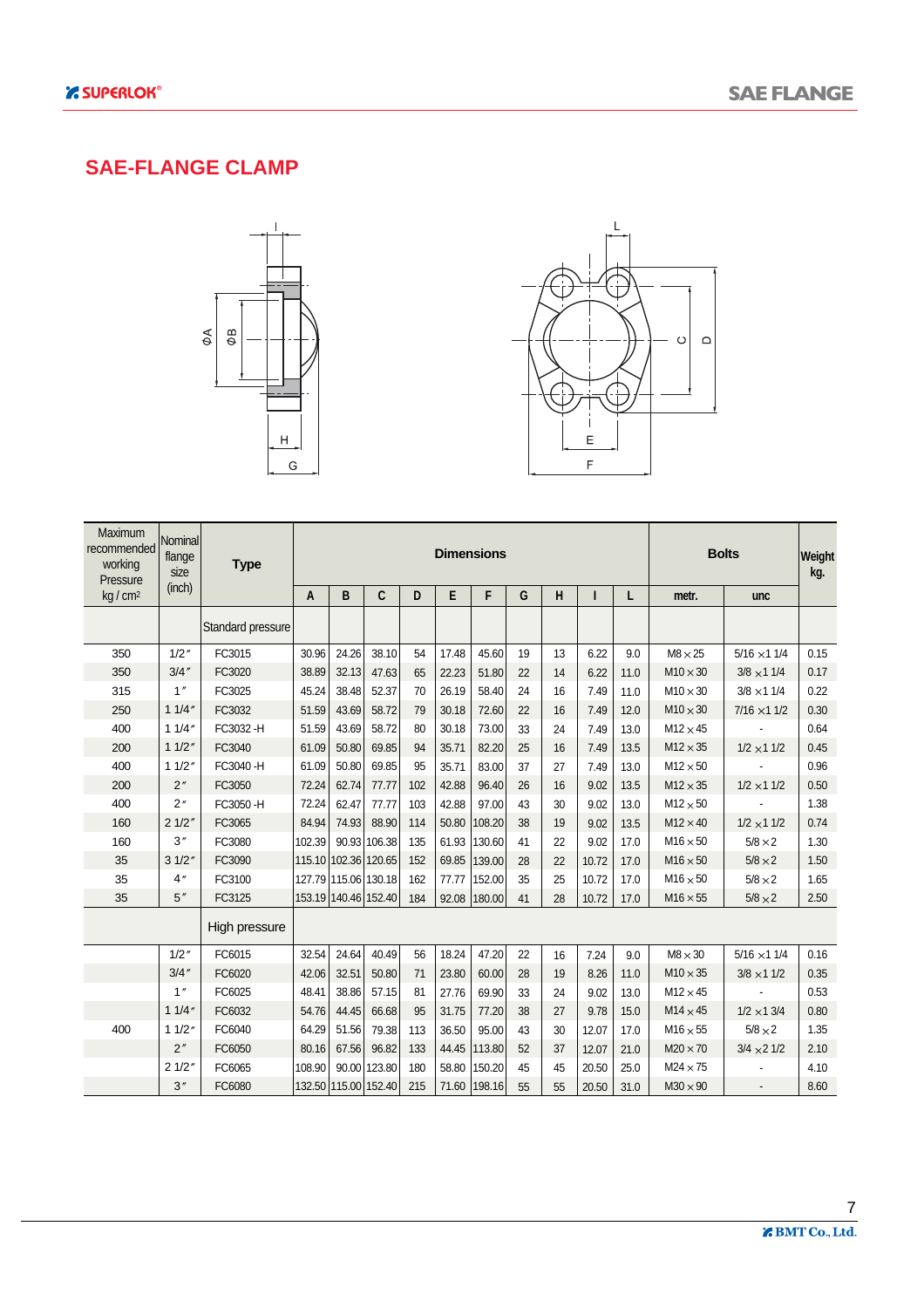#### **SAE-FLANGE CLAMP**





| <b>Maximum</b><br>recommended<br>working<br>Pressure | Nominal<br>flange<br>size | <b>Type</b>       | <b>Dimensions</b><br><b>Bolts</b> |                      |              |     |       |              |    |    |       |      |                 | Weight<br>kg.      |      |
|------------------------------------------------------|---------------------------|-------------------|-----------------------------------|----------------------|--------------|-----|-------|--------------|----|----|-------|------|-----------------|--------------------|------|
| kg / cm <sup>2</sup>                                 | (inch)                    |                   | A                                 | B                    | C            | D   | E     | F            | G  | H  |       | L    | metr.           | unc                |      |
|                                                      |                           | Standard pressure |                                   |                      |              |     |       |              |    |    |       |      |                 |                    |      |
| 350                                                  | 1/2''                     | FC3015            | 30.96                             | 24.26                | 38.10        | 54  | 17.48 | 45.60        | 19 | 13 | 6.22  | 9.0  | $M8 \times 25$  | $5/16 \times 11/4$ | 0.15 |
| 350                                                  | 3/4''                     | FC3020            | 38.89                             | 32.13                | 47.63        | 65  | 22.23 | 51.80        | 22 | 14 | 6.22  | 11.0 | $M10 \times 30$ | $3/8 \times 11/4$  | 0.17 |
| 315                                                  | 1''                       | FC3025            | 45.24                             | 38.48                | 52.37        | 70  | 26.19 | 58.40        | 24 | 16 | 7.49  | 11.0 | $M10 \times 30$ | $3/8 \times 11/4$  | 0.22 |
| 250                                                  | 11/4''                    | FC3032            | 51.59                             | 43.69                | 58.72        | 79  | 30.18 | 72.60        | 22 | 16 | 7.49  | 12.0 | $M10 \times 30$ | $7/16 \times 11/2$ | 0.30 |
| 400                                                  | 11/4''                    | FC3032-H          | 51.59                             | 43.69                | 58.72        | 80  | 30.18 | 73.00        | 33 | 24 | 7.49  | 13.0 | $M12 \times 45$ |                    | 0.64 |
| 200                                                  | 11/2''                    | FC3040            | 61.09                             | 50.80                | 69.85        | 94  | 35.71 | 82.20        | 25 | 16 | 7.49  | 13.5 | $M12 \times 35$ | $1/2 \times 11/2$  | 0.45 |
| 400                                                  | 11/2''                    | FC3040-H          | 61.09                             | 50.80                | 69.85        | 95  | 35.71 | 83.00        | 37 | 27 | 7.49  | 13.0 | $M12 \times 50$ |                    | 0.96 |
| 200                                                  | 2"                        | FC3050            | 72.24                             | 62.74                | 77.77        | 102 | 42.88 | 96.40        | 26 | 16 | 9.02  | 13.5 | $M12 \times 35$ | $1/2 \times 11/2$  | 0.50 |
| 400                                                  | 2"                        | FC3050-H          | 72.24                             | 62.47                | 77.77        | 103 | 42.88 | 97.00        | 43 | 30 | 9.02  | 13.0 | $M12 \times 50$ |                    | 1.38 |
| 160                                                  | 21/2"                     | FC3065            | 84.94                             | 74.93                | 88.90        | 114 | 50.80 | 108.20       | 38 | 19 | 9.02  | 13.5 | $M12 \times 40$ | $1/2 \times 11/2$  | 0.74 |
| 160                                                  | 3''                       | FC3080            | 102.39                            |                      | 90.93 106.38 | 135 | 61.93 | 130.60       | 41 | 22 | 9.02  | 17.0 | $M16 \times 50$ | $5/8 \times 2$     | 1.30 |
| 35                                                   | 31/2"                     | FC3090            |                                   | 115.10 102.36 120.65 |              | 152 | 69.85 | 139.00       | 28 | 22 | 10.72 | 17.0 | $M16 \times 50$ | $5/8 \times 2$     | 1.50 |
| 35                                                   | 4''                       | FC3100            |                                   | 127.79 115.06 130.18 |              | 162 | 77.77 | 152.00       | 35 | 25 | 10.72 | 17.0 | $M16 \times 50$ | $5/8 \times 2$     | 1.65 |
| 35                                                   | 5''                       | FC3125            |                                   | 153.19 140.46 152.40 |              | 184 |       | 92.08 180.00 | 41 | 28 | 10.72 | 17.0 | $M16 \times 55$ | $5/8 \times 2$     | 2.50 |
|                                                      |                           | High pressure     |                                   |                      |              |     |       |              |    |    |       |      |                 |                    |      |
|                                                      | 1/2''                     | FC6015            | 32.54                             | 24.64                | 40.49        | 56  | 18.24 | 47.20        | 22 | 16 | 7.24  | 9.0  | $M8 \times 30$  | $5/16 \times 11/4$ | 0.16 |
|                                                      | 3/4''                     | FC6020            | 42.06                             | 32.51                | 50.80        | 71  | 23.80 | 60.00        | 28 | 19 | 8.26  | 11.0 | $M10 \times 35$ | $3/8 \times 11/2$  | 0.35 |
|                                                      | 1''                       | FC6025            | 48.41                             | 38.86                | 57.15        | 81  | 27.76 | 69.90        | 33 | 24 | 9.02  | 13.0 | $M12 \times 45$ |                    | 0.53 |
|                                                      | 11/4''                    | FC6032            | 54.76                             | 44.45                | 66.68        | 95  | 31.75 | 77.20        | 38 | 27 | 9.78  | 15.0 | $M14 \times 45$ | $1/2 \times 13/4$  | 0.80 |
| 400                                                  | 11/2"                     | FC6040            | 64.29                             | 51.56                | 79.38        | 113 | 36.50 | 95.00        | 43 | 30 | 12.07 | 17.0 | $M16 \times 55$ | $5/8 \times 2$     | 1.35 |
|                                                      | 2''                       | FC6050            | 80.16                             | 67.56                | 96.82        | 133 | 44.45 | 113.80       | 52 | 37 | 12.07 | 21.0 | $M20 \times 70$ | $3/4 \times 21/2$  | 2.10 |
|                                                      | 21/2"                     | FC6065            | 108.90                            |                      | 90.00 123.80 | 180 | 58.80 | 150.20       | 45 | 45 | 20.50 | 25.0 | $M24 \times 75$ |                    | 4.10 |
|                                                      | 3''                       | FC6080            |                                   | 132.50 115.00 152.40 |              | 215 | 71.60 | 198.16       | 55 | 55 | 20.50 | 31.0 | $M30 \times 90$ |                    | 8.60 |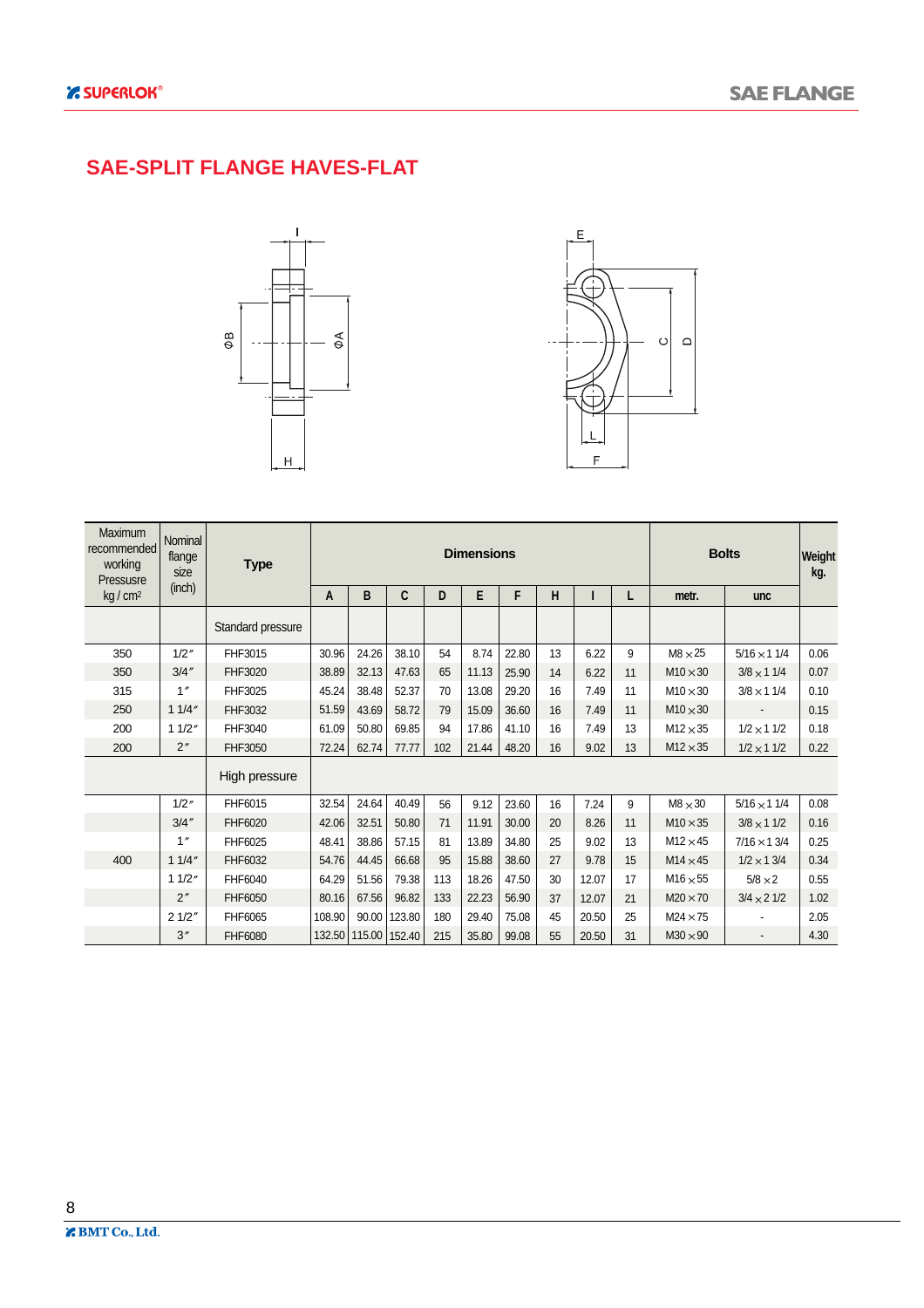#### **SAE-SPLIT FLANGE HAVES-FLAT**





| <b>Maximum</b><br>recommended<br>working<br>Pressusre | Nominal<br>flange<br>size | <b>Type</b>       |        |               |              | <b>Dimensions</b> |       | <b>Bolts</b> | Weight<br>kg. |       |    |                 |                    |      |
|-------------------------------------------------------|---------------------------|-------------------|--------|---------------|--------------|-------------------|-------|--------------|---------------|-------|----|-----------------|--------------------|------|
| kg/cm <sup>2</sup>                                    | (inch)                    |                   | A      | B             | $\mathbf{C}$ | D                 | E     | F            | H             |       | L  | metr.           | <b>unc</b>         |      |
|                                                       |                           | Standard pressure |        |               |              |                   |       |              |               |       |    |                 |                    |      |
| 350                                                   | 1/2''                     | FHF3015           | 30.96  | 24.26         | 38.10        | 54                | 8.74  | 22.80        | 13            | 6.22  | 9  | $M8 \times 25$  | $5/16 \times 11/4$ | 0.06 |
| 350                                                   | 3/4''                     | FHF3020           | 38.89  | 32.13         | 47.63        | 65                | 11.13 | 25.90        | 14            | 6.22  | 11 | $M10 \times 30$ | $3/8 \times 11/4$  | 0.07 |
| 315                                                   | 1''                       | FHF3025           | 45.24  | 38.48         | 52.37        | 70                | 13.08 | 29.20        | 16            | 7.49  | 11 | $M10 \times 30$ | $3/8 \times 11/4$  | 0.10 |
| 250                                                   | 11/4"                     | FHF3032           | 51.59  | 43.69         | 58.72        | 79                | 15.09 | 36.60        | 16            | 7.49  | 11 | $M10 \times 30$ |                    | 0.15 |
| 200                                                   | 11/2"                     | FHF3040           | 61.09  | 50.80         | 69.85        | 94                | 17.86 | 41.10        | 16            | 7.49  | 13 | $M12 \times 35$ | $1/2 \times 11/2$  | 0.18 |
| 200                                                   | 2"                        | FHF3050           | 72.24  | 62.74         | 77.77        | 102               | 21.44 | 48.20        | 16            | 9.02  | 13 | $M12 \times 35$ | $1/2 \times 11/2$  | 0.22 |
|                                                       |                           | High pressure     |        |               |              |                   |       |              |               |       |    |                 |                    |      |
|                                                       | 1/2''                     | FHF6015           | 32.54  | 24.64         | 40.49        | 56                | 9.12  | 23.60        | 16            | 7.24  | 9  | $M8 \times 30$  | $5/16 \times 11/4$ | 0.08 |
|                                                       | 3/4''                     | FHF6020           | 42.06  | 32.51         | 50.80        | 71                | 11.91 | 30.00        | 20            | 8.26  | 11 | $M10 \times 35$ | $3/8 \times 11/2$  | 0.16 |
|                                                       | 1''                       | FHF6025           | 48.41  | 38.86         | 57.15        | 81                | 13.89 | 34.80        | 25            | 9.02  | 13 | $M12 \times 45$ | $7/16 \times 13/4$ | 0.25 |
| 400                                                   | 11/4"                     | FHF6032           | 54.76  | 44.45         | 66.68        | 95                | 15.88 | 38.60        | 27            | 9.78  | 15 | $M14 \times 45$ | $1/2 \times 13/4$  | 0.34 |
|                                                       | 11/2"                     | FHF6040           | 64.29  | 51.56         | 79.38        | 113               | 18.26 | 47.50        | 30            | 12.07 | 17 | $M16 \times 55$ | $5/8 \times 2$     | 0.55 |
|                                                       | 2"                        | FHF6050           | 80.16  | 67.56         | 96.82        | 133               | 22.23 | 56.90        | 37            | 12.07 | 21 | $M20 \times 70$ | $3/4 \times 21/2$  | 1.02 |
|                                                       | 21/2"                     | FHF6065           | 108.90 | 90.00         | 123.80       | 180               | 29.40 | 75.08        | 45            | 20.50 | 25 | $M24 \times 75$ |                    | 2.05 |
|                                                       | 3''                       | FHF6080           | 132.50 | 115.00 152.40 |              | 215               | 35.80 | 99.08        | 55            | 20.50 | 31 | $M30 \times 90$ | $\overline{a}$     | 4.30 |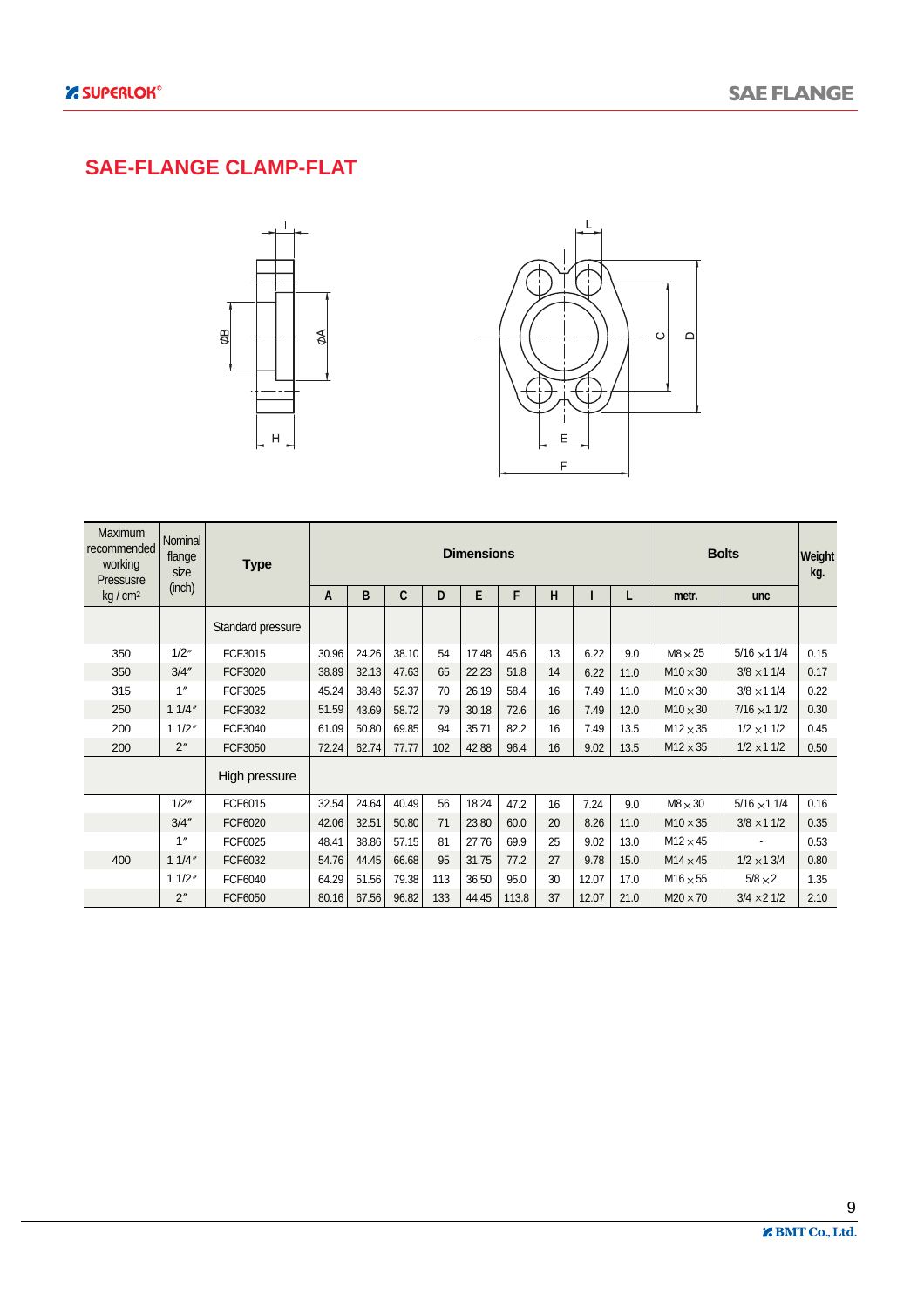#### **SAE-FLANGE CLAMP-FLAT**





| <b>Maximum</b><br>recommended<br>working<br>Pressusre | Nominal<br>flange<br>size | <b>Type</b>       | <b>Dimensions</b> |       |       |     |       |       |    |       |      |                 | <b>Bolts</b>       | Weight<br>kg. |
|-------------------------------------------------------|---------------------------|-------------------|-------------------|-------|-------|-----|-------|-------|----|-------|------|-----------------|--------------------|---------------|
| kg/cm <sup>2</sup>                                    | (inch)                    |                   | A                 | B     | C     | D   | E     | F     | н  | ı     | L    | metr.           | <b>unc</b>         |               |
|                                                       |                           | Standard pressure |                   |       |       |     |       |       |    |       |      |                 |                    |               |
| 350                                                   | 1/2"                      | FCF3015           | 30.96             | 24.26 | 38.10 | 54  | 17.48 | 45.6  | 13 | 6.22  | 9.0  | $M8 \times 25$  | $5/16 \times 11/4$ | 0.15          |
| 350                                                   | 3/4''                     | FCF3020           | 38.89             | 32.13 | 47.63 | 65  | 22.23 | 51.8  | 14 | 6.22  | 11.0 | $M10 \times 30$ | $3/8 \times 11/4$  | 0.17          |
| 315                                                   | 1''                       | FCF3025           | 45.24             | 38.48 | 52.37 | 70  | 26.19 | 58.4  | 16 | 7.49  | 11.0 | $M10 \times 30$ | $3/8 \times 11/4$  | 0.22          |
| 250                                                   | 11/4"                     | FCF3032           | 51.59             | 43.69 | 58.72 | 79  | 30.18 | 72.6  | 16 | 7.49  | 12.0 | $M10 \times 30$ | $7/16 \times 11/2$ | 0.30          |
| 200                                                   | 11/2"                     | FCF3040           | 61.09             | 50.80 | 69.85 | 94  | 35.71 | 82.2  | 16 | 7.49  | 13.5 | $M12 \times 35$ | $1/2 \times 11/2$  | 0.45          |
| 200                                                   | 2"                        | FCF3050           | 72.24             | 62.74 | 77.77 | 102 | 42.88 | 96.4  | 16 | 9.02  | 13.5 | $M12 \times 35$ | $1/2 \times 11/2$  | 0.50          |
|                                                       |                           | High pressure     |                   |       |       |     |       |       |    |       |      |                 |                    |               |
|                                                       | 1/2''                     | FCF6015           | 32.54             | 24.64 | 40.49 | 56  | 18.24 | 47.2  | 16 | 7.24  | 9.0  | $M8 \times 30$  | $5/16 \times 11/4$ | 0.16          |
|                                                       | 3/4''                     | FCF6020           | 42.06             | 32.51 | 50.80 | 71  | 23.80 | 60.0  | 20 | 8.26  | 11.0 | $M10 \times 35$ | $3/8 \times 11/2$  | 0.35          |
|                                                       | 1''                       | FCF6025           | 48.41             | 38.86 | 57.15 | 81  | 27.76 | 69.9  | 25 | 9.02  | 13.0 | $M12 \times 45$ |                    | 0.53          |
| 400                                                   | 11/4"                     | FCF6032           | 54.76             | 44.45 | 66.68 | 95  | 31.75 | 77.2  | 27 | 9.78  | 15.0 | $M14 \times 45$ | $1/2 \times 13/4$  | 0.80          |
|                                                       | 11/2"                     | FCF6040           | 64.29             | 51.56 | 79.38 | 113 | 36.50 | 95.0  | 30 | 12.07 | 17.0 | $M16 \times 55$ | $5/8 \times 2$     | 1.35          |
|                                                       | 2"                        | FCF6050           | 80.16             | 67.56 | 96.82 | 133 | 44.45 | 113.8 | 37 | 12.07 | 21.0 | $M20 \times 70$ | $3/4 \times 21/2$  | 2.10          |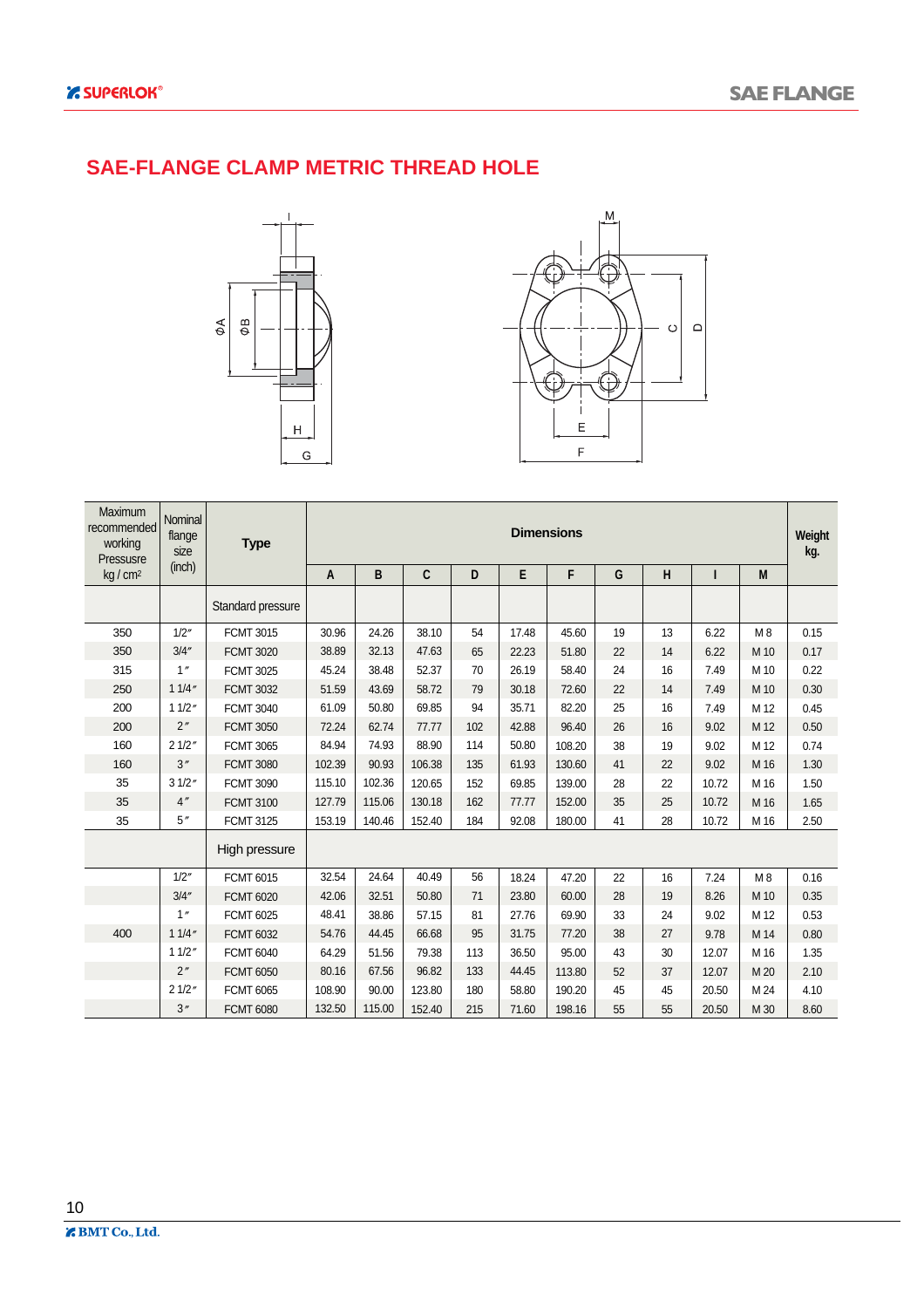#### **SAE-FLANGE CLAMP METRIC THREAD HOLE**





| Maximum<br>recommended<br>working<br>Pressusre | Nominal<br>flange<br>size | <b>Type</b>       | <b>Dimensions</b><br>Weight |        |              |     |       |        |    |    |       |      |      |  |  |
|------------------------------------------------|---------------------------|-------------------|-----------------------------|--------|--------------|-----|-------|--------|----|----|-------|------|------|--|--|
| kg/cm <sup>2</sup>                             | (inch)                    |                   | A                           | B      | $\mathbf{C}$ | D   | Е     | F      | G  | Н  | ı     | M    |      |  |  |
|                                                |                           | Standard pressure |                             |        |              |     |       |        |    |    |       |      |      |  |  |
| 350                                            | 1/2''                     | <b>FCMT 3015</b>  | 30.96                       | 24.26  | 38.10        | 54  | 17.48 | 45.60  | 19 | 13 | 6.22  | M8   | 0.15 |  |  |
| 350                                            | 3/4''                     | <b>FCMT 3020</b>  | 38.89                       | 32.13  | 47.63        | 65  | 22.23 | 51.80  | 22 | 14 | 6.22  | M 10 | 0.17 |  |  |
| 315                                            | 1''                       | <b>FCMT 3025</b>  | 45.24                       | 38.48  | 52.37        | 70  | 26.19 | 58.40  | 24 | 16 | 7.49  | M 10 | 0.22 |  |  |
| 250                                            | 11/4"                     | <b>FCMT 3032</b>  | 51.59                       | 43.69  | 58.72        | 79  | 30.18 | 72.60  | 22 | 14 | 7.49  | M 10 | 0.30 |  |  |
| 200                                            | 11/2"                     | <b>FCMT 3040</b>  | 61.09                       | 50.80  | 69.85        | 94  | 35.71 | 82.20  | 25 | 16 | 7.49  | M 12 | 0.45 |  |  |
| 200                                            | 2"                        | <b>FCMT 3050</b>  | 72.24                       | 62.74  | 77.77        | 102 | 42.88 | 96.40  | 26 | 16 | 9.02  | M 12 | 0.50 |  |  |
| 160                                            | 21/2"                     | <b>FCMT 3065</b>  | 84.94                       | 74.93  | 88.90        | 114 | 50.80 | 108.20 | 38 | 19 | 9.02  | M 12 | 0.74 |  |  |
| 160                                            | 3''                       | <b>FCMT 3080</b>  | 102.39                      | 90.93  | 106.38       | 135 | 61.93 | 130.60 | 41 | 22 | 9.02  | M 16 | 1.30 |  |  |
| 35                                             | 31/2"                     | <b>FCMT 3090</b>  | 115.10                      | 102.36 | 120.65       | 152 | 69.85 | 139.00 | 28 | 22 | 10.72 | M 16 | 1.50 |  |  |
| 35                                             | 4''                       | <b>FCMT 3100</b>  | 127.79                      | 115.06 | 130.18       | 162 | 77.77 | 152.00 | 35 | 25 | 10.72 | M 16 | 1.65 |  |  |
| 35                                             | 5''                       | <b>FCMT 3125</b>  | 153.19                      | 140.46 | 152.40       | 184 | 92.08 | 180.00 | 41 | 28 | 10.72 | M 16 | 2.50 |  |  |
|                                                |                           | High pressure     |                             |        |              |     |       |        |    |    |       |      |      |  |  |
|                                                | 1/2''                     | <b>FCMT 6015</b>  | 32.54                       | 24.64  | 40.49        | 56  | 18.24 | 47.20  | 22 | 16 | 7.24  | M8   | 0.16 |  |  |
|                                                | 3/4''                     | <b>FCMT 6020</b>  | 42.06                       | 32.51  | 50.80        | 71  | 23.80 | 60.00  | 28 | 19 | 8.26  | M 10 | 0.35 |  |  |
|                                                | 1''                       | <b>FCMT 6025</b>  | 48.41                       | 38.86  | 57.15        | 81  | 27.76 | 69.90  | 33 | 24 | 9.02  | M 12 | 0.53 |  |  |
| 400                                            | 11/4''                    | <b>FCMT 6032</b>  | 54.76                       | 44.45  | 66.68        | 95  | 31.75 | 77.20  | 38 | 27 | 9.78  | M 14 | 0.80 |  |  |
|                                                | 11/2"                     | <b>FCMT 6040</b>  | 64.29                       | 51.56  | 79.38        | 113 | 36.50 | 95.00  | 43 | 30 | 12.07 | M 16 | 1.35 |  |  |
|                                                | 2"                        | <b>FCMT 6050</b>  | 80.16                       | 67.56  | 96.82        | 133 | 44.45 | 113.80 | 52 | 37 | 12.07 | M 20 | 2.10 |  |  |
|                                                | 21/2"                     | <b>FCMT 6065</b>  | 108.90                      | 90.00  | 123.80       | 180 | 58.80 | 190.20 | 45 | 45 | 20.50 | M 24 | 4.10 |  |  |
|                                                | 3''                       | <b>FCMT 6080</b>  | 132.50                      | 115.00 | 152.40       | 215 | 71.60 | 198.16 | 55 | 55 | 20.50 | M 30 | 8.60 |  |  |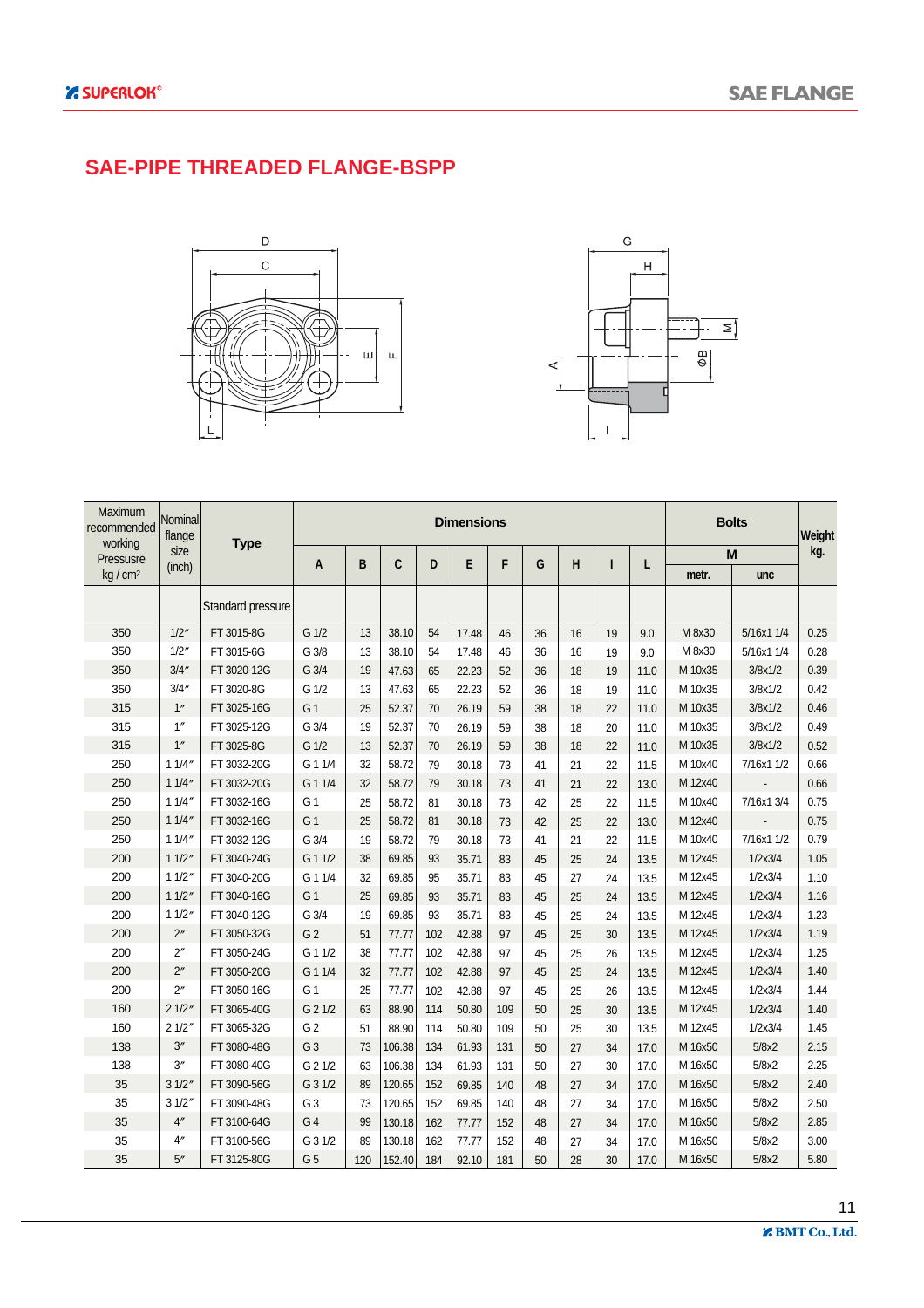#### **SAE-PIPE THREADED FLANGE-BSPP**





| Maximum<br>recommended<br>working | Nominal<br>flange | <b>Type</b>       | <b>Dimensions</b> |     |        |     |       |     |    |    |    | <b>Bolts</b> | Weight  |            |      |
|-----------------------------------|-------------------|-------------------|-------------------|-----|--------|-----|-------|-----|----|----|----|--------------|---------|------------|------|
| Pressusre                         | size              |                   | A                 | B   | C      | D   | E     | F   | G  | H  | Т  | L            |         | M          | kg.  |
| $kq/cm^2$                         | (inch)            |                   |                   |     |        |     |       |     |    |    |    |              | metr.   | unc        |      |
|                                   |                   | Standard pressure |                   |     |        |     |       |     |    |    |    |              |         |            |      |
| 350                               | 1/2"              | FT 3015-8G        | G 1/2             | 13  | 38.10  | 54  | 17.48 | 46  | 36 | 16 | 19 | 9.0          | M 8x30  | 5/16x1 1/4 | 0.25 |
| 350                               | 1/2''             | FT 3015-6G        | G 3/8             | 13  | 38.10  | 54  | 17.48 | 46  | 36 | 16 | 19 | 9.0          | M 8x30  | 5/16x1 1/4 | 0.28 |
| 350                               | 3/4''             | FT 3020-12G       | G 3/4             | 19  | 47.63  | 65  | 22.23 | 52  | 36 | 18 | 19 | 11.0         | M 10x35 | 3/8x1/2    | 0.39 |
| 350                               | 3/4''             | FT 3020-8G        | G 1/2             | 13  | 47.63  | 65  | 22.23 | 52  | 36 | 18 | 19 | 11.0         | M 10x35 | 3/8x1/2    | 0.42 |
| 315                               | 1"                | FT 3025-16G       | G <sub>1</sub>    | 25  | 52.37  | 70  | 26.19 | 59  | 38 | 18 | 22 | 11.0         | M 10x35 | 3/8x1/2    | 0.46 |
| 315                               | 1''               | FT 3025-12G       | G 3/4             | 19  | 52.37  | 70  | 26.19 | 59  | 38 | 18 | 20 | 11.0         | M 10x35 | 3/8x1/2    | 0.49 |
| 315                               | 1''               | FT 3025-8G        | G 1/2             | 13  | 52.37  | 70  | 26.19 | 59  | 38 | 18 | 22 | 11.0         | M 10x35 | 3/8x1/2    | 0.52 |
| 250                               | 11/4''            | FT 3032-20G       | G 1 1/4           | 32  | 58.72  | 79  | 30.18 | 73  | 41 | 21 | 22 | 11.5         | M 10x40 | 7/16x1 1/2 | 0.66 |
| 250                               | 11/4''            | FT 3032-20G       | G 1 1/4           | 32  | 58.72  | 79  | 30.18 | 73  | 41 | 21 | 22 | 13.0         | M 12x40 |            | 0.66 |
| 250                               | 11/4''            | FT 3032-16G       | G <sub>1</sub>    | 25  | 58.72  | 81  | 30.18 | 73  | 42 | 25 | 22 | 11.5         | M 10x40 | 7/16x1 3/4 | 0.75 |
| 250                               | 11/4''            | FT 3032-16G       | G <sub>1</sub>    | 25  | 58.72  | 81  | 30.18 | 73  | 42 | 25 | 22 | 13.0         | M 12x40 |            | 0.75 |
| 250                               | 11/4''            | FT 3032-12G       | G 3/4             | 19  | 58.72  | 79  | 30.18 | 73  | 41 | 21 | 22 | 11.5         | M 10x40 | 7/16x1 1/2 | 0.79 |
| 200                               | 11/2''            | FT 3040-24G       | G 1 1/2           | 38  | 69.85  | 93  | 35.71 | 83  | 45 | 25 | 24 | 13.5         | M 12x45 | 1/2x3/4    | 1.05 |
| 200                               | 11/2''            | FT 3040-20G       | G 1 1/4           | 32  | 69.85  | 95  | 35.71 | 83  | 45 | 27 | 24 | 13.5         | M 12x45 | 1/2x3/4    | 1.10 |
| 200                               | 11/2''            | FT 3040-16G       | G <sub>1</sub>    | 25  | 69.85  | 93  | 35.71 | 83  | 45 | 25 | 24 | 13.5         | M 12x45 | 1/2x3/4    | 1.16 |
| 200                               | 11/2''            | FT 3040-12G       | G 3/4             | 19  | 69.85  | 93  | 35.71 | 83  | 45 | 25 | 24 | 13.5         | M 12x45 | 1/2x3/4    | 1.23 |
| 200                               | 2"                | FT 3050-32G       | G <sub>2</sub>    | 51  | 77.77  | 102 | 42.88 | 97  | 45 | 25 | 30 | 13.5         | M 12x45 | 1/2x3/4    | 1.19 |
| 200                               | 2''               | FT 3050-24G       | G 1 1/2           | 38  | 77.77  | 102 | 42.88 | 97  | 45 | 25 | 26 | 13.5         | M 12x45 | 1/2x3/4    | 1.25 |
| 200                               | 2"                | FT 3050-20G       | G 1 1/4           | 32  | 77.77  | 102 | 42.88 | 97  | 45 | 25 | 24 | 13.5         | M 12x45 | 1/2x3/4    | 1.40 |
| 200                               | 2"                | FT 3050-16G       | G <sub>1</sub>    | 25  | 77.77  | 102 | 42.88 | 97  | 45 | 25 | 26 | 13.5         | M 12x45 | 1/2x3/4    | 1.44 |
| 160                               | 21/2"             | FT 3065-40G       | G 2 1/2           | 63  | 88.90  | 114 | 50.80 | 109 | 50 | 25 | 30 | 13.5         | M 12x45 | 1/2x3/4    | 1.40 |
| 160                               | 21/2"             | FT 3065-32G       | G <sub>2</sub>    | 51  | 88.90  | 114 | 50.80 | 109 | 50 | 25 | 30 | 13.5         | M 12x45 | 1/2x3/4    | 1.45 |
| 138                               | 3''               | FT 3080-48G       | G <sub>3</sub>    | 73  | 106.38 | 134 | 61.93 | 131 | 50 | 27 | 34 | 17.0         | M 16x50 | 5/8x2      | 2.15 |
| 138                               | 3"                | FT 3080-40G       | G 2 1/2           | 63  | 106.38 | 134 | 61.93 | 131 | 50 | 27 | 30 | 17.0         | M 16x50 | 5/8x2      | 2.25 |
| 35                                | 31/2''            | FT 3090-56G       | G 3 1/2           | 89  | 120.65 | 152 | 69.85 | 140 | 48 | 27 | 34 | 17.0         | M 16x50 | 5/8x2      | 2.40 |
| 35                                | 31/2''            | FT 3090-48G       | G <sub>3</sub>    | 73  | 120.65 | 152 | 69.85 | 140 | 48 | 27 | 34 | 17.0         | M 16x50 | 5/8x2      | 2.50 |
| 35                                | 4 <sup>''</sup>   | FT 3100-64G       | G <sub>4</sub>    | 99  | 130.18 | 162 | 77.77 | 152 | 48 | 27 | 34 | 17.0         | M 16x50 | 5/8x2      | 2.85 |
| 35                                | 4''               | FT 3100-56G       | G 3 1/2           | 89  | 130.18 | 162 | 77.77 | 152 | 48 | 27 | 34 | 17.0         | M 16x50 | 5/8x2      | 3.00 |
| 35                                | 5''               | FT 3125-80G       | G <sub>5</sub>    | 120 | 152.40 | 184 | 92.10 | 181 | 50 | 28 | 30 | 17.0         | M 16x50 | 5/8x2      | 5.80 |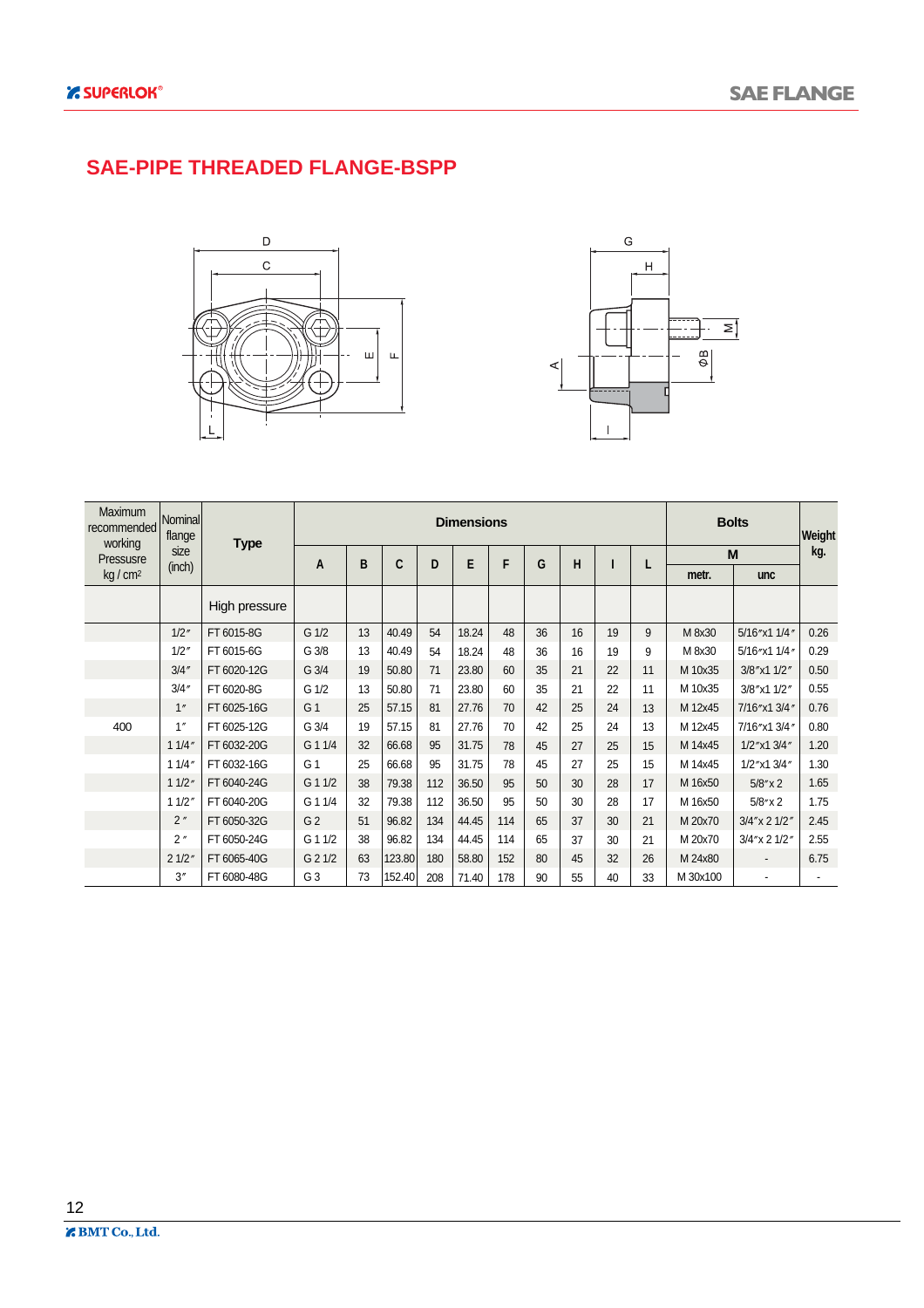#### **SAE-PIPE THREADED FLANGE-BSPP**





| <b>Maximum</b><br>recommended<br>working | Nominal<br>flange | <b>Type</b>   |                  |    |        |     | <b>Bolts</b> | Weight |    |    |    |    |          |                          |      |
|------------------------------------------|-------------------|---------------|------------------|----|--------|-----|--------------|--------|----|----|----|----|----------|--------------------------|------|
| Pressusre                                | size              |               | A                | B  | C      | D   | E            | F      | G  | н  |    |    |          | M                        | kg.  |
| kg/cm <sup>2</sup>                       | (inch)            |               |                  |    |        |     |              |        |    |    |    | L  | metr.    | unc                      |      |
|                                          |                   | High pressure |                  |    |        |     |              |        |    |    |    |    |          |                          |      |
|                                          | 1/2''             | FT 6015-8G    | G <sub>1/2</sub> | 13 | 40.49  | 54  | 18.24        | 48     | 36 | 16 | 19 | 9  | M 8x30   | 5/16"x1 1/4"             | 0.26 |
|                                          | 1/2''             | FT 6015-6G    | G 3/8            | 13 | 40.49  | 54  | 18.24        | 48     | 36 | 16 | 19 | 9  | M 8x30   | 5/16"x1 1/4"             | 0.29 |
|                                          | 3/4''             | FT 6020-12G   | G 3/4            | 19 | 50.80  | 71  | 23.80        | 60     | 35 | 21 | 22 | 11 | M 10x35  | 3/8"x1 1/2"              | 0.50 |
|                                          | 3/4''             | FT 6020-8G    | G 1/2            | 13 | 50.80  | 71  | 23.80        | 60     | 35 | 21 | 22 | 11 | M 10x35  | 3/8"x1 1/2"              | 0.55 |
|                                          | 1"                | FT 6025-16G   | G <sub>1</sub>   | 25 | 57.15  | 81  | 27.76        | 70     | 42 | 25 | 24 | 13 | M 12x45  | 7/16"x1 3/4"             | 0.76 |
| 400                                      | 1''               | FT 6025-12G   | G 3/4            | 19 | 57.15  | 81  | 27.76        | 70     | 42 | 25 | 24 | 13 | M 12x45  | 7/16"x1 3/4"             | 0.80 |
|                                          | 11/4"             | FT 6032-20G   | G 1 1/4          | 32 | 66.68  | 95  | 31.75        | 78     | 45 | 27 | 25 | 15 | M 14x45  | 1/2"x1 3/4"              | 1.20 |
|                                          | 11/4"             | FT 6032-16G   | G 1              | 25 | 66.68  | 95  | 31.75        | 78     | 45 | 27 | 25 | 15 | M 14x45  | 1/2"x1 3/4"              | 1.30 |
|                                          | 11/2''            | FT 6040-24G   | G 1 1/2          | 38 | 79.38  | 112 | 36.50        | 95     | 50 | 30 | 28 | 17 | M 16x50  | $5/8''$ x 2              | 1.65 |
|                                          | 11/2"             | FT 6040-20G   | G 1 1/4          | 32 | 79.38  | 112 | 36.50        | 95     | 50 | 30 | 28 | 17 | M 16x50  | $5/8$ " x 2              | 1.75 |
|                                          | 2''               | FT 6050-32G   | G <sub>2</sub>   | 51 | 96.82  | 134 | 44.45        | 114    | 65 | 37 | 30 | 21 | M 20x70  | 3/4" x 2 1/2"            | 2.45 |
|                                          | 2"                | FT 6050-24G   | G 1 1/2          | 38 | 96.82  | 134 | 44.45        | 114    | 65 | 37 | 30 | 21 | M 20x70  | 3/4" x 2 1/2"            | 2.55 |
|                                          | 21/2"             | FT 6065-40G   | G 2 1/2          | 63 | 123.80 | 180 | 58.80        | 152    | 80 | 45 | 32 | 26 | M 24x80  |                          | 6.75 |
|                                          | 3''               | FT 6080-48G   | G <sub>3</sub>   | 73 | 152.40 | 208 | 71.40        | 178    | 90 | 55 | 40 | 33 | M 30x100 | $\overline{\phantom{a}}$ |      |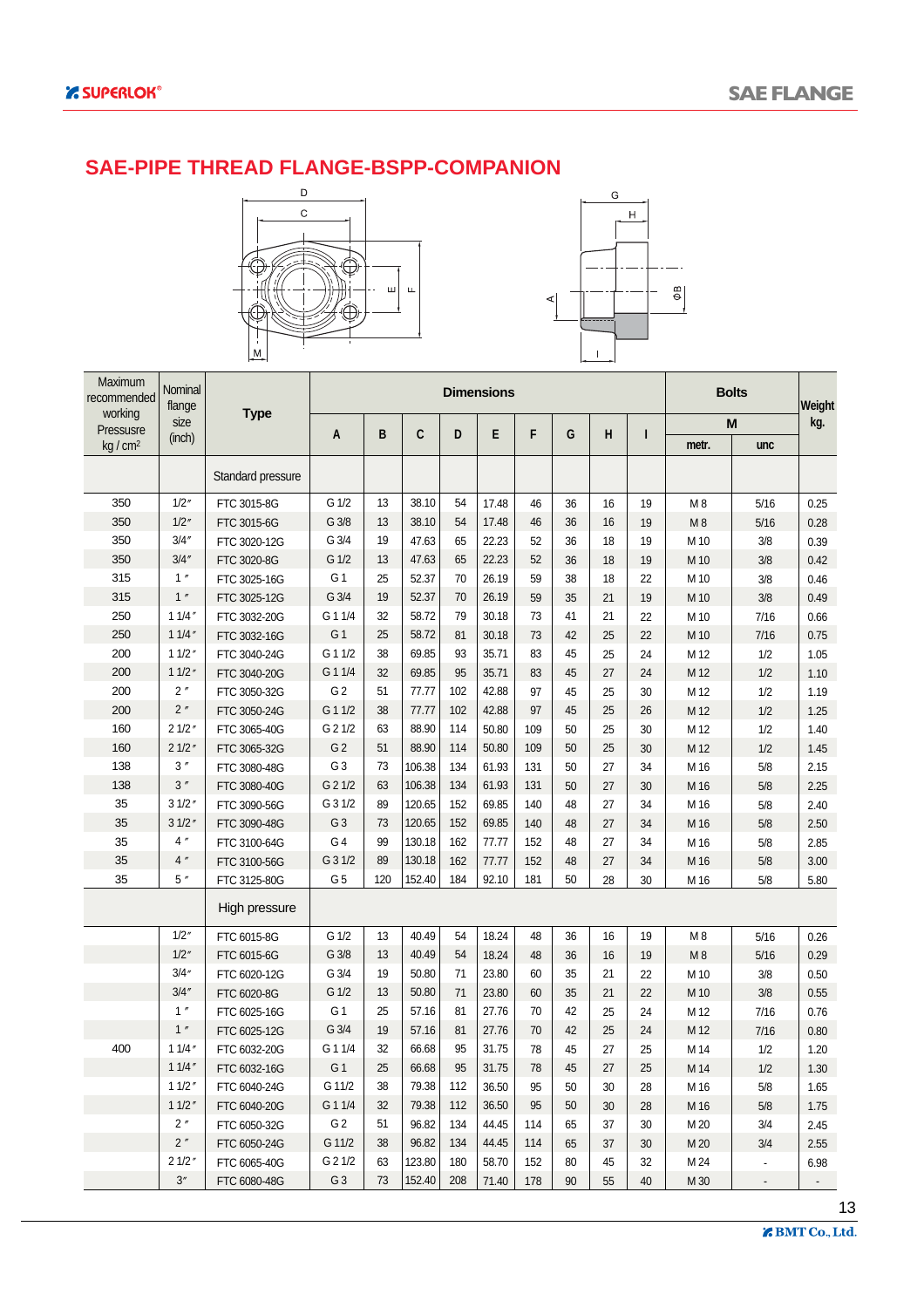#### **SAE-PIPE THREAD FLANGE-BSPP-COMPANION**





| Maximum<br>recommended<br>working | Nominal<br>flange     | Type              |                |     |        |     | <b>Dimensions</b> |     |    |    |    |                | <b>Bolts</b>   | Weight         |
|-----------------------------------|-----------------------|-------------------|----------------|-----|--------|-----|-------------------|-----|----|----|----|----------------|----------------|----------------|
| Pressusre                         | size                  |                   | A              | B   | C      | D   | E                 | F   | G  | Н  | ı  |                | M              | kg.            |
| kg/cm <sup>2</sup>                | (inch)                |                   |                |     |        |     |                   |     |    |    |    | metr.          | unc            |                |
|                                   |                       | Standard pressure |                |     |        |     |                   |     |    |    |    |                |                |                |
| 350                               | 1/2''                 | FTC 3015-8G       | G 1/2          | 13  | 38.10  | 54  | 17.48             | 46  | 36 | 16 | 19 | M <sub>8</sub> | 5/16           | 0.25           |
| 350                               | 1/2''                 | FTC 3015-6G       | G3/8           | 13  | 38.10  | 54  | 17.48             | 46  | 36 | 16 | 19 | M8             | 5/16           | 0.28           |
| 350                               | 3/4''                 | FTC 3020-12G      | G 3/4          | 19  | 47.63  | 65  | 22.23             | 52  | 36 | 18 | 19 | M 10           | 3/8            | 0.39           |
| 350                               | 3/4''                 | FTC 3020-8G       | G 1/2          | 13  | 47.63  | 65  | 22.23             | 52  | 36 | 18 | 19 | M 10           | 3/8            | 0.42           |
| 315                               | 1''                   | FTC 3025-16G      | G <sub>1</sub> | 25  | 52.37  | 70  | 26.19             | 59  | 38 | 18 | 22 | M 10           | 3/8            | 0.46           |
| 315                               | 1''                   | FTC 3025-12G      | G 3/4          | 19  | 52.37  | 70  | 26.19             | 59  | 35 | 21 | 19 | M 10           | 3/8            | 0.49           |
| 250                               | 11/4''                | FTC 3032-20G      | G 1 1/4        | 32  | 58.72  | 79  | 30.18             | 73  | 41 | 21 | 22 | M 10           | 7/16           | 0.66           |
| 250                               | 11/4''                | FTC 3032-16G      | G 1            | 25  | 58.72  | 81  | 30.18             | 73  | 42 | 25 | 22 | M 10           | 7/16           | 0.75           |
| 200                               | 11/2''                | FTC 3040-24G      | G 1 1/2        | 38  | 69.85  | 93  | 35.71             | 83  | 45 | 25 | 24 | M 12           | 1/2            | 1.05           |
| 200                               | 11/2''                | FTC 3040-20G      | G 1 1/4        | 32  | 69.85  | 95  | 35.71             | 83  | 45 | 27 | 24 | M 12           | 1/2            | 1.10           |
| 200                               | 2''                   | FTC 3050-32G      | G <sub>2</sub> | 51  | 77.77  | 102 | 42.88             | 97  | 45 | 25 | 30 | M 12           | 1/2            | 1.19           |
| 200                               | 2"                    | FTC 3050-24G      | G 1 1/2        | 38  | 77.77  | 102 | 42.88             | 97  | 45 | 25 | 26 | M 12           | 1/2            | 1.25           |
| 160                               | 21/2''                | FTC 3065-40G      | G 2 1/2        | 63  | 88.90  | 114 | 50.80             | 109 | 50 | 25 | 30 | M 12           | 1/2            | 1.40           |
| 160                               | 21/2''                | FTC 3065-32G      | G <sub>2</sub> | 51  | 88.90  | 114 | 50.80             | 109 | 50 | 25 | 30 | M 12           | 1/2            | 1.45           |
| 138                               | $3$ $^{\prime\prime}$ | FTC 3080-48G      | G <sub>3</sub> | 73  | 106.38 | 134 | 61.93             | 131 | 50 | 27 | 34 | M 16           | $5/8$          | 2.15           |
| 138                               | 3''                   | FTC 3080-40G      | G 2 1/2        | 63  | 106.38 | 134 | 61.93             | 131 | 50 | 27 | 30 | M 16           | 5/8            | 2.25           |
| 35                                | 31/2''                | FTC 3090-56G      | G 3 1/2        | 89  | 120.65 | 152 | 69.85             | 140 | 48 | 27 | 34 | M 16           | $5/8$          | 2.40           |
| 35                                | 31/2''                | FTC 3090-48G      | G <sub>3</sub> | 73  | 120.65 | 152 | 69.85             | 140 | 48 | 27 | 34 | M 16           | 5/8            | 2.50           |
| 35                                | 4''                   | FTC 3100-64G      | G <sub>4</sub> | 99  | 130.18 | 162 | 77.77             | 152 | 48 | 27 | 34 | M 16           | 5/8            | 2.85           |
| 35                                | 4''                   | FTC 3100-56G      | G 3 1/2        | 89  | 130.18 | 162 | 77.77             | 152 | 48 | 27 | 34 | M 16           | 5/8            | 3.00           |
| 35                                | 5''                   | FTC 3125-80G      | G <sub>5</sub> | 120 | 152.40 | 184 | 92.10             | 181 | 50 | 28 | 30 | M 16           | 5/8            | 5.80           |
|                                   |                       | High pressure     |                |     |        |     |                   |     |    |    |    |                |                |                |
|                                   | 1/2''                 | FTC 6015-8G       | G 1/2          | 13  | 40.49  | 54  | 18.24             | 48  | 36 | 16 | 19 | M8             | 5/16           | 0.26           |
|                                   | 1/2''                 | FTC 6015-6G       | G 3/8          | 13  | 40.49  | 54  | 18.24             | 48  | 36 | 16 | 19 | M8             | 5/16           | 0.29           |
|                                   | 3/4''                 | FTC 6020-12G      | G 3/4          | 19  | 50.80  | 71  | 23.80             | 60  | 35 | 21 | 22 | M 10           | 3/8            | 0.50           |
|                                   | 3/4''                 | FTC 6020-8G       | G 1/2          | 13  | 50.80  | 71  | 23.80             | 60  | 35 | 21 | 22 | M 10           | 3/8            | 0.55           |
|                                   | 1''                   | FTC 6025-16G      | G 1            | 25  | 57.16  | 81  | 27.76             | 70  | 42 | 25 | 24 | M 12           | 7/16           | 0.76           |
|                                   | 1''                   | FTC 6025-12G      | G 3/4          | 19  | 57.16  | 81  | 27.76             | 70  | 42 | 25 | 24 | M 12           | 7/16           | 0.80           |
| 400                               | 11/4''                | FTC 6032-20G      | G 1 1/4        | 32  | 66.68  | 95  | 31.75             | 78  | 45 | 27 | 25 | M 14           | 1/2            | 1.20           |
|                                   | 11/4''                | FTC 6032-16G      | G <sub>1</sub> | 25  | 66.68  | 95  | 31.75             | 78  | 45 | 27 | 25 | M 14           | 1/2            | 1.30           |
|                                   | 11/2"                 | FTC 6040-24G      | G 11/2         | 38  | 79.38  | 112 | 36.50             | 95  | 50 | 30 | 28 | M 16           | 5/8            | 1.65           |
|                                   | 11/2''                | FTC 6040-20G      | G 1 1/4        | 32  | 79.38  | 112 | 36.50             | 95  | 50 | 30 | 28 | M 16           | 5/8            | 1.75           |
|                                   | 2"                    | FTC 6050-32G      | G <sub>2</sub> | 51  | 96.82  | 134 | 44.45             | 114 | 65 | 37 | 30 | M 20           | 3/4            | 2.45           |
|                                   | $2$ $^{\prime\prime}$ | FTC 6050-24G      | G 11/2         | 38  | 96.82  | 134 | 44.45             | 114 | 65 | 37 | 30 | M 20           | 3/4            | 2.55           |
|                                   | 21/2"                 | FTC 6065-40G      | G 2 1/2        | 63  | 123.80 | 180 | 58.70             | 152 | 80 | 45 | 32 | M 24           | $\blacksquare$ | 6.98           |
|                                   | $3\,^{\prime\prime}$  | FTC 6080-48G      | G <sub>3</sub> | 73  | 152.40 | 208 | 71.40             | 178 | 90 | 55 | 40 | M 30           | ۰              | $\blacksquare$ |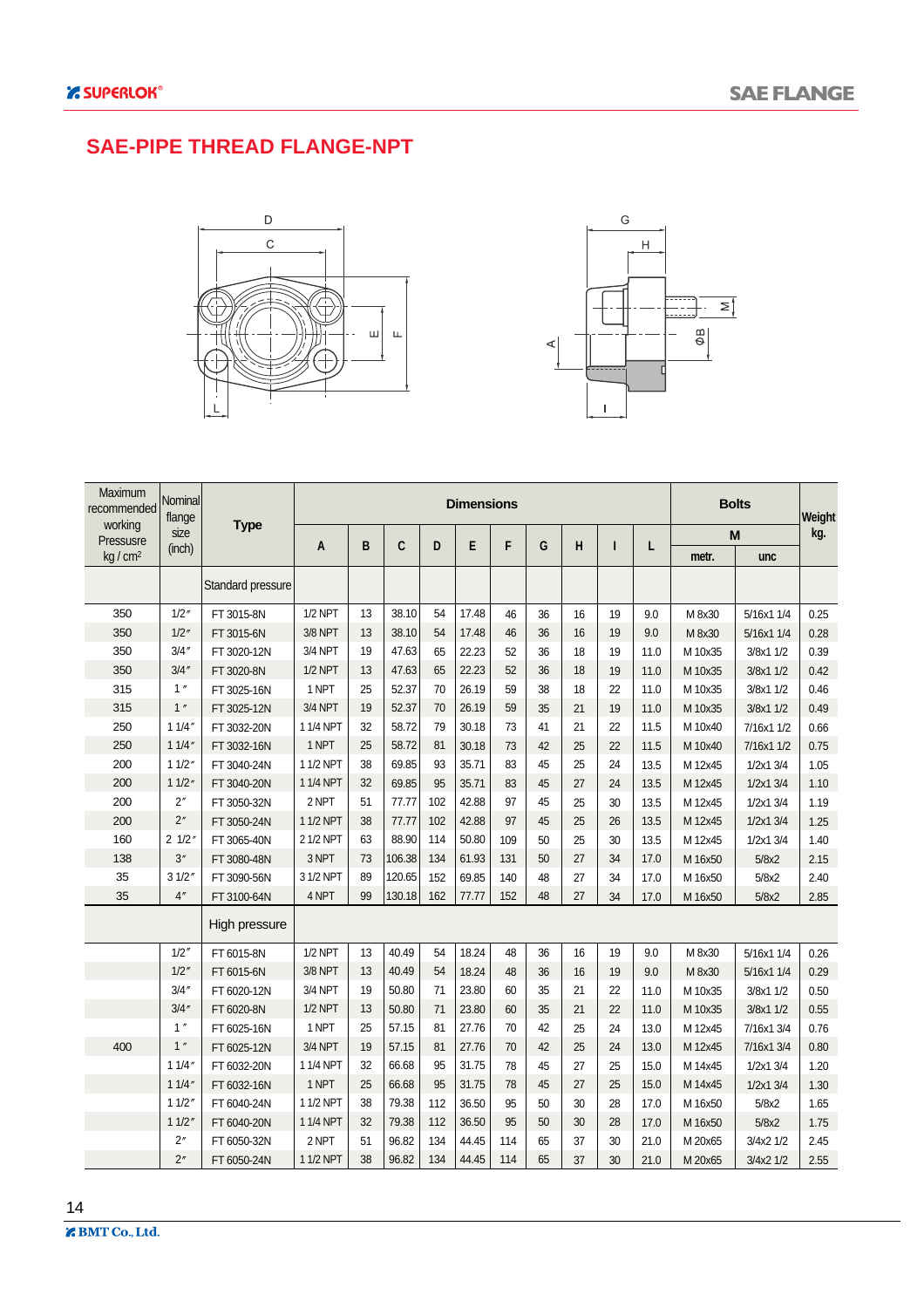#### **SAE-PIPE THREAD FLANGE-NPT**





| Maximum<br>recommended | Nominal<br>flange |                   |                |    |        |     | <b>Dimensions</b> |     |    |    |    |      |         | <b>Bolts</b> | Weight |
|------------------------|-------------------|-------------------|----------------|----|--------|-----|-------------------|-----|----|----|----|------|---------|--------------|--------|
| working<br>Pressusre   | size              | <b>Type</b>       |                |    |        |     |                   |     |    |    |    |      |         | M            | kg.    |
| kq/cm <sup>2</sup>     | (inch)            |                   | A              | B  | C      | D   | E                 | F   | G  | H  | ı  | L    | metr.   | unc          |        |
|                        |                   | Standard pressure |                |    |        |     |                   |     |    |    |    |      |         |              |        |
| 350                    | 1/2''             | FT 3015-8N        | $1/2$ NPT      | 13 | 38.10  | 54  | 17.48             | 46  | 36 | 16 | 19 | 9.0  | M 8x30  | 5/16x1 1/4   | 0.25   |
| 350                    | 1/2''             | FT 3015-6N        | 3/8 NPT        | 13 | 38.10  | 54  | 17.48             | 46  | 36 | 16 | 19 | 9.0  | M 8x30  | 5/16x1 1/4   | 0.28   |
| 350                    | 3/4''             | FT 3020-12N       | 3/4 NPT        | 19 | 47.63  | 65  | 22.23             | 52  | 36 | 18 | 19 | 11.0 | M 10x35 | 3/8x1 1/2    | 0.39   |
| 350                    | 3/4''             | FT 3020-8N        | $1/2$ NPT      | 13 | 47.63  | 65  | 22.23             | 52  | 36 | 18 | 19 | 11.0 | M 10x35 | 3/8x1 1/2    | 0.42   |
| 315                    | 1''               | FT 3025-16N       | 1 NPT          | 25 | 52.37  | 70  | 26.19             | 59  | 38 | 18 | 22 | 11.0 | M 10x35 | 3/8x1 1/2    | 0.46   |
| 315                    | 1''               | FT 3025-12N       | 3/4 NPT        | 19 | 52.37  | 70  | 26.19             | 59  | 35 | 21 | 19 | 11.0 | M 10x35 | 3/8x1 1/2    | 0.49   |
| 250                    | 11/4"             | FT 3032-20N       | 1 1/4 NPT      | 32 | 58.72  | 79  | 30.18             | 73  | 41 | 21 | 22 | 11.5 | M 10x40 | 7/16x1 1/2   | 0.66   |
| 250                    | 11/4''            | FT 3032-16N       | 1 NPT          | 25 | 58.72  | 81  | 30.18             | 73  | 42 | 25 | 22 | 11.5 | M 10x40 | 7/16x1 1/2   | 0.75   |
| 200                    | 11/2''            | FT 3040-24N       | 1 1/2 NPT      | 38 | 69.85  | 93  | 35.71             | 83  | 45 | 25 | 24 | 13.5 | M 12x45 | 1/2x1 3/4    | 1.05   |
| 200                    | 11/2''            | FT 3040-20N       | 1 1/4 NPT      | 32 | 69.85  | 95  | 35.71             | 83  | 45 | 27 | 24 | 13.5 | M 12x45 | 1/2x1 3/4    | 1.10   |
| 200                    | 2''               | FT 3050-32N       | 2 NPT          | 51 | 77.77  | 102 | 42.88             | 97  | 45 | 25 | 30 | 13.5 | M 12x45 | 1/2x1 3/4    | 1.19   |
| 200                    | 2 <sup>''</sup>   | FT 3050-24N       | 1 1/2 NPT      | 38 | 77.77  | 102 | 42.88             | 97  | 45 | 25 | 26 | 13.5 | M 12x45 | 1/2x1 3/4    | 1.25   |
| 160                    | $2 \frac{1}{2}$   | FT 3065-40N       | 2 1/2 NPT      | 63 | 88.90  | 114 | 50.80             | 109 | 50 | 25 | 30 | 13.5 | M 12x45 | 1/2x1 3/4    | 1.40   |
| 138                    | 3"                | FT 3080-48N       | 3 NPT          | 73 | 106.38 | 134 | 61.93             | 131 | 50 | 27 | 34 | 17.0 | M 16x50 | 5/8x2        | 2.15   |
| 35                     | 31/2'             | FT 3090-56N       | 3 1/2 NPT      | 89 | 120.65 | 152 | 69.85             | 140 | 48 | 27 | 34 | 17.0 | M 16x50 | 5/8x2        | 2.40   |
| 35                     | 4''               | FT 3100-64N       | 4 NPT          | 99 | 130.18 | 162 | 77.77             | 152 | 48 | 27 | 34 | 17.0 | M 16x50 | 5/8x2        | 2.85   |
|                        |                   | High pressure     |                |    |        |     |                   |     |    |    |    |      |         |              |        |
|                        | 1/2''             | FT 6015-8N        | <b>1/2 NPT</b> | 13 | 40.49  | 54  | 18.24             | 48  | 36 | 16 | 19 | 9.0  | M 8x30  | 5/16x1 1/4   | 0.26   |
|                        | 1/2''             | FT 6015-6N        | 3/8 NPT        | 13 | 40.49  | 54  | 18.24             | 48  | 36 | 16 | 19 | 9.0  | M 8x30  | 5/16x1 1/4   | 0.29   |
|                        | 3/4''             | FT 6020-12N       | 3/4 NPT        | 19 | 50.80  | 71  | 23.80             | 60  | 35 | 21 | 22 | 11.0 | M 10x35 | 3/8x1 1/2    | 0.50   |
|                        | 3/4''             | FT 6020-8N        | $1/2$ NPT      | 13 | 50.80  | 71  | 23.80             | 60  | 35 | 21 | 22 | 11.0 | M 10x35 | 3/8x1 1/2    | 0.55   |
|                        | 1''               | FT 6025-16N       | 1 NPT          | 25 | 57.15  | 81  | 27.76             | 70  | 42 | 25 | 24 | 13.0 | M 12x45 | 7/16x1 3/4   | 0.76   |
| 400                    | 1''               | FT 6025-12N       | 3/4 NPT        | 19 | 57.15  | 81  | 27.76             | 70  | 42 | 25 | 24 | 13.0 | M 12x45 | 7/16x1 3/4   | 0.80   |
|                        | 11/4''            | FT 6032-20N       | 1 1/4 NPT      | 32 | 66.68  | 95  | 31.75             | 78  | 45 | 27 | 25 | 15.0 | M 14x45 | 1/2x1 3/4    | 1.20   |
|                        | 11/4''            | FT 6032-16N       | 1 NPT          | 25 | 66.68  | 95  | 31.75             | 78  | 45 | 27 | 25 | 15.0 | M 14x45 | 1/2x1 3/4    | 1.30   |
|                        | 11/2'             | FT 6040-24N       | 1 1/2 NPT      | 38 | 79.38  | 112 | 36.50             | 95  | 50 | 30 | 28 | 17.0 | M 16x50 | 5/8x2        | 1.65   |
|                        | 11/2"             | FT 6040-20N       | 1 1/4 NPT      | 32 | 79.38  | 112 | 36.50             | 95  | 50 | 30 | 28 | 17.0 | M 16x50 | 5/8x2        | 1.75   |
|                        | 2''               | FT 6050-32N       | 2 NPT          | 51 | 96.82  | 134 | 44.45             | 114 | 65 | 37 | 30 | 21.0 | M 20x65 | 3/4x2 1/2    | 2.45   |
|                        | 2 <sup>n</sup>    | FT 6050-24N       | 1 1/2 NPT      | 38 | 96.82  | 134 | 44.45             | 114 | 65 | 37 | 30 | 21.0 | M 20x65 | 3/4x2 1/2    | 2.55   |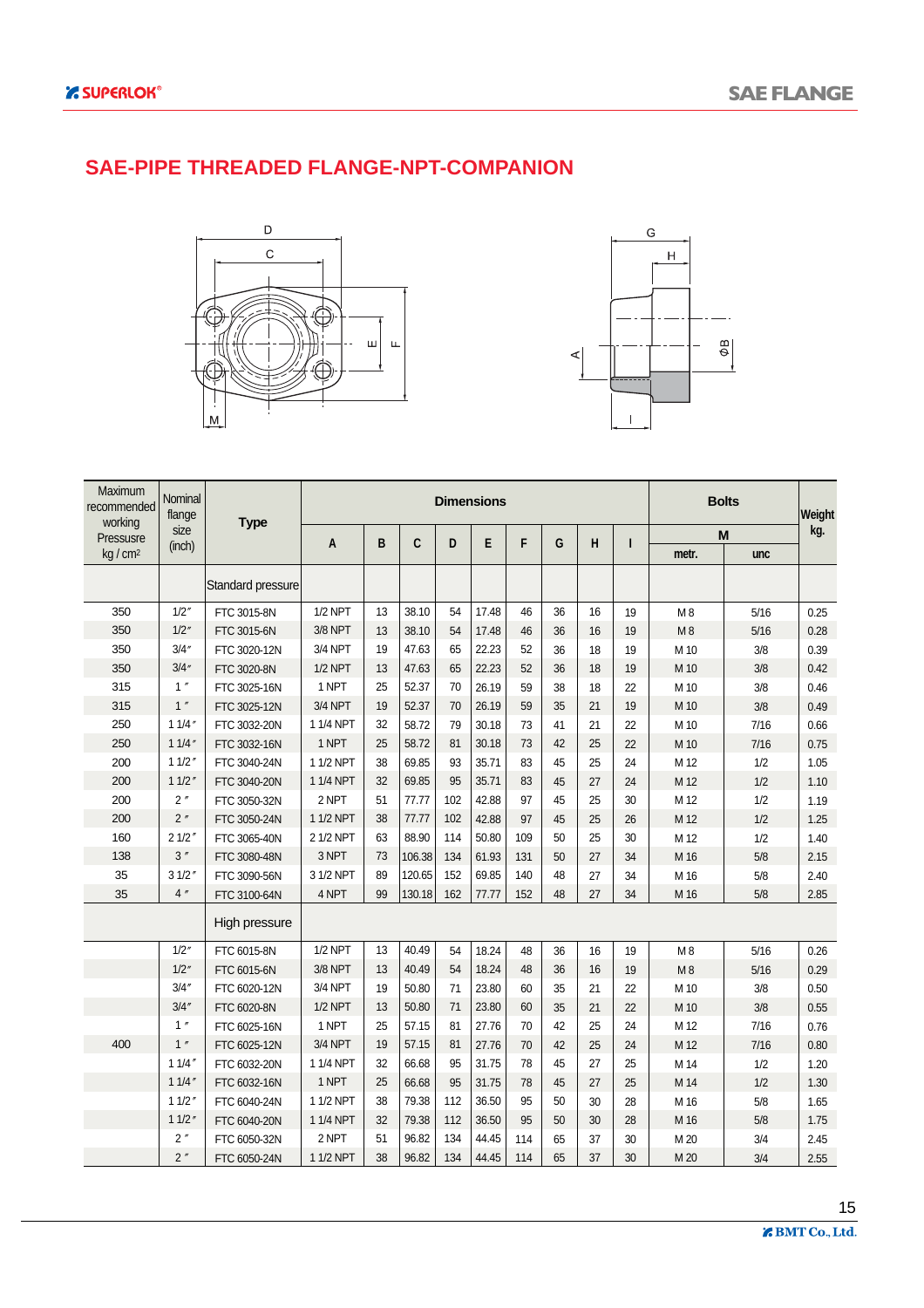#### **SAE-PIPE THREADED FLANGE-NPT-COMPANION**





| Maximum<br>recommended | Nominal<br>flange |                   |                |    |        |     | <b>Dimensions</b> |     |    |    |    | <b>Bolts</b>    |        | Weight |
|------------------------|-------------------|-------------------|----------------|----|--------|-----|-------------------|-----|----|----|----|-----------------|--------|--------|
| working<br>Pressusre   | size              | <b>Type</b>       |                |    |        |     |                   |     |    |    |    | M               |        | kg.    |
| $kq/cm^2$              | (inch)            |                   | A              | B  | C      | D   | E                 | F   | G  | H  | ı  | metr.           | unc    |        |
|                        |                   | Standard pressure |                |    |        |     |                   |     |    |    |    |                 |        |        |
| 350                    | 1/2''             | FTC 3015-8N       | <b>1/2 NPT</b> | 13 | 38.10  | 54  | 17.48             | 46  | 36 | 16 | 19 | M8              | 5/16   | 0.25   |
| 350                    | 1/2''             | FTC 3015-6N       | 3/8 NPT        | 13 | 38.10  | 54  | 17.48             | 46  | 36 | 16 | 19 | M8              | 5/16   | 0.28   |
| 350                    | 3/4''             | FTC 3020-12N      | 3/4 NPT        | 19 | 47.63  | 65  | 22.23             | 52  | 36 | 18 | 19 | M 10            | 3/8    | 0.39   |
| 350                    | 3/4''             | FTC 3020-8N       | $1/2$ NPT      | 13 | 47.63  | 65  | 22.23             | 52  | 36 | 18 | 19 | M 10            | 3/8    | 0.42   |
| 315                    | 1''               | FTC 3025-16N      | 1 NPT          | 25 | 52.37  | 70  | 26.19             | 59  | 38 | 18 | 22 | M 10            | 3/8    | 0.46   |
| 315                    | 1''               | FTC 3025-12N      | 3/4 NPT        | 19 | 52.37  | 70  | 26.19             | 59  | 35 | 21 | 19 | M 10            | 3/8    | 0.49   |
| 250                    | 11/4''            | FTC 3032-20N      | 1 1/4 NPT      | 32 | 58.72  | 79  | 30.18             | 73  | 41 | 21 | 22 | M 10            | 7/16   | 0.66   |
| 250                    | 11/4''            | FTC 3032-16N      | 1 NPT          | 25 | 58.72  | 81  | 30.18             | 73  | 42 | 25 | 22 | M 10            | $7/16$ | 0.75   |
| 200                    | 11/2''            | FTC 3040-24N      | 1 1/2 NPT      | 38 | 69.85  | 93  | 35.71             | 83  | 45 | 25 | 24 | M 12            | 1/2    | 1.05   |
| 200                    | 11/2"             | FTC 3040-20N      | 1 1/4 NPT      | 32 | 69.85  | 95  | 35.71             | 83  | 45 | 27 | 24 | M 12            | 1/2    | 1.10   |
| 200                    | 2''               | FTC 3050-32N      | 2 NPT          | 51 | 77.77  | 102 | 42.88             | 97  | 45 | 25 | 30 | M 12            | 1/2    | 1.19   |
| 200                    | 2''               | FTC 3050-24N      | 1 1/2 NPT      | 38 | 77.77  | 102 | 42.88             | 97  | 45 | 25 | 26 | M 12            | 1/2    | 1.25   |
| 160                    | 21/2''            | FTC 3065-40N      | 2 1/2 NPT      | 63 | 88.90  | 114 | 50.80             | 109 | 50 | 25 | 30 | M <sub>12</sub> | 1/2    | 1.40   |
| 138                    | 3''               | FTC 3080-48N      | 3 NPT          | 73 | 106.38 | 134 | 61.93             | 131 | 50 | 27 | 34 | M 16            | 5/8    | 2.15   |
| 35                     | 31/2''            | FTC 3090-56N      | 3 1/2 NPT      | 89 | 120.65 | 152 | 69.85             | 140 | 48 | 27 | 34 | M 16            | 5/8    | 2.40   |
| 35                     | 4''               | FTC 3100-64N      | 4 NPT          | 99 | 130.18 | 162 | 77.77             | 152 | 48 | 27 | 34 | M 16            | 5/8    | 2.85   |
|                        |                   | High pressure     |                |    |        |     |                   |     |    |    |    |                 |        |        |
|                        | 1/2''             | FTC 6015-8N       | $1/2$ NPT      | 13 | 40.49  | 54  | 18.24             | 48  | 36 | 16 | 19 | M8              | 5/16   | 0.26   |
|                        | 1/2''             | FTC 6015-6N       | 3/8 NPT        | 13 | 40.49  | 54  | 18.24             | 48  | 36 | 16 | 19 | M8              | 5/16   | 0.29   |
|                        | 3/4''             | FTC 6020-12N      | 3/4 NPT        | 19 | 50.80  | 71  | 23.80             | 60  | 35 | 21 | 22 | M 10            | 3/8    | 0.50   |
|                        | 3/4''             | FTC 6020-8N       | <b>1/2 NPT</b> | 13 | 50.80  | 71  | 23.80             | 60  | 35 | 21 | 22 | M 10            | 3/8    | 0.55   |
|                        | 1''               | FTC 6025-16N      | 1 NPT          | 25 | 57.15  | 81  | 27.76             | 70  | 42 | 25 | 24 | M <sub>12</sub> | 7/16   | 0.76   |
| 400                    | 1''               | FTC 6025-12N      | 3/4 NPT        | 19 | 57.15  | 81  | 27.76             | 70  | 42 | 25 | 24 | M 12            | 7/16   | 0.80   |
|                        | 11/4''            | FTC 6032-20N      | 1 1/4 NPT      | 32 | 66.68  | 95  | 31.75             | 78  | 45 | 27 | 25 | M 14            | 1/2    | 1.20   |
|                        | 11/4''            | FTC 6032-16N      | 1 NPT          | 25 | 66.68  | 95  | 31.75             | 78  | 45 | 27 | 25 | M 14            | 1/2    | 1.30   |
|                        | 11/2''            | FTC 6040-24N      | 1 1/2 NPT      | 38 | 79.38  | 112 | 36.50             | 95  | 50 | 30 | 28 | M 16            | 5/8    | 1.65   |
|                        | 11/2''            | FTC 6040-20N      | 1 1/4 NPT      | 32 | 79.38  | 112 | 36.50             | 95  | 50 | 30 | 28 | M 16            | 5/8    | 1.75   |
|                        | 2''               | FTC 6050-32N      | 2 NPT          | 51 | 96.82  | 134 | 44.45             | 114 | 65 | 37 | 30 | M 20            | 3/4    | 2.45   |
|                        | 2 <sup>''</sup>   | FTC 6050-24N      | 1 1/2 NPT      | 38 | 96.82  | 134 | 44.45             | 114 | 65 | 37 | 30 | M 20            | 3/4    | 2.55   |

15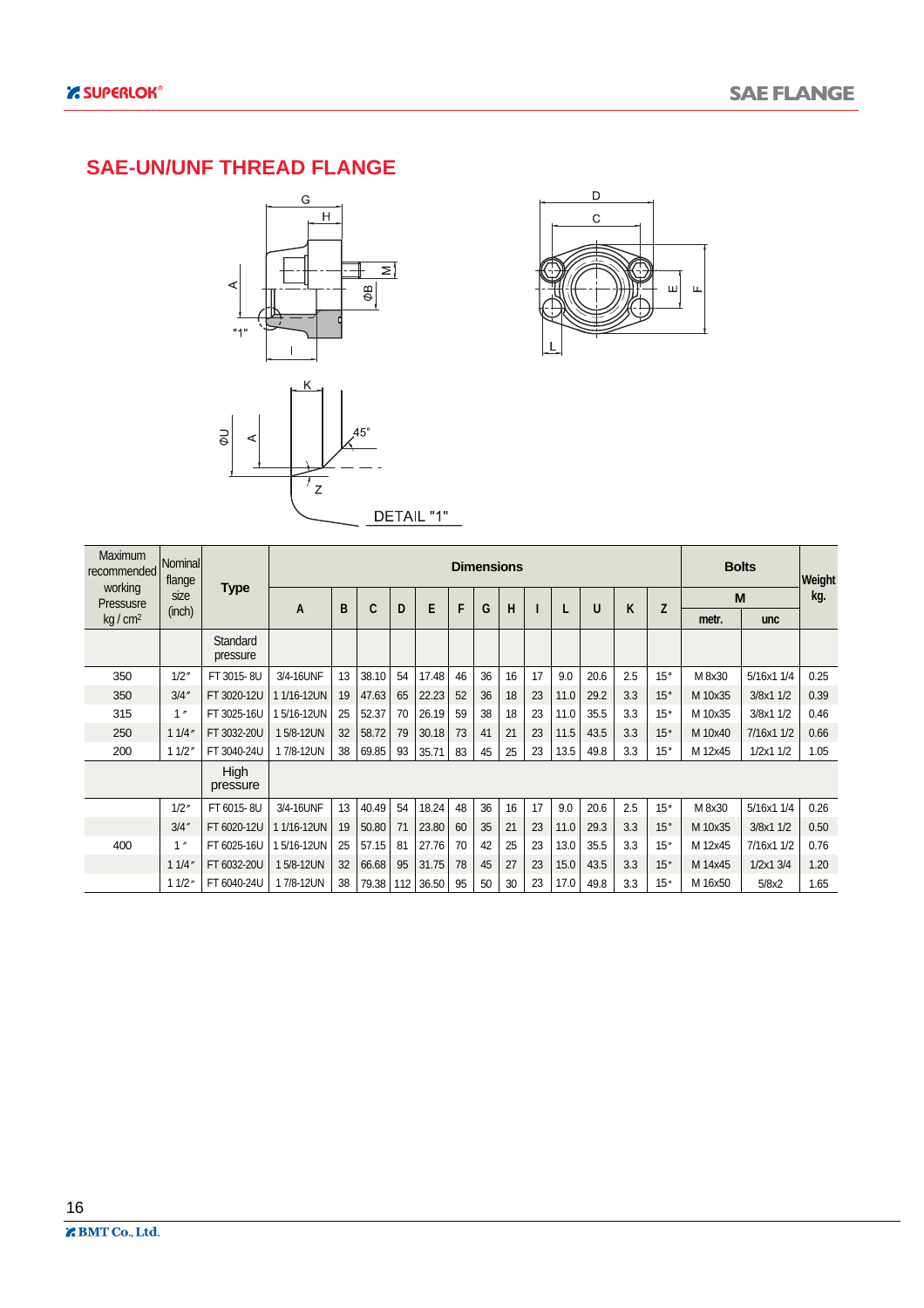#### **SAE-UN/UNF THREAD FLANGE**





| Maximum<br>recommended | Nominal<br>flange |                         |            |    |       |     |       |    |    | <b>Dimensions</b> |    |      |      |     |              |         | <b>Bolts</b>  | Weight |
|------------------------|-------------------|-------------------------|------------|----|-------|-----|-------|----|----|-------------------|----|------|------|-----|--------------|---------|---------------|--------|
| working<br>Pressusre   | size<br>(inch)    | Type                    | A          | B  | C     | D   | E     | F  | G  | H                 |    |      | U    | K   | Z            |         | M             | kg.    |
| $kq/cm^2$              |                   |                         |            |    |       |     |       |    |    |                   |    |      |      |     |              | metr.   | <b>unc</b>    |        |
|                        |                   | Standard<br>pressure    |            |    |       |     |       |    |    |                   |    |      |      |     |              |         |               |        |
| 350                    | 1/2''             | FT 3015-8U              | 3/4-16UNF  | 13 | 38.10 | 54  | 17.48 | 46 | 36 | 16                | 17 | 9.0  | 20.6 | 2.5 | 15°          | M 8x30  | 5/16x1 1/4    | 0.25   |
| 350                    | 3/4''             | FT 3020-12U             | 1/16-12UN  | 19 | 47.63 | 65  | 22.23 | 52 | 36 | 18                | 23 | 11.0 | 29.2 | 3.3 | 15°          | M 10x35 | 3/8x1 1/2     | 0.39   |
| 315                    | 1''               | FT 3025-16U             | 5/16-12UN  | 25 | 52.37 | 70  | 26.19 | 59 | 38 | 18                | 23 | 11.0 | 35.5 | 3.3 | 15°          | M 10x35 | 3/8x1 1/2     | 0.46   |
| 250                    | 11/4"             | FT 3032-20U             | 15/8-12UN  | 32 | 58.72 | 79  | 30.18 | 73 | 41 | 21                | 23 | 11.5 | 43.5 | 3.3 | 15°          | M 10x40 | 7/16x1 1/2    | 0.66   |
| 200                    | 11/2'             | FT 3040-24U             | 17/8-12UN  | 38 | 69.85 | 93  | 35.71 | 83 | 45 | 25                | 23 | 13.5 | 49.8 | 3.3 | $15^{\circ}$ | M 12x45 | $1/2x1$ $1/2$ | 1.05   |
|                        |                   | <b>High</b><br>pressure |            |    |       |     |       |    |    |                   |    |      |      |     |              |         |               |        |
|                        | 1/2''             | FT 6015-8U              | 3/4-16UNF  | 13 | 40.49 | 54  | 18.24 | 48 | 36 | 16                | 17 | 9.0  | 20.6 | 2.5 | 15°          | M 8x30  | 5/16x1 1/4    | 0.26   |
|                        | 3/4''             | FT 6020-12U             | 11/16-12UN | 19 | 50.80 | 71  | 23.80 | 60 | 35 | 21                | 23 | 11.0 | 29.3 | 3.3 | 15°          | M 10x35 | 3/8x1 1/2     | 0.50   |
| 400                    | 1''               | FT 6025-16U             | 5/16-12UN  | 25 | 57.15 | 81  | 27.76 | 70 | 42 | 25                | 23 | 13.0 | 35.5 | 3.3 | 15°          | M 12x45 | 7/16x1 1/2    | 0.76   |
|                        | 11/4'             | FT 6032-20U             | 15/8-12UN  | 32 | 66.68 | 95  | 31.75 | 78 | 45 | 27                | 23 | 15.0 | 43.5 | 3.3 | 15°          | M 14x45 | $1/2x1$ 3/4   | 1.20   |
|                        | 11/2 <sup>6</sup> | FT 6040-24U             | 17/8-12UN  | 38 | 79.38 | 112 | 36.50 | 95 | 50 | 30                | 23 | 17.0 | 49.8 | 3.3 | 15°          | M 16x50 | 5/8x2         | 1.65   |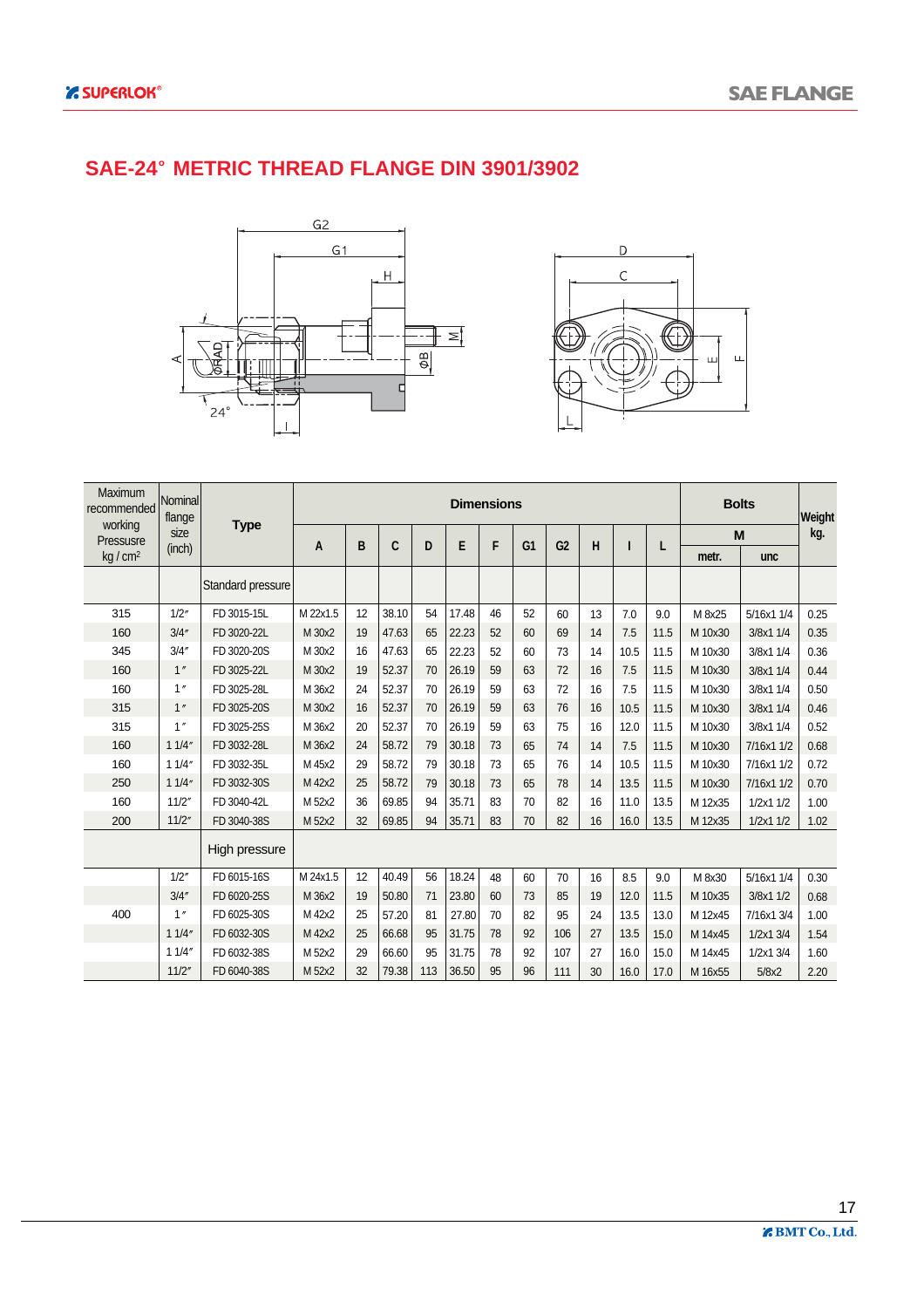### **SAE-24 METRIC THREAD FLANGE DIN 3901/3902**





| Maximum<br>recommended | Nominal<br>flange |                   | <b>Dimensions</b> |    |       |     |       |    |                |                |    |      |      |         | <b>Bolts</b> | Weight |
|------------------------|-------------------|-------------------|-------------------|----|-------|-----|-------|----|----------------|----------------|----|------|------|---------|--------------|--------|
| working<br>Pressusre   | size              | <b>Type</b>       | A                 | B  | C     | D   | E     | F  | G <sub>1</sub> | G <sub>2</sub> | н  | ı    | L    |         | M            | kg.    |
| $kq/cm^2$              | (inch)            |                   |                   |    |       |     |       |    |                |                |    |      |      | metr.   | unc          |        |
|                        |                   | Standard pressure |                   |    |       |     |       |    |                |                |    |      |      |         |              |        |
| 315                    | 1/2''             | FD 3015-15L       | M 22x1.5          | 12 | 38.10 | 54  | 17.48 | 46 | 52             | 60             | 13 | 7.0  | 9.0  | M 8x25  | 5/16x1 1/4   | 0.25   |
| 160                    | 3/4''             | FD 3020-22L       | M 30x2            | 19 | 47.63 | 65  | 22.23 | 52 | 60             | 69             | 14 | 7.5  | 11.5 | M 10x30 | 3/8x1 1/4    | 0.35   |
| 345                    | 3/4''             | FD 3020-20S       | M 30x2            | 16 | 47.63 | 65  | 22.23 | 52 | 60             | 73             | 14 | 10.5 | 11.5 | M 10x30 | 3/8x1 1/4    | 0.36   |
| 160                    | 1''               | FD 3025-22L       | M 30x2            | 19 | 52.37 | 70  | 26.19 | 59 | 63             | 72             | 16 | 7.5  | 11.5 | M 10x30 | 3/8x1 1/4    | 0.44   |
| 160                    | 1''               | FD 3025-28L       | M 36x2            | 24 | 52.37 | 70  | 26.19 | 59 | 63             | 72             | 16 | 7.5  | 11.5 | M 10x30 | 3/8x1 1/4    | 0.50   |
| 315                    | 1''               | FD 3025-20S       | M 30x2            | 16 | 52.37 | 70  | 26.19 | 59 | 63             | 76             | 16 | 10.5 | 11.5 | M 10x30 | 3/8x1 1/4    | 0.46   |
| 315                    | 1''               | FD 3025-25S       | M 36x2            | 20 | 52.37 | 70  | 26.19 | 59 | 63             | 75             | 16 | 12.0 | 11.5 | M 10x30 | 3/8x1 1/4    | 0.52   |
| 160                    | 11/4''            | FD 3032-28L       | M 36x2            | 24 | 58.72 | 79  | 30.18 | 73 | 65             | 74             | 14 | 7.5  | 11.5 | M 10x30 | 7/16x1 1/2   | 0.68   |
| 160                    | 11/4"             | FD 3032-35L       | M 45x2            | 29 | 58.72 | 79  | 30.18 | 73 | 65             | 76             | 14 | 10.5 | 11.5 | M 10x30 | 7/16x1 1/2   | 0.72   |
| 250                    | 11/4"             | FD 3032-30S       | M 42x2            | 25 | 58.72 | 79  | 30.18 | 73 | 65             | 78             | 14 | 13.5 | 11.5 | M 10x30 | 7/16x1 1/2   | 0.70   |
| 160                    | 11/2"             | FD 3040-42L       | M 52x2            | 36 | 69.85 | 94  | 35.71 | 83 | 70             | 82             | 16 | 11.0 | 13.5 | M 12x35 | 1/2x1 1/2    | 1.00   |
| 200                    | 11/2"             | FD 3040-38S       | M 52x2            | 32 | 69.85 | 94  | 35.71 | 83 | 70             | 82             | 16 | 16.0 | 13.5 | M 12x35 | 1/2x11/2     | 1.02   |
|                        |                   | High pressure     |                   |    |       |     |       |    |                |                |    |      |      |         |              |        |
|                        | 1/2''             | FD 6015-16S       | M 24x1.5          | 12 | 40.49 | 56  | 18.24 | 48 | 60             | 70             | 16 | 8.5  | 9.0  | M 8x30  | 5/16x1 1/4   | 0.30   |
|                        | 3/4''             | FD 6020-25S       | M 36x2            | 19 | 50.80 | 71  | 23.80 | 60 | 73             | 85             | 19 | 12.0 | 11.5 | M 10x35 | 3/8x1 1/2    | 0.68   |
| 400                    | 1''               | FD 6025-30S       | M 42x2            | 25 | 57.20 | 81  | 27.80 | 70 | 82             | 95             | 24 | 13.5 | 13.0 | M 12x45 | 7/16x1 3/4   | 1.00   |
|                        | 11/4''            | FD 6032-30S       | M 42x2            | 25 | 66.68 | 95  | 31.75 | 78 | 92             | 106            | 27 | 13.5 | 15.0 | M 14x45 | 1/2x1 3/4    | 1.54   |
|                        | 11/4''            | FD 6032-38S       | M 52x2            | 29 | 66.60 | 95  | 31.75 | 78 | 92             | 107            | 27 | 16.0 | 15.0 | M 14x45 | 1/2x1 3/4    | 1.60   |
|                        | 11/2"             | FD 6040-38S       | M 52x2            | 32 | 79.38 | 113 | 36.50 | 95 | 96             | 111            | 30 | 16.0 | 17.0 | M 16x55 | 5/8x2        | 2.20   |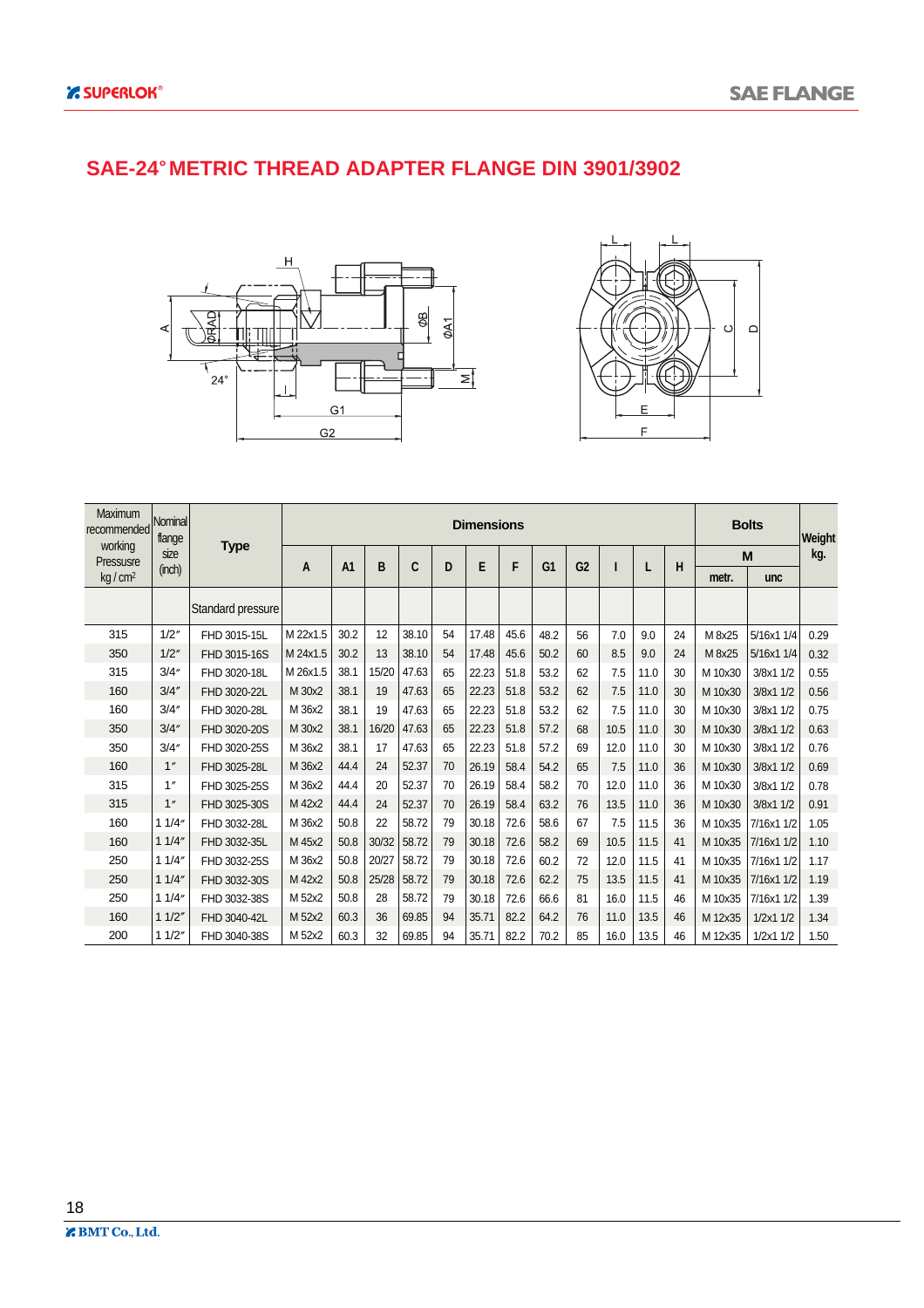#### **SAE-24 METRIC THREAD ADAPTER FLANGE DIN 3901/3902**





| Maximum<br>recommended | Nominal<br>flange |                   |          |                |       |       |    | <b>Dimensions</b> |      |                |                |      |      |    |         | <b>Bolts</b> | Weight |
|------------------------|-------------------|-------------------|----------|----------------|-------|-------|----|-------------------|------|----------------|----------------|------|------|----|---------|--------------|--------|
| working<br>Pressusre   | size              | <b>Type</b>       | A        | A <sub>1</sub> | B     | C     | D  | E                 | F    | G <sub>1</sub> | G <sub>2</sub> |      |      | н  |         | M            | kg.    |
| kg / cm <sup>2</sup>   | (inch)            |                   |          |                |       |       |    |                   |      |                |                |      |      |    | metr.   | unc          |        |
|                        |                   | Standard pressure |          |                |       |       |    |                   |      |                |                |      |      |    |         |              |        |
| 315                    | 1/2''             | FHD 3015-15L      | M 22x1.5 | 30.2           | 12    | 38.10 | 54 | 17.48             | 45.6 | 48.2           | 56             | 7.0  | 9.0  | 24 | M 8x25  | 5/16x1 1/4   | 0.29   |
| 350                    | 1/2"              | FHD 3015-16S      | M 24x1.5 | 30.2           | 13    | 38.10 | 54 | 17.48             | 45.6 | 50.2           | 60             | 8.5  | 9.0  | 24 | M 8x25  | 5/16x1 1/4   | 0.32   |
| 315                    | 3/4''             | FHD 3020-18L      | M 26x1.5 | 38.1           | 15/20 | 47.63 | 65 | 22.23             | 51.8 | 53.2           | 62             | 7.5  | 11.0 | 30 | M 10x30 | 3/8x1 1/2    | 0.55   |
| 160                    | 3/4''             | FHD 3020-22L      | M 30x2   | 38.1           | 19    | 47.63 | 65 | 22.23             | 51.8 | 53.2           | 62             | 7.5  | 11.0 | 30 | M 10x30 | 3/8x1 1/2    | 0.56   |
| 160                    | 3/4''             | FHD 3020-28L      | M 36x2   | 38.1           | 19    | 47.63 | 65 | 22.23             | 51.8 | 53.2           | 62             | 7.5  | 11.0 | 30 | M 10x30 | 3/8x1 1/2    | 0.75   |
| 350                    | 3/4''             | FHD 3020-20S      | M 30x2   | 38.1           | 16/20 | 47.63 | 65 | 22.23             | 51.8 | 57.2           | 68             | 10.5 | 11.0 | 30 | M 10x30 | 3/8x1 1/2    | 0.63   |
| 350                    | 3/4''             | FHD 3020-25S      | M 36x2   | 38.1           | 17    | 47.63 | 65 | 22.23             | 51.8 | 57.2           | 69             | 12.0 | 11.0 | 30 | M 10x30 | 3/8x1 1/2    | 0.76   |
| 160                    | 1''               | FHD 3025-28L      | M 36x2   | 44.4           | 24    | 52.37 | 70 | 26.19             | 58.4 | 54.2           | 65             | 7.5  | 11.0 | 36 | M 10x30 | 3/8x1 1/2    | 0.69   |
| 315                    | 1''               | FHD 3025-25S      | M 36x2   | 44.4           | 20    | 52.37 | 70 | 26.19             | 58.4 | 58.2           | 70             | 12.0 | 11.0 | 36 | M 10x30 | 3/8x1 1/2    | 0.78   |
| 315                    | 1''               | FHD 3025-30S      | M 42x2   | 44.4           | 24    | 52.37 | 70 | 26.19             | 58.4 | 63.2           | 76             | 13.5 | 11.0 | 36 | M 10x30 | 3/8x1 1/2    | 0.91   |
| 160                    | 11/4"             | FHD 3032-28L      | M 36x2   | 50.8           | 22    | 58.72 | 79 | 30.18             | 72.6 | 58.6           | 67             | 7.5  | 11.5 | 36 | M 10x35 | 7/16x1 1/2   | 1.05   |
| 160                    | 11/4"             | FHD 3032-35L      | M 45x2   | 50.8           | 30/32 | 58.72 | 79 | 30.18             | 72.6 | 58.2           | 69             | 10.5 | 11.5 | 41 | M 10x35 | 7/16x1 1/2   | 1.10   |
| 250                    | 11/4"             | FHD 3032-25S      | M 36x2   | 50.8           | 20/27 | 58.72 | 79 | 30.18             | 72.6 | 60.2           | 72             | 12.0 | 11.5 | 41 | M 10x35 | 7/16x1 1/2   | 1.17   |
| 250                    | 11/4"             | FHD 3032-30S      | M 42x2   | 50.8           | 25/28 | 58.72 | 79 | 30.18             | 72.6 | 62.2           | 75             | 13.5 | 11.5 | 41 | M 10x35 | 7/16x1 1/2   | 1.19   |
| 250                    | 11/4"             | FHD 3032-38S      | M 52x2   | 50.8           | 28    | 58.72 | 79 | 30.18             | 72.6 | 66.6           | 81             | 16.0 | 11.5 | 46 | M 10x35 | 7/16x1 1/2   | 1.39   |
| 160                    | 11/2"             | FHD 3040-42L      | M 52x2   | 60.3           | 36    | 69.85 | 94 | 35.71             | 82.2 | 64.2           | 76             | 11.0 | 13.5 | 46 | M 12x35 | 1/2x11/2     | 1.34   |
| 200                    | 11/2"             | FHD 3040-38S      | M 52x2   | 60.3           | 32    | 69.85 | 94 | 35.71             | 82.2 | 70.2           | 85             | 16.0 | 13.5 | 46 | M 12x35 | 1/2x11/2     | 1.50   |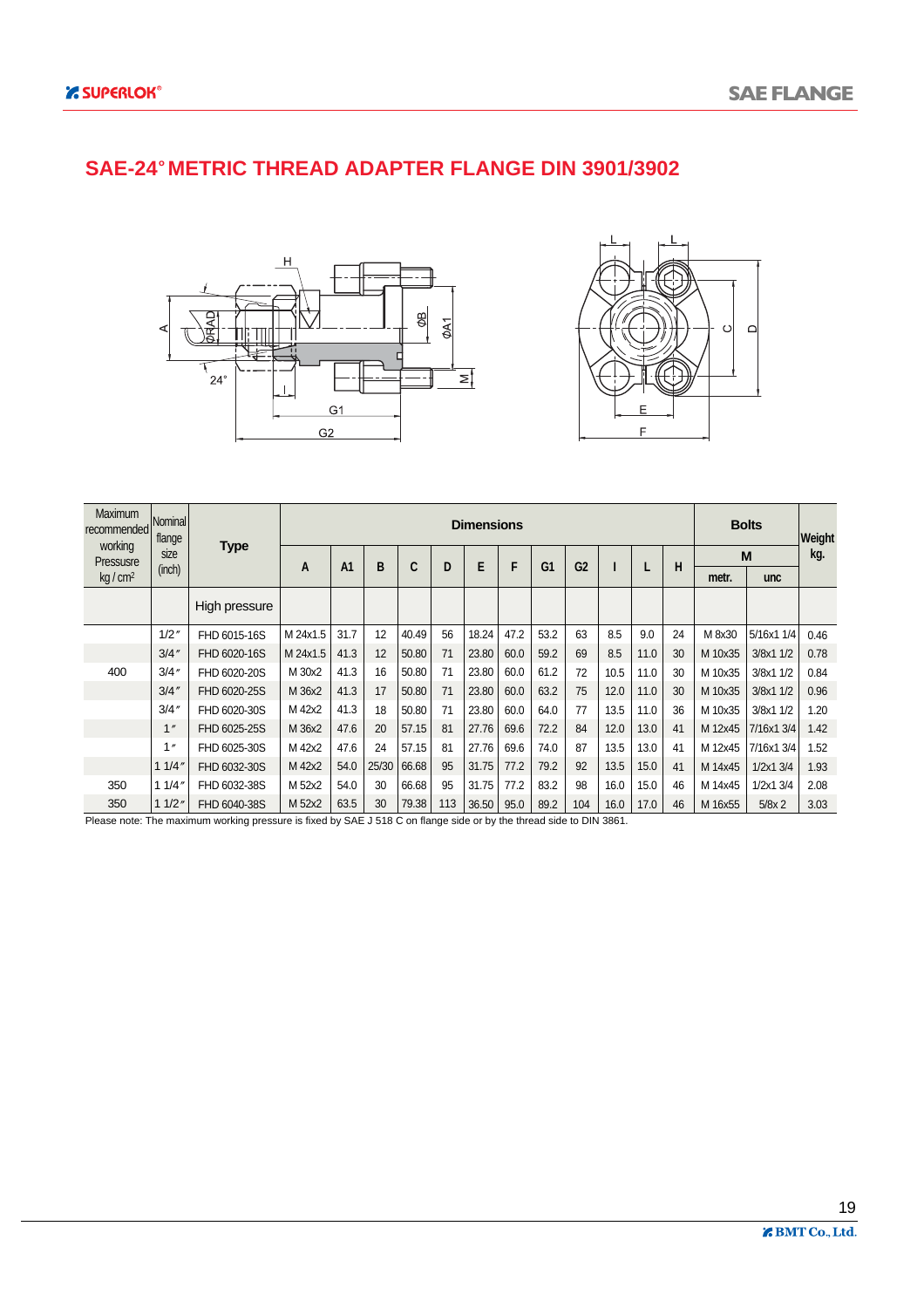#### **SAE-24 METRIC THREAD ADAPTER FLANGE DIN 3901/3902**





| <b>Maximum</b><br>recommended<br>working | <b>Nominal</b><br>flange |               |          |                |       |       |     | <b>Dimensions</b> |      |                |                |      |      |    |         | <b>Bolts</b> | Weight |
|------------------------------------------|--------------------------|---------------|----------|----------------|-------|-------|-----|-------------------|------|----------------|----------------|------|------|----|---------|--------------|--------|
| Pressusre                                | size<br>(inch)           | <b>Type</b>   | A        | A <sub>1</sub> | B     | C     | D   | E                 | F    | G <sub>1</sub> | G <sub>2</sub> |      |      | н  |         | M            | kg.    |
| kg/cm <sup>2</sup>                       |                          |               |          |                |       |       |     |                   |      |                |                |      |      |    | metr.   | unc          |        |
|                                          |                          | High pressure |          |                |       |       |     |                   |      |                |                |      |      |    |         |              |        |
|                                          | 1/2''                    | FHD 6015-16S  | M 24x1.5 | 31.7           | 12    | 40.49 | 56  | 18.24             | 47.2 | 53.2           | 63             | 8.5  | 9.0  | 24 | M 8x30  | 5/16x1 1/4   | 0.46   |
|                                          | 3/4''                    | FHD 6020-16S  | M 24x1.5 | 41.3           | 12    | 50.80 | 71  | 23.80             | 60.0 | 59.2           | 69             | 8.5  | 11.0 | 30 | M 10x35 | 3/8x1 1/2    | 0.78   |
| 400                                      | 3/4''                    | FHD 6020-20S  | M 30x2   | 41.3           | 16    | 50.80 | 71  | 23.80             | 60.0 | 61.2           | 72             | 10.5 | 11.0 | 30 | M 10x35 | 3/8x1 1/2    | 0.84   |
|                                          | 3/4''                    | FHD 6020-25S  | M 36x2   | 41.3           | 17    | 50.80 | 71  | 23.80             | 60.0 | 63.2           | 75             | 12.0 | 11.0 | 30 | M 10x35 | 3/8x1 1/2    | 0.96   |
|                                          | 3/4''                    | FHD 6020-30S  | M 42x2   | 41.3           | 18    | 50.80 | 71  | 23.80             | 60.0 | 64.0           | 77             | 13.5 | 11.0 | 36 | M 10x35 | 3/8x1 1/2    | 1.20   |
|                                          | 1''                      | FHD 6025-25S  | M 36x2   | 47.6           | 20    | 57.15 | 81  | 27.76             | 69.6 | 72.2           | 84             | 12.0 | 13.0 | 41 | M 12x45 | 7/16x1 3/4   | 1.42   |
|                                          | 1 <sub>n</sub>           | FHD 6025-30S  | M 42x2   | 47.6           | 24    | 57.15 | 81  | 27.76             | 69.6 | 74.0           | 87             | 13.5 | 13.0 | 41 | M 12x45 | 7/16x1 3/4   | 1.52   |
|                                          | 11/4''                   | FHD 6032-30S  | M 42x2   | 54.0           | 25/30 | 66.68 | 95  | 31.75             | 77.2 | 79.2           | 92             | 13.5 | 15.0 | 41 | M 14x45 | 1/2x1 3/4    | 1.93   |
| 350                                      | 11/4''                   | FHD 6032-38S  | M 52x2   | 54.0           | 30    | 66.68 | 95  | 31.75             | 77.2 | 83.2           | 98             | 16.0 | 15.0 | 46 | M 14x45 | 1/2x1 3/4    | 2.08   |
| 350                                      | 11/2"                    | FHD 6040-38S  | M 52x2   | 63.5           | 30    | 79.38 | 113 | 36.50             | 95.0 | 89.2           | 104            | 16.0 | 17.0 | 46 | M 16x55 | $5/8x$ 2     | 3.03   |

Please note: The maximum working pressure is fixed by SAE J 518 C on flange side or by the thread side to DIN 3861.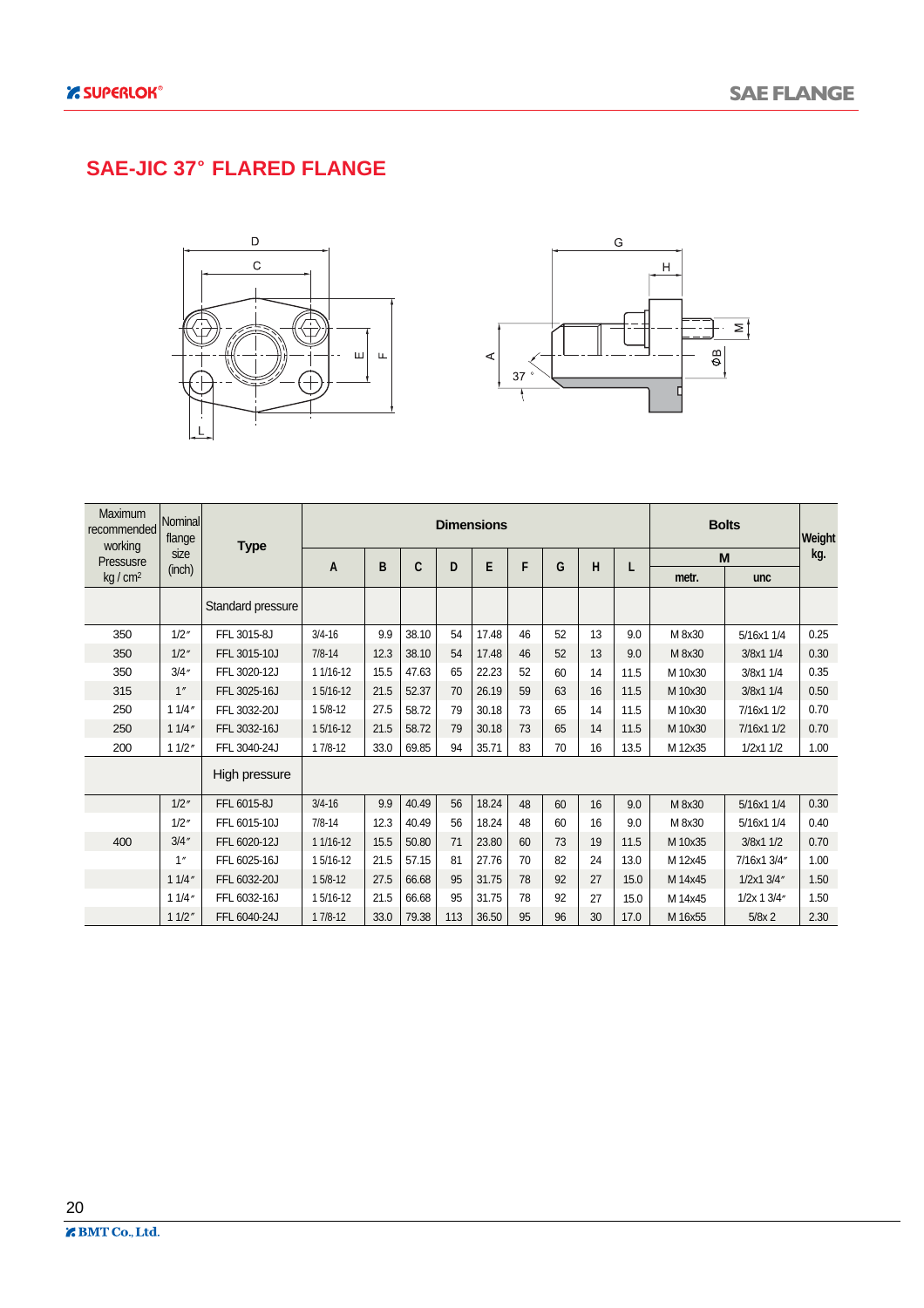### **SAE-JIC 37 FLARED FLANGE**





| <b>Maximum</b><br>recommended<br>working | Nominal<br>flange | <b>Type</b>       |            |      |       |     | <b>Dimensions</b> |    |    |    |      |         | <b>Bolts</b> | Weight |
|------------------------------------------|-------------------|-------------------|------------|------|-------|-----|-------------------|----|----|----|------|---------|--------------|--------|
| Pressusre                                | size              |                   | A          | B    | C     | D   | E                 | F  | G  | н  | L    |         | M            | kg.    |
| kg/cm <sup>2</sup>                       | (inch)            |                   |            |      |       |     |                   |    |    |    |      | metr.   | unc          |        |
|                                          |                   | Standard pressure |            |      |       |     |                   |    |    |    |      |         |              |        |
| 350                                      | 1/2''             | FFL 3015-8J       | $3/4 - 16$ | 9.9  | 38.10 | 54  | 17.48             | 46 | 52 | 13 | 9.0  | M 8x30  | 5/16x1 1/4   | 0.25   |
| 350                                      | 1/2''             | FFL 3015-10J      | $7/8 - 14$ | 12.3 | 38.10 | 54  | 17.48             | 46 | 52 | 13 | 9.0  | M 8x30  | 3/8x1 1/4    | 0.30   |
| 350                                      | 3/4''             | FFL 3020-12J      | 1 1/16-12  | 15.5 | 47.63 | 65  | 22.23             | 52 | 60 | 14 | 11.5 | M 10x30 | 3/8x1 1/4    | 0.35   |
| 315                                      | 1''               | FFL 3025-16J      | 15/16-12   | 21.5 | 52.37 | 70  | 26.19             | 59 | 63 | 16 | 11.5 | M 10x30 | 3/8x1 1/4    | 0.50   |
| 250                                      | 11/4"             | FFL 3032-20J      | 15/8-12    | 27.5 | 58.72 | 79  | 30.18             | 73 | 65 | 14 | 11.5 | M 10x30 | 7/16x1 1/2   | 0.70   |
| 250                                      | 11/4"             | FFL 3032-16J      | 15/16-12   | 21.5 | 58.72 | 79  | 30.18             | 73 | 65 | 14 | 11.5 | M 10x30 | 7/16x1 1/2   | 0.70   |
| 200                                      | 11/2"             | FFL 3040-24J      | $17/8-12$  | 33.0 | 69.85 | 94  | 35.71             | 83 | 70 | 16 | 13.5 | M 12x35 | 1/2x11/2     | 1.00   |
|                                          |                   | High pressure     |            |      |       |     |                   |    |    |    |      |         |              |        |
|                                          | 1/2''             | FFL 6015-8J       | $3/4 - 16$ | 9.9  | 40.49 | 56  | 18.24             | 48 | 60 | 16 | 9.0  | M 8x30  | 5/16x1 1/4   | 0.30   |
|                                          | 1/2''             | FFL 6015-10J      | $7/8 - 14$ | 12.3 | 40.49 | 56  | 18.24             | 48 | 60 | 16 | 9.0  | M 8x30  | 5/16x1 1/4   | 0.40   |
| 400                                      | 3/4''             | FFL 6020-12J      | 1 1/16-12  | 15.5 | 50.80 | 71  | 23.80             | 60 | 73 | 19 | 11.5 | M 10x35 | 3/8x1 1/2    | 0.70   |
|                                          | 1''               | FFL 6025-16J      | 15/16-12   | 21.5 | 57.15 | 81  | 27.76             | 70 | 82 | 24 | 13.0 | M 12x45 | 7/16x1 3/4"  | 1.00   |
|                                          | 11/4"             | FFL 6032-20J      | $15/8-12$  | 27.5 | 66.68 | 95  | 31.75             | 78 | 92 | 27 | 15.0 | M 14x45 | 1/2x1 3/4"   | 1.50   |
|                                          | 11/4"             | FFL 6032-16J      | 15/16-12   | 21.5 | 66.68 | 95  | 31.75             | 78 | 92 | 27 | 15.0 | M 14x45 | 1/2x 1 3/4"  | 1.50   |
|                                          | 11/2"             | FFL 6040-24J      | $17/8-12$  | 33.0 | 79.38 | 113 | 36.50             | 95 | 96 | 30 | 17.0 | M 16x55 | $5/8x$ 2     | 2.30   |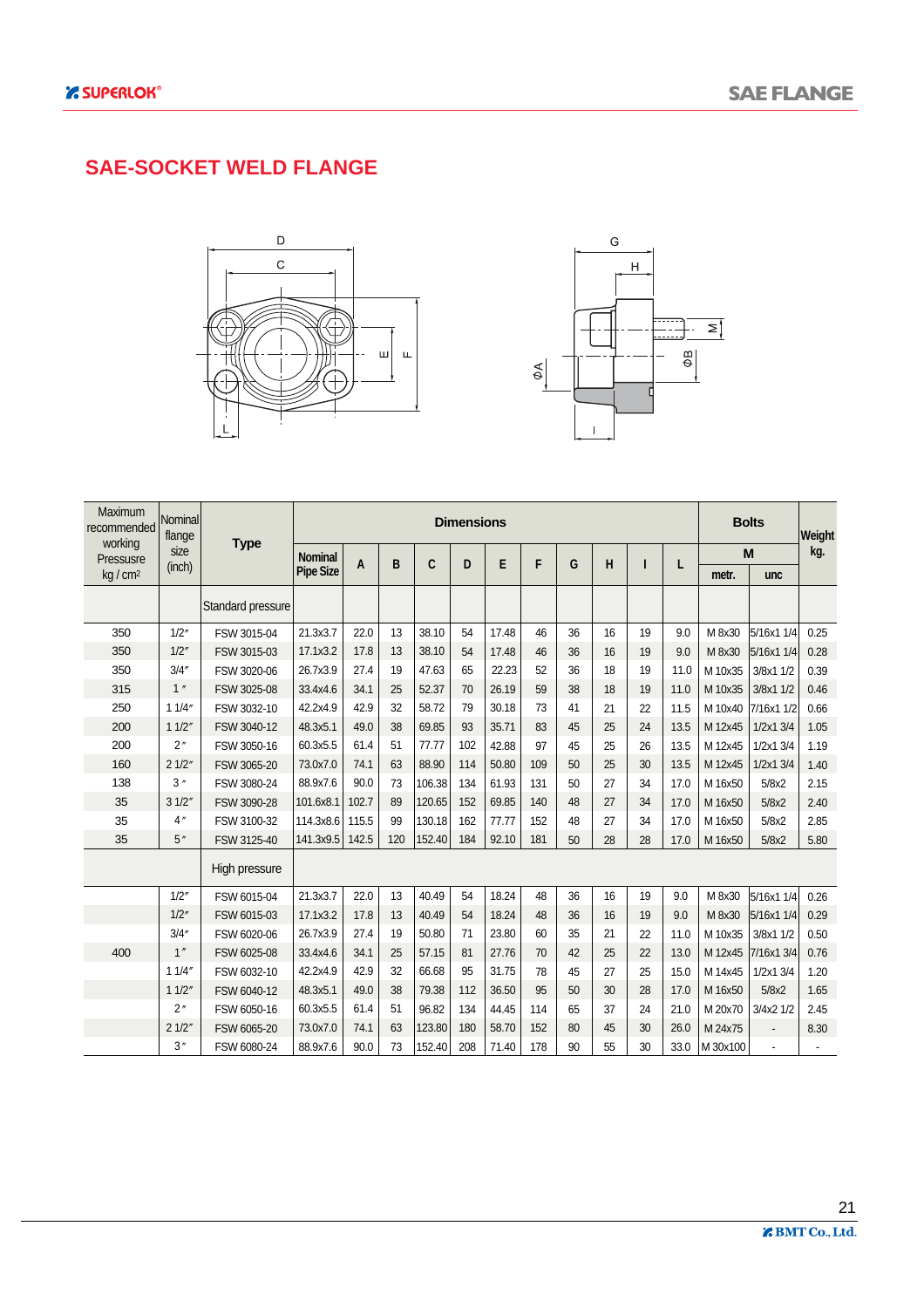### **SAE-SOCKET WELD FLANGE**





| Maximum<br>recommended | Nominal<br>flange |                   |                  |       |     |        | <b>Dimensions</b> |       |     |    |    |    |      |          | <b>Bolts</b>   | Weight |
|------------------------|-------------------|-------------------|------------------|-------|-----|--------|-------------------|-------|-----|----|----|----|------|----------|----------------|--------|
| working<br>Pressusre   | size              | <b>Type</b>       | <b>Nominal</b>   |       | B   | C      | D                 | E     | F   | G  | н  |    |      |          | M              | kg.    |
| $kq/cm^2$              | (inch)            |                   | <b>Pipe Size</b> | A     |     |        |                   |       |     |    |    |    | L    | metr.    | unc            |        |
|                        |                   | Standard pressure |                  |       |     |        |                   |       |     |    |    |    |      |          |                |        |
| 350                    | 1/2"              | FSW 3015-04       | 21.3x3.7         | 22.0  | 13  | 38.10  | 54                | 17.48 | 46  | 36 | 16 | 19 | 9.0  | M 8x30   | 5/16x1 1/4     | 0.25   |
| 350                    | 1/2''             | FSW 3015-03       | 17.1x3.2         | 17.8  | 13  | 38.10  | 54                | 17.48 | 46  | 36 | 16 | 19 | 9.0  | M 8x30   | 5/16x1 1/4     | 0.28   |
| 350                    | 3/4''             | FSW 3020-06       | 26.7x3.9         | 27.4  | 19  | 47.63  | 65                | 22.23 | 52  | 36 | 18 | 19 | 11.0 | M 10x35  | 3/8x1 1/2      | 0.39   |
| 315                    | 1''               | FSW 3025-08       | 33.4x4.6         | 34.1  | 25  | 52.37  | 70                | 26.19 | 59  | 38 | 18 | 19 | 11.0 | M 10x35  | 3/8x1 1/2      | 0.46   |
| 250                    | 11/4"             | FSW 3032-10       | 42.2x4.9         | 42.9  | 32  | 58.72  | 79                | 30.18 | 73  | 41 | 21 | 22 | 11.5 | M 10x40  | 7/16x1 1/2     | 0.66   |
| 200                    | 11/2''            | FSW 3040-12       | 48.3x5.1         | 49.0  | 38  | 69.85  | 93                | 35.71 | 83  | 45 | 25 | 24 | 13.5 | M 12x45  | 1/2x1 3/4      | 1.05   |
| 200                    | 2"                | FSW 3050-16       | 60.3x5.5         | 61.4  | 51  | 77.77  | 102               | 42.88 | 97  | 45 | 25 | 26 | 13.5 | M 12x45  | 1/2x1 3/4      | 1.19   |
| 160                    | 21/2"             | FSW 3065-20       | 73.0x7.0         | 74.1  | 63  | 88.90  | 114               | 50.80 | 109 | 50 | 25 | 30 | 13.5 | M 12x45  | $1/2x1$ $3/4$  | 1.40   |
| 138                    | 3''               | FSW 3080-24       | 88.9x7.6         | 90.0  | 73  | 106.38 | 134               | 61.93 | 131 | 50 | 27 | 34 | 17.0 | M 16x50  | 5/8x2          | 2.15   |
| 35                     | 31/2"             | FSW 3090-28       | 101.6x8.1        | 102.7 | 89  | 120.65 | 152               | 69.85 | 140 | 48 | 27 | 34 | 17.0 | M 16x50  | 5/8x2          | 2.40   |
| 35                     | 4''               | FSW 3100-32       | 114.3x8.6        | 115.5 | 99  | 130.18 | 162               | 77.77 | 152 | 48 | 27 | 34 | 17.0 | M 16x50  | 5/8x2          | 2.85   |
| 35                     | 5''               | FSW 3125-40       | 141.3x9.5        | 142.5 | 120 | 152.40 | 184               | 92.10 | 181 | 50 | 28 | 28 | 17.0 | M 16x50  | 5/8x2          | 5.80   |
|                        |                   | High pressure     |                  |       |     |        |                   |       |     |    |    |    |      |          |                |        |
|                        | 1/2''             | FSW 6015-04       | 21.3x3.7         | 22.0  | 13  | 40.49  | 54                | 18.24 | 48  | 36 | 16 | 19 | 9.0  | M 8x30   | 5/16x1 1/4     | 0.26   |
|                        | 1/2''             | FSW 6015-03       | 17.1x3.2         | 17.8  | 13  | 40.49  | 54                | 18.24 | 48  | 36 | 16 | 19 | 9.0  | M 8x30   | 5/16x1 1/4     | 0.29   |
|                        | 3/4''             | FSW 6020-06       | 26.7x3.9         | 27.4  | 19  | 50.80  | 71                | 23.80 | 60  | 35 | 21 | 22 | 11.0 | M 10x35  | 3/8x1 1/2      | 0.50   |
| 400                    | 1''               | FSW 6025-08       | 33.4x4.6         | 34.1  | 25  | 57.15  | 81                | 27.76 | 70  | 42 | 25 | 22 | 13.0 | M 12x45  | 7/16x1 3/4     | 0.76   |
|                        | 11/4"             | FSW 6032-10       | 42.2x4.9         | 42.9  | 32  | 66.68  | 95                | 31.75 | 78  | 45 | 27 | 25 | 15.0 | M 14x45  | 1/2x1 3/4      | 1.20   |
|                        | 11/2"             | FSW 6040-12       | 48.3x5.1         | 49.0  | 38  | 79.38  | 112               | 36.50 | 95  | 50 | 30 | 28 | 17.0 | M 16x50  | 5/8x2          | 1.65   |
|                        | 2"                | FSW 6050-16       | 60.3x5.5         | 61.4  | 51  | 96.82  | 134               | 44.45 | 114 | 65 | 37 | 24 | 21.0 | M 20x70  | 3/4x2 1/2      | 2.45   |
|                        | 21/2"             | FSW 6065-20       | 73.0x7.0         | 74.1  | 63  | 123.80 | 180               | 58.70 | 152 | 80 | 45 | 30 | 26.0 | M 24x75  | $\overline{a}$ | 8.30   |
|                        | 3''               | FSW 6080-24       | 88.9x7.6         | 90.0  | 73  | 152.40 | 208               | 71.40 | 178 | 90 | 55 | 30 | 33.0 | M 30x100 |                |        |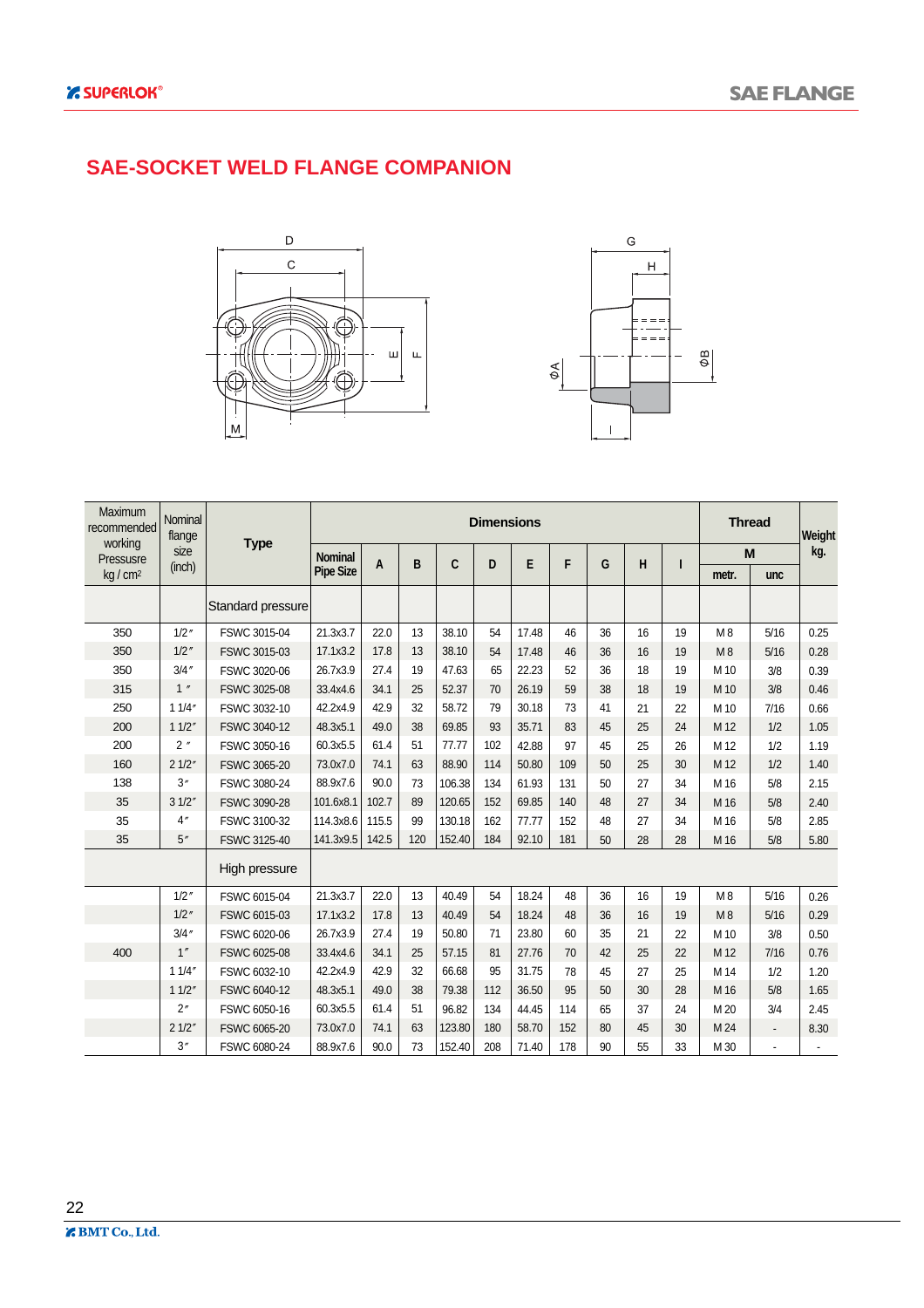#### **SAE-SOCKET WELD FLANGE COMPANION**





| Maximum<br>recommended | Nominal<br>flange |                   |                  |       |     |        | <b>Dimensions</b> |       |     |    |    |    |       | <b>Thread</b> | Weight |
|------------------------|-------------------|-------------------|------------------|-------|-----|--------|-------------------|-------|-----|----|----|----|-------|---------------|--------|
| working<br>Pressusre   | size              | <b>Type</b>       | <b>Nominal</b>   |       | B   |        | D                 |       | F   | G  |    |    |       | M             | kg.    |
| kg/cm <sup>2</sup>     | (inch)            |                   | <b>Pipe Size</b> | A     |     | C      |                   | E     |     |    | н  | ı  | metr. | unc           |        |
|                        |                   | Standard pressure |                  |       |     |        |                   |       |     |    |    |    |       |               |        |
| 350                    | 1/2''             | FSWC 3015-04      | 21.3x3.7         | 22.0  | 13  | 38.10  | 54                | 17.48 | 46  | 36 | 16 | 19 | M8    | 5/16          | 0.25   |
| 350                    | $1/2$ "           | FSWC 3015-03      | 17.1x3.2         | 17.8  | 13  | 38.10  | 54                | 17.48 | 46  | 36 | 16 | 19 | M8    | 5/16          | 0.28   |
| 350                    | $3/4$ "           | FSWC 3020-06      | 26.7x3.9         | 27.4  | 19  | 47.63  | 65                | 22.23 | 52  | 36 | 18 | 19 | M 10  | 3/8           | 0.39   |
| 315                    | 1''               | FSWC 3025-08      | 33.4x4.6         | 34.1  | 25  | 52.37  | 70                | 26.19 | 59  | 38 | 18 | 19 | M 10  | 3/8           | 0.46   |
| 250                    | 11/4"             | FSWC 3032-10      | 42.2x4.9         | 42.9  | 32  | 58.72  | 79                | 30.18 | 73  | 41 | 21 | 22 | M 10  | 7/16          | 0.66   |
| 200                    | 11/2"             | FSWC 3040-12      | 48.3x5.1         | 49.0  | 38  | 69.85  | 93                | 35.71 | 83  | 45 | 25 | 24 | M 12  | 1/2           | 1.05   |
| 200                    | 2''               | FSWC 3050-16      | 60.3x5.5         | 61.4  | 51  | 77.77  | 102               | 42.88 | 97  | 45 | 25 | 26 | M 12  | 1/2           | 1.19   |
| 160                    | 21/2"             | FSWC 3065-20      | 73.0x7.0         | 74.1  | 63  | 88.90  | 114               | 50.80 | 109 | 50 | 25 | 30 | M 12  | 1/2           | 1.40   |
| 138                    | 3''               | FSWC 3080-24      | 88.9x7.6         | 90.0  | 73  | 106.38 | 134               | 61.93 | 131 | 50 | 27 | 34 | M 16  | 5/8           | 2.15   |
| 35                     | 31/2"             | FSWC 3090-28      | 101.6x8.1        | 102.7 | 89  | 120.65 | 152               | 69.85 | 140 | 48 | 27 | 34 | M 16  | 5/8           | 2.40   |
| 35                     | 4''               | FSWC 3100-32      | 114.3x8.6        | 115.5 | 99  | 130.18 | 162               | 77.77 | 152 | 48 | 27 | 34 | M 16  | 5/8           | 2.85   |
| 35                     | 5''               | FSWC 3125-40      | 141.3x9.5        | 142.5 | 120 | 152.40 | 184               | 92.10 | 181 | 50 | 28 | 28 | M 16  | 5/8           | 5.80   |
|                        |                   | High pressure     |                  |       |     |        |                   |       |     |    |    |    |       |               |        |
|                        | $1/2$ "           | FSWC 6015-04      | 21.3x3.7         | 22.0  | 13  | 40.49  | 54                | 18.24 | 48  | 36 | 16 | 19 | M8    | 5/16          | 0.26   |
|                        | 1/2''             | FSWC 6015-03      | 17.1x3.2         | 17.8  | 13  | 40.49  | 54                | 18.24 | 48  | 36 | 16 | 19 | M8    | 5/16          | 0.29   |
|                        | $3/4$ "           | FSWC 6020-06      | 26.7x3.9         | 27.4  | 19  | 50.80  | 71                | 23.80 | 60  | 35 | 21 | 22 | M 10  | 3/8           | 0.50   |
| 400                    | 1''               | FSWC 6025-08      | 33.4x4.6         | 34.1  | 25  | 57.15  | 81                | 27.76 | 70  | 42 | 25 | 22 | M 12  | 7/16          | 0.76   |
|                        | 11/4"             | FSWC 6032-10      | 42.2x4.9         | 42.9  | 32  | 66.68  | 95                | 31.75 | 78  | 45 | 27 | 25 | M 14  | 1/2           | 1.20   |
|                        | 11/2"             | FSWC 6040-12      | 48.3x5.1         | 49.0  | 38  | 79.38  | 112               | 36.50 | 95  | 50 | 30 | 28 | M 16  | 5/8           | 1.65   |
|                        | 2"                | FSWC 6050-16      | 60.3x5.5         | 61.4  | 51  | 96.82  | 134               | 44.45 | 114 | 65 | 37 | 24 | M 20  | 3/4           | 2.45   |
|                        | 21/2"             | FSWC 6065-20      | 73.0x7.0         | 74.1  | 63  | 123.80 | 180               | 58.70 | 152 | 80 | 45 | 30 | M 24  | $\centerdot$  | 8.30   |
|                        | 3''               | FSWC 6080-24      | 88.9x7.6         | 90.0  | 73  | 152.40 | 208               | 71.40 | 178 | 90 | 55 | 33 | M 30  | ä,            |        |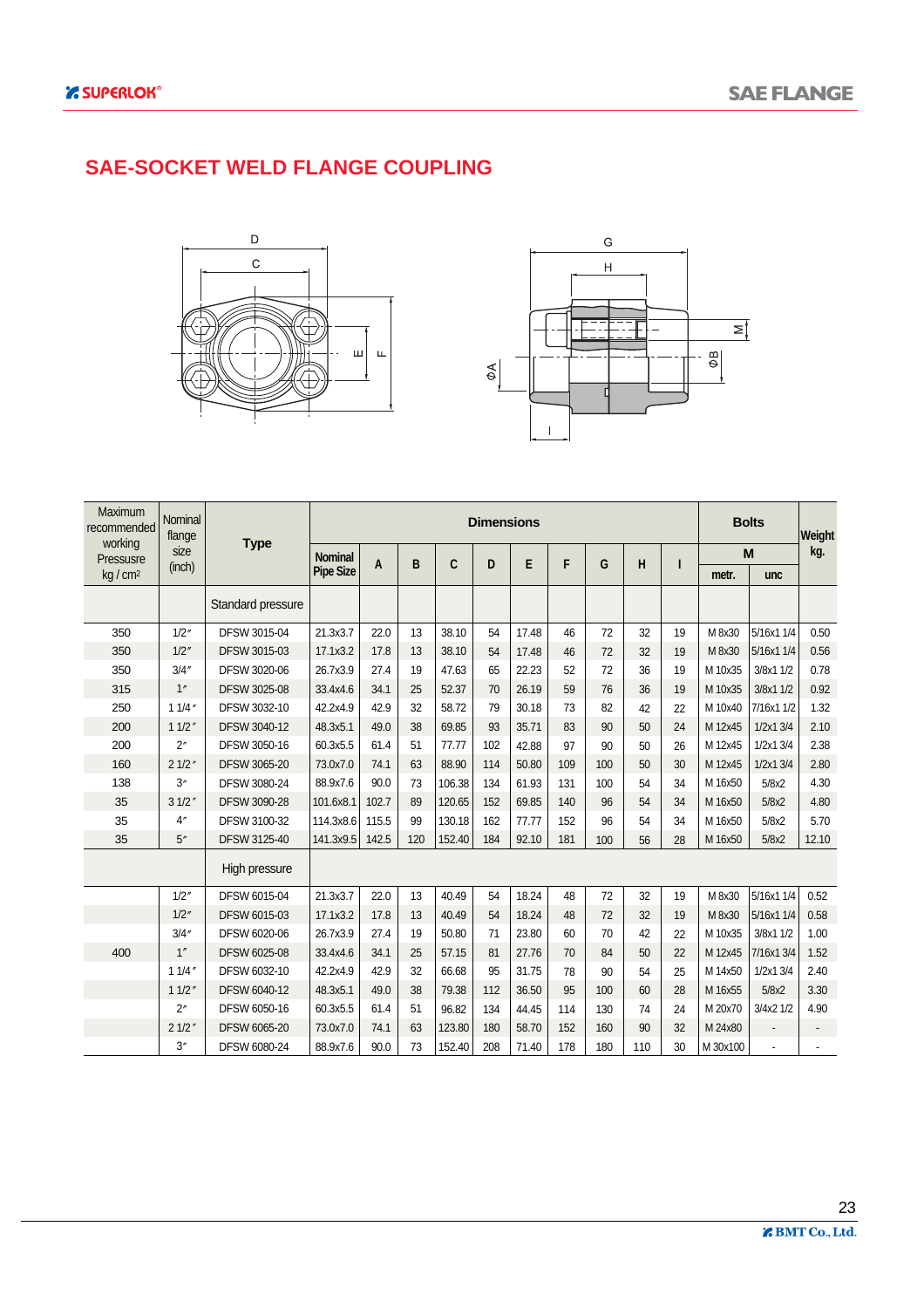#### **SAE-SOCKET WELD FLANGE COUPLING**





| Maximum<br>recommended | Nominal<br>flange |                     |                  |       |     |        | <b>Dimensions</b> |       |     |     |     |    |          | <b>Bolts</b> | Weight |
|------------------------|-------------------|---------------------|------------------|-------|-----|--------|-------------------|-------|-----|-----|-----|----|----------|--------------|--------|
| working<br>Pressusre   | size              | <b>Type</b>         | <b>Nominal</b>   | A     | B   | C      | D                 | E     | F   | G   | н   |    |          | M            | kg.    |
| kg/cm <sup>2</sup>     | (inch)            |                     | <b>Pipe Size</b> |       |     |        |                   |       |     |     |     | ı  | metr.    | unc          |        |
|                        |                   | Standard pressure   |                  |       |     |        |                   |       |     |     |     |    |          |              |        |
| 350                    | 1/2''             | DFSW 3015-04        | 21.3x3.7         | 22.0  | 13  | 38.10  | 54                | 17.48 | 46  | 72  | 32  | 19 | M 8x30   | 5/16x1 1/4   | 0.50   |
| 350                    | 1/2''             | DFSW 3015-03        | 17.1x3.2         | 17.8  | 13  | 38.10  | 54                | 17.48 | 46  | 72  | 32  | 19 | M 8x30   | 5/16x1 1/4   | 0.56   |
| 350                    | 3/4''             | DFSW 3020-06        | 26.7x3.9         | 27.4  | 19  | 47.63  | 65                | 22.23 | 52  | 72  | 36  | 19 | M 10x35  | 3/8x1 1/2    | 0.78   |
| 315                    | 1"                | <b>DFSW 3025-08</b> | 33.4x4.6         | 34.1  | 25  | 52.37  | 70                | 26.19 | 59  | 76  | 36  | 19 | M 10x35  | 3/8x1 1/2    | 0.92   |
| 250                    | 11/4''            | DFSW 3032-10        | 42.2x4.9         | 42.9  | 32  | 58.72  | 79                | 30.18 | 73  | 82  | 42  | 22 | M 10x40  | 7/16x1 1/2   | 1.32   |
| 200                    | 11/2''            | <b>DFSW 3040-12</b> | 48.3x5.1         | 49.0  | 38  | 69.85  | 93                | 35.71 | 83  | 90  | 50  | 24 | M 12x45  | 1/2x1 3/4    | 2.10   |
| 200                    | 2"                | DFSW 3050-16        | 60.3x5.5         | 61.4  | 51  | 77.77  | 102               | 42.88 | 97  | 90  | 50  | 26 | M 12x45  | 1/2x1 3/4    | 2.38   |
| 160                    | 21/2"             | <b>DFSW 3065-20</b> | 73.0x7.0         | 74.1  | 63  | 88.90  | 114               | 50.80 | 109 | 100 | 50  | 30 | M 12x45  | 1/2x1 3/4    | 2.80   |
| 138                    | 3''               | DFSW 3080-24        | 88.9x7.6         | 90.0  | 73  | 106.38 | 134               | 61.93 | 131 | 100 | 54  | 34 | M 16x50  | 5/8x2        | 4.30   |
| 35                     | 31/2"             | <b>DFSW 3090-28</b> | 101.6x8.1        | 102.7 | 89  | 120.65 | 152               | 69.85 | 140 | 96  | 54  | 34 | M 16x50  | 5/8x2        | 4.80   |
| 35                     | 4''               | DFSW 3100-32        | 114.3x8.6        | 115.5 | 99  | 130.18 | 162               | 77.77 | 152 | 96  | 54  | 34 | M 16x50  | 5/8x2        | 5.70   |
| 35                     | 5''               | DFSW 3125-40        | 141.3x9.5        | 142.5 | 120 | 152.40 | 184               | 92.10 | 181 | 100 | 56  | 28 | M 16x50  | 5/8x2        | 12.10  |
|                        |                   | High pressure       |                  |       |     |        |                   |       |     |     |     |    |          |              |        |
|                        | 1/2''             | DFSW 6015-04        | 21.3x3.7         | 22.0  | 13  | 40.49  | 54                | 18.24 | 48  | 72  | 32  | 19 | M 8x30   | 5/16x1 1/4   | 0.52   |
|                        | 1/2''             | DFSW 6015-03        | 17.1x3.2         | 17.8  | 13  | 40.49  | 54                | 18.24 | 48  | 72  | 32  | 19 | M 8x30   | 5/16x1 1/4   | 0.58   |
|                        | 3/4''             | DFSW 6020-06        | 26.7x3.9         | 27.4  | 19  | 50.80  | 71                | 23.80 | 60  | 70  | 42  | 22 | M 10x35  | 3/8x1 1/2    | 1.00   |
| 400                    | 1''               | DFSW 6025-08        | 33.4x4.6         | 34.1  | 25  | 57.15  | 81                | 27.76 | 70  | 84  | 50  | 22 | M 12x45  | 7/16x1 3/4   | 1.52   |
|                        | 11/4''            | DFSW 6032-10        | 42.2x4.9         | 42.9  | 32  | 66.68  | 95                | 31.75 | 78  | 90  | 54  | 25 | M 14x50  | 1/2x1 3/4    | 2.40   |
|                        | 11/2''            | DFSW 6040-12        | 48.3x5.1         | 49.0  | 38  | 79.38  | 112               | 36.50 | 95  | 100 | 60  | 28 | M 16x55  | 5/8x2        | 3.30   |
|                        | 2"                | DFSW 6050-16        | 60.3x5.5         | 61.4  | 51  | 96.82  | 134               | 44.45 | 114 | 130 | 74  | 24 | M 20x70  | 3/4x2 1/2    | 4.90   |
|                        | 21/2"             | <b>DFSW 6065-20</b> | 73.0x7.0         | 74.1  | 63  | 123.80 | 180               | 58.70 | 152 | 160 | 90  | 32 | M 24x80  |              |        |
|                        | 3''               | DFSW 6080-24        | 88.9x7.6         | 90.0  | 73  | 152.40 | 208               | 71.40 | 178 | 180 | 110 | 30 | M 30x100 |              |        |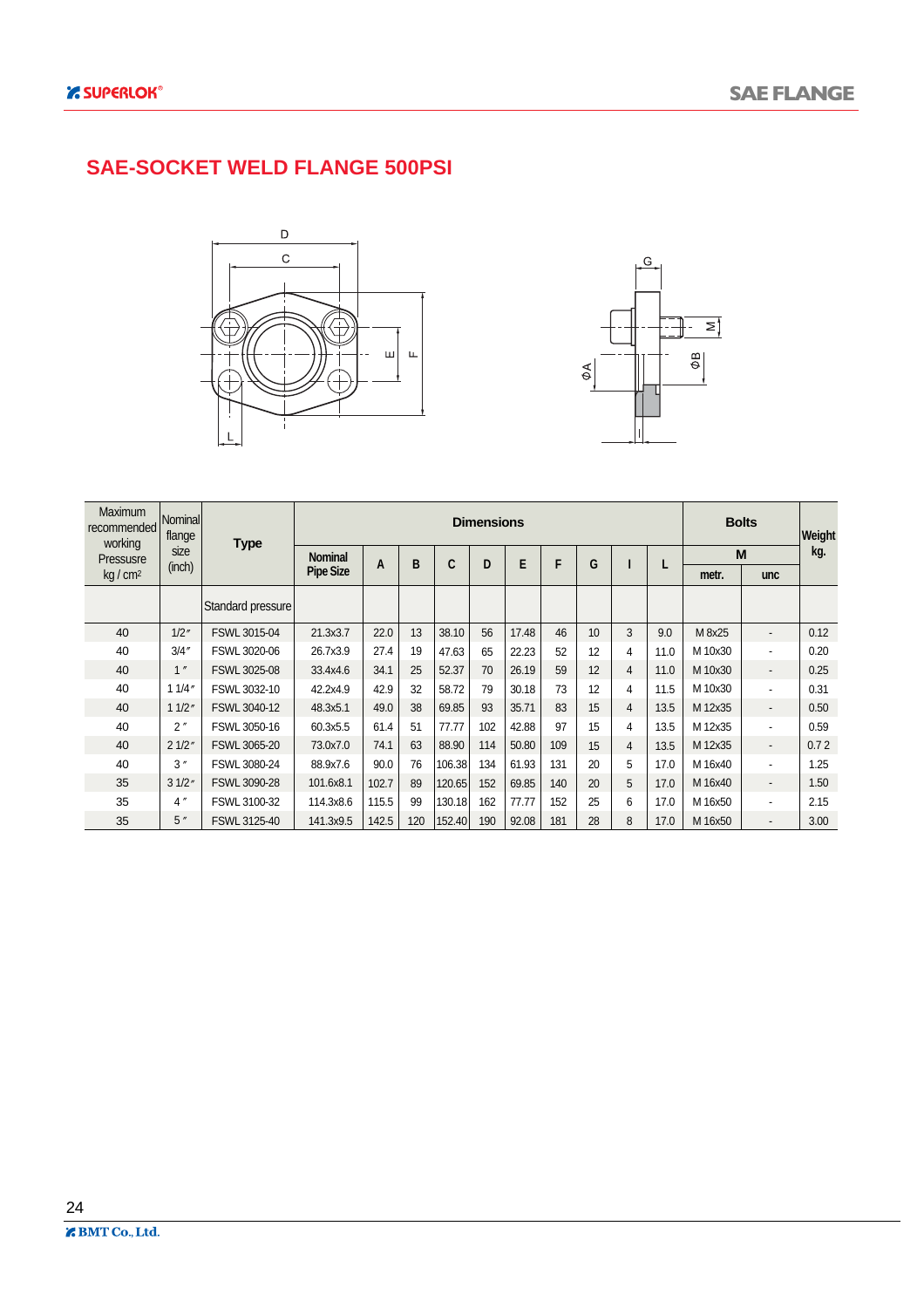#### **SAE-SOCKET WELD FLANGE 500PSI**





| <b>Maximum</b><br>recommended<br>working | Nominall<br>flange | <b>Type</b>       |                  |       |     |        | <b>Dimensions</b> |       |     |    |                |      |         | <b>Bolts</b>             | Weight |
|------------------------------------------|--------------------|-------------------|------------------|-------|-----|--------|-------------------|-------|-----|----|----------------|------|---------|--------------------------|--------|
| Pressusre                                | size               |                   | <b>Nominal</b>   | A     | B   | C      | D                 | E     | F   | G  |                |      |         | M                        | kg.    |
| kg/cm <sup>2</sup>                       | (inch)             |                   | <b>Pipe Size</b> |       |     |        |                   |       |     |    |                | ц    | metr.   | <b>unc</b>               |        |
|                                          |                    | Standard pressure |                  |       |     |        |                   |       |     |    |                |      |         |                          |        |
| 40                                       | 1/2''              | FSWL 3015-04      | 21.3x3.7         | 22.0  | 13  | 38.10  | 56                | 17.48 | 46  | 10 | 3              | 9.0  | M 8x25  | $\overline{\phantom{a}}$ | 0.12   |
| 40                                       | 3/4''              | FSWL 3020-06      | 26.7x3.9         | 27.4  | 19  | 47.63  | 65                | 22.23 | 52  | 12 | 4              | 11.0 | M 10x30 | ٠                        | 0.20   |
| 40                                       | 1''                | FSWL 3025-08      | 33.4x4.6         | 34.1  | 25  | 52.37  | 70                | 26.19 | 59  | 12 | $\overline{4}$ | 11.0 | M 10x30 | $\overline{\phantom{a}}$ | 0.25   |
| 40                                       | 11/4"              | FSWL 3032-10      | 42.2x4.9         | 42.9  | 32  | 58.72  | 79                | 30.18 | 73  | 12 | 4              | 11.5 | M 10x30 | ٠                        | 0.31   |
| 40                                       | 11/2"              | FSWL 3040-12      | 48.3x5.1         | 49.0  | 38  | 69.85  | 93                | 35.71 | 83  | 15 | 4              | 13.5 | M 12x35 | $\overline{\phantom{a}}$ | 0.50   |
| 40                                       | 2"                 | FSWL 3050-16      | 60.3x5.5         | 61.4  | 51  | 77.77  | 102               | 42.88 | 97  | 15 | 4              | 13.5 | M 12x35 | ٠                        | 0.59   |
| 40                                       | 21/2"              | FSWL 3065-20      | 73.0x7.0         | 74.1  | 63  | 88.90  | 114               | 50.80 | 109 | 15 | $\overline{4}$ | 13.5 | M 12x35 |                          | 0.72   |
| 40                                       | 3''                | FSWL 3080-24      | 88.9x7.6         | 90.0  | 76  | 106.38 | 134               | 61.93 | 131 | 20 | 5              | 17.0 | M 16x40 | ٠                        | 1.25   |
| 35                                       | 31/2"              | FSWL 3090-28      | 101.6x8.1        | 102.7 | 89  | 120.65 | 152               | 69.85 | 140 | 20 | 5              | 17.0 | M 16x40 | $\overline{\phantom{a}}$ | 1.50   |
| 35                                       | 4''                | FSWL 3100-32      | 114.3x8.6        | 115.5 | 99  | 130.18 | 162               | 77.77 | 152 | 25 | 6              | 17.0 | M 16x50 | ٠                        | 2.15   |
| 35                                       | 5''                | FSWL 3125-40      | 141.3x9.5        | 142.5 | 120 | 152.40 | 190               | 92.08 | 181 | 28 | 8              | 17.0 | M 16x50 | $\overline{\phantom{0}}$ | 3.00   |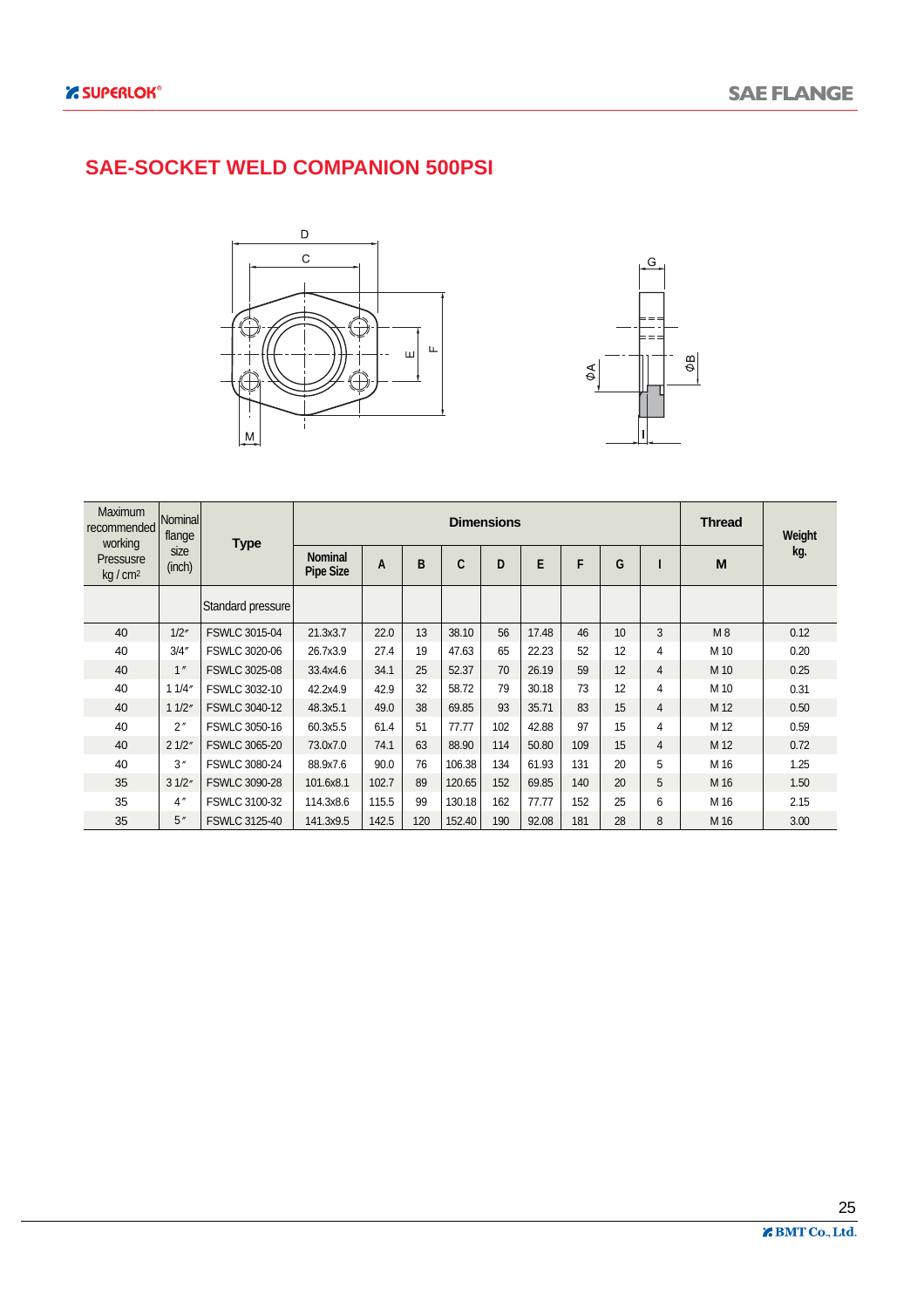#### **SAE-SOCKET WELD COMPANION 500PSI**





| <b>Maximum</b><br>recommended<br>working | Nominal<br>flange | <b>Type</b>          |                                    |       |     |        | <b>Dimensions</b> |       |     |    |                | <b>Thread</b> | Weight |
|------------------------------------------|-------------------|----------------------|------------------------------------|-------|-----|--------|-------------------|-------|-----|----|----------------|---------------|--------|
| Pressusre<br>kg/cm <sup>2</sup>          | size<br>(inch)    |                      | <b>Nominal</b><br><b>Pipe Size</b> | A     | B   | C      | D                 | E     | F   | G  |                | M             | kg.    |
|                                          |                   | Standard pressure    |                                    |       |     |        |                   |       |     |    |                |               |        |
| 40                                       | 1/2"              | <b>FSWLC 3015-04</b> | 21.3x3.7                           | 22.0  | 13  | 38.10  | 56                | 17.48 | 46  | 10 | 3              | M8            | 0.12   |
| 40                                       | 3/4''             | <b>FSWLC 3020-06</b> | 26.7x3.9                           | 27.4  | 19  | 47.63  | 65                | 22.23 | 52  | 12 | 4              | M 10          | 0.20   |
| 40                                       | 1''               | <b>FSWLC 3025-08</b> | 33.4x4.6                           | 34.1  | 25  | 52.37  | 70                | 26.19 | 59  | 12 | 4              | M 10          | 0.25   |
| 40                                       | 11/4"             | FSWLC 3032-10        | 42.2x4.9                           | 42.9  | 32  | 58.72  | 79                | 30.18 | 73  | 12 | $\overline{4}$ | M 10          | 0.31   |
| 40                                       | 11/2"             | <b>FSWLC 3040-12</b> | 48.3x5.1                           | 49.0  | 38  | 69.85  | 93                | 35.71 | 83  | 15 | $\overline{4}$ | M 12          | 0.50   |
| 40                                       | 2"                | FSWLC 3050-16        | 60.3x5.5                           | 61.4  | 51  | 77.77  | 102               | 42.88 | 97  | 15 | 4              | M 12          | 0.59   |
| 40                                       | 21/2"             | FSWLC 3065-20        | 73.0x7.0                           | 74.1  | 63  | 88.90  | 114               | 50.80 | 109 | 15 | $\overline{4}$ | M 12          | 0.72   |
| 40                                       | 3''               | <b>FSWLC 3080-24</b> | 88.9x7.6                           | 90.0  | 76  | 106.38 | 134               | 61.93 | 131 | 20 | 5              | M 16          | 1.25   |
| 35                                       | 31/2"             | <b>FSWLC 3090-28</b> | 101.6x8.1                          | 102.7 | 89  | 120.65 | 152               | 69.85 | 140 | 20 | 5              | M 16          | 1.50   |
| 35                                       | 4''               | FSWLC 3100-32        | 114.3x8.6                          | 115.5 | 99  | 130.18 | 162               | 77.77 | 152 | 25 | 6              | M 16          | 2.15   |
| 35                                       | 5''               | <b>FSWLC 3125-40</b> | 141.3x9.5                          | 142.5 | 120 | 152.40 | 190               | 92.08 | 181 | 28 | 8              | M 16          | 3.00   |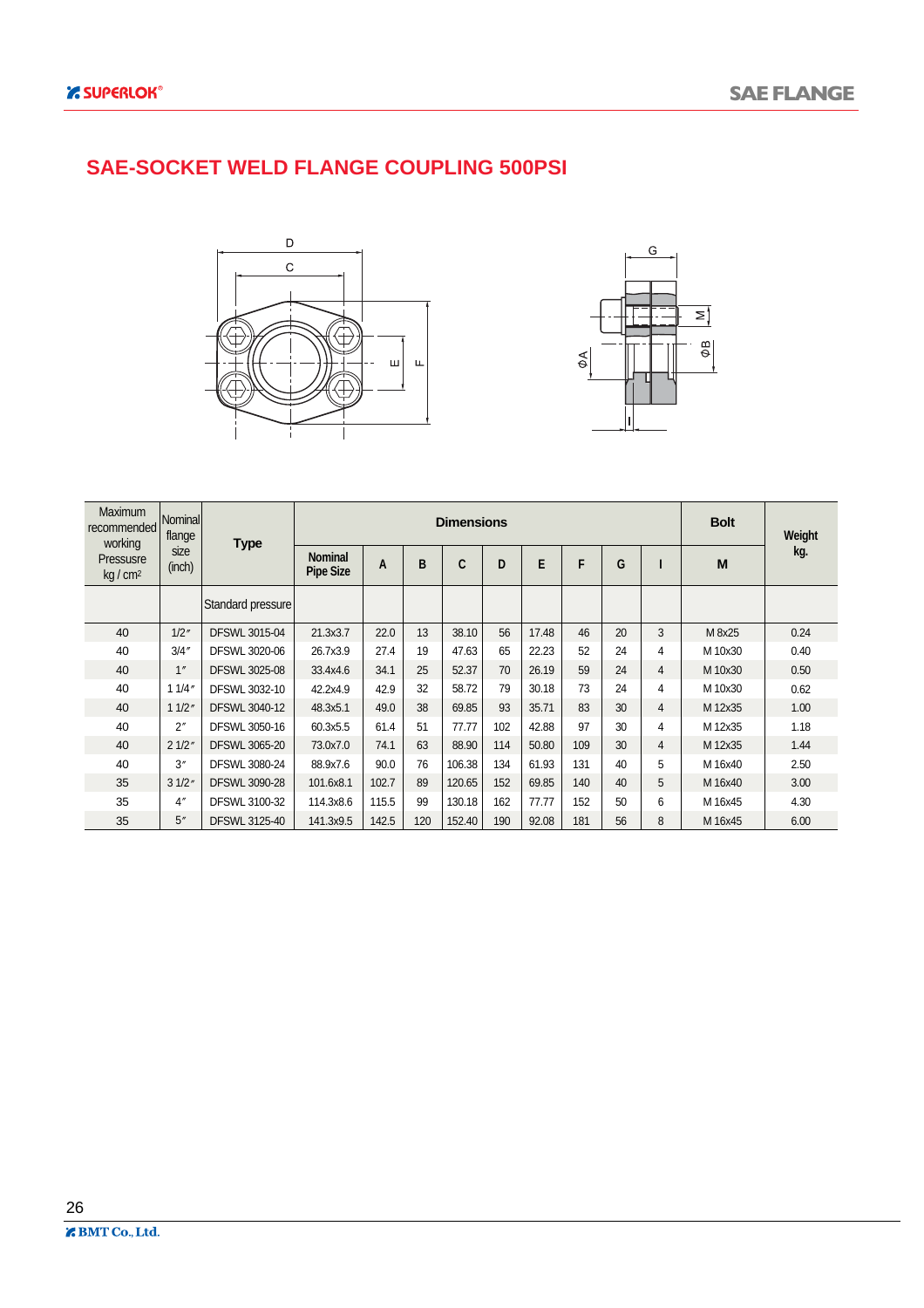#### **SAE-SOCKET WELD FLANGE COUPLING 500PSI**





| <b>Maximum</b><br>recommended<br>working | Nominall<br>flange | <b>Type</b>          |                                    |       |     | <b>Dimensions</b> |     |       |     |    |                | <b>Bolt</b> | Weight |
|------------------------------------------|--------------------|----------------------|------------------------------------|-------|-----|-------------------|-----|-------|-----|----|----------------|-------------|--------|
| Pressusre<br>$kq/cm^2$                   | size<br>(inch)     |                      | <b>Nominal</b><br><b>Pipe Size</b> | A     | B   | C                 | D   | E     | F   | G  |                | M           | kg.    |
|                                          |                    | Standard pressure    |                                    |       |     |                   |     |       |     |    |                |             |        |
| 40                                       | 1/2''              | <b>DFSWL 3015-04</b> | 21.3x3.7                           | 22.0  | 13  | 38.10             | 56  | 17.48 | 46  | 20 | 3              | M 8x25      | 0.24   |
| 40                                       | 3/4''              | DFSWL 3020-06        | 26.7x3.9                           | 27.4  | 19  | 47.63             | 65  | 22.23 | 52  | 24 | 4              | M 10x30     | 0.40   |
| 40                                       | 1''                | <b>DFSWL 3025-08</b> | 33.4x4.6                           | 34.1  | 25  | 52.37             | 70  | 26.19 | 59  | 24 | $\overline{4}$ | M 10x30     | 0.50   |
| 40                                       | 11/4"              | DFSWL 3032-10        | 42.2x4.9                           | 42.9  | 32  | 58.72             | 79  | 30.18 | 73  | 24 | 4              | M 10x30     | 0.62   |
| 40                                       | 11/2"              | <b>DFSWL 3040-12</b> | 48.3x5.1                           | 49.0  | 38  | 69.85             | 93  | 35.71 | 83  | 30 | $\overline{4}$ | M 12x35     | 1.00   |
| 40                                       | $2^{\prime\prime}$ | DFSWL 3050-16        | 60.3x5.5                           | 61.4  | 51  | 77.77             | 102 | 42.88 | 97  | 30 | 4              | M 12x35     | 1.18   |
| 40                                       | 21/2"              | <b>DFSWL 3065-20</b> | 73.0x7.0                           | 74.1  | 63  | 88.90             | 114 | 50.80 | 109 | 30 | $\overline{4}$ | M 12x35     | 1.44   |
| 40                                       | 3''                | <b>DFSWL 3080-24</b> | 88.9x7.6                           | 90.0  | 76  | 106.38            | 134 | 61.93 | 131 | 40 | 5              | M 16x40     | 2.50   |
| 35                                       | 31/2"              | <b>DFSWL 3090-28</b> | 101.6x8.1                          | 102.7 | 89  | 120.65            | 152 | 69.85 | 140 | 40 | 5              | M 16x40     | 3.00   |
| 35                                       | 4''                | DFSWL 3100-32        | 114.3x8.6                          | 115.5 | 99  | 130.18            | 162 | 77.77 | 152 | 50 | 6              | M 16x45     | 4.30   |
| 35                                       | 5''                | DFSWL 3125-40        | 141.3x9.5                          | 142.5 | 120 | 152.40            | 190 | 92.08 | 181 | 56 | 8              | M 16x45     | 6.00   |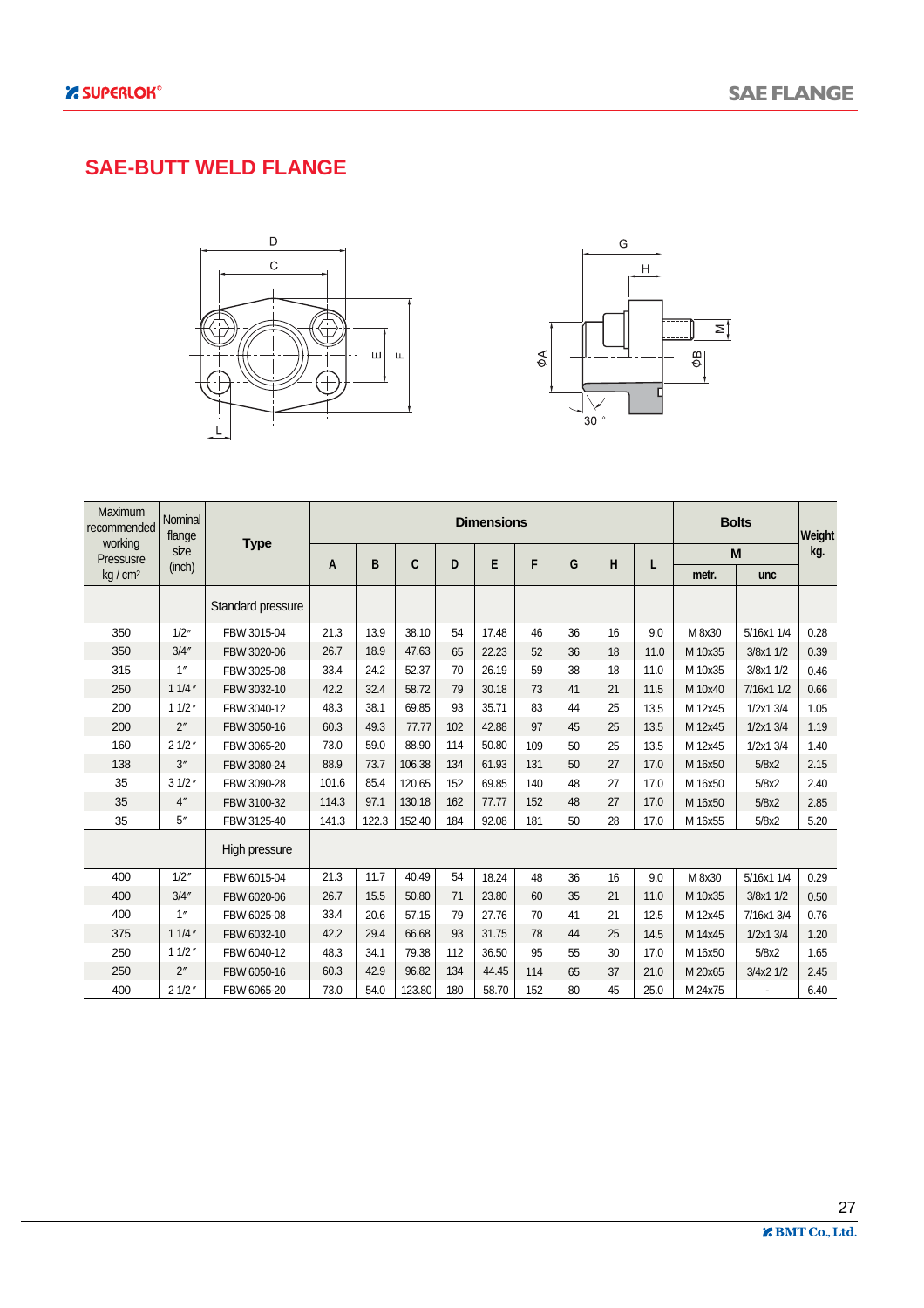#### **SAE-BUTT WELD FLANGE**





| Maximum<br>recommended<br>working | Nominal<br>flange |                   |       |       |        |     | <b>Dimensions</b> |     |    |    |      |         | <b>Bolts</b> | Weight |
|-----------------------------------|-------------------|-------------------|-------|-------|--------|-----|-------------------|-----|----|----|------|---------|--------------|--------|
| Pressusre                         | size              | <b>Type</b>       |       | B     | C      | D   | E                 | F   | G  | Н  | L    |         | M            | kg.    |
| kg/cm <sup>2</sup>                | (inch)            |                   | A     |       |        |     |                   |     |    |    |      | metr.   | unc          |        |
|                                   |                   | Standard pressure |       |       |        |     |                   |     |    |    |      |         |              |        |
| 350                               | 1/2''             | FBW 3015-04       | 21.3  | 13.9  | 38.10  | 54  | 17.48             | 46  | 36 | 16 | 9.0  | M 8x30  | 5/16x1 1/4   | 0.28   |
| 350                               | 3/4''             | FBW 3020-06       | 26.7  | 18.9  | 47.63  | 65  | 22.23             | 52  | 36 | 18 | 11.0 | M 10x35 | 3/8x1 1/2    | 0.39   |
| 315                               | 1''               | FBW 3025-08       | 33.4  | 24.2  | 52.37  | 70  | 26.19             | 59  | 38 | 18 | 11.0 | M 10x35 | 3/8x1 1/2    | 0.46   |
| 250                               | 11/4''            | FBW 3032-10       | 42.2  | 32.4  | 58.72  | 79  | 30.18             | 73  | 41 | 21 | 11.5 | M 10x40 | 7/16x1 1/2   | 0.66   |
| 200                               | 11/2''            | FBW 3040-12       | 48.3  | 38.1  | 69.85  | 93  | 35.71             | 83  | 44 | 25 | 13.5 | M 12x45 | 1/2x1 3/4    | 1.05   |
| 200                               | 2"                | FBW 3050-16       | 60.3  | 49.3  | 77.77  | 102 | 42.88             | 97  | 45 | 25 | 13.5 | M 12x45 | 1/2x1 3/4    | 1.19   |
| 160                               | 21/2"             | FBW 3065-20       | 73.0  | 59.0  | 88.90  | 114 | 50.80             | 109 | 50 | 25 | 13.5 | M 12x45 | 1/2x1 3/4    | 1.40   |
| 138                               | 3''               | FBW 3080-24       | 88.9  | 73.7  | 106.38 | 134 | 61.93             | 131 | 50 | 27 | 17.0 | M 16x50 | 5/8x2        | 2.15   |
| 35                                | 31/2''            | FBW 3090-28       | 101.6 | 85.4  | 120.65 | 152 | 69.85             | 140 | 48 | 27 | 17.0 | M 16x50 | 5/8x2        | 2.40   |
| 35                                | 4''               | FBW 3100-32       | 114.3 | 97.1  | 130.18 | 162 | 77.77             | 152 | 48 | 27 | 17.0 | M 16x50 | 5/8x2        | 2.85   |
| 35                                | 5''               | FBW 3125-40       | 141.3 | 122.3 | 152.40 | 184 | 92.08             | 181 | 50 | 28 | 17.0 | M 16x55 | 5/8x2        | 5.20   |
|                                   |                   | High pressure     |       |       |        |     |                   |     |    |    |      |         |              |        |
| 400                               | 1/2''             | FBW 6015-04       | 21.3  | 11.7  | 40.49  | 54  | 18.24             | 48  | 36 | 16 | 9.0  | M 8x30  | 5/16x1 1/4   | 0.29   |
| 400                               | 3/4''             | FBW 6020-06       | 26.7  | 15.5  | 50.80  | 71  | 23.80             | 60  | 35 | 21 | 11.0 | M 10x35 | 3/8x1 1/2    | 0.50   |
| 400                               | 1''               | FBW 6025-08       | 33.4  | 20.6  | 57.15  | 79  | 27.76             | 70  | 41 | 21 | 12.5 | M 12x45 | 7/16x1 3/4   | 0.76   |
| 375                               | 11/4''            | FBW 6032-10       | 42.2  | 29.4  | 66.68  | 93  | 31.75             | 78  | 44 | 25 | 14.5 | M 14x45 | 1/2x1 3/4    | 1.20   |
| 250                               | 11/2''            | FBW 6040-12       | 48.3  | 34.1  | 79.38  | 112 | 36.50             | 95  | 55 | 30 | 17.0 | M 16x50 | 5/8x2        | 1.65   |
| 250                               | 2"                | FBW 6050-16       | 60.3  | 42.9  | 96.82  | 134 | 44.45             | 114 | 65 | 37 | 21.0 | M 20x65 | 3/4x2 1/2    | 2.45   |
| 400                               | 21/2"             | FBW 6065-20       | 73.0  | 54.0  | 123.80 | 180 | 58.70             | 152 | 80 | 45 | 25.0 | M 24x75 |              | 6.40   |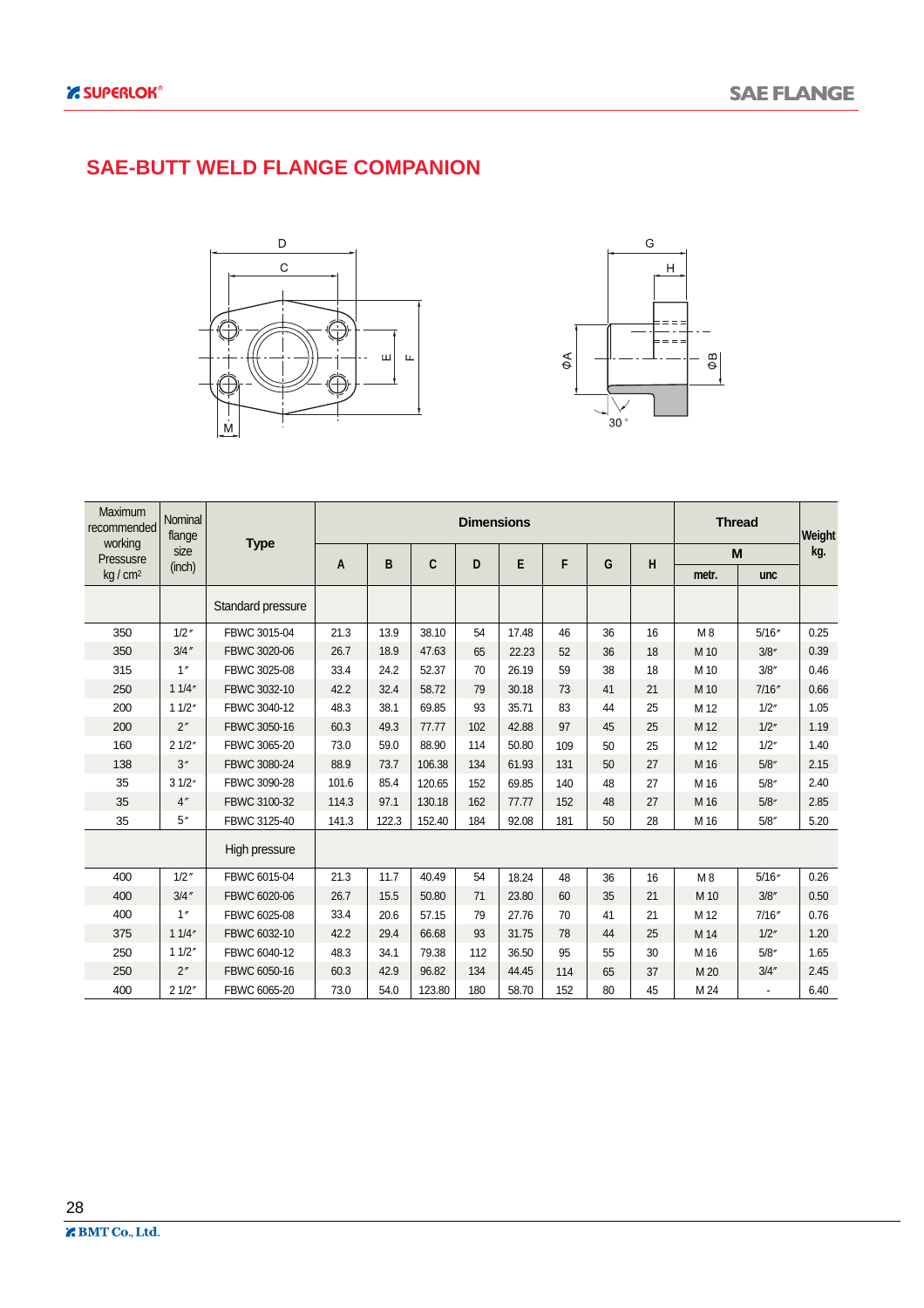#### **SAE-BUTT WELD FLANGE COMPANION**





| Maximum<br>recommended | Nominal<br>flange |                   |       |       |        | <b>Dimensions</b> |       |     |    |    |       | <b>Thread</b> | Weight |
|------------------------|-------------------|-------------------|-------|-------|--------|-------------------|-------|-----|----|----|-------|---------------|--------|
| working<br>Pressusre   | size              | <b>Type</b>       |       | B     | C      | D                 | E     | F   | G  | H  |       | M             | kg.    |
| kg / cm <sup>2</sup>   | (inch)            |                   | A     |       |        |                   |       |     |    |    | metr. | unc           |        |
|                        |                   | Standard pressure |       |       |        |                   |       |     |    |    |       |               |        |
| 350                    | $1/2$ "           | FBWC 3015-04      | 21.3  | 13.9  | 38.10  | 54                | 17.48 | 46  | 36 | 16 | M8    | 5/16''        | 0.25   |
| 350                    | $3/4$ "           | FBWC 3020-06      | 26.7  | 18.9  | 47.63  | 65                | 22.23 | 52  | 36 | 18 | M 10  | 3/8''         | 0.39   |
| 315                    | 1''               | FBWC 3025-08      | 33.4  | 24.2  | 52.37  | 70                | 26.19 | 59  | 38 | 18 | M 10  | 3/8''         | 0.46   |
| 250                    | 11/4"             | FBWC 3032-10      | 42.2  | 32.4  | 58.72  | 79                | 30.18 | 73  | 41 | 21 | M 10  | 7/16''        | 0.66   |
| 200                    | 11/2"             | FBWC 3040-12      | 48.3  | 38.1  | 69.85  | 93                | 35.71 | 83  | 44 | 25 | M 12  | 1/2"          | 1.05   |
| 200                    | 2''               | FBWC 3050-16      | 60.3  | 49.3  | 77.77  | 102               | 42.88 | 97  | 45 | 25 | M 12  | 1/2"          | 1.19   |
| 160                    | 21/2"             | FBWC 3065-20      | 73.0  | 59.0  | 88.90  | 114               | 50.80 | 109 | 50 | 25 | M 12  | 1/2''         | 1.40   |
| 138                    | 3''               | FBWC 3080-24      | 88.9  | 73.7  | 106.38 | 134               | 61.93 | 131 | 50 | 27 | M 16  | 5/8''         | 2.15   |
| 35                     | 31/2"             | FBWC 3090-28      | 101.6 | 85.4  | 120.65 | 152               | 69.85 | 140 | 48 | 27 | M 16  | 5/8''         | 2.40   |
| 35                     | 4''               | FBWC 3100-32      | 114.3 | 97.1  | 130.18 | 162               | 77.77 | 152 | 48 | 27 | M 16  | 5/8''         | 2.85   |
| 35                     | 5''               | FBWC 3125-40      | 141.3 | 122.3 | 152.40 | 184               | 92.08 | 181 | 50 | 28 | M 16  | 5/8''         | 5.20   |
|                        |                   | High pressure     |       |       |        |                   |       |     |    |    |       |               |        |
| 400                    | $1/2$ "           | FBWC 6015-04      | 21.3  | 11.7  | 40.49  | 54                | 18.24 | 48  | 36 | 16 | M8    | 5/16''        | 0.26   |
| 400                    | $3/4$ "           | FBWC 6020-06      | 26.7  | 15.5  | 50.80  | 71                | 23.80 | 60  | 35 | 21 | M 10  | 3/8''         | 0.50   |
| 400                    | 1''               | FBWC 6025-08      | 33.4  | 20.6  | 57.15  | 79                | 27.76 | 70  | 41 | 21 | M 12  | 7/16''        | 0.76   |
| 375                    | 11/4"             | FBWC 6032-10      | 42.2  | 29.4  | 66.68  | 93                | 31.75 | 78  | 44 | 25 | M 14  | 1/2"          | 1.20   |
| 250                    | 11/2''            | FBWC 6040-12      | 48.3  | 34.1  | 79.38  | 112               | 36.50 | 95  | 55 | 30 | M 16  | 5/8''         | 1.65   |
| 250                    | 2"                | FBWC 6050-16      | 60.3  | 42.9  | 96.82  | 134               | 44.45 | 114 | 65 | 37 | M 20  | 3/4''         | 2.45   |
| 400                    | 21/2"             | FBWC 6065-20      | 73.0  | 54.0  | 123.80 | 180               | 58.70 | 152 | 80 | 45 | M 24  |               | 6.40   |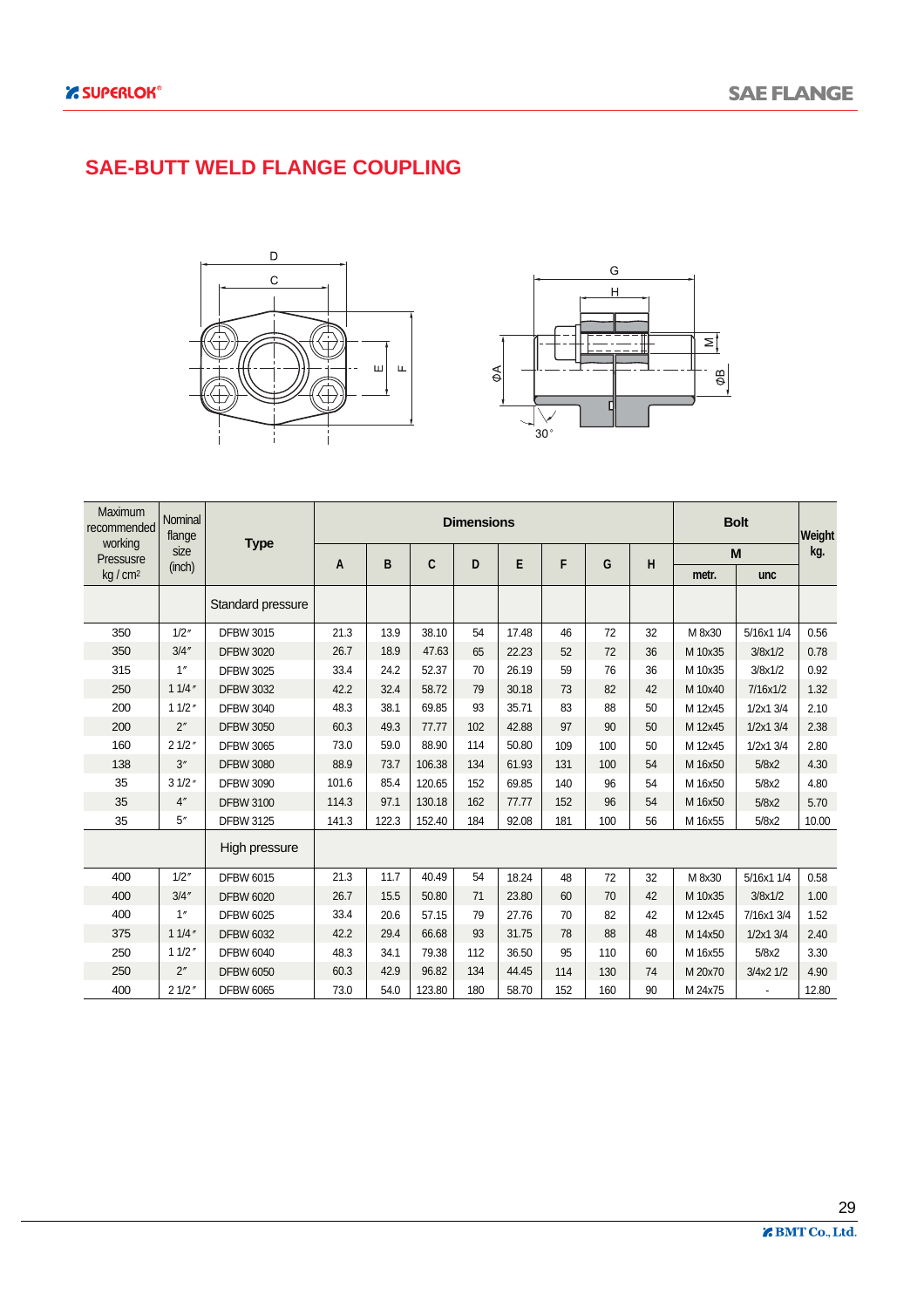#### **SAE-BUTT WELD FLANGE COUPLING**





| Maximum<br>recommended | Nominal<br>flange |                   |       |       |        | <b>Dimensions</b> |       |     |     |    |         | <b>Bolt</b> | Weight |
|------------------------|-------------------|-------------------|-------|-------|--------|-------------------|-------|-----|-----|----|---------|-------------|--------|
| working<br>Pressusre   | size              | <b>Type</b>       | A     | B     | C      | D                 | E     | F   | G   | н  |         | M           | kg.    |
| kg/cm <sup>2</sup>     | (inch)            |                   |       |       |        |                   |       |     |     |    | metr.   | unc         |        |
|                        |                   | Standard pressure |       |       |        |                   |       |     |     |    |         |             |        |
| 350                    | 1/2''             | <b>DFBW 3015</b>  | 21.3  | 13.9  | 38.10  | 54                | 17.48 | 46  | 72  | 32 | M 8x30  | 5/16x1 1/4  | 0.56   |
| 350                    | 3/4''             | <b>DFBW 3020</b>  | 26.7  | 18.9  | 47.63  | 65                | 22.23 | 52  | 72  | 36 | M 10x35 | 3/8x1/2     | 0.78   |
| 315                    | 1''               | <b>DFBW 3025</b>  | 33.4  | 24.2  | 52.37  | 70                | 26.19 | 59  | 76  | 36 | M 10x35 | 3/8x1/2     | 0.92   |
| 250                    | 11/4''            | <b>DFBW 3032</b>  | 42.2  | 32.4  | 58.72  | 79                | 30.18 | 73  | 82  | 42 | M 10x40 | 7/16x1/2    | 1.32   |
| 200                    | 11/2''            | <b>DFBW 3040</b>  | 48.3  | 38.1  | 69.85  | 93                | 35.71 | 83  | 88  | 50 | M 12x45 | 1/2x1 3/4   | 2.10   |
| 200                    | 2''               | <b>DFBW 3050</b>  | 60.3  | 49.3  | 77.77  | 102               | 42.88 | 97  | 90  | 50 | M 12x45 | 1/2x1 3/4   | 2.38   |
| 160                    | 21/2"             | <b>DFBW 3065</b>  | 73.0  | 59.0  | 88.90  | 114               | 50.80 | 109 | 100 | 50 | M 12x45 | 1/2x1 3/4   | 2.80   |
| 138                    | 3''               | <b>DFBW 3080</b>  | 88.9  | 73.7  | 106.38 | 134               | 61.93 | 131 | 100 | 54 | M 16x50 | 5/8x2       | 4.30   |
| 35                     | 31/2''            | <b>DFBW 3090</b>  | 101.6 | 85.4  | 120.65 | 152               | 69.85 | 140 | 96  | 54 | M 16x50 | 5/8x2       | 4.80   |
| 35                     | 4''               | <b>DFBW 3100</b>  | 114.3 | 97.1  | 130.18 | 162               | 77.77 | 152 | 96  | 54 | M 16x50 | 5/8x2       | 5.70   |
| 35                     | 5''               | <b>DFBW 3125</b>  | 141.3 | 122.3 | 152.40 | 184               | 92.08 | 181 | 100 | 56 | M 16x55 | 5/8x2       | 10.00  |
|                        |                   | High pressure     |       |       |        |                   |       |     |     |    |         |             |        |
| 400                    | 1/2''             | <b>DFBW 6015</b>  | 21.3  | 11.7  | 40.49  | 54                | 18.24 | 48  | 72  | 32 | M 8x30  | 5/16x1 1/4  | 0.58   |
| 400                    | 3/4''             | <b>DFBW 6020</b>  | 26.7  | 15.5  | 50.80  | 71                | 23.80 | 60  | 70  | 42 | M 10x35 | 3/8x1/2     | 1.00   |
| 400                    | 1''               | <b>DFBW 6025</b>  | 33.4  | 20.6  | 57.15  | 79                | 27.76 | 70  | 82  | 42 | M 12x45 | 7/16x1 3/4  | 1.52   |
| 375                    | 11/4''            | <b>DFBW 6032</b>  | 42.2  | 29.4  | 66.68  | 93                | 31.75 | 78  | 88  | 48 | M 14x50 | 1/2x1 3/4   | 2.40   |
| 250                    | 11/2''            | <b>DFBW 6040</b>  | 48.3  | 34.1  | 79.38  | 112               | 36.50 | 95  | 110 | 60 | M 16x55 | 5/8x2       | 3.30   |
| 250                    | 2"                | <b>DFBW 6050</b>  | 60.3  | 42.9  | 96.82  | 134               | 44.45 | 114 | 130 | 74 | M 20x70 | 3/4x2 1/2   | 4.90   |
| 400                    | 21/2"             | <b>DFBW 6065</b>  | 73.0  | 54.0  | 123.80 | 180               | 58.70 | 152 | 160 | 90 | M 24x75 |             | 12.80  |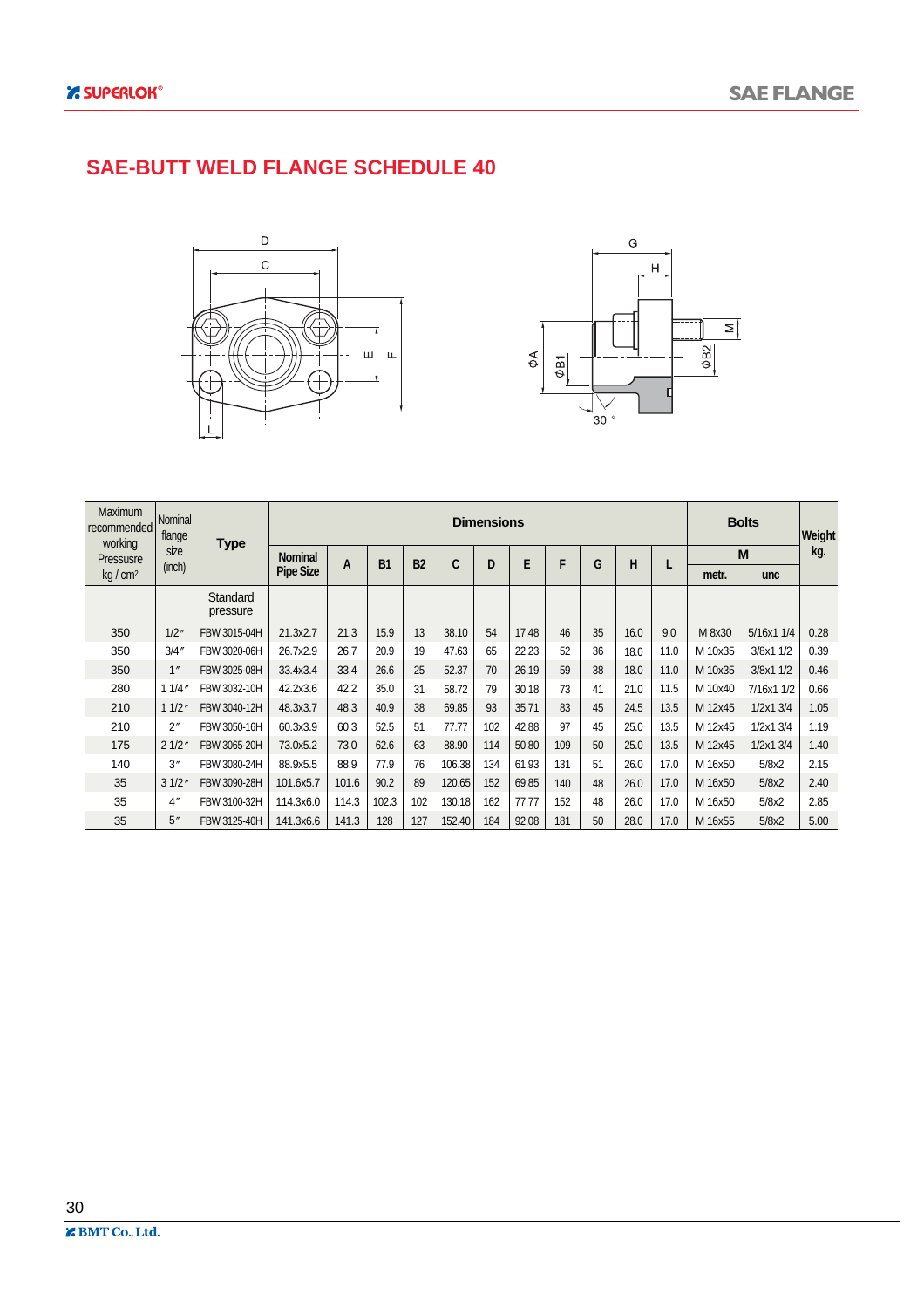#### **SAE-BUTT WELD FLANGE SCHEDULE 40**





| <b>Maximum</b><br>recommended<br>working | Nominal<br>flange |                      |                  |       |           |           |        | <b>Dimensions</b> |       |     |    |      |      |         | <b>Bolts</b>  | Weight |
|------------------------------------------|-------------------|----------------------|------------------|-------|-----------|-----------|--------|-------------------|-------|-----|----|------|------|---------|---------------|--------|
| Pressusre                                | size              | <b>Type</b>          | <b>Nominal</b>   | A     | <b>B1</b> | <b>B2</b> | C      | D                 | E     | F   | G  | н    |      |         | M             | kg.    |
| kg/cm <sup>2</sup>                       | (inch)            |                      | <b>Pipe Size</b> |       |           |           |        |                   |       |     |    |      |      | metr.   | <b>unc</b>    |        |
|                                          |                   | Standard<br>pressure |                  |       |           |           |        |                   |       |     |    |      |      |         |               |        |
| 350                                      | 1/2''             | FBW 3015-04H         | 21.3x2.7         | 21.3  | 15.9      | 13        | 38.10  | 54                | 17.48 | 46  | 35 | 16.0 | 9.0  | M 8x30  | 5/16x1 1/4    | 0.28   |
| 350                                      | 3/4''             | FBW 3020-06H         | 26.7x2.9         | 26.7  | 20.9      | 19        | 47.63  | 65                | 22.23 | 52  | 36 | 18.0 | 11.0 | M 10x35 | 3/8x1 1/2     | 0.39   |
| 350                                      | 1''               | FBW 3025-08H         | 33.4x3.4         | 33.4  | 26.6      | 25        | 52.37  | 70                | 26.19 | 59  | 38 | 18.0 | 11.0 | M 10x35 | 3/8x1 1/2     | 0.46   |
| 280                                      | 11/4''            | FBW 3032-10H         | 42.2x3.6         | 42.2  | 35.0      | 31        | 58.72  | 79                | 30.18 | 73  | 41 | 21.0 | 11.5 | M 10x40 | 7/16x1 1/2    | 0.66   |
| 210                                      | 11/2"             | FBW 3040-12H         | 48.3x3.7         | 48.3  | 40.9      | 38        | 69.85  | 93                | 35.71 | 83  | 45 | 24.5 | 13.5 | M 12x45 | $1/2x1$ $3/4$ | 1.05   |
| 210                                      | 2 <sup>''</sup>   | FBW 3050-16H         | 60.3x3.9         | 60.3  | 52.5      | 51        | 77.77  | 102               | 42.88 | 97  | 45 | 25.0 | 13.5 | M 12x45 | 1/2x1 3/4     | 1.19   |
| 175                                      | 21/2"             | FBW 3065-20H         | 73.0x5.2         | 73.0  | 62.6      | 63        | 88.90  | 114               | 50.80 | 109 | 50 | 25.0 | 13.5 | M 12x45 | 1/2x13/4      | 1.40   |
| 140                                      | 3''               | FBW 3080-24H         | 88.9x5.5         | 88.9  | 77.9      | 76        | 106.38 | 134               | 61.93 | 131 | 51 | 26.0 | 17.0 | M 16x50 | 5/8x2         | 2.15   |
| 35                                       | 31/2"             | FBW 3090-28H         | 101.6x5.7        | 101.6 | 90.2      | 89        | 120.65 | 152               | 69.85 | 140 | 48 | 26.0 | 17.0 | M 16x50 | 5/8x2         | 2.40   |
| 35                                       | 4''               | FBW 3100-32H         | 114.3x6.0        | 114.3 | 102.3     | 102       | 130.18 | 162               | 77.77 | 152 | 48 | 26.0 | 17.0 | M 16x50 | 5/8x2         | 2.85   |
| 35                                       | 5''               | FBW 3125-40H         | 141.3x6.6        | 141.3 | 128       | 127       | 152.40 | 184               | 92.08 | 181 | 50 | 28.0 | 17.0 | M 16x55 | 5/8x2         | 5.00   |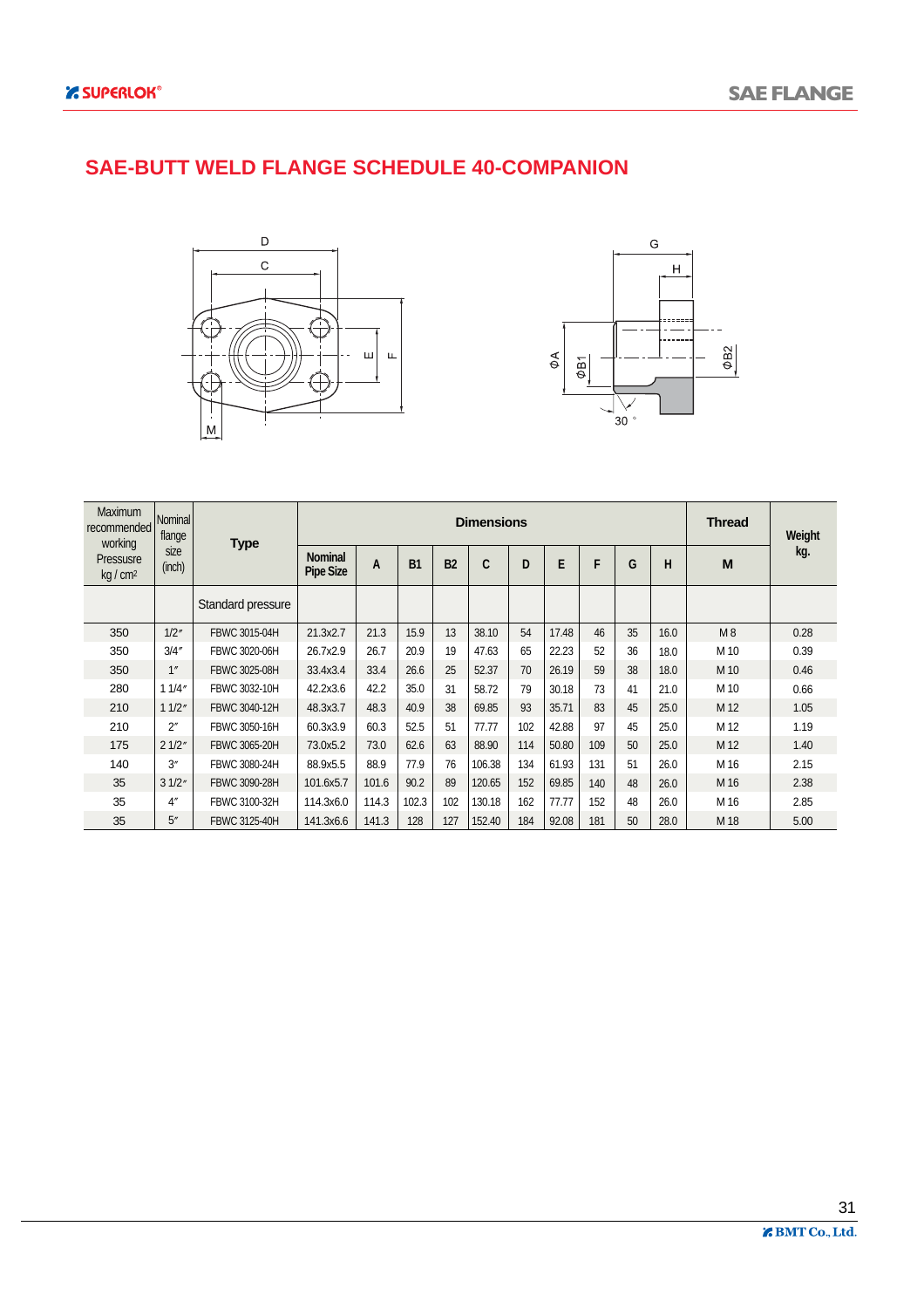#### **SAE-BUTT WELD FLANGE SCHEDULE 40-COMPANION**





| <b>Maximum</b><br>recommended<br>working | Nominal<br>flange  | <b>Type</b>       |                                    |       |           |           | <b>Dimensions</b> |     |       |     |    |      | <b>Thread</b> | Weight |
|------------------------------------------|--------------------|-------------------|------------------------------------|-------|-----------|-----------|-------------------|-----|-------|-----|----|------|---------------|--------|
| Pressusre<br>$kq/cm^2$                   | size<br>(inch)     |                   | <b>Nominal</b><br><b>Pipe Size</b> | A     | <b>B1</b> | <b>B2</b> | C                 | D   | E     | F   | G  | н    | M             | kg.    |
|                                          |                    | Standard pressure |                                    |       |           |           |                   |     |       |     |    |      |               |        |
| 350                                      | 1/2''              | FBWC 3015-04H     | 21.3x2.7                           | 21.3  | 15.9      | 13        | 38.10             | 54  | 17.48 | 46  | 35 | 16.0 | M8            | 0.28   |
| 350                                      | 3/4''              | FBWC 3020-06H     | 26.7x2.9                           | 26.7  | 20.9      | 19        | 47.63             | 65  | 22.23 | 52  | 36 | 18.0 | M 10          | 0.39   |
| 350                                      | 1 <sup>''</sup>    | FBWC 3025-08H     | 33.4x3.4                           | 33.4  | 26.6      | 25        | 52.37             | 70  | 26.19 | 59  | 38 | 18.0 | M 10          | 0.46   |
| 280                                      | 11/4"              | FBWC 3032-10H     | 42.2x3.6                           | 42.2  | 35.0      | 31        | 58.72             | 79  | 30.18 | 73  | 41 | 21.0 | M 10          | 0.66   |
| 210                                      | 11/2"              | FBWC 3040-12H     | 48.3x3.7                           | 48.3  | 40.9      | 38        | 69.85             | 93  | 35.71 | 83  | 45 | 25.0 | M 12          | 1.05   |
| 210                                      | $2^{\prime\prime}$ | FBWC 3050-16H     | 60.3x3.9                           | 60.3  | 52.5      | 51        | 77.77             | 102 | 42.88 | 97  | 45 | 25.0 | M 12          | 1.19   |
| 175                                      | 21/2"              | FBWC 3065-20H     | 73.0x5.2                           | 73.0  | 62.6      | 63        | 88.90             | 114 | 50.80 | 109 | 50 | 25.0 | M 12          | 1.40   |
| 140                                      | 3''                | FBWC 3080-24H     | 88.9x5.5                           | 88.9  | 77.9      | 76        | 106.38            | 134 | 61.93 | 131 | 51 | 26.0 | M 16          | 2.15   |
| 35                                       | 31/2"              | FBWC 3090-28H     | 101.6x5.7                          | 101.6 | 90.2      | 89        | 120.65            | 152 | 69.85 | 140 | 48 | 26.0 | M 16          | 2.38   |
| 35                                       | 4''                | FBWC 3100-32H     | 114.3x6.0                          | 114.3 | 102.3     | 102       | 130.18            | 162 | 77.77 | 152 | 48 | 26.0 | M 16          | 2.85   |
| 35                                       | 5''                | FBWC 3125-40H     | 141.3x6.6                          | 141.3 | 128       | 127       | 152.40            | 184 | 92.08 | 181 | 50 | 28.0 | M 18          | 5.00   |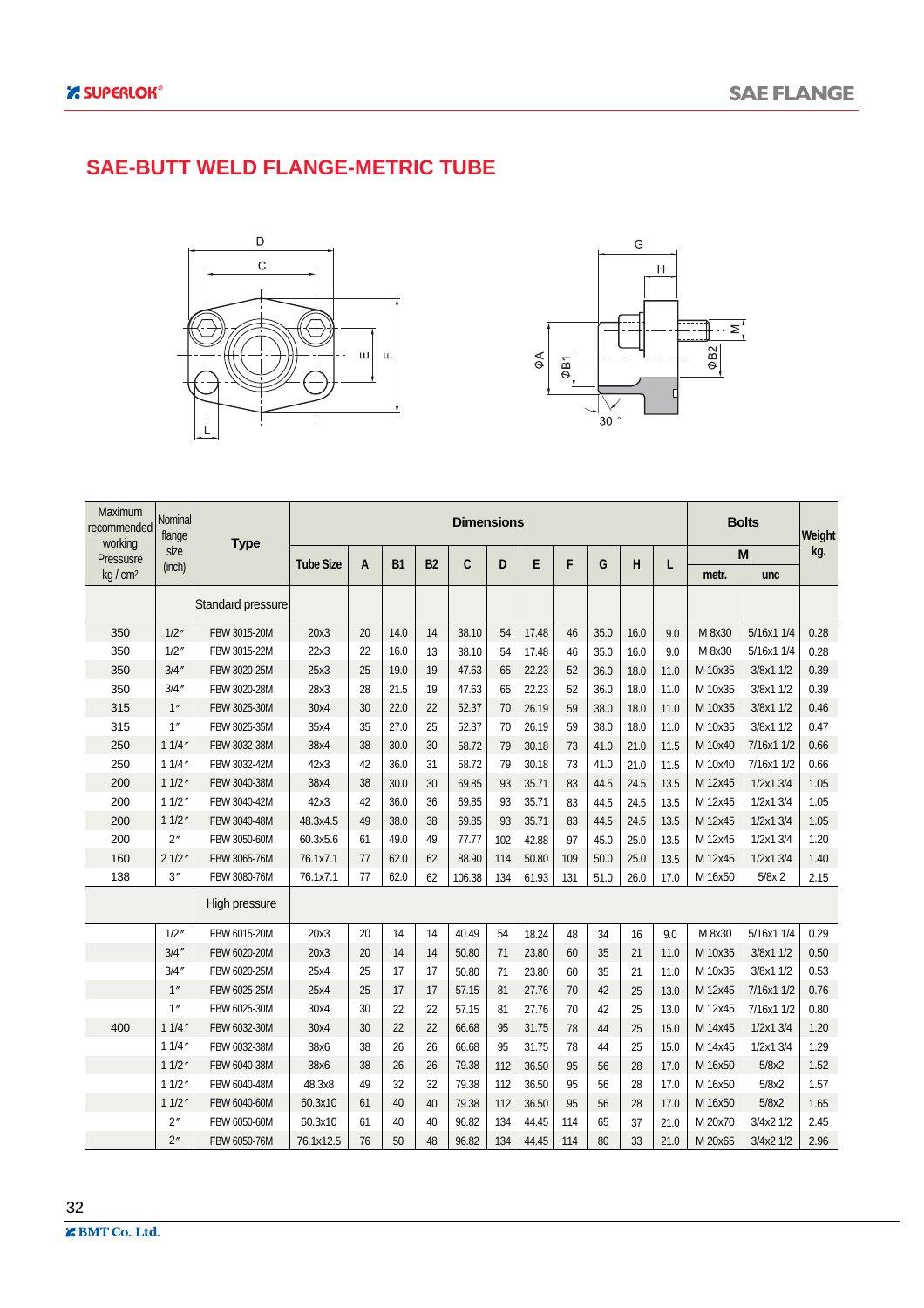#### **SAE-BUTT WELD FLANGE-METRIC TUBE**





| Maximum<br>recommended<br>working | Nominal<br>flange | <b>Type</b>       |                  |    |           |           | <b>Dimensions</b> |     |       |     |      |      |      |         | <b>Bolts</b> | Weight |
|-----------------------------------|-------------------|-------------------|------------------|----|-----------|-----------|-------------------|-----|-------|-----|------|------|------|---------|--------------|--------|
| Pressusre                         | size<br>(inch)    |                   | <b>Tube Size</b> | A  | <b>B1</b> | <b>B2</b> | C                 | D   | E     | F   | G    | н    | L    |         | M            | kg.    |
| kg / cm <sup>2</sup>              |                   |                   |                  |    |           |           |                   |     |       |     |      |      |      | metr.   | unc          |        |
|                                   |                   | Standard pressure |                  |    |           |           |                   |     |       |     |      |      |      |         |              |        |
| 350                               | 1/2''             | FBW 3015-20M      | 20x3             | 20 | 14.0      | 14        | 38.10             | 54  | 17.48 | 46  | 35.0 | 16.0 | 9.0  | M 8x30  | 5/16x1 1/4   | 0.28   |
| 350                               | 1/2''             | FBW 3015-22M      | 22x3             | 22 | 16.0      | 13        | 38.10             | 54  | 17.48 | 46  | 35.0 | 16.0 | 9.0  | M 8x30  | 5/16x1 1/4   | 0.28   |
| 350                               | 3/4''             | FBW 3020-25M      | 25x3             | 25 | 19.0      | 19        | 47.63             | 65  | 22.23 | 52  | 36.0 | 18.0 | 11.0 | M 10x35 | 3/8x1 1/2    | 0.39   |
| 350                               | 3/4''             | FBW 3020-28M      | 28x3             | 28 | 21.5      | 19        | 47.63             | 65  | 22.23 | 52  | 36.0 | 18.0 | 11.0 | M 10x35 | 3/8x1 1/2    | 0.39   |
| 315                               | 1''               | FBW 3025-30M      | 30x4             | 30 | 22.0      | 22        | 52.37             | 70  | 26.19 | 59  | 38.0 | 18.0 | 11.0 | M 10x35 | 3/8x1 1/2    | 0.46   |
| 315                               | 1''               | FBW 3025-35M      | 35x4             | 35 | 27.0      | 25        | 52.37             | 70  | 26.19 | 59  | 38.0 | 18.0 | 11.0 | M 10x35 | 3/8x1 1/2    | 0.47   |
| 250                               | 11/4''            | FBW 3032-38M      | 38x4             | 38 | 30.0      | 30        | 58.72             | 79  | 30.18 | 73  | 41.0 | 21.0 | 11.5 | M 10x40 | 7/16x1 1/2   | 0.66   |
| 250                               | 11/4''            | FBW 3032-42M      | 42x3             | 42 | 36.0      | 31        | 58.72             | 79  | 30.18 | 73  | 41.0 | 21.0 | 11.5 | M 10x40 | 7/16x1 1/2   | 0.66   |
| 200                               | 11/2''            | FBW 3040-38M      | 38x4             | 38 | 30.0      | 30        | 69.85             | 93  | 35.71 | 83  | 44.5 | 24.5 | 13.5 | M 12x45 | 1/2x1 3/4    | 1.05   |
| 200                               | 11/2''            | FBW 3040-42M      | 42x3             | 42 | 36.0      | 36        | 69.85             | 93  | 35.71 | 83  | 44.5 | 24.5 | 13.5 | M 12x45 | 1/2x1 3/4    | 1.05   |
| 200                               | 11/2''            | FBW 3040-48M      | 48.3x4.5         | 49 | 38.0      | 38        | 69.85             | 93  | 35.71 | 83  | 44.5 | 24.5 | 13.5 | M 12x45 | 1/2x13/4     | 1.05   |
| 200                               | 2"                | FBW 3050-60M      | 60.3x5.6         | 61 | 49.0      | 49        | 77.77             | 102 | 42.88 | 97  | 45.0 | 25.0 | 13.5 | M 12x45 | 1/2x1 3/4    | 1.20   |
| 160                               | 21/2"             | FBW 3065-76M      | 76.1x7.1         | 77 | 62.0      | 62        | 88.90             | 114 | 50.80 | 109 | 50.0 | 25.0 | 13.5 | M 12x45 | 1/2x1 3/4    | 1.40   |
| 138                               | 3''               | FBW 3080-76M      | 76.1x7.1         | 77 | 62.0      | 62        | 106.38            | 134 | 61.93 | 131 | 51.0 | 26.0 | 17.0 | M 16x50 | $5/8x$ 2     | 2.15   |
|                                   |                   | High pressure     |                  |    |           |           |                   |     |       |     |      |      |      |         |              |        |
|                                   | 1/2''             | FBW 6015-20M      | 20x3             | 20 | 14        | 14        | 40.49             | 54  | 18.24 | 48  | 34   | 16   | 9.0  | M 8x30  | 5/16x1 1/4   | 0.29   |
|                                   | 3/4''             | FBW 6020-20M      | 20x3             | 20 | 14        | 14        | 50.80             | 71  | 23.80 | 60  | 35   | 21   | 11.0 | M 10x35 | 3/8x1 1/2    | 0.50   |
|                                   | 3/4''             | FBW 6020-25M      | 25x4             | 25 | 17        | 17        | 50.80             | 71  | 23.80 | 60  | 35   | 21   | 11.0 | M 10x35 | 3/8x1 1/2    | 0.53   |
|                                   | 1"                | FBW 6025-25M      | 25x4             | 25 | 17        | 17        | 57.15             | 81  | 27.76 | 70  | 42   | 25   | 13.0 | M 12x45 | 7/16x1 1/2   | 0.76   |
|                                   | 1''               | FBW 6025-30M      | 30x4             | 30 | 22        | 22        | 57.15             | 81  | 27.76 | 70  | 42   | 25   | 13.0 | M 12x45 | 7/16x1 1/2   | 0.80   |
| 400                               | 11/4''            | FBW 6032-30M      | 30x4             | 30 | 22        | 22        | 66.68             | 95  | 31.75 | 78  | 44   | 25   | 15.0 | M 14x45 | 1/2x1 3/4    | 1.20   |
|                                   | 11/4''            | FBW 6032-38M      | 38x6             | 38 | 26        | 26        | 66.68             | 95  | 31.75 | 78  | 44   | 25   | 15.0 | M 14x45 | 1/2x1 3/4    | 1.29   |
|                                   | 11/2''            | FBW 6040-38M      | 38x6             | 38 | 26        | 26        | 79.38             | 112 | 36.50 | 95  | 56   | 28   | 17.0 | M 16x50 | 5/8x2        | 1.52   |
|                                   | 11/2''            | FBW 6040-48M      | 48.3x8           | 49 | 32        | 32        | 79.38             | 112 | 36.50 | 95  | 56   | 28   | 17.0 | M 16x50 | 5/8x2        | 1.57   |
|                                   | 11/2''            | FBW 6040-60M      | 60.3x10          | 61 | 40        | 40        | 79.38             | 112 | 36.50 | 95  | 56   | 28   | 17.0 | M 16x50 | 5/8x2        | 1.65   |
|                                   | 2"                | FBW 6050-60M      | 60.3x10          | 61 | 40        | 40        | 96.82             | 134 | 44.45 | 114 | 65   | 37   | 21.0 | M 20x70 | 3/4x2 1/2    | 2.45   |
|                                   | 2"                | FBW 6050-76M      | 76.1x12.5        | 76 | 50        | 48        | 96.82             | 134 | 44.45 | 114 | 80   | 33   | 21.0 | M 20x65 | 3/4x2 1/2    | 2.96   |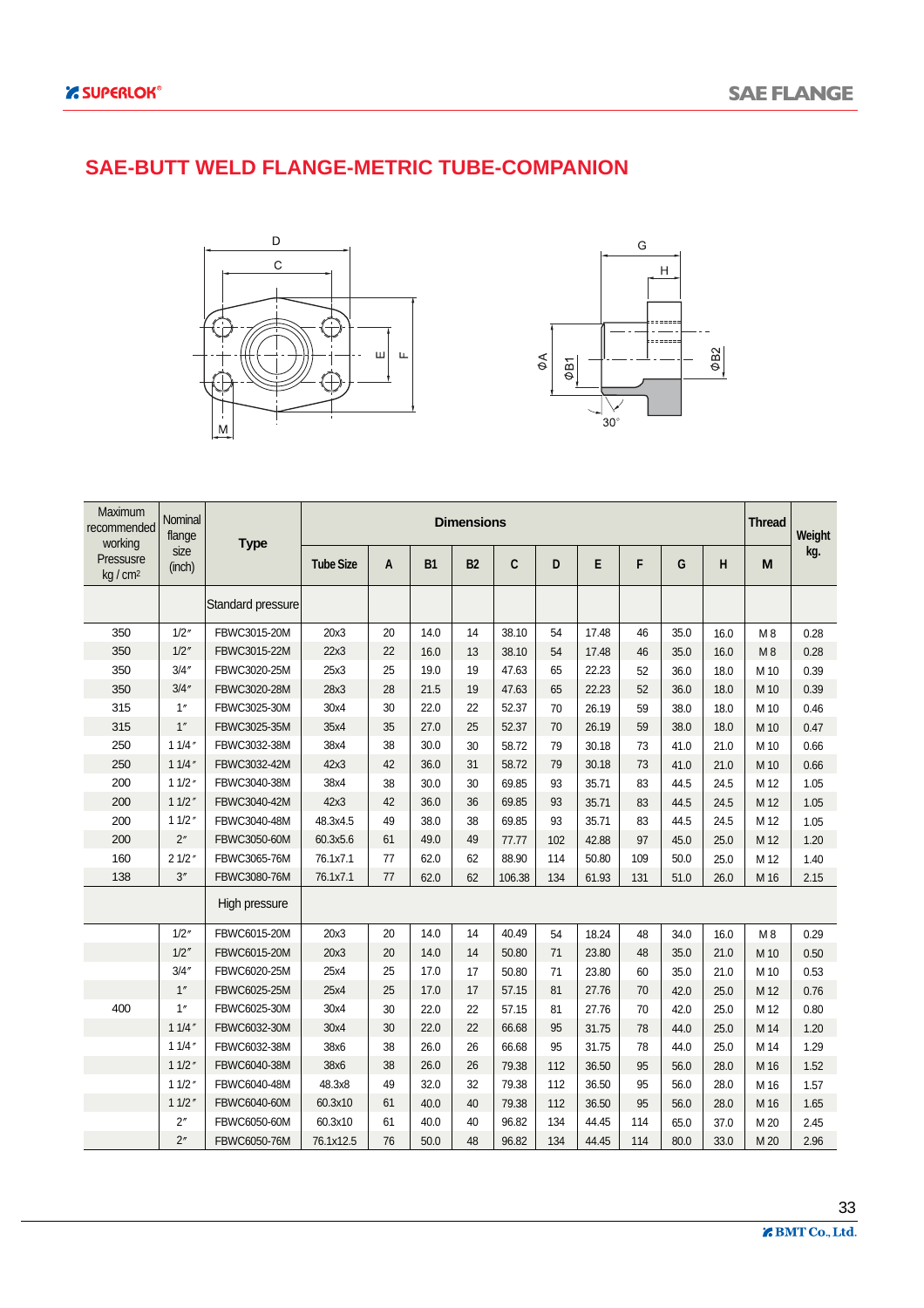#### **SAE-BUTT WELD FLANGE-METRIC TUBE-COMPANION**





| Maximum<br>recommended<br>working | Nominal<br>flange | <b>Type</b>       |                  |    |           | <b>Dimensions</b> |        |     |       |     |      |      | <b>Thread</b> | Weight |
|-----------------------------------|-------------------|-------------------|------------------|----|-----------|-------------------|--------|-----|-------|-----|------|------|---------------|--------|
| Pressusre<br>$kq/cm^2$            | size<br>(inch)    |                   | <b>Tube Size</b> | A  | <b>B1</b> | <b>B2</b>         | C      | D   | E     | F   | G    | H    | M             | kg.    |
|                                   |                   | Standard pressure |                  |    |           |                   |        |     |       |     |      |      |               |        |
| 350                               | 1/2''             | FBWC3015-20M      | 20x3             | 20 | 14.0      | 14                | 38.10  | 54  | 17.48 | 46  | 35.0 | 16.0 | M8            | 0.28   |
| 350                               | 1/2''             | FBWC3015-22M      | 22x3             | 22 | 16.0      | 13                | 38.10  | 54  | 17.48 | 46  | 35.0 | 16.0 | M8            | 0.28   |
| 350                               | 3/4''             | FBWC3020-25M      | 25x3             | 25 | 19.0      | 19                | 47.63  | 65  | 22.23 | 52  | 36.0 | 18.0 | M 10          | 0.39   |
| 350                               | 3/4''             | FBWC3020-28M      | 28x3             | 28 | 21.5      | 19                | 47.63  | 65  | 22.23 | 52  | 36.0 | 18.0 | M 10          | 0.39   |
| 315                               | 1''               | FBWC3025-30M      | 30x4             | 30 | 22.0      | 22                | 52.37  | 70  | 26.19 | 59  | 38.0 | 18.0 | M 10          | 0.46   |
| 315                               | 1''               | FBWC3025-35M      | 35x4             | 35 | 27.0      | 25                | 52.37  | 70  | 26.19 | 59  | 38.0 | 18.0 | M 10          | 0.47   |
| 250                               | 11/4''            | FBWC3032-38M      | 38x4             | 38 | 30.0      | 30                | 58.72  | 79  | 30.18 | 73  | 41.0 | 21.0 | M 10          | 0.66   |
| 250                               | 11/4''            | FBWC3032-42M      | 42x3             | 42 | 36.0      | 31                | 58.72  | 79  | 30.18 | 73  | 41.0 | 21.0 | M 10          | 0.66   |
| 200                               | 11/2''            | FBWC3040-38M      | 38x4             | 38 | 30.0      | 30                | 69.85  | 93  | 35.71 | 83  | 44.5 | 24.5 | M 12          | 1.05   |
| 200                               | 11/2''            | FBWC3040-42M      | 42x3             | 42 | 36.0      | 36                | 69.85  | 93  | 35.71 | 83  | 44.5 | 24.5 | M 12          | 1.05   |
| 200                               | 11/2''            | FBWC3040-48M      | 48.3x4.5         | 49 | 38.0      | 38                | 69.85  | 93  | 35.71 | 83  | 44.5 | 24.5 | M 12          | 1.05   |
| 200                               | 2"                | FBWC3050-60M      | 60.3x5.6         | 61 | 49.0      | 49                | 77.77  | 102 | 42.88 | 97  | 45.0 | 25.0 | M 12          | 1.20   |
| 160                               | 21/2''            | FBWC3065-76M      | 76.1x7.1         | 77 | 62.0      | 62                | 88.90  | 114 | 50.80 | 109 | 50.0 | 25.0 | M 12          | 1.40   |
| 138                               | 3''               | FBWC3080-76M      | 76.1x7.1         | 77 | 62.0      | 62                | 106.38 | 134 | 61.93 | 131 | 51.0 | 26.0 | M 16          | 2.15   |
|                                   |                   | High pressure     |                  |    |           |                   |        |     |       |     |      |      |               |        |
|                                   | 1/2''             | FBWC6015-20M      | 20x3             | 20 | 14.0      | 14                | 40.49  | 54  | 18.24 | 48  | 34.0 | 16.0 | M8            | 0.29   |
|                                   | 1/2''             | FBWC6015-20M      | 20x3             | 20 | 14.0      | 14                | 50.80  | 71  | 23.80 | 48  | 35.0 | 21.0 | M 10          | 0.50   |
|                                   | 3/4''             | FBWC6020-25M      | 25x4             | 25 | 17.0      | 17                | 50.80  | 71  | 23.80 | 60  | 35.0 | 21.0 | M 10          | 0.53   |
|                                   | 1''               | FBWC6025-25M      | 25x4             | 25 | 17.0      | 17                | 57.15  | 81  | 27.76 | 70  | 42.0 | 25.0 | M 12          | 0.76   |
| 400                               | 1''               | FBWC6025-30M      | 30x4             | 30 | 22.0      | 22                | 57.15  | 81  | 27.76 | 70  | 42.0 | 25.0 | M 12          | 0.80   |
|                                   | 11/4''            | FBWC6032-30M      | 30x4             | 30 | 22.0      | 22                | 66.68  | 95  | 31.75 | 78  | 44.0 | 25.0 | M 14          | 1.20   |
|                                   | 11/4''            | FBWC6032-38M      | 38x6             | 38 | 26.0      | 26                | 66.68  | 95  | 31.75 | 78  | 44.0 | 25.0 | M 14          | 1.29   |
|                                   | 11/2''            | FBWC6040-38M      | 38x6             | 38 | 26.0      | 26                | 79.38  | 112 | 36.50 | 95  | 56.0 | 28.0 | M 16          | 1.52   |
|                                   | 11/2''            | FBWC6040-48M      | 48.3x8           | 49 | 32.0      | 32                | 79.38  | 112 | 36.50 | 95  | 56.0 | 28.0 | M 16          | 1.57   |
|                                   | 11/2''            | FBWC6040-60M      | 60.3x10          | 61 | 40.0      | 40                | 79.38  | 112 | 36.50 | 95  | 56.0 | 28.0 | M 16          | 1.65   |
|                                   | 2"                | FBWC6050-60M      | 60.3x10          | 61 | 40.0      | 40                | 96.82  | 134 | 44.45 | 114 | 65.0 | 37.0 | M 20          | 2.45   |
|                                   | 2"                | FBWC6050-76M      | 76.1x12.5        | 76 | 50.0      | 48                | 96.82  | 134 | 44.45 | 114 | 80.0 | 33.0 | M 20          | 2.96   |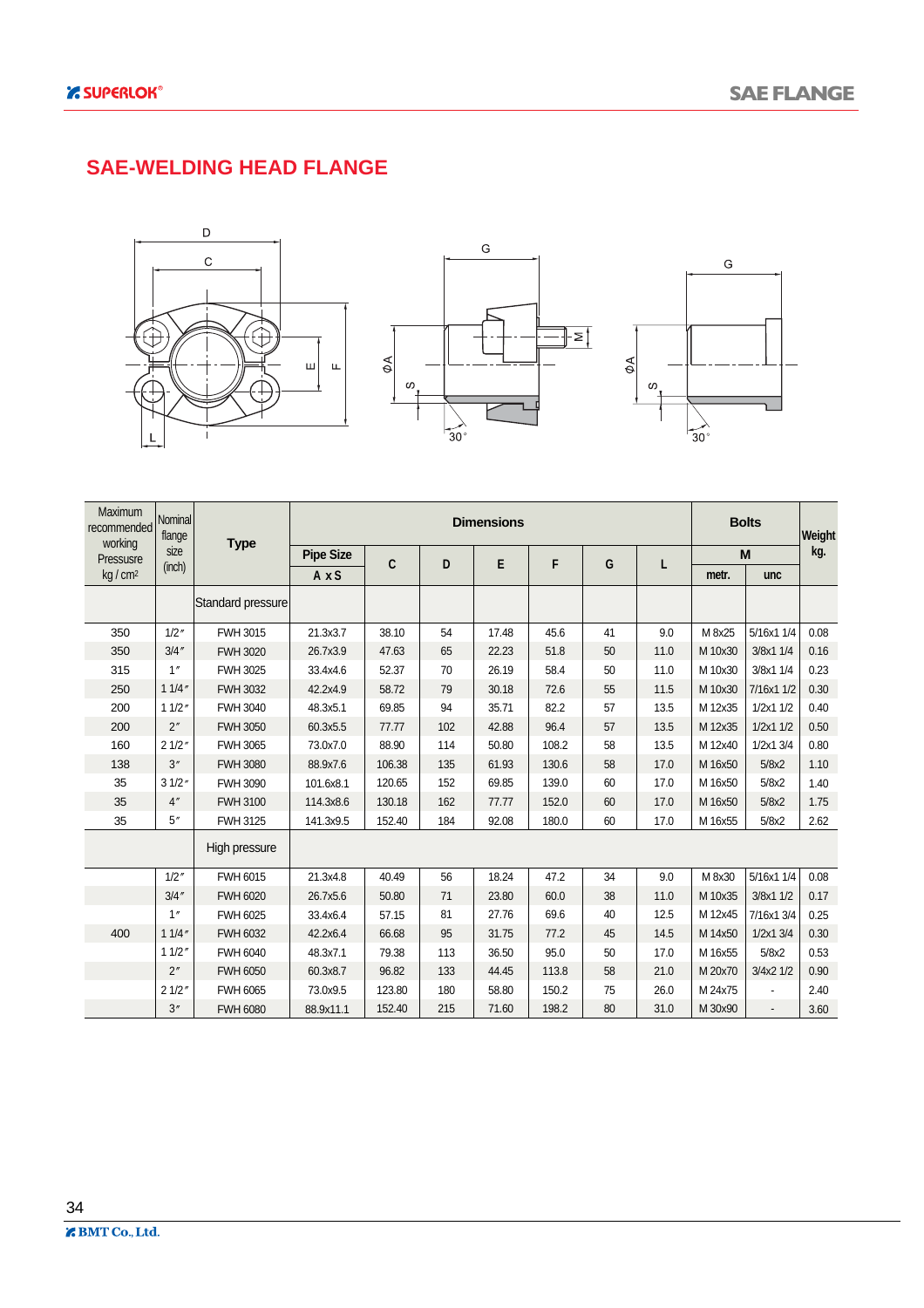#### **SAE-WELDING HEAD FLANGE**



| Maximum<br>recommended<br>working | <b>Nominal</b><br>flange | <b>Type</b>       |                  |             |     | <b>Dimensions</b> |       |    |      |         | <b>Bolts</b>   | Weight |
|-----------------------------------|--------------------------|-------------------|------------------|-------------|-----|-------------------|-------|----|------|---------|----------------|--------|
| Pressusre                         | size                     |                   | <b>Pipe Size</b> | $\mathbf c$ | D   | E                 | F     | G  | L    |         | M              | kg.    |
| kg / cm <sup>2</sup>              | (inch)                   |                   | AxS              |             |     |                   |       |    |      | metr.   | unc            |        |
|                                   |                          | Standard pressure |                  |             |     |                   |       |    |      |         |                |        |
| 350                               | 1/2''                    | FWH 3015          | 21.3x3.7         | 38.10       | 54  | 17.48             | 45.6  | 41 | 9.0  | M 8x25  | 5/16x1 1/4     | 0.08   |
| 350                               | 3/4''                    | <b>FWH 3020</b>   | 26.7x3.9         | 47.63       | 65  | 22.23             | 51.8  | 50 | 11.0 | M 10x30 | 3/8x1 1/4      | 0.16   |
| 315                               | 1''                      | FWH 3025          | 33.4x4.6         | 52.37       | 70  | 26.19             | 58.4  | 50 | 11.0 | M 10x30 | 3/8x1 1/4      | 0.23   |
| 250                               | 11/4''                   | <b>FWH 3032</b>   | 42.2x4.9         | 58.72       | 79  | 30.18             | 72.6  | 55 | 11.5 | M 10x30 | 7/16x1 1/2     | 0.30   |
| 200                               | 11/2''                   | <b>FWH 3040</b>   | 48.3x5.1         | 69.85       | 94  | 35.71             | 82.2  | 57 | 13.5 | M 12x35 | 1/2x1 1/2      | 0.40   |
| 200                               | 2''                      | <b>FWH 3050</b>   | 60.3x5.5         | 77.77       | 102 | 42.88             | 96.4  | 57 | 13.5 | M 12x35 | 1/2x1 1/2      | 0.50   |
| 160                               | 21/2"                    | <b>FWH 3065</b>   | 73.0x7.0         | 88.90       | 114 | 50.80             | 108.2 | 58 | 13.5 | M 12x40 | 1/2x1 3/4      | 0.80   |
| 138                               | 3''                      | <b>FWH 3080</b>   | 88.9x7.6         | 106.38      | 135 | 61.93             | 130.6 | 58 | 17.0 | M 16x50 | 5/8x2          | 1.10   |
| 35                                | 31/2''                   | <b>FWH 3090</b>   | 101.6x8.1        | 120.65      | 152 | 69.85             | 139.0 | 60 | 17.0 | M 16x50 | 5/8x2          | 1.40   |
| 35                                | 4''                      | <b>FWH 3100</b>   | 114.3x8.6        | 130.18      | 162 | 77.77             | 152.0 | 60 | 17.0 | M 16x50 | 5/8x2          | 1.75   |
| 35                                | 5''                      | FWH 3125          | 141.3x9.5        | 152.40      | 184 | 92.08             | 180.0 | 60 | 17.0 | M 16x55 | 5/8x2          | 2.62   |
|                                   |                          | High pressure     |                  |             |     |                   |       |    |      |         |                |        |
|                                   | 1/2''                    | FWH 6015          | 21.3x4.8         | 40.49       | 56  | 18.24             | 47.2  | 34 | 9.0  | M 8x30  | 5/16x1 1/4     | 0.08   |
|                                   | 3/4''                    | <b>FWH 6020</b>   | 26.7x5.6         | 50.80       | 71  | 23.80             | 60.0  | 38 | 11.0 | M 10x35 | 3/8x1 1/2      | 0.17   |
|                                   | 1"                       | <b>FWH 6025</b>   | 33.4x6.4         | 57.15       | 81  | 27.76             | 69.6  | 40 | 12.5 | M 12x45 | 7/16x1 3/4     | 0.25   |
| 400                               | 11/4''                   | FWH 6032          | 42.2x6.4         | 66.68       | 95  | 31.75             | 77.2  | 45 | 14.5 | M 14x50 | 1/2x1 3/4      | 0.30   |
|                                   | 11/2''                   | <b>FWH 6040</b>   | 48.3x7.1         | 79.38       | 113 | 36.50             | 95.0  | 50 | 17.0 | M 16x55 | 5/8x2          | 0.53   |
|                                   | 2 <sup>''</sup>          | <b>FWH 6050</b>   | 60.3x8.7         | 96.82       | 133 | 44.45             | 113.8 | 58 | 21.0 | M 20x70 | 3/4x2 1/2      | 0.90   |
|                                   | 21/2"                    | <b>FWH 6065</b>   | 73.0x9.5         | 123.80      | 180 | 58.80             | 150.2 | 75 | 26.0 | M 24x75 |                | 2.40   |
|                                   | 3''                      | <b>FWH 6080</b>   | 88.9x11.1        | 152.40      | 215 | 71.60             | 198.2 | 80 | 31.0 | M 30x90 | $\overline{a}$ | 3.60   |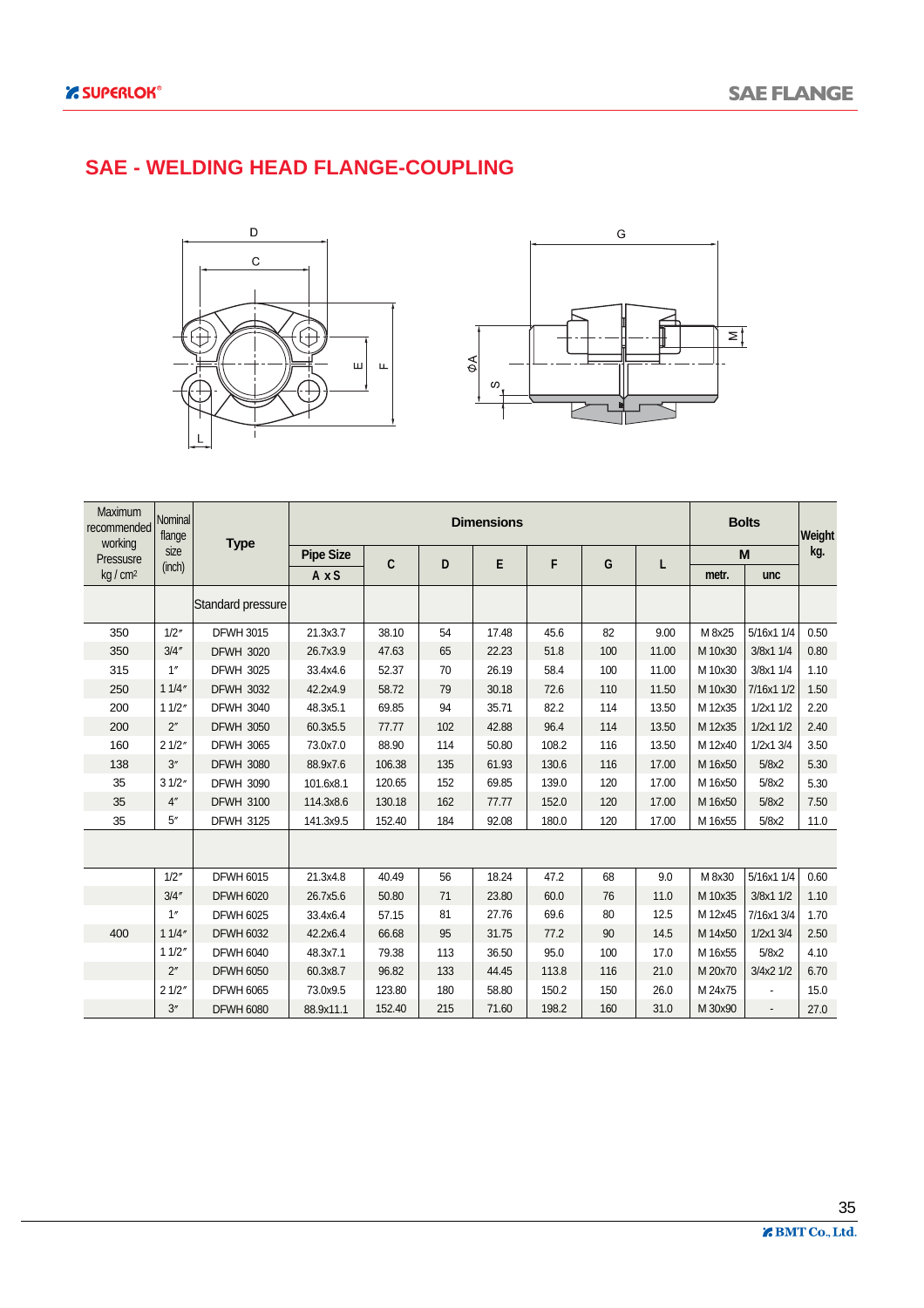#### **SAE - WELDING HEAD FLANGE-COUPLING**





| Maximum<br>recommended<br>working | Nominal<br>flange  | <b>Type</b>       |                  |        |     | <b>Dimensions</b> |       |     |       |         | <b>Bolts</b>  | Weight |
|-----------------------------------|--------------------|-------------------|------------------|--------|-----|-------------------|-------|-----|-------|---------|---------------|--------|
| Pressusre                         | size               |                   | <b>Pipe Size</b> | C      | D   | E                 | F     | G   | L     |         | M             | kg.    |
| kg / cm <sup>2</sup>              | (inch)             |                   | AxS              |        |     |                   |       |     |       | metr.   | unc           |        |
|                                   |                    | Standard pressure |                  |        |     |                   |       |     |       |         |               |        |
| 350                               | 1/2''              | <b>DFWH 3015</b>  | 21.3x3.7         | 38.10  | 54  | 17.48             | 45.6  | 82  | 9.00  | M 8x25  | 5/16x1 1/4    | 0.50   |
| 350                               | 3/4''              | <b>DFWH 3020</b>  | 26.7x3.9         | 47.63  | 65  | 22.23             | 51.8  | 100 | 11.00 | M 10x30 | 3/8x1 1/4     | 0.80   |
| 315                               | 1''                | <b>DFWH 3025</b>  | 33.4x4.6         | 52.37  | 70  | 26.19             | 58.4  | 100 | 11.00 | M 10x30 | 3/8x1 1/4     | 1.10   |
| 250                               | 11/4''             | <b>DFWH 3032</b>  | 42.2x4.9         | 58.72  | 79  | 30.18             | 72.6  | 110 | 11.50 | M 10x30 | 7/16x1 1/2    | 1.50   |
| 200                               | 11/2''             | <b>DFWH 3040</b>  | 48.3x5.1         | 69.85  | 94  | 35.71             | 82.2  | 114 | 13.50 | M 12x35 | 1/2x11/2      | 2.20   |
| 200                               | 2 <sup>''</sup>    | <b>DFWH 3050</b>  | 60.3x5.5         | 77.77  | 102 | 42.88             | 96.4  | 114 | 13.50 | M 12x35 | 1/2x11/2      | 2.40   |
| 160                               | 21/2"              | <b>DFWH 3065</b>  | 73.0x7.0         | 88.90  | 114 | 50.80             | 108.2 | 116 | 13.50 | M 12x40 | $1/2x1$ $3/4$ | 3.50   |
| 138                               | 3''                | <b>DFWH 3080</b>  | 88.9x7.6         | 106.38 | 135 | 61.93             | 130.6 | 116 | 17.00 | M 16x50 | 5/8x2         | 5.30   |
| 35                                | 31/2"              | <b>DFWH 3090</b>  | 101.6x8.1        | 120.65 | 152 | 69.85             | 139.0 | 120 | 17.00 | M 16x50 | 5/8x2         | 5.30   |
| 35                                | 4''                | <b>DFWH 3100</b>  | 114.3x8.6        | 130.18 | 162 | 77.77             | 152.0 | 120 | 17.00 | M 16x50 | 5/8x2         | 7.50   |
| 35                                | $5^{\prime\prime}$ | <b>DFWH 3125</b>  | 141.3x9.5        | 152.40 | 184 | 92.08             | 180.0 | 120 | 17.00 | M 16x55 | 5/8x2         | 11.0   |
|                                   |                    |                   |                  |        |     |                   |       |     |       |         |               |        |
|                                   | 1/2''              | <b>DFWH 6015</b>  | 21.3x4.8         | 40.49  | 56  | 18.24             | 47.2  | 68  | 9.0   | M 8x30  | 5/16x1 1/4    | 0.60   |
|                                   | 3/4''              | <b>DFWH 6020</b>  | 26.7x5.6         | 50.80  | 71  | 23.80             | 60.0  | 76  | 11.0  | M 10x35 | 3/8x1 1/2     | 1.10   |
|                                   | 1 <sup>''</sup>    | <b>DFWH 6025</b>  | 33.4x6.4         | 57.15  | 81  | 27.76             | 69.6  | 80  | 12.5  | M 12x45 | 7/16x1 3/4    | 1.70   |
| 400                               | 11/4''             | <b>DFWH 6032</b>  | 42.2x6.4         | 66.68  | 95  | 31.75             | 77.2  | 90  | 14.5  | M 14x50 | 1/2x13/4      | 2.50   |
|                                   | 11/2''             | <b>DFWH 6040</b>  | 48.3x7.1         | 79.38  | 113 | 36.50             | 95.0  | 100 | 17.0  | M 16x55 | 5/8x2         | 4.10   |
|                                   | 2 <sup>''</sup>    | <b>DFWH 6050</b>  | 60.3x8.7         | 96.82  | 133 | 44.45             | 113.8 | 116 | 21.0  | M 20x70 | 3/4x2 1/2     | 6.70   |
|                                   | 21/2"              | <b>DFWH 6065</b>  | 73.0x9.5         | 123.80 | 180 | 58.80             | 150.2 | 150 | 26.0  | M 24x75 |               | 15.0   |
|                                   | 3''                | <b>DFWH 6080</b>  | 88.9x11.1        | 152.40 | 215 | 71.60             | 198.2 | 160 | 31.0  | M 30x90 |               | 27.0   |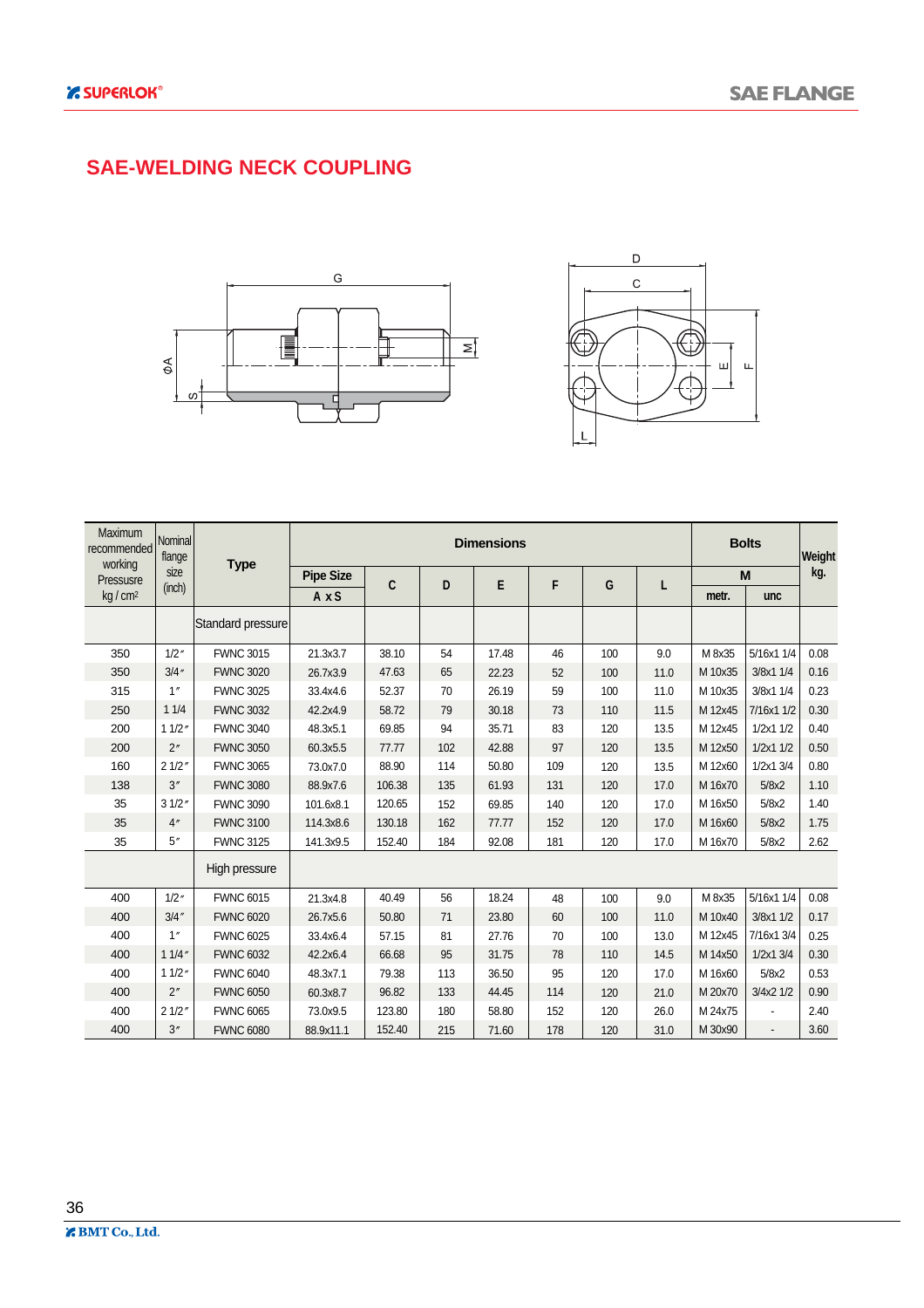#### **SAE-WELDING NECK COUPLING**





| Maximum<br>recommended<br>working | Nominal<br>flange |                   |                  |        |     | <b>Dimensions</b> |     |     |      |         | <b>Bolts</b>             | Weight |
|-----------------------------------|-------------------|-------------------|------------------|--------|-----|-------------------|-----|-----|------|---------|--------------------------|--------|
| Pressusre                         | size              | <b>Type</b>       | <b>Pipe Size</b> | C      | D   | E                 | F   | G   | L    |         | M                        | kg.    |
| kg/cm <sup>2</sup>                | (inch)            |                   | AxS              |        |     |                   |     |     |      | metr.   | unc                      |        |
|                                   |                   | Standard pressure |                  |        |     |                   |     |     |      |         |                          |        |
| 350                               | 1/2''             | <b>FWNC 3015</b>  | 21.3x3.7         | 38.10  | 54  | 17.48             | 46  | 100 | 9.0  | M 8x35  | 5/16x1 1/4               | 0.08   |
| 350                               | 3/4''             | <b>FWNC 3020</b>  | 26.7x3.9         | 47.63  | 65  | 22.23             | 52  | 100 | 11.0 | M 10x35 | 3/8x1 1/4                | 0.16   |
| 315                               | 1''               | <b>FWNC 3025</b>  | 33.4x4.6         | 52.37  | 70  | 26.19             | 59  | 100 | 11.0 | M 10x35 | 3/8x1 1/4                | 0.23   |
| 250                               | 11/4              | <b>FWNC 3032</b>  | 42.2x4.9         | 58.72  | 79  | 30.18             | 73  | 110 | 11.5 | M 12x45 | 7/16x1 1/2               | 0.30   |
| 200                               | 11/2''            | <b>FWNC 3040</b>  | 48.3x5.1         | 69.85  | 94  | 35.71             | 83  | 120 | 13.5 | M 12x45 | 1/2x11/2                 | 0.40   |
| 200                               | 2"                | <b>FWNC 3050</b>  | 60.3x5.5         | 77.77  | 102 | 42.88             | 97  | 120 | 13.5 | M 12x50 | 1/2x1 1/2                | 0.50   |
| 160                               | 21/2''            | <b>FWNC 3065</b>  | 73.0x7.0         | 88.90  | 114 | 50.80             | 109 | 120 | 13.5 | M 12x60 | 1/2x1 3/4                | 0.80   |
| 138                               | 3''               | <b>FWNC 3080</b>  | 88.9x7.6         | 106.38 | 135 | 61.93             | 131 | 120 | 17.0 | M 16x70 | 5/8x2                    | 1.10   |
| 35                                | 31/2''            | <b>FWNC 3090</b>  | 101.6x8.1        | 120.65 | 152 | 69.85             | 140 | 120 | 17.0 | M 16x50 | 5/8x2                    | 1.40   |
| 35                                | 4"                | <b>FWNC 3100</b>  | 114.3x8.6        | 130.18 | 162 | 77.77             | 152 | 120 | 17.0 | M 16x60 | 5/8x2                    | 1.75   |
| 35                                | 5''               | <b>FWNC 3125</b>  | 141.3x9.5        | 152.40 | 184 | 92.08             | 181 | 120 | 17.0 | M 16x70 | 5/8x2                    | 2.62   |
|                                   |                   | High pressure     |                  |        |     |                   |     |     |      |         |                          |        |
| 400                               | 1/2''             | <b>FWNC 6015</b>  | 21.3x4.8         | 40.49  | 56  | 18.24             | 48  | 100 | 9.0  | M 8x35  | 5/16x1 1/4               | 0.08   |
| 400                               | 3/4''             | <b>FWNC 6020</b>  | 26.7x5.6         | 50.80  | 71  | 23.80             | 60  | 100 | 11.0 | M 10x40 | 3/8x1 1/2                | 0.17   |
| 400                               | 1''               | <b>FWNC 6025</b>  | 33.4x6.4         | 57.15  | 81  | 27.76             | 70  | 100 | 13.0 | M 12x45 | 7/16x1 3/4               | 0.25   |
| 400                               | 11/4''            | <b>FWNC 6032</b>  | 42.2x6.4         | 66.68  | 95  | 31.75             | 78  | 110 | 14.5 | M 14x50 | $1/2x1$ 3/4              | 0.30   |
| 400                               | 11/2''            | <b>FWNC 6040</b>  | 48.3x7.1         | 79.38  | 113 | 36.50             | 95  | 120 | 17.0 | M 16x60 | 5/8x2                    | 0.53   |
| 400                               | 2''               | <b>FWNC 6050</b>  | 60.3x8.7         | 96.82  | 133 | 44.45             | 114 | 120 | 21.0 | M 20x70 | 3/4x2 1/2                | 0.90   |
| 400                               | 21/2"             | <b>FWNC 6065</b>  | 73.0x9.5         | 123.80 | 180 | 58.80             | 152 | 120 | 26.0 | M 24x75 |                          | 2.40   |
| 400                               | 3''               | <b>FWNC 6080</b>  | 88.9x11.1        | 152.40 | 215 | 71.60             | 178 | 120 | 31.0 | M 30x90 | $\overline{\phantom{a}}$ | 3.60   |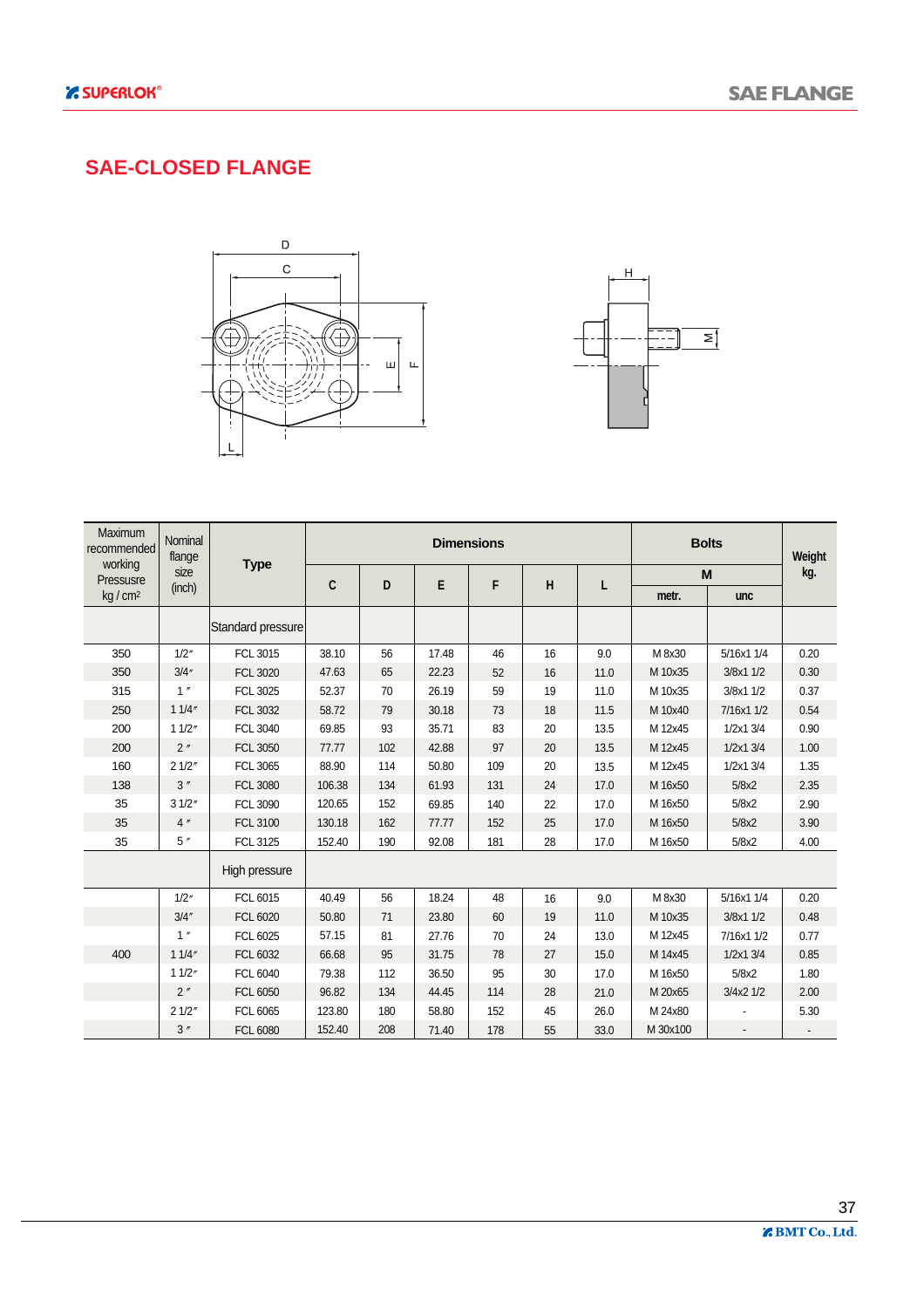### **SAE-CLOSED FLANGE**





| <b>Maximum</b><br>recommended | Nominal<br>flange |                   |              |     |       | <b>Dimensions</b> |    |      | <b>Bolts</b> |            | Weight |
|-------------------------------|-------------------|-------------------|--------------|-----|-------|-------------------|----|------|--------------|------------|--------|
| working<br>Pressusre          | size              | <b>Type</b>       | $\mathbf{C}$ | D   | E     | F                 | H  | L    | M            |            | kg.    |
| kg/cm <sup>2</sup>            | (inch)            |                   |              |     |       |                   |    |      | metr.        | unc        |        |
|                               |                   | Standard pressure |              |     |       |                   |    |      |              |            |        |
| 350                           | 1/2''             | FCL 3015          | 38.10        | 56  | 17.48 | 46                | 16 | 9.0  | M 8x30       | 5/16x1 1/4 | 0.20   |
| 350                           | 3/4''             | <b>FCL 3020</b>   | 47.63        | 65  | 22.23 | 52                | 16 | 11.0 | M 10x35      | 3/8x1 1/2  | 0.30   |
| 315                           | 1''               | FCL 3025          | 52.37        | 70  | 26.19 | 59                | 19 | 11.0 | M 10x35      | 3/8x1 1/2  | 0.37   |
| 250                           | 11/4"             | <b>FCL 3032</b>   | 58.72        | 79  | 30.18 | 73                | 18 | 11.5 | M 10x40      | 7/16x1 1/2 | 0.54   |
| 200                           | 11/2"             | <b>FCL 3040</b>   | 69.85        | 93  | 35.71 | 83                | 20 | 13.5 | M 12x45      | 1/2x1 3/4  | 0.90   |
| 200                           | 2"                | <b>FCL 3050</b>   | 77.77        | 102 | 42.88 | 97                | 20 | 13.5 | M 12x45      | 1/2x1 3/4  | 1.00   |
| 160                           | 21/2"             | FCL 3065          | 88.90        | 114 | 50.80 | 109               | 20 | 13.5 | M 12x45      | 1/2x1 3/4  | 1.35   |
| 138                           | 3''               | <b>FCL 3080</b>   | 106.38       | 134 | 61.93 | 131               | 24 | 17.0 | M 16x50      | 5/8x2      | 2.35   |
| 35                            | 31/2"             | <b>FCL 3090</b>   | 120.65       | 152 | 69.85 | 140               | 22 | 17.0 | M 16x50      | 5/8x2      | 2.90   |
| 35                            | 4''               | <b>FCL 3100</b>   | 130.18       | 162 | 77.77 | 152               | 25 | 17.0 | M 16x50      | 5/8x2      | 3.90   |
| 35                            | 5''               | FCL 3125          | 152.40       | 190 | 92.08 | 181               | 28 | 17.0 | M 16x50      | 5/8x2      | 4.00   |
|                               |                   | High pressure     |              |     |       |                   |    |      |              |            |        |
|                               | 1/2''             | FCL 6015          | 40.49        | 56  | 18.24 | 48                | 16 | 9.0  | M 8x30       | 5/16x1 1/4 | 0.20   |
|                               | 3/4''             | <b>FCL 6020</b>   | 50.80        | 71  | 23.80 | 60                | 19 | 11.0 | M 10x35      | 3/8x1 1/2  | 0.48   |
|                               | 1''               | FCL 6025          | 57.15        | 81  | 27.76 | 70                | 24 | 13.0 | M 12x45      | 7/16x1 1/2 | 0.77   |
| 400                           | 11/4"             | FCL 6032          | 66.68        | 95  | 31.75 | 78                | 27 | 15.0 | M 14x45      | 1/2x1 3/4  | 0.85   |
|                               | 11/2"             | FCL 6040          | 79.38        | 112 | 36.50 | 95                | 30 | 17.0 | M 16x50      | 5/8x2      | 1.80   |
|                               | 2''               | FCL 6050          | 96.82        | 134 | 44.45 | 114               | 28 | 21.0 | M 20x65      | 3/4x2 1/2  | 2.00   |
|                               | 21/2"             | FCL 6065          | 123.80       | 180 | 58.80 | 152               | 45 | 26.0 | M 24x80      |            | 5.30   |
|                               | 3''               | <b>FCL 6080</b>   | 152.40       | 208 | 71.40 | 178               | 55 | 33.0 | M 30x100     |            |        |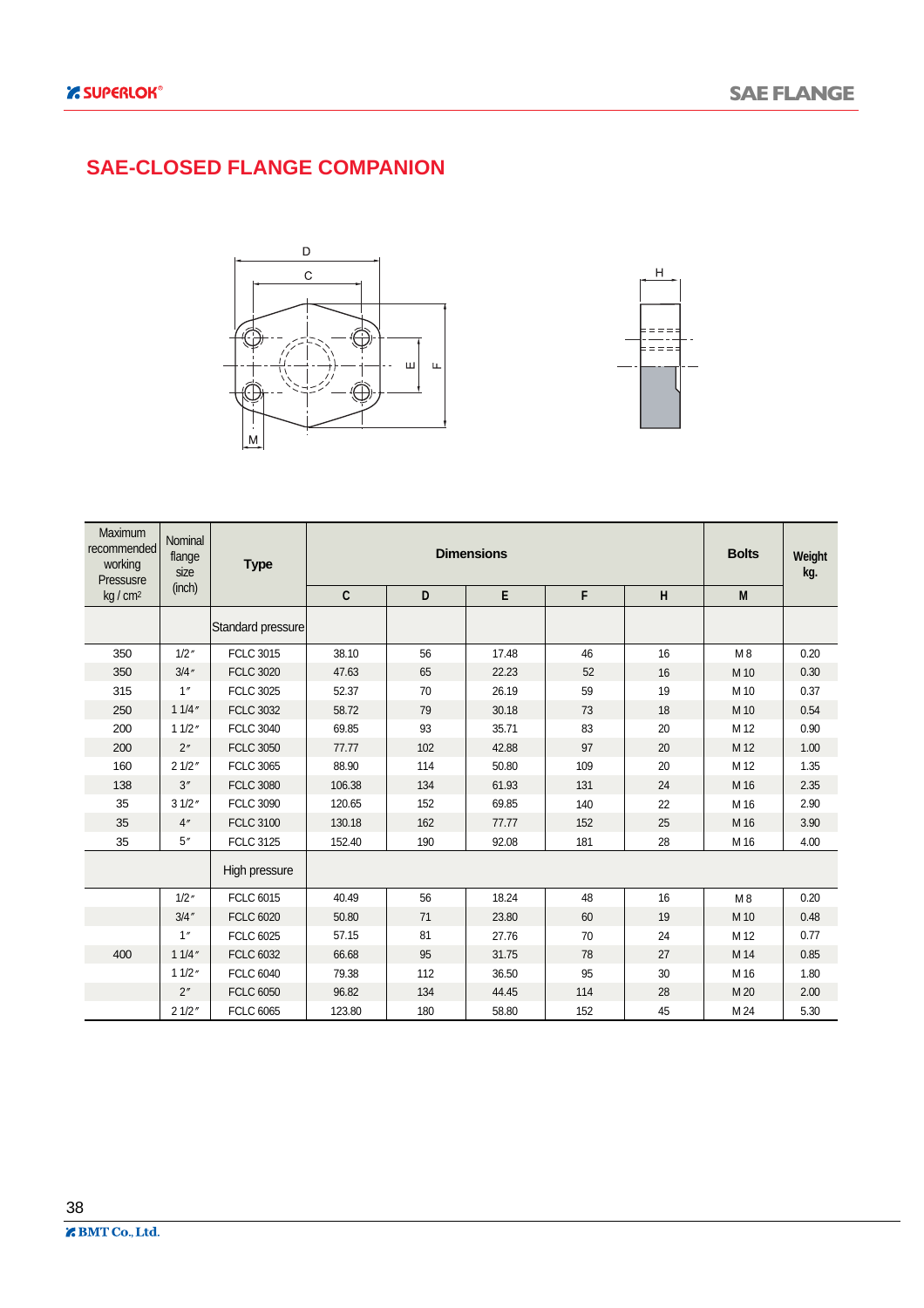### **SAE-CLOSED FLANGE COMPANION**





| Maximum<br>recommended<br>working<br>Pressusre | Nominal<br>flange<br>size | <b>Type</b>       |        |     | <b>Bolts</b> | Weight<br>kg. |         |                    |      |
|------------------------------------------------|---------------------------|-------------------|--------|-----|--------------|---------------|---------|--------------------|------|
| kg/cm <sup>2</sup>                             | (inch)                    |                   | C      | D   | $\mathsf E$  | F             | $\sf H$ | $\pmb{\mathsf{M}}$ |      |
|                                                |                           | Standard pressure |        |     |              |               |         |                    |      |
| 350                                            | 1/2''                     | <b>FCLC 3015</b>  | 38.10  | 56  | 17.48        | 46            | 16      | M8                 | 0.20 |
| 350                                            | 3/4''                     | <b>FCLC 3020</b>  | 47.63  | 65  | 22.23        | 52            | 16      | M 10               | 0.30 |
| 315                                            | 1''                       | <b>FCLC 3025</b>  | 52.37  | 70  | 26.19        | 59            | 19      | M 10               | 0.37 |
| 250                                            | 11/4''                    | <b>FCLC 3032</b>  | 58.72  | 79  | 30.18        | 73            | 18      | M 10               | 0.54 |
| 200                                            | 11/2''                    | <b>FCLC 3040</b>  | 69.85  | 93  | 35.71        | 83            | 20      | M 12               | 0.90 |
| 200                                            | 2"                        | <b>FCLC 3050</b>  | 77.77  | 102 | 42.88        | 97            | 20      | M 12               | 1.00 |
| 160                                            | 21/2"                     | <b>FCLC 3065</b>  | 88.90  | 114 | 50.80        | 109           | 20      | M 12               | 1.35 |
| 138                                            | 3''                       | <b>FCLC 3080</b>  | 106.38 | 134 | 61.93        | 131           | 24      | M 16               | 2.35 |
| 35                                             | 31/2"                     | <b>FCLC 3090</b>  | 120.65 | 152 | 69.85        | 140           | 22      | M 16               | 2.90 |
| 35                                             | 4"                        | <b>FCLC 3100</b>  | 130.18 | 162 | 77.77        | 152           | 25      | M 16               | 3.90 |
| 35                                             | 5''                       | <b>FCLC 3125</b>  | 152.40 | 190 | 92.08        | 181           | 28      | M 16               | 4.00 |
|                                                |                           | High pressure     |        |     |              |               |         |                    |      |
|                                                | 1/2''                     | <b>FCLC 6015</b>  | 40.49  | 56  | 18.24        | 48            | 16      | M8                 | 0.20 |
|                                                | 3/4''                     | <b>FCLC 6020</b>  | 50.80  | 71  | 23.80        | 60            | 19      | M 10               | 0.48 |
|                                                | 1''                       | <b>FCLC 6025</b>  | 57.15  | 81  | 27.76        | 70            | 24      | M 12               | 0.77 |
| 400                                            | 11/4''                    | <b>FCLC 6032</b>  | 66.68  | 95  | 31.75        | 78            | 27      | M 14               | 0.85 |
|                                                | 11/2''                    | <b>FCLC 6040</b>  | 79.38  | 112 | 36.50        | 95            | 30      | M 16               | 1.80 |
|                                                | 2"                        | <b>FCLC 6050</b>  | 96.82  | 134 | 44.45        | 114           | 28      | M 20               | 2.00 |
|                                                | 21/2"                     | <b>FCLC 6065</b>  | 123.80 | 180 | 58.80        | 152           | 45      | M 24               | 5.30 |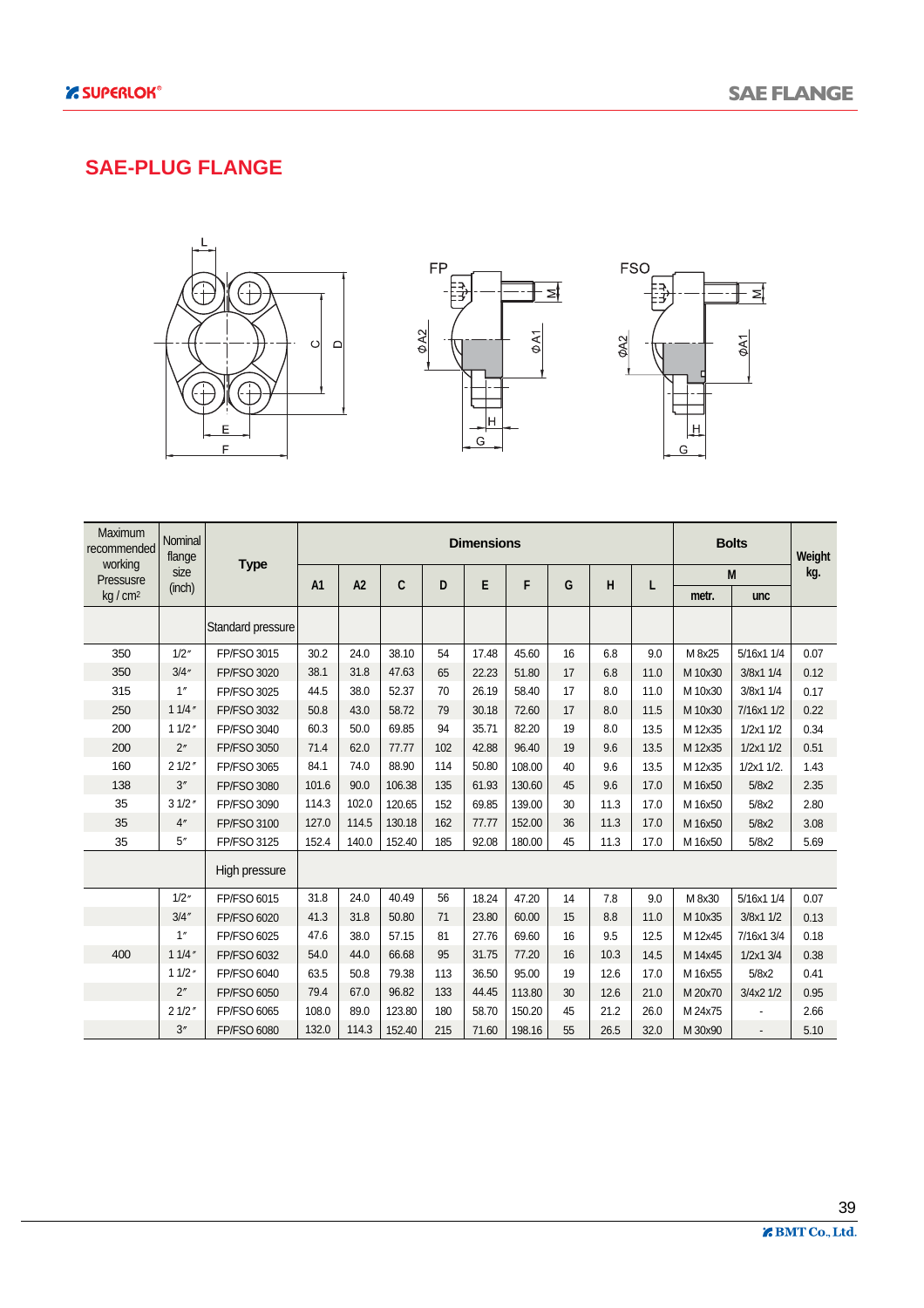#### **SAE-PLUG FLANGE**







| Maximum<br>recommended<br>working | Nominal<br>flange |                    |                |       |        | <b>Dimensions</b> |       |        | <b>Bolts</b> | Weight |      |         |                 |      |
|-----------------------------------|-------------------|--------------------|----------------|-------|--------|-------------------|-------|--------|--------------|--------|------|---------|-----------------|------|
| Pressusre                         | size              | <b>Type</b>        | A <sub>1</sub> | A2    | C      | D                 | E     | F      | G            | H      | L    |         | M               | kg.  |
| kg/cm <sup>2</sup>                | (inch)            |                    |                |       |        |                   |       |        |              |        |      | metr.   | unc             |      |
|                                   |                   | Standard pressure  |                |       |        |                   |       |        |              |        |      |         |                 |      |
| 350                               | 1/2''             | FP/FSO 3015        | 30.2           | 24.0  | 38.10  | 54                | 17.48 | 45.60  | 16           | 6.8    | 9.0  | M 8x25  | 5/16x1 1/4      | 0.07 |
| 350                               | 3/4''             | <b>FP/FSO 3020</b> | 38.1           | 31.8  | 47.63  | 65                | 22.23 | 51.80  | 17           | 6.8    | 11.0 | M 10x30 | 3/8x1 1/4       | 0.12 |
| 315                               | 1''               | FP/FSO 3025        | 44.5           | 38.0  | 52.37  | 70                | 26.19 | 58.40  | 17           | 8.0    | 11.0 | M 10x30 | 3/8x1 1/4       | 0.17 |
| 250                               | 11/4''            | <b>FP/FSO 3032</b> | 50.8           | 43.0  | 58.72  | 79                | 30.18 | 72.60  | 17           | 8.0    | 11.5 | M 10x30 | 7/16x1 1/2      | 0.22 |
| 200                               | 11/2''            | <b>FP/FSO 3040</b> | 60.3           | 50.0  | 69.85  | 94                | 35.71 | 82.20  | 19           | 8.0    | 13.5 | M 12x35 | 1/2x11/2        | 0.34 |
| 200                               | 2"                | FP/FSO 3050        | 71.4           | 62.0  | 77.77  | 102               | 42.88 | 96.40  | 19           | 9.6    | 13.5 | M 12x35 | 1/2x11/2        | 0.51 |
| 160                               | 21/2"             | <b>FP/FSO 3065</b> | 84.1           | 74.0  | 88.90  | 114               | 50.80 | 108.00 | 40           | 9.6    | 13.5 | M 12x35 | $1/2x1$ $1/2$ . | 1.43 |
| 138                               | 3''               | <b>FP/FSO 3080</b> | 101.6          | 90.0  | 106.38 | 135               | 61.93 | 130.60 | 45           | 9.6    | 17.0 | M 16x50 | 5/8x2           | 2.35 |
| 35                                | 31/2''            | FP/FSO 3090        | 114.3          | 102.0 | 120.65 | 152               | 69.85 | 139.00 | 30           | 11.3   | 17.0 | M 16x50 | 5/8x2           | 2.80 |
| 35                                | 4"                | FP/FSO 3100        | 127.0          | 114.5 | 130.18 | 162               | 77.77 | 152.00 | 36           | 11.3   | 17.0 | M 16x50 | 5/8x2           | 3.08 |
| 35                                | 5''               | FP/FSO 3125        | 152.4          | 140.0 | 152.40 | 185               | 92.08 | 180.00 | 45           | 11.3   | 17.0 | M 16x50 | 5/8x2           | 5.69 |
|                                   |                   | High pressure      |                |       |        |                   |       |        |              |        |      |         |                 |      |
|                                   | 1/2''             | FP/FSO 6015        | 31.8           | 24.0  | 40.49  | 56                | 18.24 | 47.20  | 14           | 7.8    | 9.0  | M 8x30  | 5/16x1 1/4      | 0.07 |
|                                   | 3/4''             | <b>FP/FSO 6020</b> | 41.3           | 31.8  | 50.80  | 71                | 23.80 | 60.00  | 15           | 8.8    | 11.0 | M 10x35 | 3/8x1 1/2       | 0.13 |
|                                   | 1''               | FP/FSO 6025        | 47.6           | 38.0  | 57.15  | 81                | 27.76 | 69.60  | 16           | 9.5    | 12.5 | M 12x45 | 7/16x1 3/4      | 0.18 |
| 400                               | 11/4''            | FP/FSO 6032        | 54.0           | 44.0  | 66.68  | 95                | 31.75 | 77.20  | 16           | 10.3   | 14.5 | M 14x45 | 1/2x1 3/4       | 0.38 |
|                                   | 11/2''            | FP/FSO 6040        | 63.5           | 50.8  | 79.38  | 113               | 36.50 | 95.00  | 19           | 12.6   | 17.0 | M 16x55 | 5/8x2           | 0.41 |
|                                   | 2"                | FP/FSO 6050        | 79.4           | 67.0  | 96.82  | 133               | 44.45 | 113.80 | 30           | 12.6   | 21.0 | M 20x70 | 3/4x2 1/2       | 0.95 |
|                                   | 21/2"             | FP/FSO 6065        | 108.0          | 89.0  | 123.80 | 180               | 58.70 | 150.20 | 45           | 21.2   | 26.0 | M 24x75 |                 | 2.66 |
|                                   | 3''               | FP/FSO 6080        | 132.0          | 114.3 | 152.40 | 215               | 71.60 | 198.16 | 55           | 26.5   | 32.0 | M 30x90 |                 | 5.10 |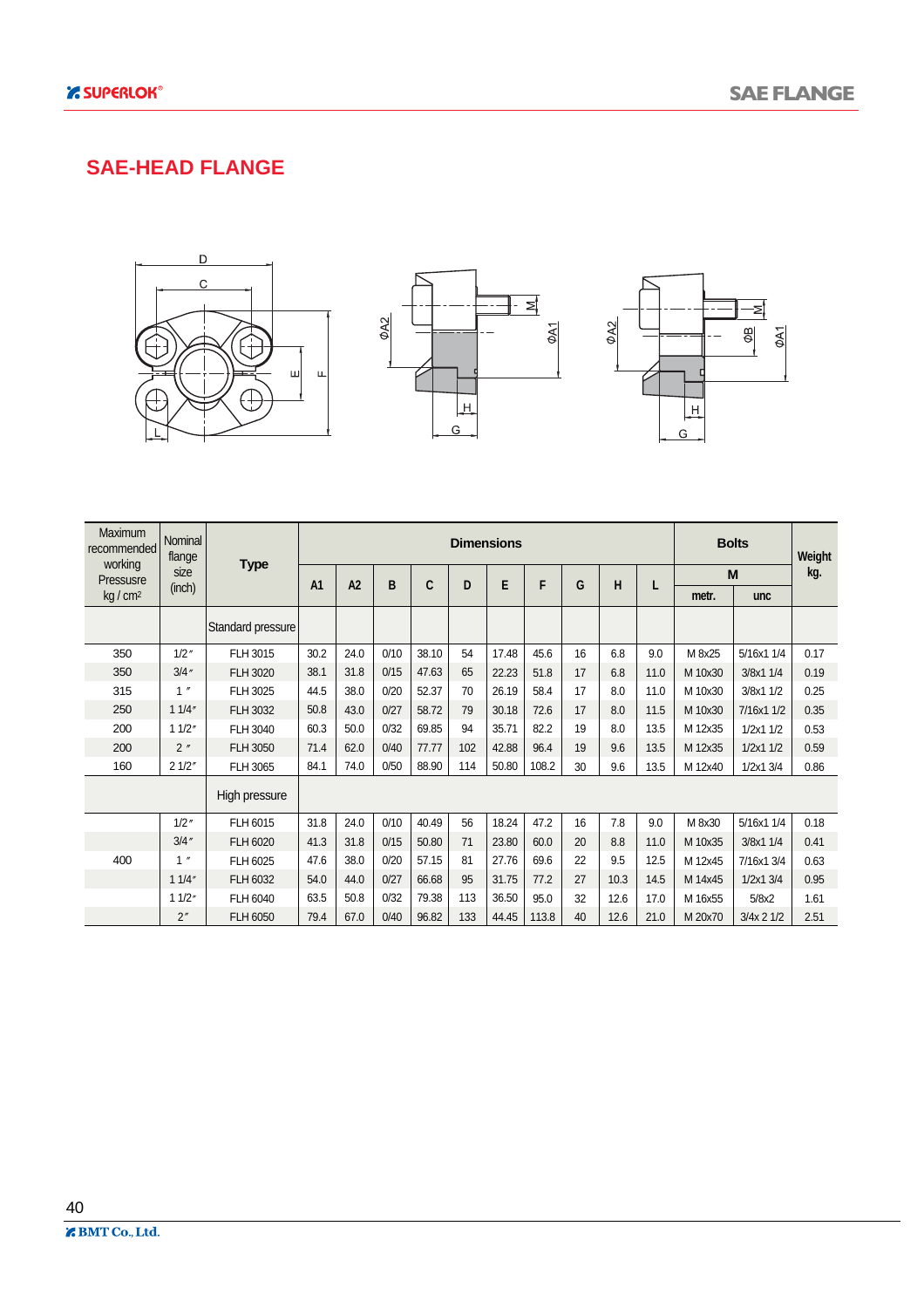#### **SAE-HEAD FLANGE**







| <b>Maximum</b><br>recommended | Nominal<br>flange            |                   |                | <b>Dimensions</b> |      |       |     |       |       |    |      |      |         | <b>Bolts</b>  | Weight |
|-------------------------------|------------------------------|-------------------|----------------|-------------------|------|-------|-----|-------|-------|----|------|------|---------|---------------|--------|
| working<br>Pressusre          | size                         | <b>Type</b>       | A <sub>1</sub> | A2                | B    | C     | D   | E     | F     | G  | H    | L    |         | M             | kg.    |
| kg/cm <sup>2</sup>            | (inch)                       |                   |                |                   |      |       |     |       |       |    |      |      | metr.   | unc           |        |
|                               |                              | Standard pressure |                |                   |      |       |     |       |       |    |      |      |         |               |        |
| 350                           | $1/2$ "                      | FLH 3015          | 30.2           | 24.0              | 0/10 | 38.10 | 54  | 17.48 | 45.6  | 16 | 6.8  | 9.0  | M 8x25  | 5/16x1 1/4    | 0.17   |
| 350                           | 3/4''                        | FLH 3020          | 38.1           | 31.8              | 0/15 | 47.63 | 65  | 22.23 | 51.8  | 17 | 6.8  | 11.0 | M 10x30 | 3/8x1 1/4     | 0.19   |
| 315                           | 1''                          | FLH 3025          | 44.5           | 38.0              | 0/20 | 52.37 | 70  | 26.19 | 58.4  | 17 | 8.0  | 11.0 | M 10x30 | 3/8x1 1/2     | 0.25   |
| 250                           | 11/4"                        | FLH 3032          | 50.8           | 43.0              | 0/27 | 58.72 | 79  | 30.18 | 72.6  | 17 | 8.0  | 11.5 | M 10x30 | 7/16x1 1/2    | 0.35   |
| 200                           | 11/2"                        | FLH 3040          | 60.3           | 50.0              | 0/32 | 69.85 | 94  | 35.71 | 82.2  | 19 | 8.0  | 13.5 | M 12x35 | 1/2x11/2      | 0.53   |
| 200                           | 2''                          | <b>FLH 3050</b>   | 71.4           | 62.0              | 0/40 | 77.77 | 102 | 42.88 | 96.4  | 19 | 9.6  | 13.5 | M 12x35 | 1/2x11/2      | 0.59   |
| 160                           | 21/2"                        | FLH 3065          | 84.1           | 74.0              | 0/50 | 88.90 | 114 | 50.80 | 108.2 | 30 | 9.6  | 13.5 | M 12x40 | 1/2x1 3/4     | 0.86   |
|                               |                              | High pressure     |                |                   |      |       |     |       |       |    |      |      |         |               |        |
|                               | $1/2$ "                      | FLH 6015          | 31.8           | 24.0              | 0/10 | 40.49 | 56  | 18.24 | 47.2  | 16 | 7.8  | 9.0  | M 8x30  | 5/16x1 1/4    | 0.18   |
|                               | 3/4''                        | FLH 6020          | 41.3           | 31.8              | 0/15 | 50.80 | 71  | 23.80 | 60.0  | 20 | 8.8  | 11.0 | M 10x35 | 3/8x1 1/4     | 0.41   |
| 400                           | $\pmb{\eta}$<br>$\mathbf{1}$ | FLH 6025          | 47.6           | 38.0              | 0/20 | 57.15 | 81  | 27.76 | 69.6  | 22 | 9.5  | 12.5 | M 12x45 | 7/16x1 3/4    | 0.63   |
|                               | 11/4"                        | FLH 6032          | 54.0           | 44.0              | 0/27 | 66.68 | 95  | 31.75 | 77.2  | 27 | 10.3 | 14.5 | M 14x45 | $1/2x1$ $3/4$ | 0.95   |
|                               | 11/2"                        | FLH 6040          | 63.5           | 50.8              | 0/32 | 79.38 | 113 | 36.50 | 95.0  | 32 | 12.6 | 17.0 | M 16x55 | 5/8x2         | 1.61   |
|                               | 2"                           | FLH 6050          | 79.4           | 67.0              | 0/40 | 96.82 | 133 | 44.45 | 113.8 | 40 | 12.6 | 21.0 | M 20x70 | 3/4x 2 1/2    | 2.51   |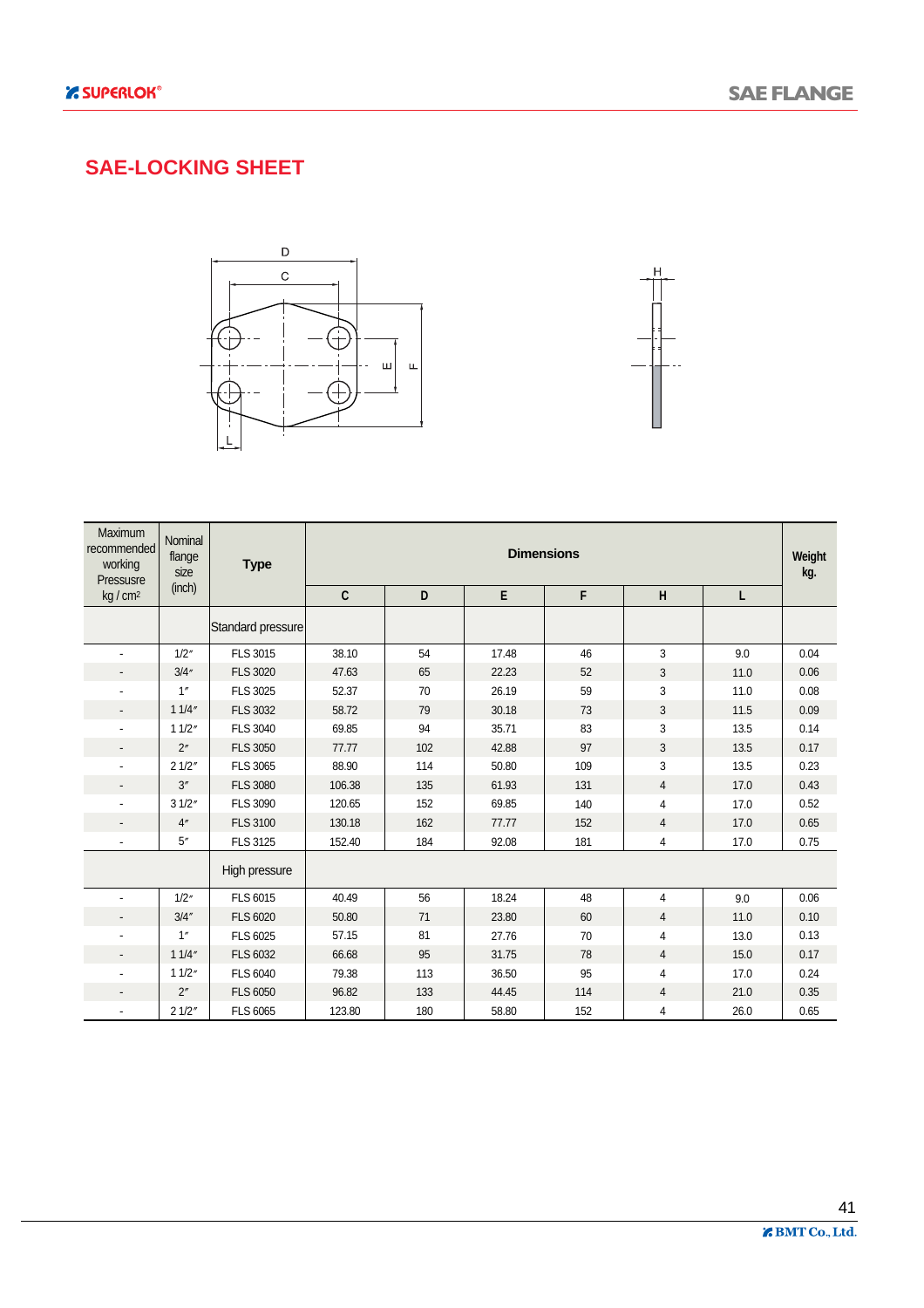### **SAE-LOCKING SHEET**





| Maximum<br>recommended<br>working<br>Pressusre | Nominal<br>flange<br>size | <b>Type</b>       | <b>Dimensions</b> |     |       |     |                |      |      |  |  |  |
|------------------------------------------------|---------------------------|-------------------|-------------------|-----|-------|-----|----------------|------|------|--|--|--|
| kg/cm <sup>2</sup>                             | (inch)                    |                   | $\mathbf c$       | D   | E     | F   | H              | L    |      |  |  |  |
|                                                |                           | Standard pressure |                   |     |       |     |                |      |      |  |  |  |
|                                                | 1/2''                     | FLS 3015          | 38.10             | 54  | 17.48 | 46  | 3              | 9.0  | 0.04 |  |  |  |
|                                                | 3/4''                     | <b>FLS 3020</b>   | 47.63             | 65  | 22.23 | 52  | 3              | 11.0 | 0.06 |  |  |  |
|                                                | 1''                       | <b>FLS 3025</b>   | 52.37             | 70  | 26.19 | 59  | 3              | 11.0 | 0.08 |  |  |  |
| $\overline{\phantom{a}}$                       | 11/4"                     | <b>FLS 3032</b>   | 58.72             | 79  | 30.18 | 73  | 3              | 11.5 | 0.09 |  |  |  |
| $\blacksquare$                                 | 11/2"                     | <b>FLS 3040</b>   | 69.85             | 94  | 35.71 | 83  | 3              | 13.5 | 0.14 |  |  |  |
| $\overline{\phantom{a}}$                       | 2 <sup>n</sup>            | <b>FLS 3050</b>   | 77.77             | 102 | 42.88 | 97  | 3              | 13.5 | 0.17 |  |  |  |
|                                                | 21/2"                     | <b>FLS 3065</b>   | 88.90             | 114 | 50.80 | 109 | 3              | 13.5 | 0.23 |  |  |  |
|                                                | 3''                       | <b>FLS 3080</b>   | 106.38            | 135 | 61.93 | 131 | $\overline{4}$ | 17.0 | 0.43 |  |  |  |
|                                                | 31/2"                     | <b>FLS 3090</b>   | 120.65            | 152 | 69.85 | 140 | 4              | 17.0 | 0.52 |  |  |  |
| $\overline{\phantom{a}}$                       | 4 <sup>′</sup>            | <b>FLS 3100</b>   | 130.18            | 162 | 77.77 | 152 | $\overline{4}$ | 17.0 | 0.65 |  |  |  |
| $\blacksquare$                                 | 5''                       | FLS 3125          | 152.40            | 184 | 92.08 | 181 | 4              | 17.0 | 0.75 |  |  |  |
|                                                |                           | High pressure     |                   |     |       |     |                |      |      |  |  |  |
|                                                | 1/2''                     | FLS 6015          | 40.49             | 56  | 18.24 | 48  | $\overline{4}$ | 9.0  | 0.06 |  |  |  |
|                                                | 3/4''                     | <b>FLS 6020</b>   | 50.80             | 71  | 23.80 | 60  | $\overline{4}$ | 11.0 | 0.10 |  |  |  |
|                                                | 1 <sup>''</sup>           | FLS 6025          | 57.15             | 81  | 27.76 | 70  | 4              | 13.0 | 0.13 |  |  |  |
| $\overline{\phantom{a}}$                       | 11/4"                     | <b>FLS 6032</b>   | 66.68             | 95  | 31.75 | 78  | $\overline{4}$ | 15.0 | 0.17 |  |  |  |
|                                                | 11/2"                     | <b>FLS 6040</b>   | 79.38             | 113 | 36.50 | 95  | $\overline{4}$ | 17.0 | 0.24 |  |  |  |
|                                                | 2 <sup>''</sup>           | <b>FLS 6050</b>   | 96.82             | 133 | 44.45 | 114 | $\overline{4}$ | 21.0 | 0.35 |  |  |  |
|                                                | 21/2"                     | FLS 6065          | 123.80            | 180 | 58.80 | 152 | 4              | 26.0 | 0.65 |  |  |  |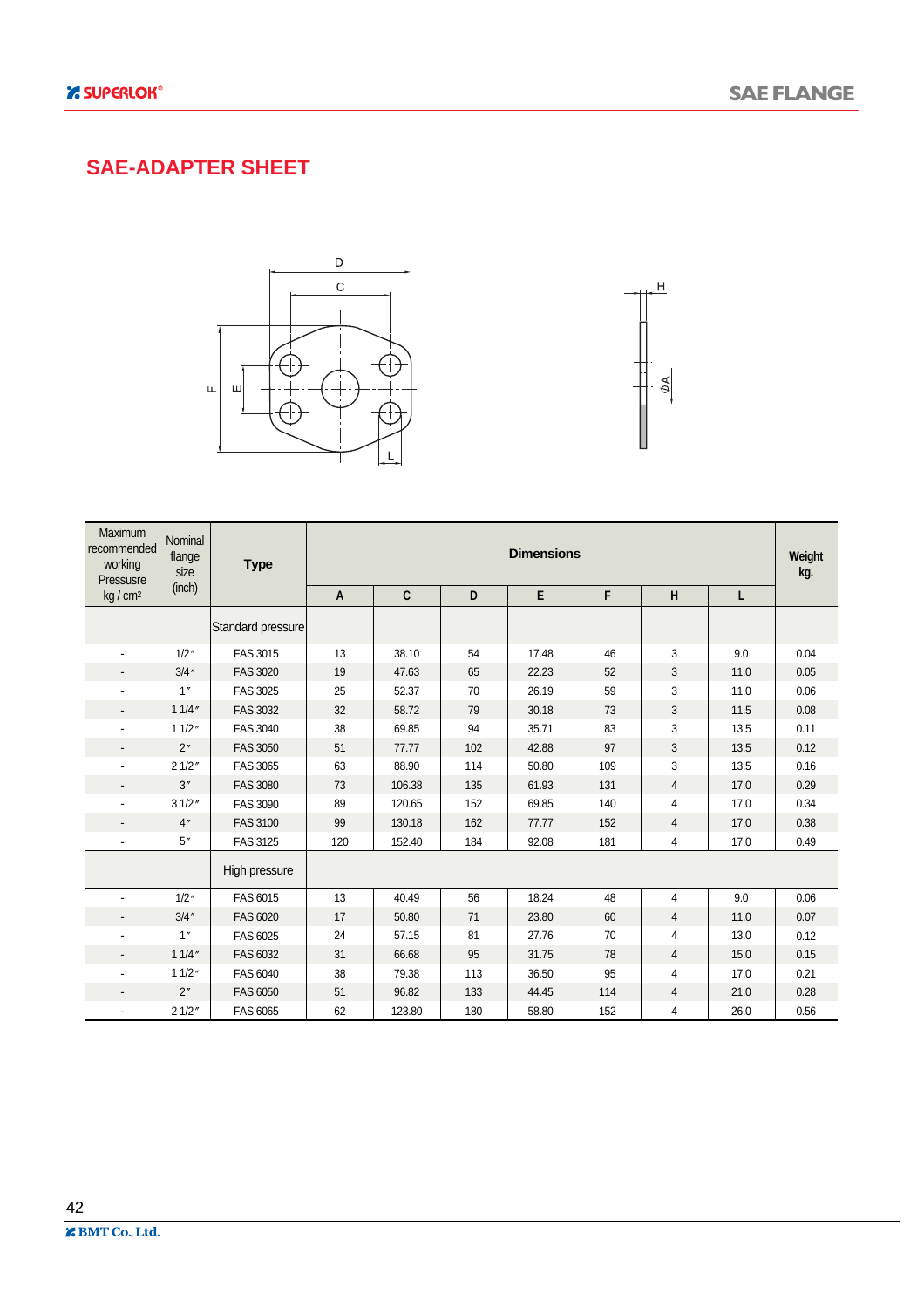#### **SAE-ADAPTER SHEET**





| Maximum<br>recommended<br>working<br>Pressusre | Nominal<br>flange<br>size | <b>Type</b>       | <b>Dimensions</b> |              |     |       |     |                |      |      |  |  |
|------------------------------------------------|---------------------------|-------------------|-------------------|--------------|-----|-------|-----|----------------|------|------|--|--|
| kg / cm <sup>2</sup>                           | (inch)                    |                   | A                 | $\mathbf{C}$ | D   | E     | F   | H              | L    |      |  |  |
|                                                |                           | Standard pressure |                   |              |     |       |     |                |      |      |  |  |
|                                                | 1/2''                     | FAS 3015          | 13                | 38.10        | 54  | 17.48 | 46  | 3              | 9.0  | 0.04 |  |  |
|                                                | 3/4''                     | <b>FAS 3020</b>   | 19                | 47.63        | 65  | 22.23 | 52  | 3              | 11.0 | 0.05 |  |  |
|                                                | 1''                       | FAS 3025          | 25                | 52.37        | 70  | 26.19 | 59  | 3              | 11.0 | 0.06 |  |  |
| $\overline{\phantom{0}}$                       | 11/4''                    | FAS 3032          | 32                | 58.72        | 79  | 30.18 | 73  | 3              | 11.5 | 0.08 |  |  |
| $\overline{\phantom{a}}$                       | 11/2''                    | <b>FAS 3040</b>   | 38                | 69.85        | 94  | 35.71 | 83  | 3              | 13.5 | 0.11 |  |  |
| $\overline{\phantom{a}}$                       | 2"                        | <b>FAS 3050</b>   | 51                | 77.77        | 102 | 42.88 | 97  | $\sqrt{3}$     | 13.5 | 0.12 |  |  |
|                                                | 21/2"                     | FAS 3065          | 63                | 88.90        | 114 | 50.80 | 109 | 3              | 13.5 | 0.16 |  |  |
|                                                | 3''                       | <b>FAS 3080</b>   | 73                | 106.38       | 135 | 61.93 | 131 | $\overline{4}$ | 17.0 | 0.29 |  |  |
|                                                | 31/2"                     | <b>FAS 3090</b>   | 89                | 120.65       | 152 | 69.85 | 140 | 4              | 17.0 | 0.34 |  |  |
| $\overline{\phantom{0}}$                       | 4"                        | <b>FAS 3100</b>   | 99                | 130.18       | 162 | 77.77 | 152 | $\overline{4}$ | 17.0 | 0.38 |  |  |
| $\blacksquare$                                 | 5''                       | FAS 3125          | 120               | 152.40       | 184 | 92.08 | 181 | 4              | 17.0 | 0.49 |  |  |
|                                                |                           | High pressure     |                   |              |     |       |     |                |      |      |  |  |
|                                                | 1/2''                     | FAS 6015          | 13                | 40.49        | 56  | 18.24 | 48  | $\overline{4}$ | 9.0  | 0.06 |  |  |
|                                                | 3/4''                     | FAS 6020          | 17                | 50.80        | 71  | 23.80 | 60  | 4              | 11.0 | 0.07 |  |  |
|                                                | 1''                       | FAS 6025          | 24                | 57.15        | 81  | 27.76 | 70  | 4              | 13.0 | 0.12 |  |  |
| $\overline{\phantom{a}}$                       | 11/4''                    | FAS 6032          | 31                | 66.68        | 95  | 31.75 | 78  | 4              | 15.0 | 0.15 |  |  |
|                                                | 11/2''                    | FAS 6040          | 38                | 79.38        | 113 | 36.50 | 95  | 4              | 17.0 | 0.21 |  |  |
|                                                | 2"                        | FAS 6050          | 51                | 96.82        | 133 | 44.45 | 114 | 4              | 21.0 | 0.28 |  |  |
|                                                | 21/2"                     | FAS 6065          | 62                | 123.80       | 180 | 58.80 | 152 | 4              | 26.0 | 0.56 |  |  |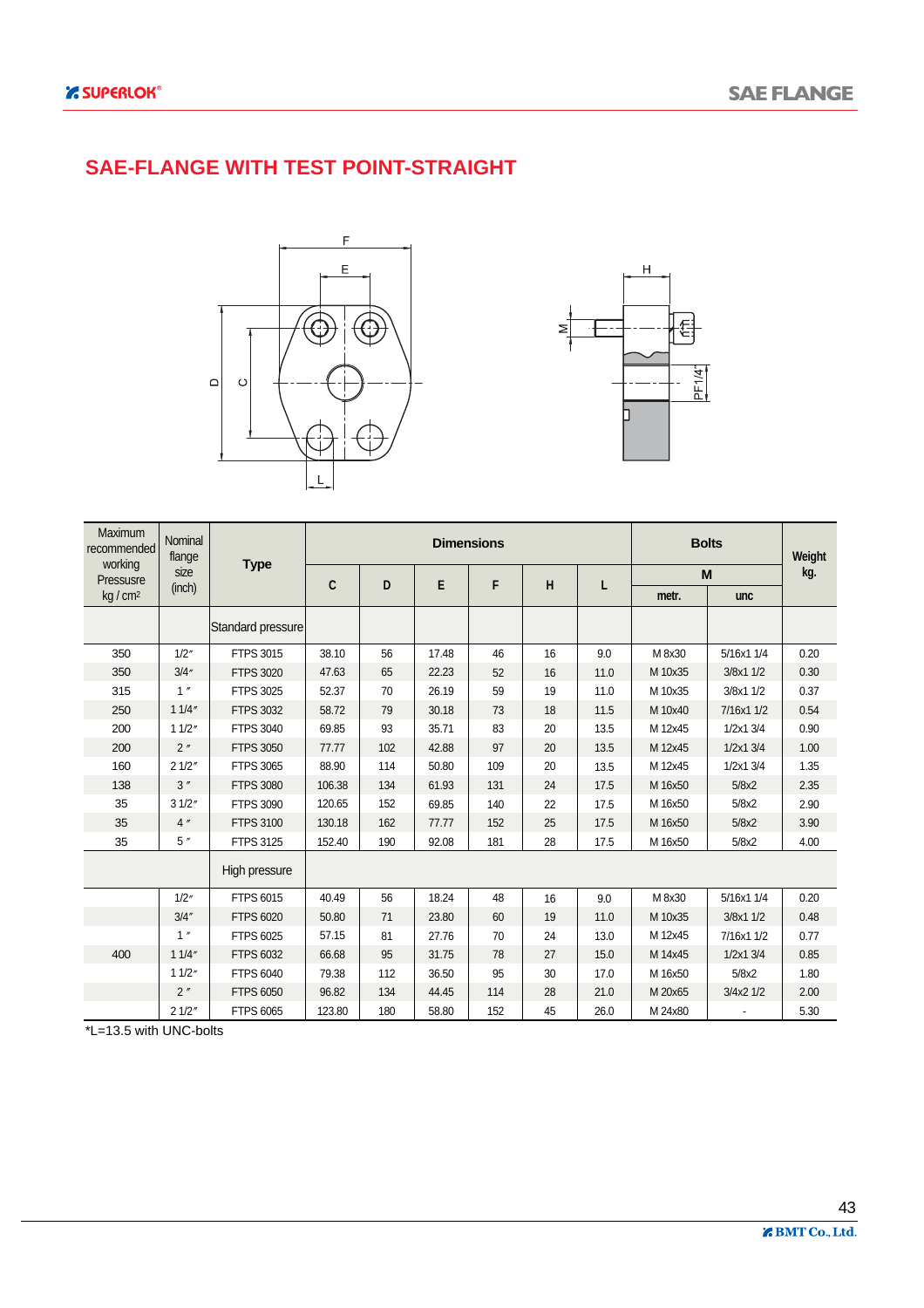#### **SAE-FLANGE WITH TEST POINT-STRAIGHT**





| <b>Maximum</b><br>recommended<br>working | Nominal<br>flange |                   |              |     |       | <b>Dimensions</b> |    |      |         | <b>Bolts</b>  | Weight |
|------------------------------------------|-------------------|-------------------|--------------|-----|-------|-------------------|----|------|---------|---------------|--------|
| Pressusre                                | size              | <b>Type</b>       | $\mathbf{C}$ | D   | E     | F                 | H  |      |         | M             | kg.    |
| kg / cm <sup>2</sup>                     | (inch)            |                   |              |     |       |                   |    | L    | metr.   | unc           |        |
|                                          |                   | Standard pressure |              |     |       |                   |    |      |         |               |        |
| 350                                      | 1/2''             | FTPS 3015         | 38.10        | 56  | 17.48 | 46                | 16 | 9.0  | M 8x30  | 5/16x1 1/4    | 0.20   |
| 350                                      | 3/4''             | <b>FTPS 3020</b>  | 47.63        | 65  | 22.23 | 52                | 16 | 11.0 | M 10x35 | 3/8x1 1/2     | 0.30   |
| 315                                      | 1''               | FTPS 3025         | 52.37        | 70  | 26.19 | 59                | 19 | 11.0 | M 10x35 | 3/8x1 1/2     | 0.37   |
| 250                                      | 11/4"             | FTPS 3032         | 58.72        | 79  | 30.18 | 73                | 18 | 11.5 | M 10x40 | 7/16x1 1/2    | 0.54   |
| 200                                      | 11/2"             | <b>FTPS 3040</b>  | 69.85        | 93  | 35.71 | 83                | 20 | 13.5 | M 12x45 | $1/2x1$ $3/4$ | 0.90   |
| 200                                      | 2"                | <b>FTPS 3050</b>  | 77.77        | 102 | 42.88 | 97                | 20 | 13.5 | M 12x45 | 1/2x13/4      | 1.00   |
| 160                                      | 21/2"             | <b>FTPS 3065</b>  | 88.90        | 114 | 50.80 | 109               | 20 | 13.5 | M 12x45 | 1/2x1 3/4     | 1.35   |
| 138                                      | 3''               | <b>FTPS 3080</b>  | 106.38       | 134 | 61.93 | 131               | 24 | 17.5 | M 16x50 | 5/8x2         | 2.35   |
| 35                                       | 31/2"             | <b>FTPS 3090</b>  | 120.65       | 152 | 69.85 | 140               | 22 | 17.5 | M 16x50 | 5/8x2         | 2.90   |
| 35                                       | 4''               | <b>FTPS 3100</b>  | 130.18       | 162 | 77.77 | 152               | 25 | 17.5 | M 16x50 | 5/8x2         | 3.90   |
| 35                                       | 5''               | FTPS 3125         | 152.40       | 190 | 92.08 | 181               | 28 | 17.5 | M 16x50 | 5/8x2         | 4.00   |
|                                          |                   | High pressure     |              |     |       |                   |    |      |         |               |        |
|                                          | 1/2''             | FTPS 6015         | 40.49        | 56  | 18.24 | 48                | 16 | 9.0  | M 8x30  | 5/16x1 1/4    | 0.20   |
|                                          | 3/4''             | <b>FTPS 6020</b>  | 50.80        | 71  | 23.80 | 60                | 19 | 11.0 | M 10x35 | 3/8x1 1/2     | 0.48   |
|                                          | 1''               | FTPS 6025         | 57.15        | 81  | 27.76 | 70                | 24 | 13.0 | M 12x45 | 7/16x1 1/2    | 0.77   |
| 400                                      | 11/4"             | FTPS 6032         | 66.68        | 95  | 31.75 | 78                | 27 | 15.0 | M 14x45 | $1/2x1$ $3/4$ | 0.85   |
|                                          | 11/2"             | FTPS 6040         | 79.38        | 112 | 36.50 | 95                | 30 | 17.0 | M 16x50 | 5/8x2         | 1.80   |
|                                          | 2''               | <b>FTPS 6050</b>  | 96.82        | 134 | 44.45 | 114               | 28 | 21.0 | M 20x65 | 3/4x2 1/2     | 2.00   |
|                                          | 21/2"             | FTPS 6065         | 123.80       | 180 | 58.80 | 152               | 45 | 26.0 | M 24x80 |               | 5.30   |

 $\overline{E=13.5 \text{ with UNC-bolts}}$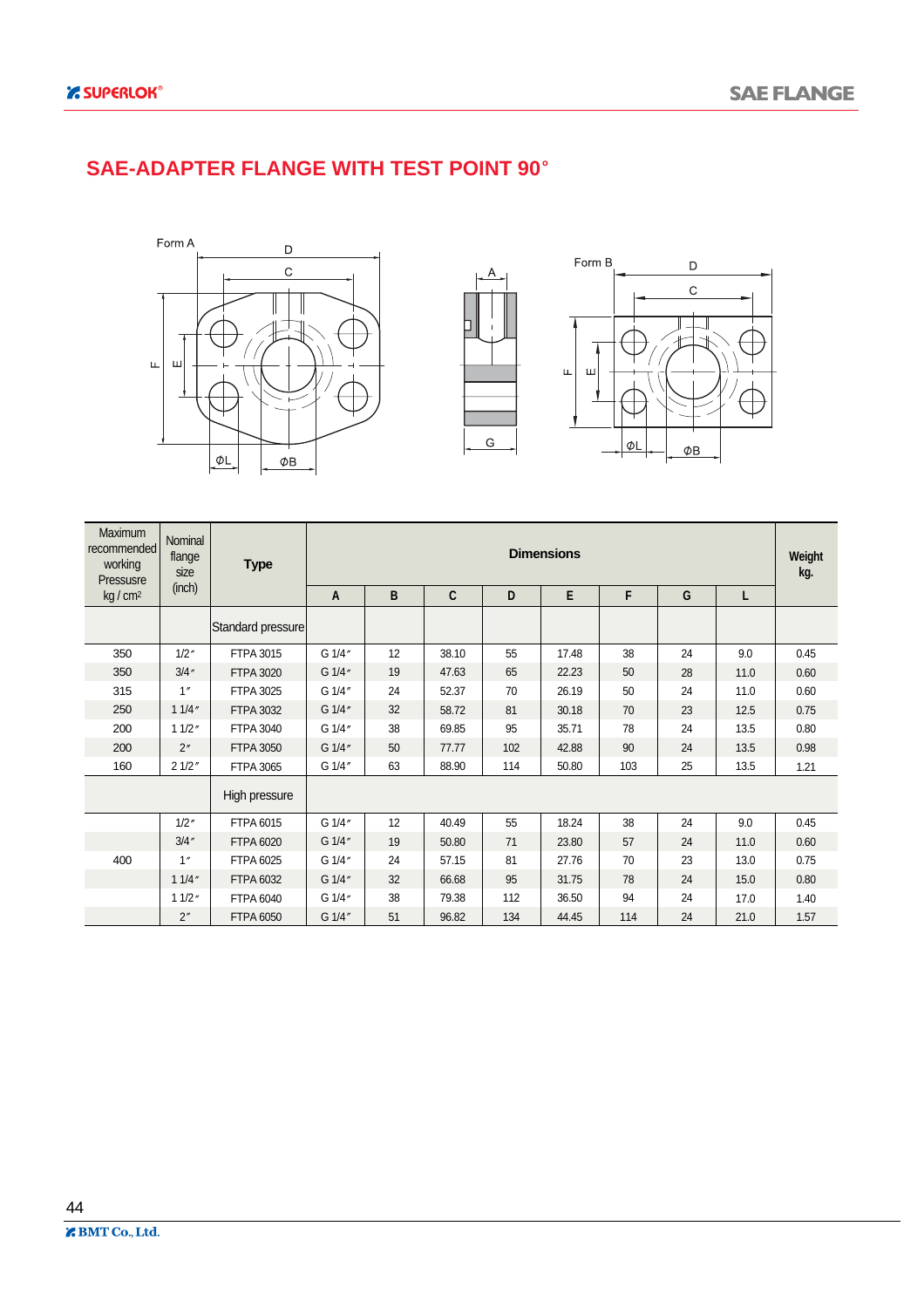#### **SAE-ADAPTER FLANGE WITH TEST POINT 90**





| <b>Maximum</b><br>recommended<br>working<br>Pressusre | Nominal<br>flange<br>size | <b>Type</b>       | <b>Dimensions</b> |    |              |     |       |     |    |      |      |  |
|-------------------------------------------------------|---------------------------|-------------------|-------------------|----|--------------|-----|-------|-----|----|------|------|--|
| kg/cm <sup>2</sup>                                    | (inch)                    |                   | A                 | B  | $\mathbf{C}$ | D   | E     | F   | G  | L    |      |  |
|                                                       |                           | Standard pressure |                   |    |              |     |       |     |    |      |      |  |
| 350                                                   | 1/2''                     | FTPA 3015         | G 1/4"            | 12 | 38.10        | 55  | 17.48 | 38  | 24 | 9.0  | 0.45 |  |
| 350                                                   | 3/4''                     | <b>FTPA 3020</b>  | G 1/4"            | 19 | 47.63        | 65  | 22.23 | 50  | 28 | 11.0 | 0.60 |  |
| 315                                                   | 1''                       | FTPA 3025         | G 1/4"            | 24 | 52.37        | 70  | 26.19 | 50  | 24 | 11.0 | 0.60 |  |
| 250                                                   | 11/4''                    | <b>FTPA 3032</b>  | G 1/4"            | 32 | 58.72        | 81  | 30.18 | 70  | 23 | 12.5 | 0.75 |  |
| 200                                                   | 11/2"                     | FTPA 3040         | G 1/4"            | 38 | 69.85        | 95  | 35.71 | 78  | 24 | 13.5 | 0.80 |  |
| 200                                                   | 2"                        | <b>FTPA 3050</b>  | G 1/4"            | 50 | 77.77        | 102 | 42.88 | 90  | 24 | 13.5 | 0.98 |  |
| 160                                                   | 21/2"                     | FTPA 3065         | G 1/4"            | 63 | 88.90        | 114 | 50.80 | 103 | 25 | 13.5 | 1.21 |  |
|                                                       |                           | High pressure     |                   |    |              |     |       |     |    |      |      |  |
|                                                       | 1/2''                     | FTPA 6015         | G 1/4"            | 12 | 40.49        | 55  | 18.24 | 38  | 24 | 9.0  | 0.45 |  |
|                                                       | 3/4''                     | <b>FTPA 6020</b>  | G 1/4"            | 19 | 50.80        | 71  | 23.80 | 57  | 24 | 11.0 | 0.60 |  |
| 400                                                   | 1''                       | FTPA 6025         | G 1/4"            | 24 | 57.15        | 81  | 27.76 | 70  | 23 | 13.0 | 0.75 |  |
|                                                       | 11/4''                    | FTPA 6032         | G 1/4"            | 32 | 66.68        | 95  | 31.75 | 78  | 24 | 15.0 | 0.80 |  |
|                                                       | 11/2"                     | FTPA 6040         | G 1/4"            | 38 | 79.38        | 112 | 36.50 | 94  | 24 | 17.0 | 1.40 |  |
|                                                       | 2''                       | <b>FTPA 6050</b>  | G 1/4"            | 51 | 96.82        | 134 | 44.45 | 114 | 24 | 21.0 | 1.57 |  |

44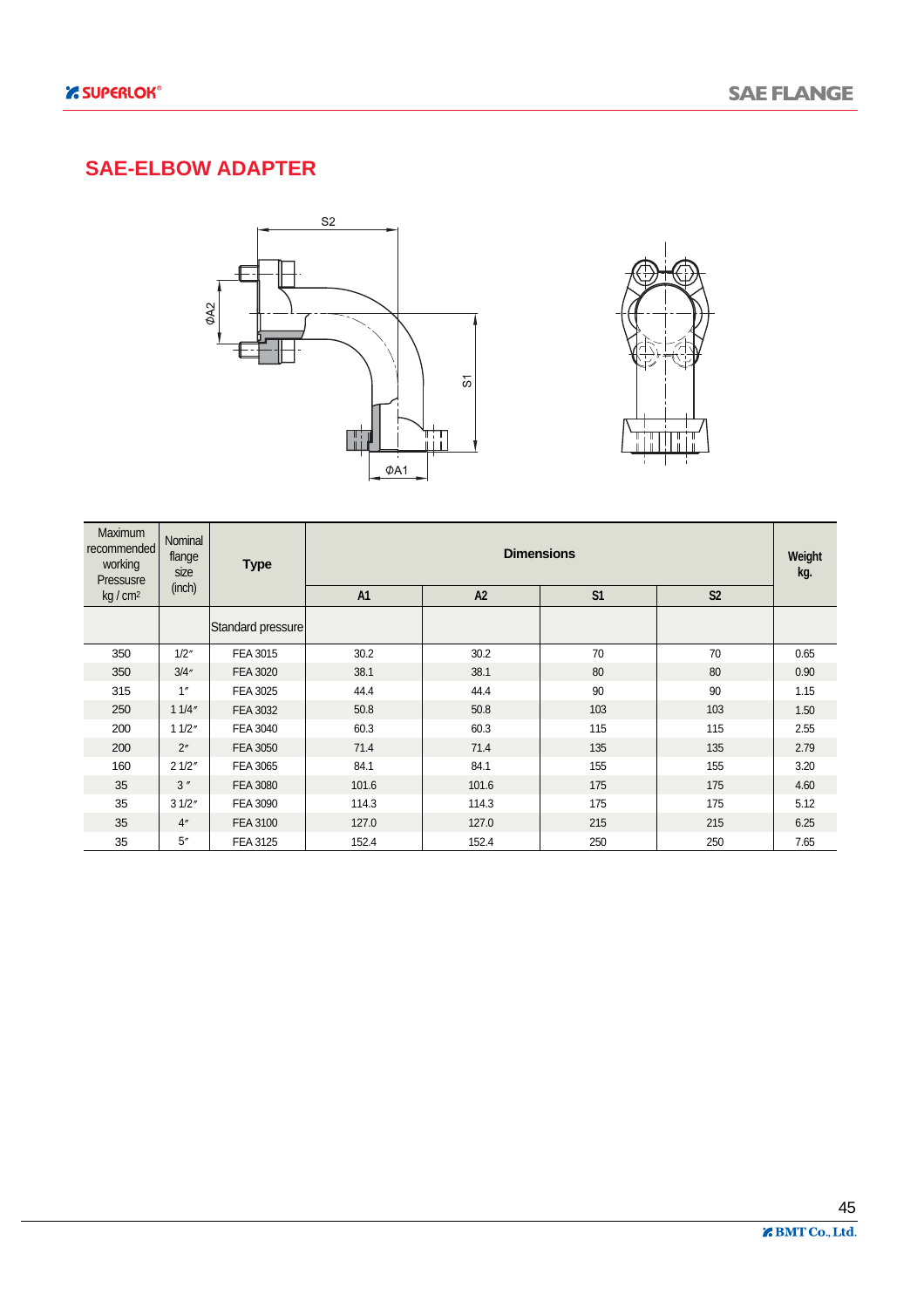### **SAE-ELBOW ADAPTER**





| <b>Maximum</b><br>recommended<br>working<br>Pressusre | <b>Nominal</b><br>flange<br>size | <b>Type</b>       |                |       | <b>Dimensions</b> |                | Weight<br>kg. |
|-------------------------------------------------------|----------------------------------|-------------------|----------------|-------|-------------------|----------------|---------------|
| kg/cm <sup>2</sup>                                    | (inch)                           |                   | A <sub>1</sub> | A2    | S <sub>1</sub>    | S <sub>2</sub> |               |
|                                                       |                                  | Standard pressure |                |       |                   |                |               |
| 350                                                   | 1/2''                            | FEA 3015          | 30.2           | 30.2  | 70                | 70             | 0.65          |
| 350                                                   | 3/4''                            | <b>FEA 3020</b>   | 38.1           | 38.1  | 80                | 80             | 0.90          |
| 315                                                   | 1''                              | FEA 3025          | 44.4           | 44.4  | 90                | 90             | 1.15          |
| 250                                                   | 11/4"                            | FEA 3032          | 50.8           | 50.8  | 103               | 103            | 1.50          |
| 200                                                   | 11/2"                            | FEA 3040          | 60.3           | 60.3  | 115               | 115            | 2.55          |
| 200                                                   | 2 <sup>n</sup>                   | <b>FEA 3050</b>   | 71.4           | 71.4  | 135               | 135            | 2.79          |
| 160                                                   | 21/2"                            | FEA 3065          | 84.1           | 84.1  | 155               | 155            | 3.20          |
| 35                                                    | 3''                              | <b>FEA 3080</b>   | 101.6          | 101.6 | 175               | 175            | 4.60          |
| 35                                                    | 31/2"                            | FEA 3090          | 114.3          | 114.3 | 175               | 175            | 5.12          |
| 35                                                    | 4 <sup>''</sup>                  | FEA 3100          | 127.0          | 127.0 | 215               | 215            | 6.25          |
| 35                                                    | 5''                              | FEA 3125          | 152.4          | 152.4 | 250               | 250            | 7.65          |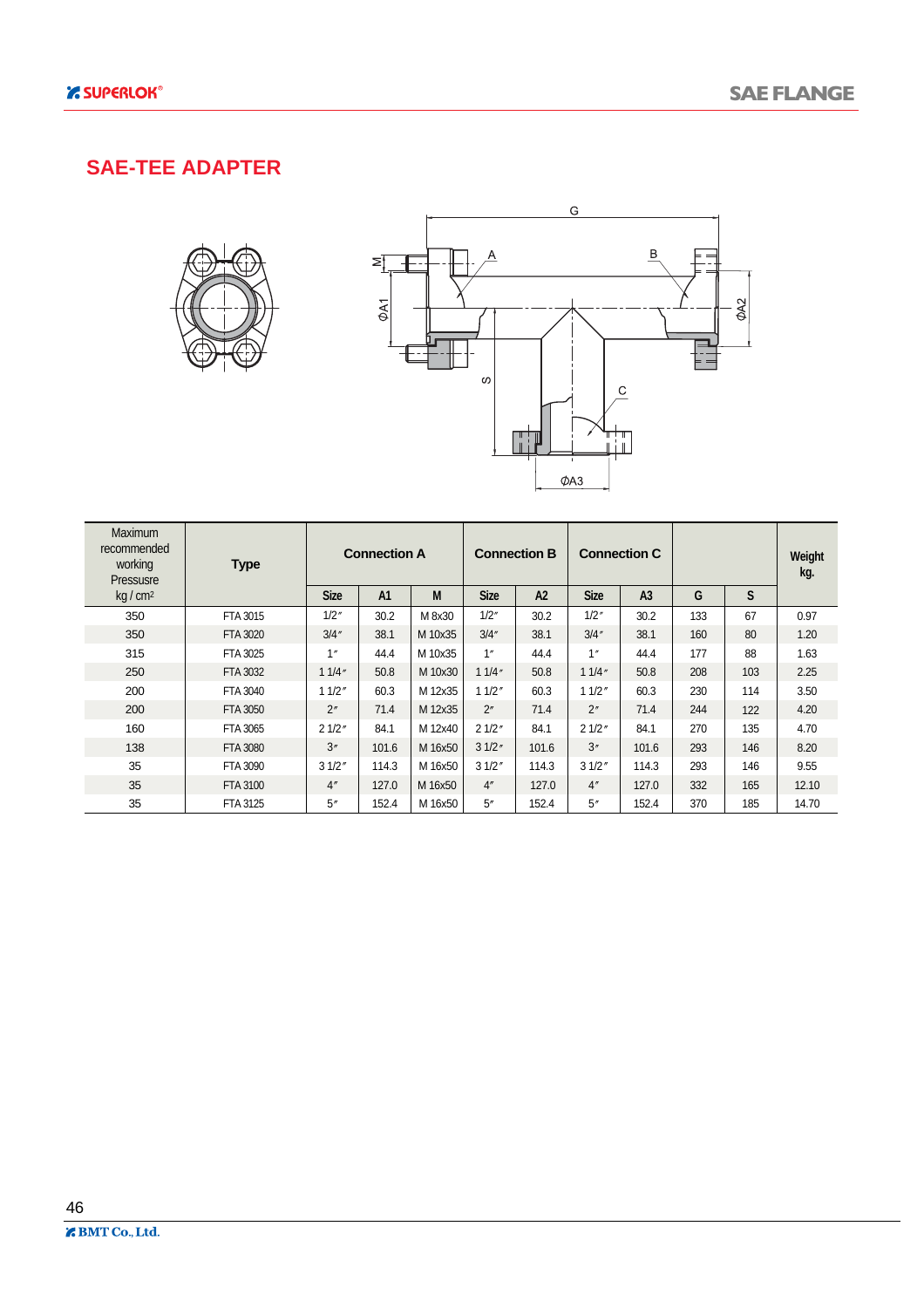#### **SAE-TEE ADAPTER**





| Maximum<br>recommended<br>working<br>Pressusre | <b>Type</b>     |                 | <b>Connection A</b> |         |             | <b>Connection B</b> |             | <b>Connection C</b> |     |     | Weight<br>kg. |
|------------------------------------------------|-----------------|-----------------|---------------------|---------|-------------|---------------------|-------------|---------------------|-----|-----|---------------|
| kg/cm <sup>2</sup>                             |                 | <b>Size</b>     | A <sub>1</sub>      | M       | <b>Size</b> | A2                  | <b>Size</b> | A <sub>3</sub>      | G   | S   |               |
| 350                                            | FTA 3015        | 1/2''           | 30.2                | M 8x30  | 1/2''       | 30.2                | 1/2''       | 30.2                | 133 | 67  | 0.97          |
| 350                                            | FTA 3020        | 3/4''           | 38.1                | M 10x35 | 3/4''       | 38.1                | 3/4''       | 38.1                | 160 | 80  | 1.20          |
| 315                                            | FTA 3025        | 1"              | 44.4                | M 10x35 | 1''         | 44.4                | 1"          | 44.4                | 177 | 88  | 1.63          |
| 250                                            | FTA 3032        | 11/4"           | 50.8                | M 10x30 | 11/4"       | 50.8                | 11/4"       | 50.8                | 208 | 103 | 2.25          |
| 200                                            | FTA 3040        | 11/2"           | 60.3                | M 12x35 | 11/2"       | 60.3                | 11/2"       | 60.3                | 230 | 114 | 3.50          |
| 200                                            | <b>FTA 3050</b> | 2"              | 71.4                | M 12x35 | 2"          | 71.4                | 2"          | 71.4                | 244 | 122 | 4.20          |
| 160                                            | FTA 3065        | 21/2"           | 84.1                | M 12x40 | 21/2"       | 84.1                | 21/2"       | 84.1                | 270 | 135 | 4.70          |
| 138                                            | <b>FTA 3080</b> | 3''             | 101.6               | M 16x50 | 31/2"       | 101.6               | 3''         | 101.6               | 293 | 146 | 8.20          |
| 35                                             | <b>FTA 3090</b> | 31/2"           | 114.3               | M 16x50 | 31/2"       | 114.3               | 31/2"       | 114.3               | 293 | 146 | 9.55          |
| 35                                             | FTA 3100        | 4 <sup>''</sup> | 127.0               | M 16x50 | 4''         | 127.0               | 4"          | 127.0               | 332 | 165 | 12.10         |
| 35                                             | FTA 3125        | 5''             | 152.4               | M 16x50 | 5''         | 152.4               | 5''         | 152.4               | 370 | 185 | 14.70         |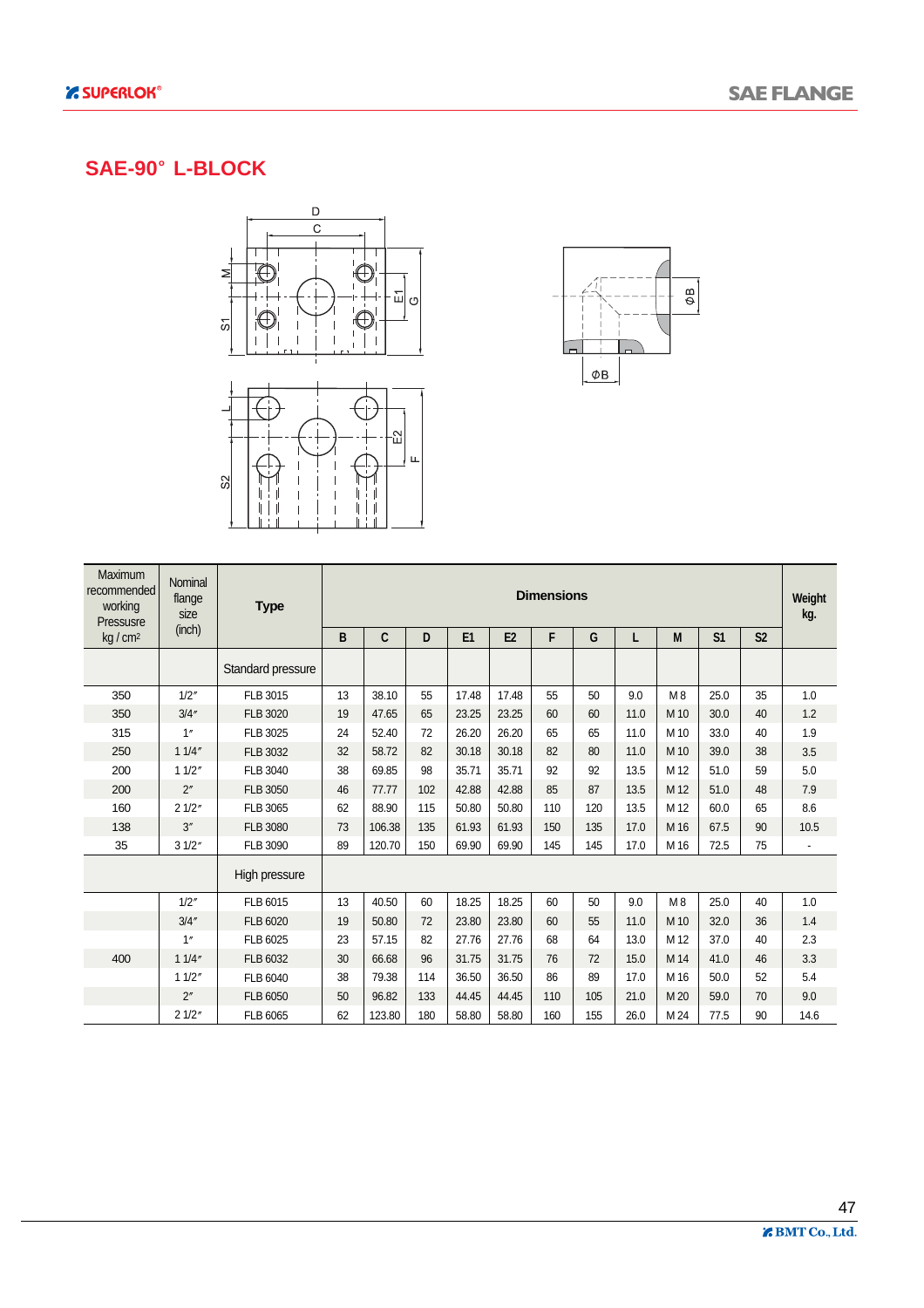#### **SAE-90 L-BLOCK**





| Maximum<br>recommended<br>working<br>Pressusre | Nominal<br>flange<br>size<br>(inch) | <b>Type</b>       | <b>Dimensions</b><br>C<br>E2<br>F<br>E1<br>S <sub>1</sub><br>B<br>D<br>G<br>M<br>S <sub>2</sub><br>L |        |     |       |       |     |     |      |                |      |    | Weight<br>kg.            |
|------------------------------------------------|-------------------------------------|-------------------|------------------------------------------------------------------------------------------------------|--------|-----|-------|-------|-----|-----|------|----------------|------|----|--------------------------|
| $kq/cm^2$                                      |                                     |                   |                                                                                                      |        |     |       |       |     |     |      |                |      |    |                          |
|                                                |                                     | Standard pressure |                                                                                                      |        |     |       |       |     |     |      |                |      |    |                          |
| 350                                            | 1/2''                               | FLB 3015          | 13                                                                                                   | 38.10  | 55  | 17.48 | 17.48 | 55  | 50  | 9.0  | M <sub>8</sub> | 25.0 | 35 | 1.0                      |
| 350                                            | 3/4''                               | <b>FLB 3020</b>   | 19                                                                                                   | 47.65  | 65  | 23.25 | 23.25 | 60  | 60  | 11.0 | M 10           | 30.0 | 40 | 1.2                      |
| 315                                            | 1"                                  | FLB 3025          | 24                                                                                                   | 52.40  | 72  | 26.20 | 26.20 | 65  | 65  | 11.0 | M 10           | 33.0 | 40 | 1.9                      |
| 250                                            | 11/4''                              | FLB 3032          | 32                                                                                                   | 58.72  | 82  | 30.18 | 30.18 | 82  | 80  | 11.0 | M 10           | 39.0 | 38 | 3.5                      |
| 200                                            | 11/2"                               | FLB 3040          | 38                                                                                                   | 69.85  | 98  | 35.71 | 35.71 | 92  | 92  | 13.5 | M 12           | 51.0 | 59 | 5.0                      |
| 200                                            | 2 <sup>''</sup>                     | FLB 3050          | 46                                                                                                   | 77.77  | 102 | 42.88 | 42.88 | 85  | 87  | 13.5 | M 12           | 51.0 | 48 | 7.9                      |
| 160                                            | 21/2"                               | FLB 3065          | 62                                                                                                   | 88.90  | 115 | 50.80 | 50.80 | 110 | 120 | 13.5 | M 12           | 60.0 | 65 | 8.6                      |
| 138                                            | 3''                                 | <b>FLB 3080</b>   | 73                                                                                                   | 106.38 | 135 | 61.93 | 61.93 | 150 | 135 | 17.0 | M 16           | 67.5 | 90 | 10.5                     |
| 35                                             | 31/2"                               | <b>FLB 3090</b>   | 89                                                                                                   | 120.70 | 150 | 69.90 | 69.90 | 145 | 145 | 17.0 | M 16           | 72.5 | 75 | $\overline{\phantom{a}}$ |
|                                                |                                     | High pressure     |                                                                                                      |        |     |       |       |     |     |      |                |      |    |                          |
|                                                | 1/2''                               | FLB 6015          | 13                                                                                                   | 40.50  | 60  | 18.25 | 18.25 | 60  | 50  | 9.0  | M8             | 25.0 | 40 | 1.0                      |
|                                                | 3/4''                               | FLB 6020          | 19                                                                                                   | 50.80  | 72  | 23.80 | 23.80 | 60  | 55  | 11.0 | M 10           | 32.0 | 36 | 1.4                      |
|                                                | 1''                                 | FLB 6025          | 23                                                                                                   | 57.15  | 82  | 27.76 | 27.76 | 68  | 64  | 13.0 | M 12           | 37.0 | 40 | 2.3                      |
| 400                                            | 11/4''                              | FLB 6032          | 30                                                                                                   | 66.68  | 96  | 31.75 | 31.75 | 76  | 72  | 15.0 | M 14           | 41.0 | 46 | 3.3                      |
|                                                | 11/2''                              | FLB 6040          | 38                                                                                                   | 79.38  | 114 | 36.50 | 36.50 | 86  | 89  | 17.0 | M 16           | 50.0 | 52 | 5.4                      |
|                                                | 2 <sup>''</sup>                     | FLB 6050          | 50                                                                                                   | 96.82  | 133 | 44.45 | 44.45 | 110 | 105 | 21.0 | M 20           | 59.0 | 70 | 9.0                      |
|                                                | 21/2"                               | FLB 6065          | 62                                                                                                   | 123.80 | 180 | 58.80 | 58.80 | 160 | 155 | 26.0 | M 24           | 77.5 | 90 | 14.6                     |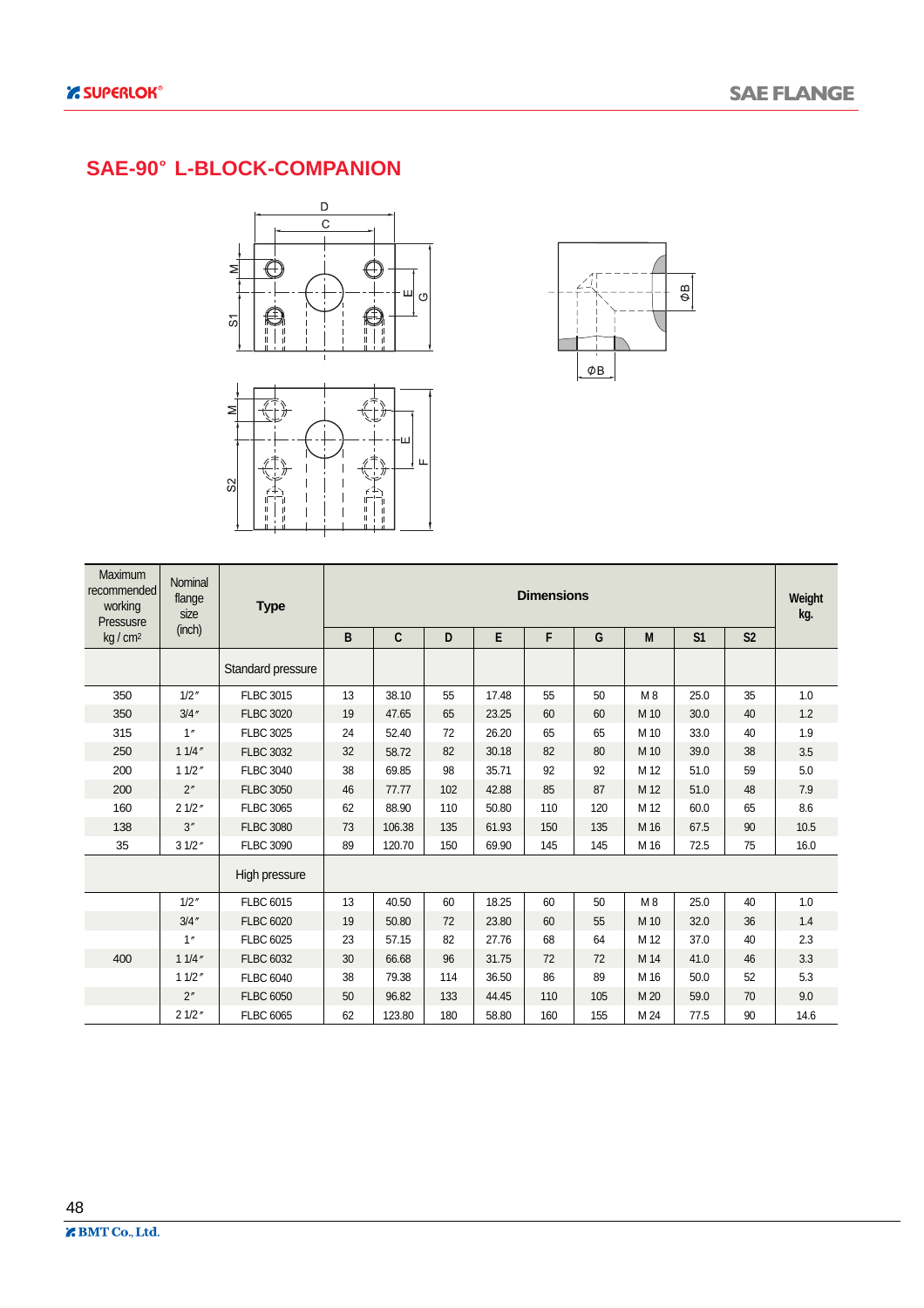### **SAE-90 L-BLOCK-COMPANION**





| <b>Maximum</b><br>recommended<br>working<br>Pressusre | Nominal<br>flange<br>size | <b>Type</b>       |    |        |     |       | <b>Dimensions</b> |     |      |                |                |      |  |
|-------------------------------------------------------|---------------------------|-------------------|----|--------|-----|-------|-------------------|-----|------|----------------|----------------|------|--|
| kg/cm <sup>2</sup>                                    | (inch)                    |                   | B  | C      | D   | E     | F                 | G   | M    | S <sub>1</sub> | S <sub>2</sub> |      |  |
|                                                       |                           | Standard pressure |    |        |     |       |                   |     |      |                |                |      |  |
| 350                                                   | 1/2''                     | <b>FLBC 3015</b>  | 13 | 38.10  | 55  | 17.48 | 55                | 50  | M8   | 25.0           | 35             | 1.0  |  |
| 350                                                   | 3/4''                     | <b>FLBC 3020</b>  | 19 | 47.65  | 65  | 23.25 | 60                | 60  | M 10 | 30.0           | 40             | 1.2  |  |
| 315                                                   | 1''                       | <b>FLBC 3025</b>  | 24 | 52.40  | 72  | 26.20 | 65                | 65  | M 10 | 33.0           | 40             | 1.9  |  |
| 250                                                   | 11/4''                    | <b>FLBC 3032</b>  | 32 | 58.72  | 82  | 30.18 | 82                | 80  | M 10 | 39.0           | 38             | 3.5  |  |
| 200                                                   | 11/2"                     | <b>FLBC 3040</b>  | 38 | 69.85  | 98  | 35.71 | 92                | 92  | M 12 | 51.0           | 59             | 5.0  |  |
| 200                                                   | 2"                        | <b>FLBC 3050</b>  | 46 | 77.77  | 102 | 42.88 | 85                | 87  | M 12 | 51.0           | 48             | 7.9  |  |
| 160                                                   | 21/2"                     | <b>FLBC 3065</b>  | 62 | 88.90  | 110 | 50.80 | 110               | 120 | M 12 | 60.0           | 65             | 8.6  |  |
| 138                                                   | 3''                       | <b>FLBC 3080</b>  | 73 | 106.38 | 135 | 61.93 | 150               | 135 | M 16 | 67.5           | 90             | 10.5 |  |
| 35                                                    | 31/2"                     | <b>FLBC 3090</b>  | 89 | 120.70 | 150 | 69.90 | 145               | 145 | M 16 | 72.5           | 75             | 16.0 |  |
|                                                       |                           | High pressure     |    |        |     |       |                   |     |      |                |                |      |  |
|                                                       | 1/2''                     | <b>FLBC 6015</b>  | 13 | 40.50  | 60  | 18.25 | 60                | 50  | M8   | 25.0           | 40             | 1.0  |  |
|                                                       | 3/4''                     | <b>FLBC 6020</b>  | 19 | 50.80  | 72  | 23.80 | 60                | 55  | M 10 | 32.0           | 36             | 1.4  |  |
|                                                       | 1''                       | <b>FLBC 6025</b>  | 23 | 57.15  | 82  | 27.76 | 68                | 64  | M 12 | 37.0           | 40             | 2.3  |  |
| 400                                                   | 11/4''                    | <b>FLBC 6032</b>  | 30 | 66.68  | 96  | 31.75 | 72                | 72  | M 14 | 41.0           | 46             | 3.3  |  |
|                                                       | 11/2"                     | <b>FLBC 6040</b>  | 38 | 79.38  | 114 | 36.50 | 86                | 89  | M 16 | 50.0           | 52             | 5.3  |  |
|                                                       | 2"                        | <b>FLBC 6050</b>  | 50 | 96.82  | 133 | 44.45 | 110               | 105 | M 20 | 59.0           | 70             | 9.0  |  |
|                                                       | 21/2"                     | <b>FLBC 6065</b>  | 62 | 123.80 | 180 | 58.80 | 160               | 155 | M 24 | 77.5           | 90             | 14.6 |  |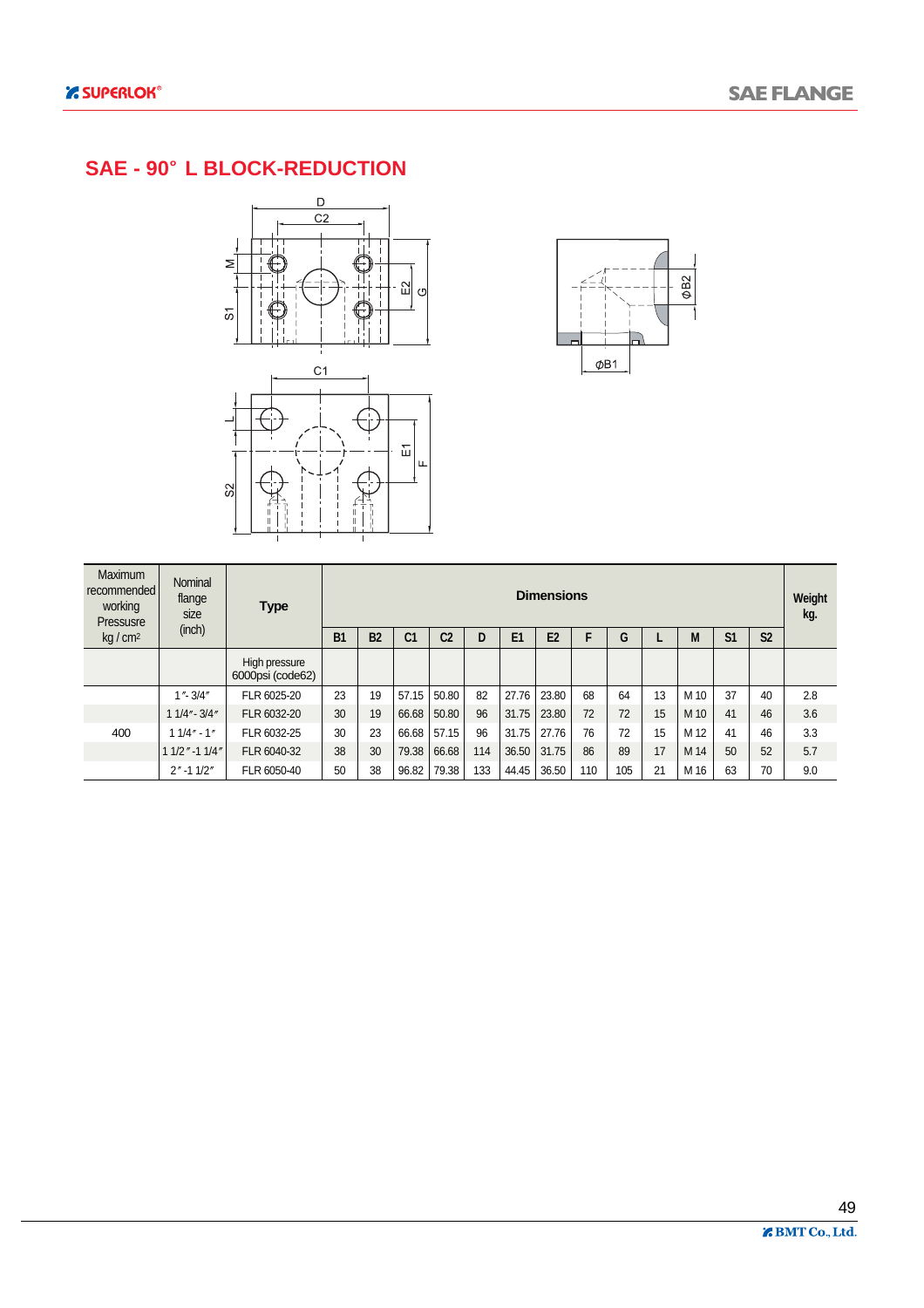#### **SAE - 90 L BLOCK-REDUCTION**





| Maximum<br>recommended<br>working<br>Pressusre | Nominal<br>flange<br>size | <b>Type</b>                       |           |           |                |                |     |                | <b>Dimensions</b> |     |     |    |      |                |                | Weight<br>kg. |
|------------------------------------------------|---------------------------|-----------------------------------|-----------|-----------|----------------|----------------|-----|----------------|-------------------|-----|-----|----|------|----------------|----------------|---------------|
| $kq/cm^2$                                      | (inch)                    |                                   | <b>B1</b> | <b>B2</b> | C <sub>1</sub> | C <sub>2</sub> | D   | E <sub>1</sub> | E <sub>2</sub>    | F   | G   |    | M    | S <sub>1</sub> | S <sub>2</sub> |               |
|                                                |                           | High pressure<br>6000psi (code62) |           |           |                |                |     |                |                   |     |     |    |      |                |                |               |
|                                                | $1 - 3/4$                 | FLR 6025-20                       | 23        | 19        | 57.15          | 50.80          | 82  | 27.76          | 23.80             | 68  | 64  | 13 | M 10 | 37             | 40             | 2.8           |
|                                                | $11/4" - 3/4"$            | FLR 6032-20                       | 30        | 19        | 66.68          | 50.80          | 96  | 31.75          | 23.80             | 72  | 72  | 15 | M 10 | 41             | 46             | 3.6           |
| 400                                            | $11/4" - 1"$              | FLR 6032-25                       | 30        | 23        | 66.68          | 57.15          | 96  | 31.75          | 27.76             | 76  | 72  | 15 | M 12 | 41             | 46             | 3.3           |
|                                                | $11/2$ " -1 $1/4$ "       | FLR 6040-32                       | 38        | 30        | 79.38          | 66.68          | 114 | 36.50          | 31.75             | 86  | 89  | 17 | M 14 | 50             | 52             | 5.7           |
|                                                | $2'' - 11/2''$            | FLR 6050-40                       | 50        | 38        | 96.82          | 79.38          | 133 | 44.45          | 36.50             | 110 | 105 | 21 | M 16 | 63             | 70             | 9.0           |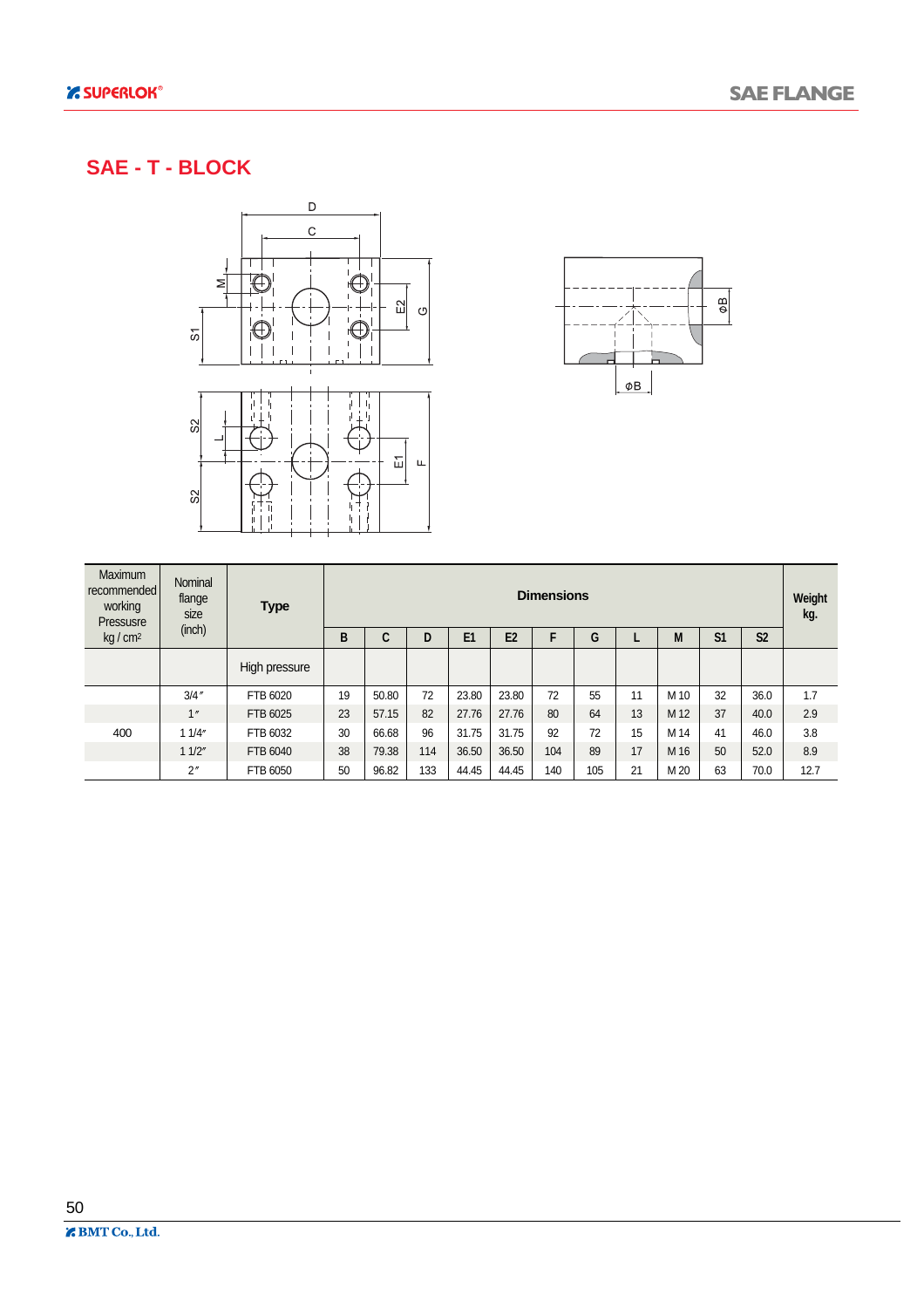#### **SAE - T - BLOCK**





| Maximum<br>recommended<br>working<br>Pressusre | Nominal<br>flange<br>size | <b>Type</b>   |    |       |     |                |                | <b>Dimensions</b> |     |    |      |                |                | Weight<br>kg. |
|------------------------------------------------|---------------------------|---------------|----|-------|-----|----------------|----------------|-------------------|-----|----|------|----------------|----------------|---------------|
| kg/cm <sup>2</sup>                             | (inch)                    |               | в  | C     | D   | E <sub>1</sub> | E <sub>2</sub> | F                 | G   |    | M    | S <sub>1</sub> | S <sub>2</sub> |               |
|                                                |                           | High pressure |    |       |     |                |                |                   |     |    |      |                |                |               |
|                                                | 3/4''                     | FTB 6020      | 19 | 50.80 | 72  | 23.80          | 23.80          | 72                | 55  | 11 | M 10 | 32             | 36.0           | 1.7           |
|                                                | 1"                        | FTB 6025      | 23 | 57.15 | 82  | 27.76          | 27.76          | 80                | 64  | 13 | M 12 | 37             | 40.0           | 2.9           |
| 400                                            | 11/4"                     | FTB 6032      | 30 | 66.68 | 96  | 31.75          | 31.75          | 92                | 72  | 15 | M 14 | 41             | 46.0           | 3.8           |
|                                                | 11/2"                     | FTB 6040      | 38 | 79.38 | 114 | 36.50          | 36.50          | 104               | 89  | 17 | M 16 | 50             | 52.0           | 8.9           |
|                                                | 2"                        | FTB 6050      | 50 | 96.82 | 133 | 44.45          | 44.45          | 140               | 105 | 21 | M 20 | 63             | 70.0           | 12.7          |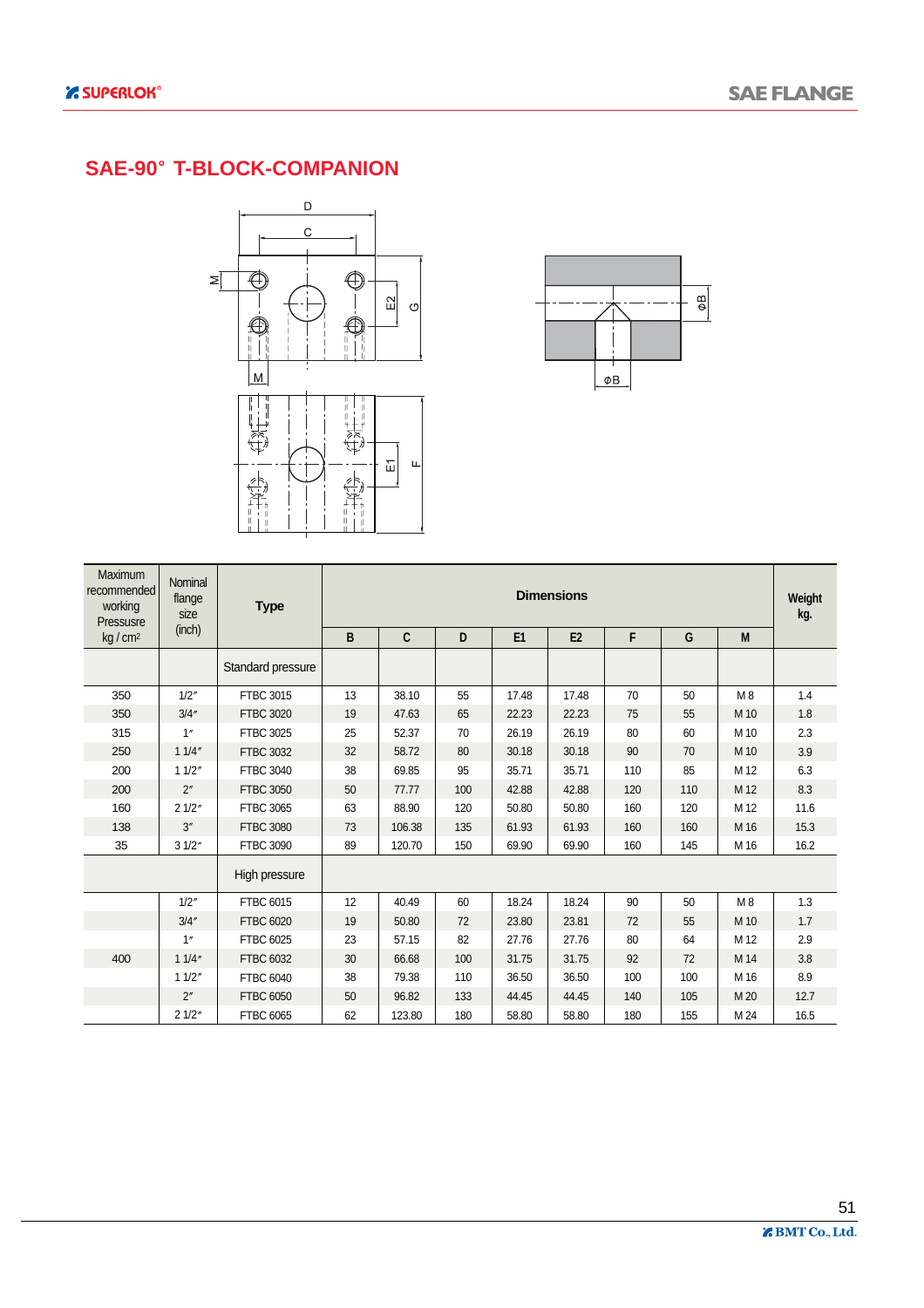#### **SAE-90 T-BLOCK-COMPANION**





| Maximum<br>recommended<br>working<br>Pressusre | Nominal<br>flange<br>size | <b>Type</b>       |    |        |     |       | <b>Dimensions</b> |     |     |      | Weight<br>kg. |
|------------------------------------------------|---------------------------|-------------------|----|--------|-----|-------|-------------------|-----|-----|------|---------------|
| kg/cm <sup>2</sup>                             | (inch)                    |                   | B  | C      | D   | E1    | E2                | F   | G   | M    |               |
|                                                |                           | Standard pressure |    |        |     |       |                   |     |     |      |               |
| 350                                            | 1/2''                     | <b>FTBC 3015</b>  | 13 | 38.10  | 55  | 17.48 | 17.48             | 70  | 50  | M8   | 1.4           |
| 350                                            | 3/4''                     | <b>FTBC 3020</b>  | 19 | 47.63  | 65  | 22.23 | 22.23             | 75  | 55  | M 10 | 1.8           |
| 315                                            | 1"                        | <b>FTBC 3025</b>  | 25 | 52.37  | 70  | 26.19 | 26.19             | 80  | 60  | M 10 | 2.3           |
| 250                                            | 11/4''                    | <b>FTBC 3032</b>  | 32 | 58.72  | 80  | 30.18 | 30.18             | 90  | 70  | M 10 | 3.9           |
| 200                                            | 11/2"                     | <b>FTBC 3040</b>  | 38 | 69.85  | 95  | 35.71 | 35.71             | 110 | 85  | M 12 | 6.3           |
| 200                                            | 2"                        | <b>FTBC 3050</b>  | 50 | 77.77  | 100 | 42.88 | 42.88             | 120 | 110 | M 12 | 8.3           |
| 160                                            | 21/2"                     | <b>FTBC 3065</b>  | 63 | 88.90  | 120 | 50.80 | 50.80             | 160 | 120 | M 12 | 11.6          |
| 138                                            | 3''                       | <b>FTBC 3080</b>  | 73 | 106.38 | 135 | 61.93 | 61.93             | 160 | 160 | M 16 | 15.3          |
| 35                                             | 31/2"                     | <b>FTBC 3090</b>  | 89 | 120.70 | 150 | 69.90 | 69.90             | 160 | 145 | M 16 | 16.2          |
|                                                |                           | High pressure     |    |        |     |       |                   |     |     |      |               |
|                                                | 1/2''                     | FTBC 6015         | 12 | 40.49  | 60  | 18.24 | 18.24             | 90  | 50  | M8   | 1.3           |
|                                                | 3/4''                     | <b>FTBC 6020</b>  | 19 | 50.80  | 72  | 23.80 | 23.81             | 72  | 55  | M 10 | 1.7           |
|                                                | 1''                       | FTBC 6025         | 23 | 57.15  | 82  | 27.76 | 27.76             | 80  | 64  | M 12 | 2.9           |
| 400                                            | 11/4"                     | FTBC 6032         | 30 | 66.68  | 100 | 31.75 | 31.75             | 92  | 72  | M 14 | 3.8           |
|                                                | 11/2"                     | <b>FTBC 6040</b>  | 38 | 79.38  | 110 | 36.50 | 36.50             | 100 | 100 | M 16 | 8.9           |
|                                                | 2 <sup>''</sup>           | <b>FTBC 6050</b>  | 50 | 96.82  | 133 | 44.45 | 44.45             | 140 | 105 | M 20 | 12.7          |
|                                                | 21/2"                     | <b>FTBC 6065</b>  | 62 | 123.80 | 180 | 58.80 | 58.80             | 180 | 155 | M 24 | 16.5          |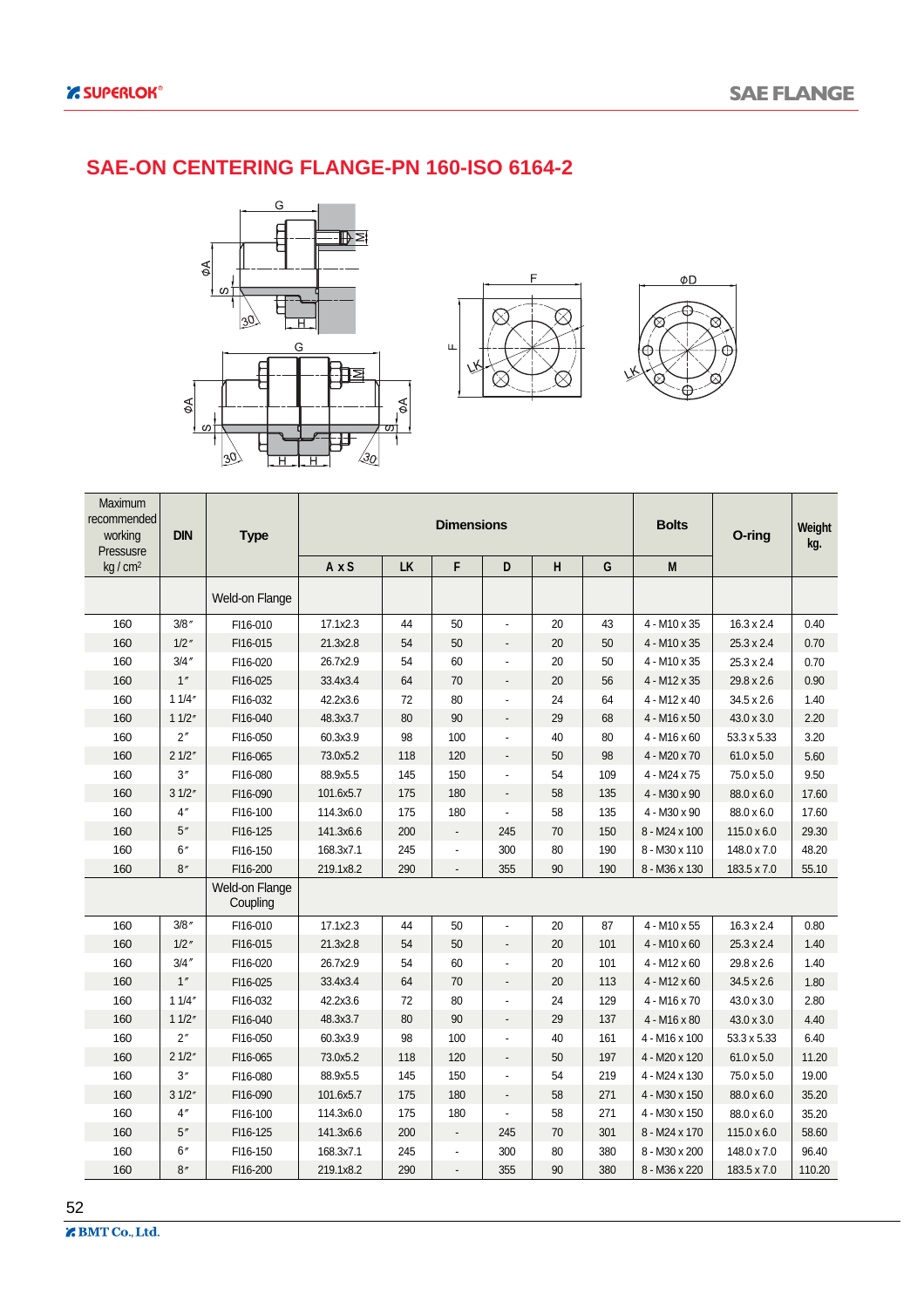#### **SAE-ON CENTERING FLANGE-PN 160-ISO 6164-2**







| Maximum<br>recommended<br>working<br>Pressusre | <b>DIN</b> | <b>Type</b>                |              |           | <b>Dimensions</b> |                          |    |     | <b>Bolts</b>        | O-ring             | Weight<br>kg. |
|------------------------------------------------|------------|----------------------------|--------------|-----------|-------------------|--------------------------|----|-----|---------------------|--------------------|---------------|
| kg / cm <sup>2</sup>                           |            |                            | $A \times S$ | <b>LK</b> | F                 | D                        | Н  | G   | M                   |                    |               |
|                                                |            | Weld-on Flange             |              |           |                   |                          |    |     |                     |                    |               |
| 160                                            | 3/8''      | FI16-010                   | 17.1x2.3     | 44        | 50                |                          | 20 | 43  | 4 - M10 x 35        | $16.3 \times 2.4$  | 0.40          |
| 160                                            | $1/2$ "    | FI16-015                   | 21.3x2.8     | 54        | 50                |                          | 20 | 50  | 4 - M10 x 35        | $25.3 \times 2.4$  | 0.70          |
| 160                                            | 3/4''      | FI16-020                   | 26.7x2.9     | 54        | 60                |                          | 20 | 50  | 4 - M10 x 35        | 25.3 x 2.4         | 0.70          |
| 160                                            | 1''        | FI16-025                   | 33.4x3.4     | 64        | 70                |                          | 20 | 56  | 4 - M12 x 35        | 29.8 x 2.6         | 0.90          |
| 160                                            | 11/4"      | FI16-032                   | 42.2x3.6     | 72        | 80                |                          | 24 | 64  | 4 - M12 x 40        | 34.5 x 2.6         | 1.40          |
| 160                                            | 11/2"      | FI16-040                   | 48.3x3.7     | 80        | 90                |                          | 29 | 68  | $4 - M16 \times 50$ | $43.0 \times 3.0$  | 2.20          |
| 160                                            | 2''        | FI16-050                   | 60.3x3.9     | 98        | 100               |                          | 40 | 80  | $4 - M16 \times 60$ | 53.3 x 5.33        | 3.20          |
| 160                                            | 21/2"      | FI16-065                   | 73.0x5.2     | 118       | 120               |                          | 50 | 98  | 4 - M20 x 70        | $61.0 \times 5.0$  | 5.60          |
| 160                                            | 3''        | FI16-080                   | 88.9x5.5     | 145       | 150               |                          | 54 | 109 | 4 - M24 x 75        | 75.0 x 5.0         | 9.50          |
| 160                                            | 31/2"      | FI16-090                   | 101.6x5.7    | 175       | 180               |                          | 58 | 135 | 4 - M30 x 90        | 88.0 x 6.0         | 17.60         |
| 160                                            | 4''        | FI16-100                   | 114.3x6.0    | 175       | 180               |                          | 58 | 135 | 4 - M30 x 90        | 88.0 x 6.0         | 17.60         |
| 160                                            | 5''        | FI16-125                   | 141.3x6.6    | 200       | $\blacksquare$    | 245                      | 70 | 150 | 8 - M24 x 100       | $115.0 \times 6.0$ | 29.30         |
| 160                                            | 6''        | FI16-150                   | 168.3x7.1    | 245       |                   | 300                      | 80 | 190 | 8 - M30 x 110       | 148.0 x 7.0        | 48.20         |
| 160                                            | 8''        | FI16-200                   | 219.1x8.2    | 290       |                   | 355                      | 90 | 190 | 8 - M36 x 130       | 183.5 x 7.0        | 55.10         |
|                                                |            | Weld-on Flange<br>Coupling |              |           |                   |                          |    |     |                     |                    |               |
| 160                                            | 3/8''      | FI16-010                   | 17.1x2.3     | 44        | 50                |                          | 20 | 87  | 4 - M10 x 55        | $16.3 \times 2.4$  | 0.80          |
| 160                                            | $1/2$ "    | FI16-015                   | 21.3x2.8     | 54        | 50                | $\overline{\phantom{a}}$ | 20 | 101 | $4 - M10 \times 60$ | $25.3 \times 2.4$  | 1.40          |
| 160                                            | 3/4''      | FI16-020                   | 26.7x2.9     | 54        | 60                |                          | 20 | 101 | $4 - M12 \times 60$ | 29.8 x 2.6         | 1.40          |
| 160                                            | 1''        | FI16-025                   | 33.4x3.4     | 64        | 70                | $\overline{a}$           | 20 | 113 | $4 - M12 \times 60$ | $34.5 \times 2.6$  | 1.80          |
| 160                                            | 11/4"      | FI16-032                   | 42.2x3.6     | 72        | 80                |                          | 24 | 129 | 4 - M16 x 70        | 43.0 x 3.0         | 2.80          |
| 160                                            | 11/2"      | FI16-040                   | 48.3x3.7     | 80        | 90                | $\overline{\phantom{a}}$ | 29 | 137 | 4 - M16 x 80        | $43.0 \times 3.0$  | 4.40          |
| 160                                            | 2''        | FI16-050                   | 60.3x3.9     | 98        | 100               |                          | 40 | 161 | 4 - M16 x 100       | 53.3 x 5.33        | 6.40          |
| 160                                            | 21/2"      | FI16-065                   | 73.0x5.2     | 118       | 120               | $\frac{1}{2}$            | 50 | 197 | 4 - M20 x 120       | 61.0 x 5.0         | 11.20         |
| 160                                            | 3''        | FI16-080                   | 88.9x5.5     | 145       | 150               |                          | 54 | 219 | 4 - M24 x 130       | 75.0 x 5.0         | 19.00         |
| 160                                            | 31/2"      | FI16-090                   | 101.6x5.7    | 175       | 180               | $\overline{\phantom{a}}$ | 58 | 271 | 4 - M30 x 150       | 88.0 x 6.0         | 35.20         |
| 160                                            | 4''        | FI16-100                   | 114.3x6.0    | 175       | 180               |                          | 58 | 271 | 4 - M30 x 150       | 88.0 x 6.0         | 35.20         |
| 160                                            | 5''        | FI16-125                   | 141.3x6.6    | 200       | ÷,                | 245                      | 70 | 301 | 8 - M24 x 170       | $115.0 \times 6.0$ | 58.60         |
| 160                                            | 6''        | FI16-150                   | 168.3x7.1    | 245       |                   | 300                      | 80 | 380 | 8 - M30 x 200       | 148.0 x 7.0        | 96.40         |
| 160                                            | 8''        | FI16-200                   | 219.1x8.2    | 290       |                   | 355                      | 90 | 380 | 8 - M36 x 220       | 183.5 x 7.0        | 110.20        |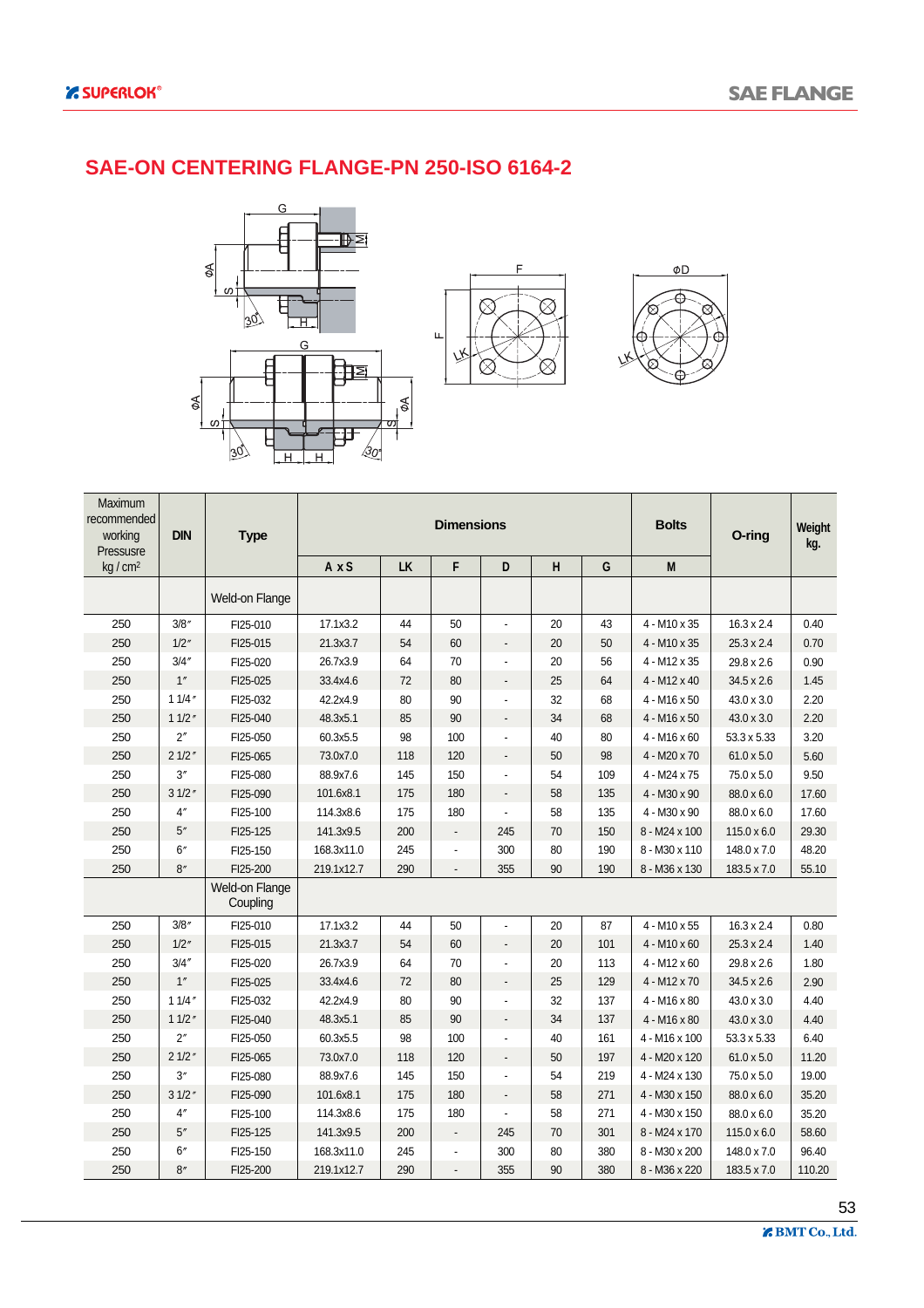#### **SAE-ON CENTERING FLANGE-PN 250-ISO 6164-2**







| Maximum<br>recommended<br>working<br>Pressusre | <b>DIN</b> | <b>Type</b>                |            |     | <b>Dimensions</b> |                          |    |     | <b>Bolts</b>        | O-ring             | Weight<br>kg. |
|------------------------------------------------|------------|----------------------------|------------|-----|-------------------|--------------------------|----|-----|---------------------|--------------------|---------------|
| kg / cm <sup>2</sup>                           |            |                            | AxS        | LK  | F                 | D                        | H  | G   | M                   |                    |               |
|                                                |            | Weld-on Flange             |            |     |                   |                          |    |     |                     |                    |               |
| 250                                            | 3/8''      | FI25-010                   | 17.1x3.2   | 44  | 50                | $\blacksquare$           | 20 | 43  | 4 - M10 x 35        | $16.3 \times 2.4$  | 0.40          |
| 250                                            | 1/2''      | FI25-015                   | 21.3x3.7   | 54  | 60                | $\overline{\phantom{a}}$ | 20 | 50  | 4 - M10 x 35        | $25.3 \times 2.4$  | 0.70          |
| 250                                            | 3/4''      | FI25-020                   | 26.7x3.9   | 64  | 70                |                          | 20 | 56  | 4 - M12 x 35        | 29.8 x 2.6         | 0.90          |
| 250                                            | 1''        | FI25-025                   | 33.4x4.6   | 72  | 80                | $\blacksquare$           | 25 | 64  | $4 - M12 \times 40$ | $34.5 \times 2.6$  | 1.45          |
| 250                                            | 11/4''     | FI25-032                   | 42.2x4.9   | 80  | 90                |                          | 32 | 68  | $4 - M16 \times 50$ | 43.0 x 3.0         | 2.20          |
| 250                                            | 11/2''     | FI25-040                   | 48.3x5.1   | 85  | 90                | $\overline{\phantom{a}}$ | 34 | 68  | $4 - M16 \times 50$ | 43.0 x 3.0         | 2.20          |
| 250                                            | 2''        | FI25-050                   | 60.3x5.5   | 98  | 100               |                          | 40 | 80  | $4 - M16 \times 60$ | 53.3 x 5.33        | 3.20          |
| 250                                            | 21/2"      | FI25-065                   | 73.0x7.0   | 118 | 120               | $\overline{a}$           | 50 | 98  | 4 - M20 x 70        | $61.0 \times 5.0$  | 5.60          |
| 250                                            | 3''        | FI25-080                   | 88.9x7.6   | 145 | 150               |                          | 54 | 109 | 4 - M24 x 75        | 75.0 x 5.0         | 9.50          |
| 250                                            | 31/2"      | FI25-090                   | 101.6x8.1  | 175 | 180               |                          | 58 | 135 | 4 - M30 x 90        | 88.0 x 6.0         | 17.60         |
| 250                                            | 4''        | FI25-100                   | 114.3x8.6  | 175 | 180               |                          | 58 | 135 | 4 - M30 x 90        | 88.0 x 6.0         | 17.60         |
| 250                                            | 5''        | FI25-125                   | 141.3x9.5  | 200 | $\overline{a}$    | 245                      | 70 | 150 | 8 - M24 x 100       | $115.0 \times 6.0$ | 29.30         |
| 250                                            | 6''        | FI25-150                   | 168.3x11.0 | 245 | $\overline{a}$    | 300                      | 80 | 190 | 8 - M30 x 110       | 148.0 x 7.0        | 48.20         |
| 250                                            | 8''        | FI25-200                   | 219.1x12.7 | 290 |                   | 355                      | 90 | 190 | 8 - M36 x 130       | 183.5 x 7.0        | 55.10         |
|                                                |            | Weld-on Flange<br>Coupling |            |     |                   |                          |    |     |                     |                    |               |
| 250                                            | 3/8''      | FI25-010                   | 17.1x3.2   | 44  | 50                |                          | 20 | 87  | 4 - M10 x 55        | $16.3 \times 2.4$  | 0.80          |
| 250                                            | 1/2''      | FI25-015                   | 21.3x3.7   | 54  | 60                |                          | 20 | 101 | $4 - M10 \times 60$ | $25.3 \times 2.4$  | 1.40          |
| 250                                            | 3/4''      | FI25-020                   | 26.7x3.9   | 64  | 70                |                          | 20 | 113 | $4 - M12 \times 60$ | 29.8 x 2.6         | 1.80          |
| 250                                            | 1''        | FI25-025                   | 33.4x4.6   | 72  | 80                |                          | 25 | 129 | 4 - M12 x 70        | 34.5 x 2.6         | 2.90          |
| 250                                            | 11/4''     | FI25-032                   | 42.2x4.9   | 80  | 90                |                          | 32 | 137 | $4 - M16 \times 80$ | 43.0 x 3.0         | 4.40          |
| 250                                            | 11/2''     | FI25-040                   | 48.3x5.1   | 85  | 90                | $\overline{a}$           | 34 | 137 | 4 - M16 x 80        | 43.0 x 3.0         | 4.40          |
| 250                                            | 2''        | FI25-050                   | 60.3x5.5   | 98  | 100               |                          | 40 | 161 | 4 - M16 x 100       | 53.3 x 5.33        | 6.40          |
| 250                                            | 21/2"      | FI25-065                   | 73.0x7.0   | 118 | 120               | $\overline{a}$           | 50 | 197 | 4 - M20 x 120       | $61.0 \times 5.0$  | 11.20         |
| 250                                            | 3''        | FI25-080                   | 88.9x7.6   | 145 | 150               |                          | 54 | 219 | 4 - M24 x 130       | 75.0 x 5.0         | 19.00         |
| 250                                            | 31/2"      | FI25-090                   | 101.6x8.1  | 175 | 180               | $\overline{\phantom{a}}$ | 58 | 271 | 4 - M30 x 150       | 88.0 x 6.0         | 35.20         |
| 250                                            | 4''        | FI25-100                   | 114.3x8.6  | 175 | 180               |                          | 58 | 271 | 4 - M30 x 150       | 88.0 x 6.0         | 35.20         |
| 250                                            | 5''        | FI25-125                   | 141.3x9.5  | 200 | $\blacksquare$    | 245                      | 70 | 301 | 8 - M24 x 170       | $115.0 \times 6.0$ | 58.60         |
| 250                                            | 6''        | FI25-150                   | 168.3x11.0 | 245 |                   | 300                      | 80 | 380 | 8 - M30 x 200       | 148.0 x 7.0        | 96.40         |
| 250                                            | 8''        | FI25-200                   | 219.1x12.7 | 290 |                   | 355                      | 90 | 380 | 8 - M36 x 220       | 183.5 x 7.0        | 110.20        |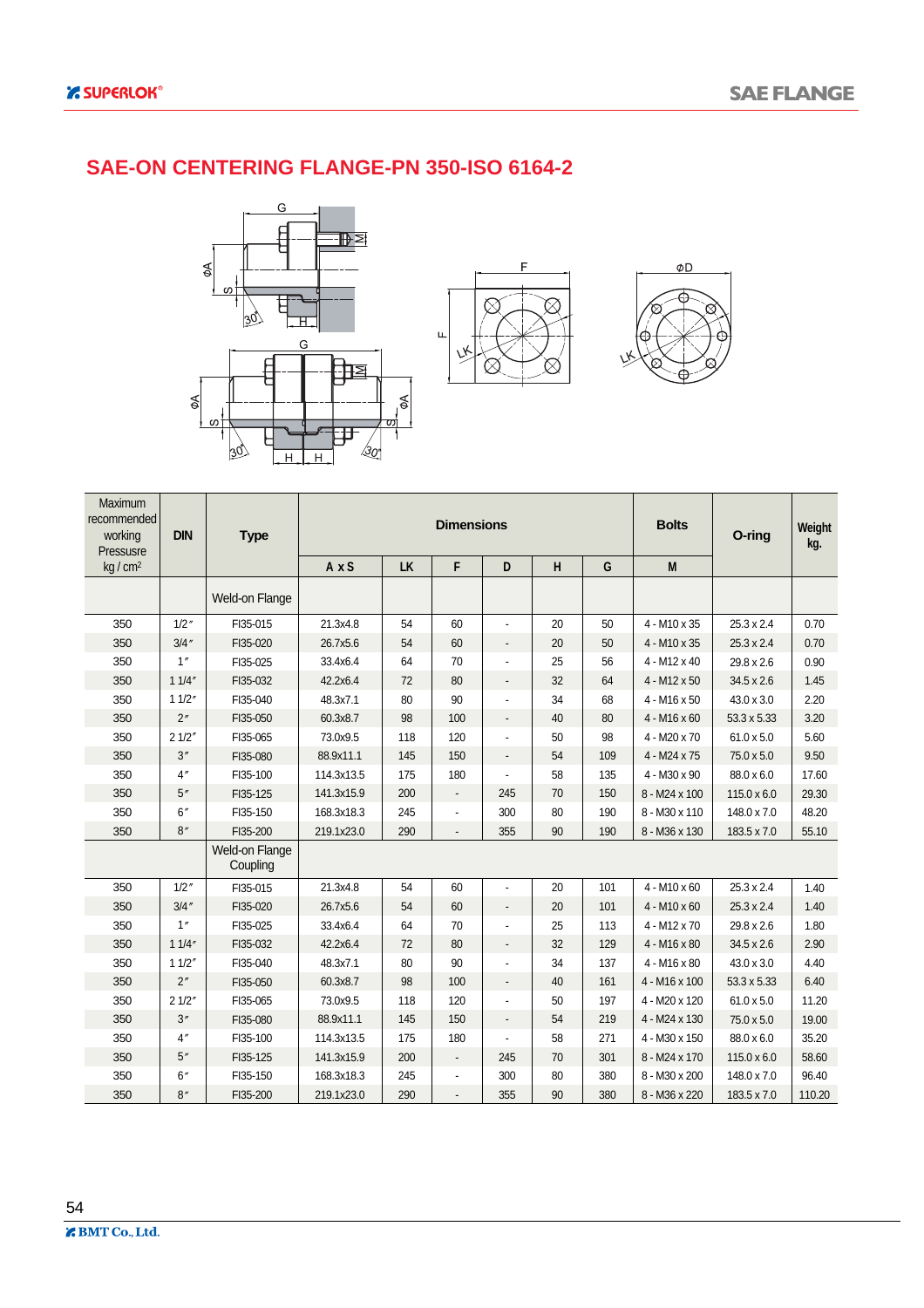#### **SAE-ON CENTERING FLANGE-PN 350-ISO 6164-2**







| Maximum<br>recommended<br>working<br>Pressusre | <b>DIN</b> | <b>Type</b>                |            |     | <b>Dimensions</b>               |                          |    |     | <b>Bolts</b>        | O-ring             | Weight<br>kg. |
|------------------------------------------------|------------|----------------------------|------------|-----|---------------------------------|--------------------------|----|-----|---------------------|--------------------|---------------|
| kg / cm <sup>2</sup>                           |            |                            | AxS        | LK  | F                               | D                        | H  | G   | M                   |                    |               |
|                                                |            | Weld-on Flange             |            |     |                                 |                          |    |     |                     |                    |               |
| 350                                            | 1/2''      | FI35-015                   | 21.3x4.8   | 54  | 60                              | $\overline{a}$           | 20 | 50  | 4 - M10 x 35        | $25.3 \times 2.4$  | 0.70          |
| 350                                            | 3/4''      | FI35-020                   | 26.7x5.6   | 54  | 60                              | $\overline{a}$           | 20 | 50  | 4 - M10 x 35        | $25.3 \times 2.4$  | 0.70          |
| 350                                            | 1''        | FI35-025                   | 33.4x6.4   | 64  | 70                              |                          | 25 | 56  | $4 - M12 \times 40$ | 29.8 x 2.6         | 0.90          |
| 350                                            | 11/4"      | FI35-032                   | 42.2x6.4   | 72  | 80                              |                          | 32 | 64  | 4 - M12 x 50        | 34.5 x 2.6         | 1.45          |
| 350                                            | 11/2"      | FI35-040                   | 48.3x7.1   | 80  | 90                              |                          | 34 | 68  | 4 - M16 x 50        | 43.0 x 3.0         | 2.20          |
| 350                                            | 2"         | FI35-050                   | 60.3x8.7   | 98  | 100                             |                          | 40 | 80  | $4 - M16 \times 60$ | 53.3 x 5.33        | 3.20          |
| 350                                            | 21/2"      | FI35-065                   | 73.0x9.5   | 118 | 120                             |                          | 50 | 98  | 4 - M20 x 70        | $61.0 \times 5.0$  | 5.60          |
| 350                                            | 3''        | FI35-080                   | 88.9x11.1  | 145 | 150                             | $\overline{\phantom{0}}$ | 54 | 109 | 4 - M24 x 75        | 75.0 x 5.0         | 9.50          |
| 350                                            | 4''        | FI35-100                   | 114.3x13.5 | 175 | 180                             |                          | 58 | 135 | 4 - M30 x 90        | 88.0 x 6.0         | 17.60         |
| 350                                            | 5''        | FI35-125                   | 141.3x15.9 | 200 |                                 | 245                      | 70 | 150 | 8 - M24 x 100       | $115.0 \times 6.0$ | 29.30         |
| 350                                            | 6''        | FI35-150                   | 168.3x18.3 | 245 |                                 | 300                      | 80 | 190 | 8 - M30 x 110       | 148.0 x 7.0        | 48.20         |
| 350                                            | 8''        | FI35-200                   | 219.1x23.0 | 290 |                                 | 355                      | 90 | 190 | 8 - M36 x 130       | 183.5 x 7.0        | 55.10         |
|                                                |            | Weld-on Flange<br>Coupling |            |     |                                 |                          |    |     |                     |                    |               |
| 350                                            | 1/2''      | FI35-015                   | 21.3x4.8   | 54  | 60                              | $\overline{a}$           | 20 | 101 | $4 - M10 \times 60$ | $25.3 \times 2.4$  | 1.40          |
| 350                                            | 3/4''      | FI35-020                   | 26.7x5.6   | 54  | 60                              |                          | 20 | 101 | $4 - M10 \times 60$ | $25.3 \times 2.4$  | 1.40          |
| 350                                            | 1''        | FI35-025                   | 33.4x6.4   | 64  | 70                              |                          | 25 | 113 | $4 - M12 \times 70$ | 29.8 x 2.6         | 1.80          |
| 350                                            | 11/4"      | FI35-032                   | 42.2x6.4   | 72  | 80                              |                          | 32 | 129 | 4 - M16 x 80        | 34.5 x 2.6         | 2.90          |
| 350                                            | 11/2''     | FI35-040                   | 48.3x7.1   | 80  | 90                              |                          | 34 | 137 | $4 - M16 \times 80$ | 43.0 x 3.0         | 4.40          |
| 350                                            | 2"         | FI35-050                   | 60.3x8.7   | 98  | 100                             |                          | 40 | 161 | 4 - M16 x 100       | 53.3 x 5.33        | 6.40          |
| 350                                            | 21/2"      | FI35-065                   | 73.0x9.5   | 118 | 120                             |                          | 50 | 197 | 4 - M20 x 120       | $61.0 \times 5.0$  | 11.20         |
| 350                                            | 3''        | FI35-080                   | 88.9x11.1  | 145 | 150                             |                          | 54 | 219 | 4 - M24 x 130       | 75.0 x 5.0         | 19.00         |
| 350                                            | 4''        | FI35-100                   | 114.3x13.5 | 175 | 180                             |                          | 58 | 271 | 4 - M30 x 150       | 88.0 x 6.0         | 35.20         |
| 350                                            | 5''        | FI35-125                   | 141.3x15.9 | 200 | $\centering \label{eq:reduced}$ | 245                      | 70 | 301 | 8 - M24 x 170       | $115.0 \times 6.0$ | 58.60         |
| 350                                            | 6''        | FI35-150                   | 168.3x18.3 | 245 |                                 | 300                      | 80 | 380 | 8 - M30 x 200       | 148.0 x 7.0        | 96.40         |
| 350                                            | 8''        | FI35-200                   | 219.1x23.0 | 290 |                                 | 355                      | 90 | 380 | 8 - M36 x 220       | 183.5 x 7.0        | 110.20        |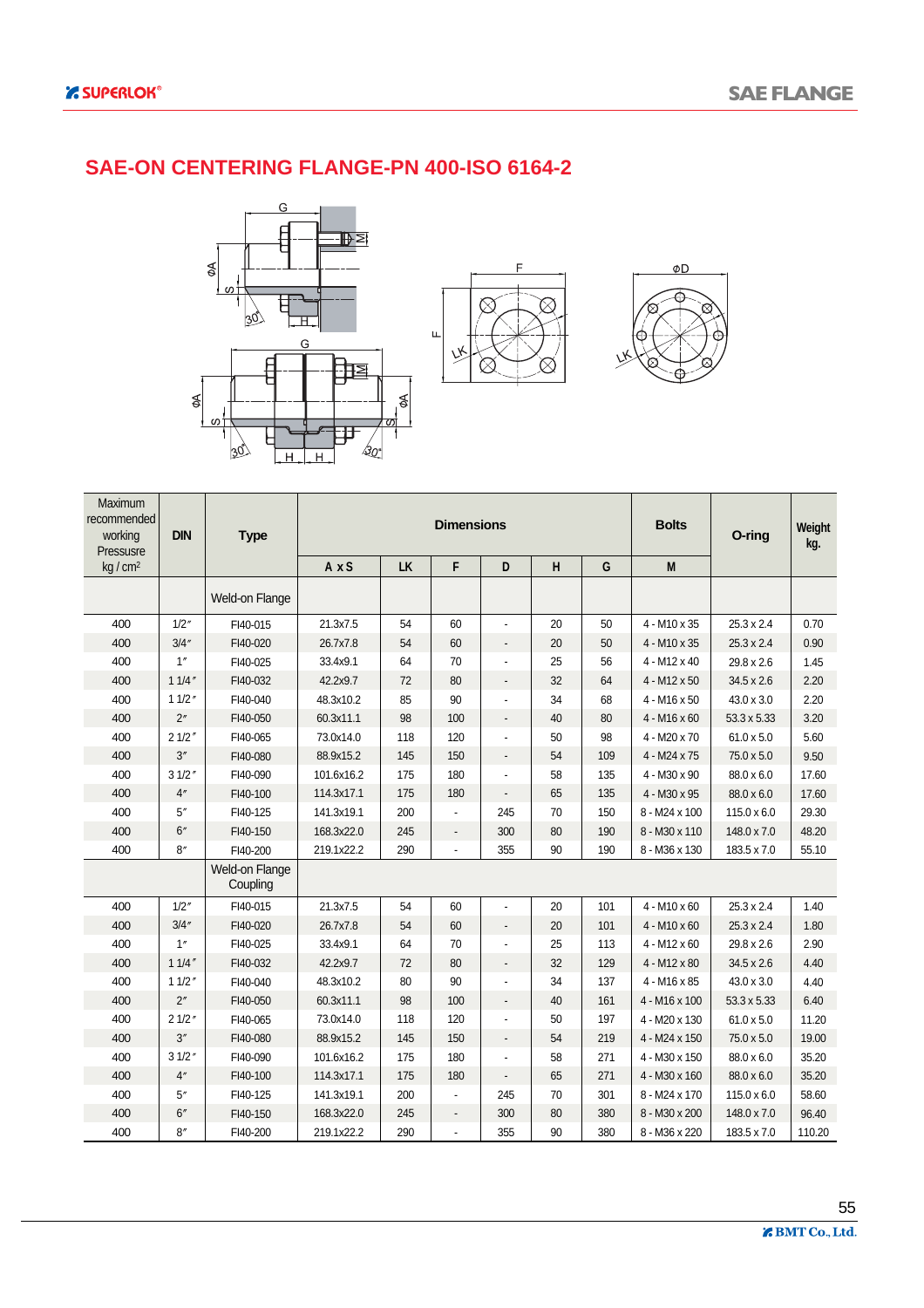#### **SAE-ON CENTERING FLANGE-PN 400-ISO 6164-2**







| Maximum<br>recommended<br>working<br>Pressusre | <b>DIN</b> | <b>Type</b>                       |            |           | <b>Dimensions</b>        |                              |         |     | <b>Bolts</b>        | O-ring             | Weight<br>kg. |
|------------------------------------------------|------------|-----------------------------------|------------|-----------|--------------------------|------------------------------|---------|-----|---------------------|--------------------|---------------|
| kg / cm <sup>2</sup>                           |            |                                   | AxS        | <b>LK</b> | F                        | D                            | $\sf H$ | G   | M                   |                    |               |
|                                                |            | <b>Weld-on Flange</b>             |            |           |                          |                              |         |     |                     |                    |               |
| 400                                            | 1/2''      | FI40-015                          | 21.3x7.5   | 54        | 60                       |                              | 20      | 50  | 4 - M10 x 35        | $25.3 \times 2.4$  | 0.70          |
| 400                                            | 3/4''      | FI40-020                          | 26.7x7.8   | 54        | 60                       | $\overline{\phantom{a}}$     | 20      | 50  | $4 - M10 \times 35$ | $25.3 \times 2.4$  | 0.90          |
| 400                                            | 1''        | FI40-025                          | 33.4x9.1   | 64        | 70                       |                              | 25      | 56  | 4 - M12 x 40        | 29.8 x 2.6         | 1.45          |
| 400                                            | 11/4''     | FI40-032                          | 42.2x9.7   | 72        | 80                       |                              | 32      | 64  | $4 - M12 \times 50$ | 34.5 x 2.6         | 2.20          |
| 400                                            | 11/2''     | FI40-040                          | 48.3x10.2  | 85        | 90                       |                              | 34      | 68  | $4 - M16 \times 50$ | 43.0 x 3.0         | 2.20          |
| 400                                            | 2"         | FI40-050                          | 60.3x11.1  | 98        | 100                      | $\overline{\phantom{a}}$     | 40      | 80  | $4 - M16 \times 60$ | 53.3 x 5.33        | 3.20          |
| 400                                            | 21/2''     | FI40-065                          | 73.0x14.0  | 118       | 120                      |                              | 50      | 98  | 4 - M20 x 70        | $61.0 \times 5.0$  | 5.60          |
| 400                                            | 3''        | FI40-080                          | 88.9x15.2  | 145       | 150                      | $\overline{\phantom{a}}$     | 54      | 109 | 4 - M24 x 75        | 75.0 x 5.0         | 9.50          |
| 400                                            | 31/2''     | FI40-090                          | 101.6x16.2 | 175       | 180                      |                              | 58      | 135 | 4 - M30 x 90        | 88.0 x 6.0         | 17.60         |
| 400                                            | 4''        | FI40-100                          | 114.3x17.1 | 175       | 180                      |                              | 65      | 135 | 4 - M30 x 95        | 88.0 x 6.0         | 17.60         |
| 400                                            | 5''        | FI40-125                          | 141.3x19.1 | 200       |                          | 245                          | 70      | 150 | 8 - M24 x 100       | $115.0 \times 6.0$ | 29.30         |
| 400                                            | 6''        | FI40-150                          | 168.3x22.0 | 245       | $\overline{\phantom{a}}$ | 300                          | 80      | 190 | 8 - M30 x 110       | 148.0 x 7.0        | 48.20         |
| 400                                            | 8''        | FI40-200                          | 219.1x22.2 | 290       | $\overline{a}$           | 355                          | 90      | 190 | 8 - M36 x 130       | 183.5 x 7.0        | 55.10         |
|                                                |            | <b>Weld-on Flange</b><br>Coupling |            |           |                          |                              |         |     |                     |                    |               |
| 400                                            | 1/2''      | FI40-015                          | 21.3x7.5   | 54        | 60                       |                              | 20      | 101 | $4 - M10 \times 60$ | $25.3 \times 2.4$  | 1.40          |
| 400                                            | 3/4''      | FI40-020                          | 26.7x7.8   | 54        | 60                       | $\overline{\phantom{m}}$     | 20      | 101 | $4 - M10 \times 60$ | $25.3 \times 2.4$  | 1.80          |
| 400                                            | 1"         | FI40-025                          | 33.4x9.1   | 64        | 70                       |                              | 25      | 113 | $4 - M12 \times 60$ | 29.8 x 2.6         | 2.90          |
| 400                                            | 11/4''     | FI40-032                          | 42.2x9.7   | 72        | 80                       | $\overline{\phantom{a}}$     | 32      | 129 | $4 - M12 \times 80$ | 34.5 x 2.6         | 4.40          |
| 400                                            | 11/2''     | FI40-040                          | 48.3x10.2  | 80        | 90                       |                              | 34      | 137 | $4 - M16 \times 85$ | 43.0 x 3.0         | 4.40          |
| 400                                            | 2"         | FI40-050                          | 60.3x11.1  | 98        | 100                      | $\overline{a}$               | 40      | 161 | 4 - M16 x 100       | 53.3 x 5.33        | 6.40          |
| 400                                            | 21/2''     | FI40-065                          | 73.0x14.0  | 118       | 120                      |                              | 50      | 197 | 4 - M20 x 130       | $61.0 \times 5.0$  | 11.20         |
| 400                                            | 3''        | FI40-080                          | 88.9x15.2  | 145       | 150                      | $\qquad \qquad \blacksquare$ | 54      | 219 | 4 - M24 x 150       | 75.0 x 5.0         | 19.00         |
| 400                                            | 31/2''     | FI40-090                          | 101.6x16.2 | 175       | 180                      |                              | 58      | 271 | 4 - M30 x 150       | 88.0 x 6.0         | 35.20         |
| 400                                            | 4''        | FI40-100                          | 114.3x17.1 | 175       | 180                      |                              | 65      | 271 | 4 - M30 x 160       | 88.0 x 6.0         | 35.20         |
| 400                                            | 5''        | FI40-125                          | 141.3x19.1 | 200       |                          | 245                          | 70      | 301 | 8 - M24 x 170       | $115.0 \times 6.0$ | 58.60         |
| 400                                            | 6''        | FI40-150                          | 168.3x22.0 | 245       |                          | 300                          | 80      | 380 | 8 - M30 x 200       | 148.0 x 7.0        | 96.40         |
| 400                                            | 8''        | FI40-200                          | 219.1x22.2 | 290       |                          | 355                          | 90      | 380 | 8 - M36 x 220       | 183.5 x 7.0        | 110.20        |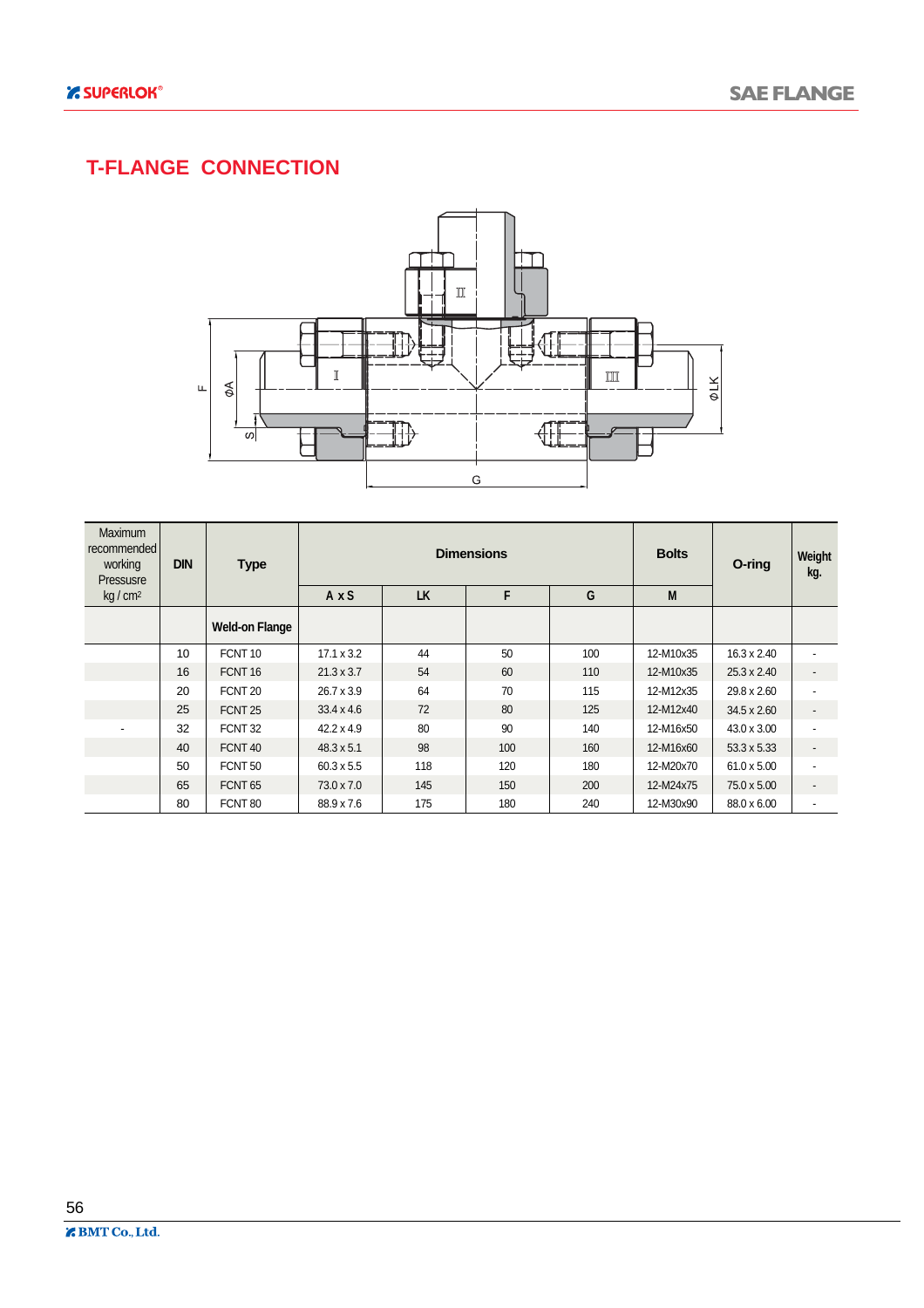### **T-FLANGE CONNECTION**



| Maximum<br>recommended  <br>working<br>Pressusre | <b>DIN</b> | <b>Type</b>           |                   |           | <b>Dimensions</b> |     | <b>Bolts</b> | O-ring             | Weight<br>kg.            |
|--------------------------------------------------|------------|-----------------------|-------------------|-----------|-------------------|-----|--------------|--------------------|--------------------------|
| kg/cm <sup>2</sup>                               |            |                       | AxS               | <b>LK</b> | F                 | G   | M            |                    |                          |
|                                                  |            | <b>Weld-on Flange</b> |                   |           |                   |     |              |                    |                          |
|                                                  | 10         | FCNT <sub>10</sub>    | $17.1 \times 3.2$ | 44        | 50                | 100 | 12-M10x35    | $16.3 \times 2.40$ |                          |
|                                                  | 16         | FCNT <sub>16</sub>    | $21.3 \times 3.7$ | 54        | 60                | 110 | 12-M10x35    | 25.3 x 2.40        | $\overline{\phantom{a}}$ |
|                                                  | 20         | FCNT <sub>20</sub>    | $26.7 \times 3.9$ | 64        | 70                | 115 | 12-M12x35    | 29.8 x 2.60        | $\blacksquare$           |
|                                                  | 25         | FCNT <sub>25</sub>    | $33.4 \times 4.6$ | 72        | 80                | 125 | 12-M12x40    | 34.5 x 2.60        | $\overline{\phantom{a}}$ |
|                                                  | 32         | FCNT <sub>32</sub>    | $42.2 \times 4.9$ | 80        | 90                | 140 | 12-M16x50    | 43.0 x 3.00        | $\blacksquare$           |
|                                                  | 40         | FCNT <sub>40</sub>    | $48.3 \times 5.1$ | 98        | 100               | 160 | 12-M16x60    | 53.3 x 5.33        | $\overline{\phantom{a}}$ |
|                                                  | 50         | FCNT <sub>50</sub>    | $60.3 \times 5.5$ | 118       | 120               | 180 | 12-M20x70    | 61.0 x 5.00        | $\overline{\phantom{a}}$ |
|                                                  | 65         | FCNT <sub>65</sub>    | 73.0 x 7.0        | 145       | 150               | 200 | 12-M24x75    | 75.0 x 5.00        | $\overline{\phantom{a}}$ |
|                                                  | 80         | FCNT <sub>80</sub>    | 88.9 x 7.6        | 175       | 180               | 240 | 12-M30x90    | 88.0 x 6.00        | $\overline{\phantom{a}}$ |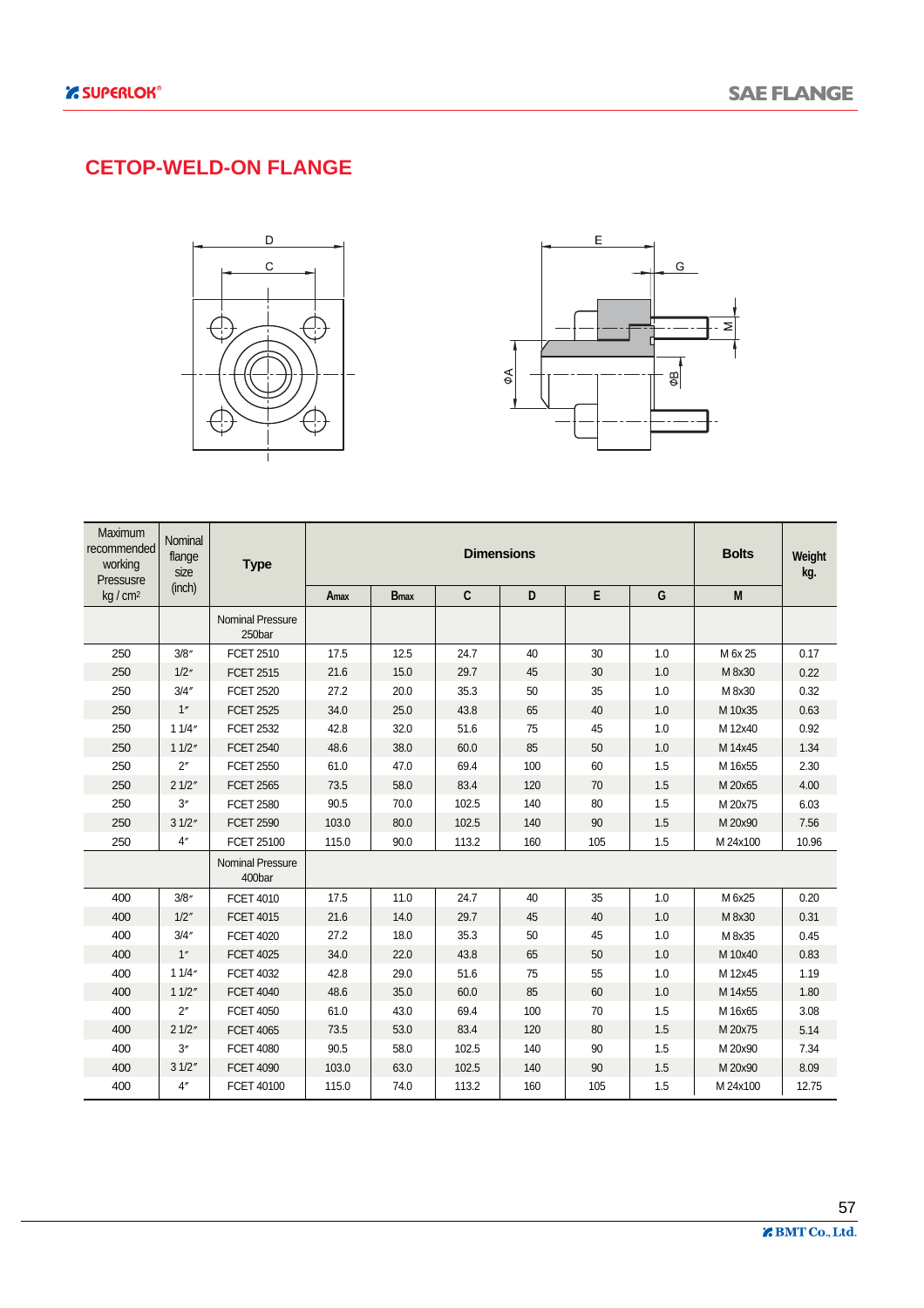#### **CETOP-WELD-ON FLANGE**





| Maximum<br>recommended<br>working<br>Pressusre | Nominal<br>flange<br>size | <b>Type</b>                       |       |                         |       | <b>Dimensions</b> |     |     | <b>Bolts</b> | Weight<br>kg. |
|------------------------------------------------|---------------------------|-----------------------------------|-------|-------------------------|-------|-------------------|-----|-----|--------------|---------------|
| kg/cm <sup>2</sup>                             | (inch)                    |                                   | Amax  | <b>B</b> <sub>max</sub> | C     | D                 | E   | G   | M            |               |
|                                                |                           | <b>Nominal Pressure</b><br>250bar |       |                         |       |                   |     |     |              |               |
| 250                                            | 3/8''                     | <b>FCET 2510</b>                  | 17.5  | 12.5                    | 24.7  | 40                | 30  | 1.0 | M 6x 25      | 0.17          |
| 250                                            | 1/2''                     | <b>FCET 2515</b>                  | 21.6  | 15.0                    | 29.7  | 45                | 30  | 1.0 | M 8x30       | 0.22          |
| 250                                            | 3/4''                     | <b>FCET 2520</b>                  | 27.2  | 20.0                    | 35.3  | 50                | 35  | 1.0 | M 8x30       | 0.32          |
| 250                                            | 1''                       | <b>FCET 2525</b>                  | 34.0  | 25.0                    | 43.8  | 65                | 40  | 1.0 | M 10x35      | 0.63          |
| 250                                            | 11/4"                     | <b>FCET 2532</b>                  | 42.8  | 32.0                    | 51.6  | 75                | 45  | 1.0 | M 12x40      | 0.92          |
| 250                                            | 11/2"                     | <b>FCET 2540</b>                  | 48.6  | 38.0                    | 60.0  | 85                | 50  | 1.0 | M 14x45      | 1.34          |
| 250                                            | $2^{\prime\prime}$        | <b>FCET 2550</b>                  | 61.0  | 47.0                    | 69.4  | 100               | 60  | 1.5 | M 16x55      | 2.30          |
| 250                                            | 21/2"                     | <b>FCET 2565</b>                  | 73.5  | 58.0                    | 83.4  | 120               | 70  | 1.5 | M 20x65      | 4.00          |
| 250                                            | 3''                       | <b>FCET 2580</b>                  | 90.5  | 70.0                    | 102.5 | 140               | 80  | 1.5 | M 20x75      | 6.03          |
| 250                                            | 31/2"                     | <b>FCET 2590</b>                  | 103.0 | 80.0                    | 102.5 | 140               | 90  | 1.5 | M 20x90      | 7.56          |
| 250                                            | 4''                       | FCET 25100                        | 115.0 | 90.0                    | 113.2 | 160               | 105 | 1.5 | M 24x100     | 10.96         |
|                                                |                           | <b>Nominal Pressure</b><br>400bar |       |                         |       |                   |     |     |              |               |
| 400                                            | 3/8''                     | <b>FCET 4010</b>                  | 17.5  | 11.0                    | 24.7  | 40                | 35  | 1.0 | M 6x25       | 0.20          |
| 400                                            | 1/2''                     | <b>FCET 4015</b>                  | 21.6  | 14.0                    | 29.7  | 45                | 40  | 1.0 | M 8x30       | 0.31          |
| 400                                            | 3/4''                     | <b>FCET 4020</b>                  | 27.2  | 18.0                    | 35.3  | 50                | 45  | 1.0 | M 8x35       | 0.45          |
| 400                                            | 1"                        | <b>FCET 4025</b>                  | 34.0  | 22.0                    | 43.8  | 65                | 50  | 1.0 | M 10x40      | 0.83          |
| 400                                            | 11/4"                     | <b>FCET 4032</b>                  | 42.8  | 29.0                    | 51.6  | 75                | 55  | 1.0 | M 12x45      | 1.19          |
| 400                                            | 11/2"                     | <b>FCET 4040</b>                  | 48.6  | 35.0                    | 60.0  | 85                | 60  | 1.0 | M 14x55      | 1.80          |
| 400                                            | 2 <sup>''</sup>           | <b>FCET 4050</b>                  | 61.0  | 43.0                    | 69.4  | 100               | 70  | 1.5 | M 16x65      | 3.08          |
| 400                                            | 21/2"                     | <b>FCET 4065</b>                  | 73.5  | 53.0                    | 83.4  | 120               | 80  | 1.5 | M 20x75      | 5.14          |
| 400                                            | 3''                       | <b>FCET 4080</b>                  | 90.5  | 58.0                    | 102.5 | 140               | 90  | 1.5 | M 20x90      | 7.34          |
| 400                                            | 31/2"                     | <b>FCET 4090</b>                  | 103.0 | 63.0                    | 102.5 | 140               | 90  | 1.5 | M 20x90      | 8.09          |
| 400                                            | 4 <sup>''</sup>           | FCET 40100                        | 115.0 | 74.0                    | 113.2 | 160               | 105 | 1.5 | M 24x100     | 12.75         |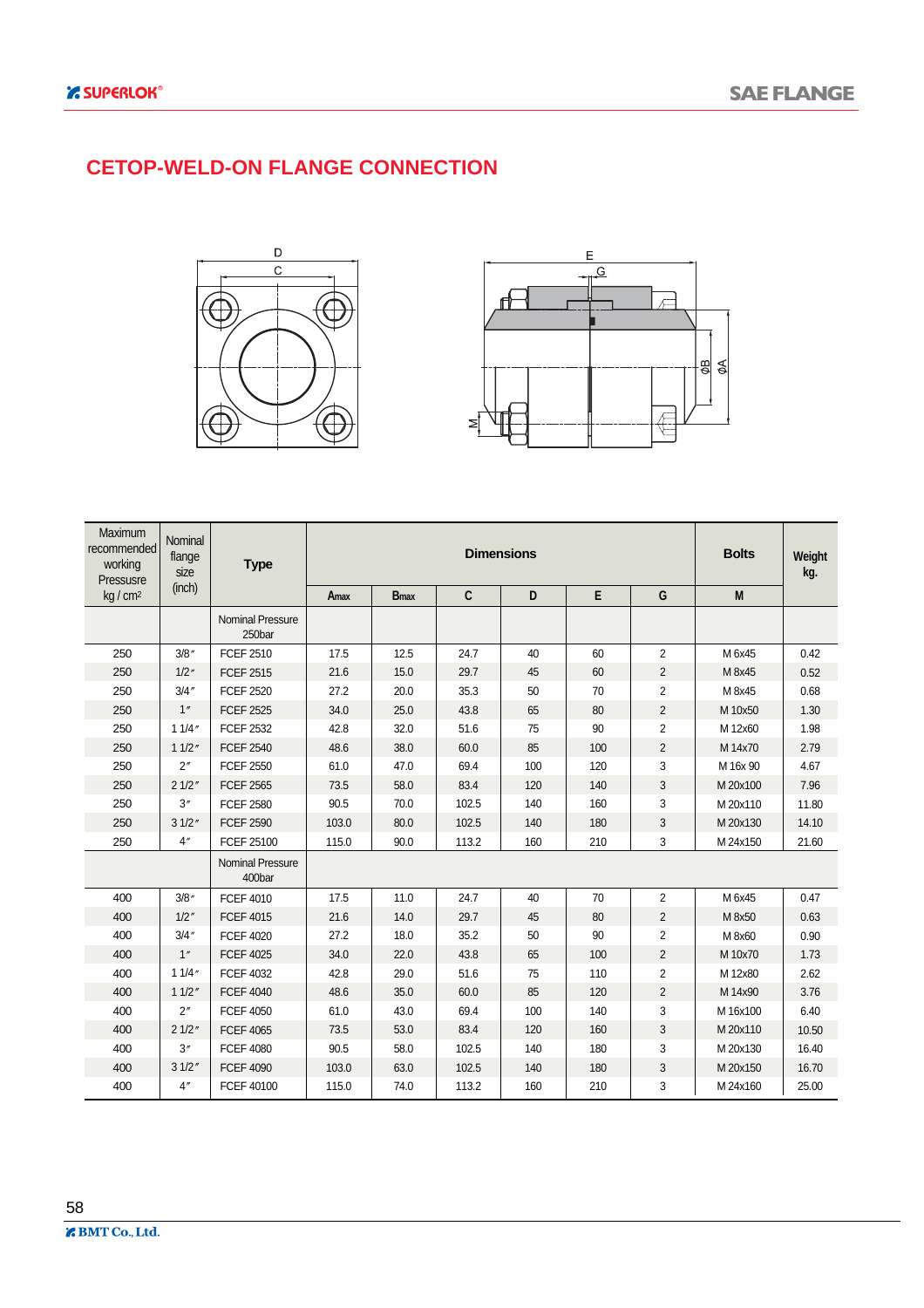#### **CETOP-WELD-ON FLANGE CONNECTION**





| <b>Maximum</b><br>recommended<br>working<br>Pressusre | Nominal<br>flange<br>size | <b>Type</b>                       |       |                         |       | <b>Dimensions</b> |     |                | <b>Bolts</b> | Weight<br>kg. |
|-------------------------------------------------------|---------------------------|-----------------------------------|-------|-------------------------|-------|-------------------|-----|----------------|--------------|---------------|
| kg/cm <sup>2</sup>                                    | (inch)                    |                                   | Amax  | <b>B</b> <sub>max</sub> | C     | D                 | E   | G              | M            |               |
|                                                       |                           | <b>Nominal Pressure</b><br>250bar |       |                         |       |                   |     |                |              |               |
| 250                                                   | 3/8''                     | <b>FCEF 2510</b>                  | 17.5  | 12.5                    | 24.7  | 40                | 60  | $\overline{2}$ | M 6x45       | 0.42          |
| 250                                                   | 1/2''                     | <b>FCEF 2515</b>                  | 21.6  | 15.0                    | 29.7  | 45                | 60  | $\overline{2}$ | M 8x45       | 0.52          |
| 250                                                   | 3/4''                     | <b>FCEF 2520</b>                  | 27.2  | 20.0                    | 35.3  | 50                | 70  | $\overline{2}$ | M 8x45       | 0.68          |
| 250                                                   | 1''                       | <b>FCEF 2525</b>                  | 34.0  | 25.0                    | 43.8  | 65                | 80  | $\overline{2}$ | M 10x50      | 1.30          |
| 250                                                   | 11/4''                    | <b>FCEF 2532</b>                  | 42.8  | 32.0                    | 51.6  | 75                | 90  | $\overline{2}$ | M 12x60      | 1.98          |
| 250                                                   | 11/2''                    | <b>FCEF 2540</b>                  | 48.6  | 38.0                    | 60.0  | 85                | 100 | $\overline{2}$ | M 14x70      | 2.79          |
| 250                                                   | 2''                       | <b>FCEF 2550</b>                  | 61.0  | 47.0                    | 69.4  | 100               | 120 | 3              | M 16x 90     | 4.67          |
| 250                                                   | 21/2"                     | <b>FCEF 2565</b>                  | 73.5  | 58.0                    | 83.4  | 120               | 140 | 3              | M 20x100     | 7.96          |
| 250                                                   | 3''                       | <b>FCEF 2580</b>                  | 90.5  | 70.0                    | 102.5 | 140               | 160 | 3              | M 20x110     | 11.80         |
| 250                                                   | 31/2"                     | <b>FCEF 2590</b>                  | 103.0 | 80.0                    | 102.5 | 140               | 180 | 3              | M 20x130     | 14.10         |
| 250                                                   | 4 <sup>''</sup>           | FCEF 25100                        | 115.0 | 90.0                    | 113.2 | 160               | 210 | 3              | M 24x150     | 21.60         |
|                                                       |                           | <b>Nominal Pressure</b><br>400bar |       |                         |       |                   |     |                |              |               |
| 400                                                   | 3/8''                     | <b>FCEF 4010</b>                  | 17.5  | 11.0                    | 24.7  | 40                | 70  | $\overline{2}$ | M 6x45       | 0.47          |
| 400                                                   | 1/2''                     | <b>FCEF 4015</b>                  | 21.6  | 14.0                    | 29.7  | 45                | 80  | $\overline{2}$ | M 8x50       | 0.63          |
| 400                                                   | 3/4''                     | <b>FCEF 4020</b>                  | 27.2  | 18.0                    | 35.2  | 50                | 90  | $\overline{c}$ | M 8x60       | 0.90          |
| 400                                                   | 1"                        | <b>FCEF 4025</b>                  | 34.0  | 22.0                    | 43.8  | 65                | 100 | $\overline{2}$ | M 10x70      | 1.73          |
| 400                                                   | 11/4''                    | <b>FCEF 4032</b>                  | 42.8  | 29.0                    | 51.6  | 75                | 110 | $\overline{2}$ | M 12x80      | 2.62          |
| 400                                                   | 11/2''                    | <b>FCEF 4040</b>                  | 48.6  | 35.0                    | 60.0  | 85                | 120 | $\overline{2}$ | M 14x90      | 3.76          |
| 400                                                   | 2"                        | <b>FCEF 4050</b>                  | 61.0  | 43.0                    | 69.4  | 100               | 140 | 3              | M 16x100     | 6.40          |
| 400                                                   | 21/2"                     | <b>FCEF 4065</b>                  | 73.5  | 53.0                    | 83.4  | 120               | 160 | 3              | M 20x110     | 10.50         |
| 400                                                   | 3''                       | <b>FCEF 4080</b>                  | 90.5  | 58.0                    | 102.5 | 140               | 180 | 3              | M 20x130     | 16.40         |
| 400                                                   | 31/2''                    | <b>FCEF 4090</b>                  | 103.0 | 63.0                    | 102.5 | 140               | 180 | 3              | M 20x150     | 16.70         |
| 400                                                   | 4 <sup>''</sup>           | FCEF 40100                        | 115.0 | 74.0                    | 113.2 | 160               | 210 | 3              | M 24x160     | 25.00         |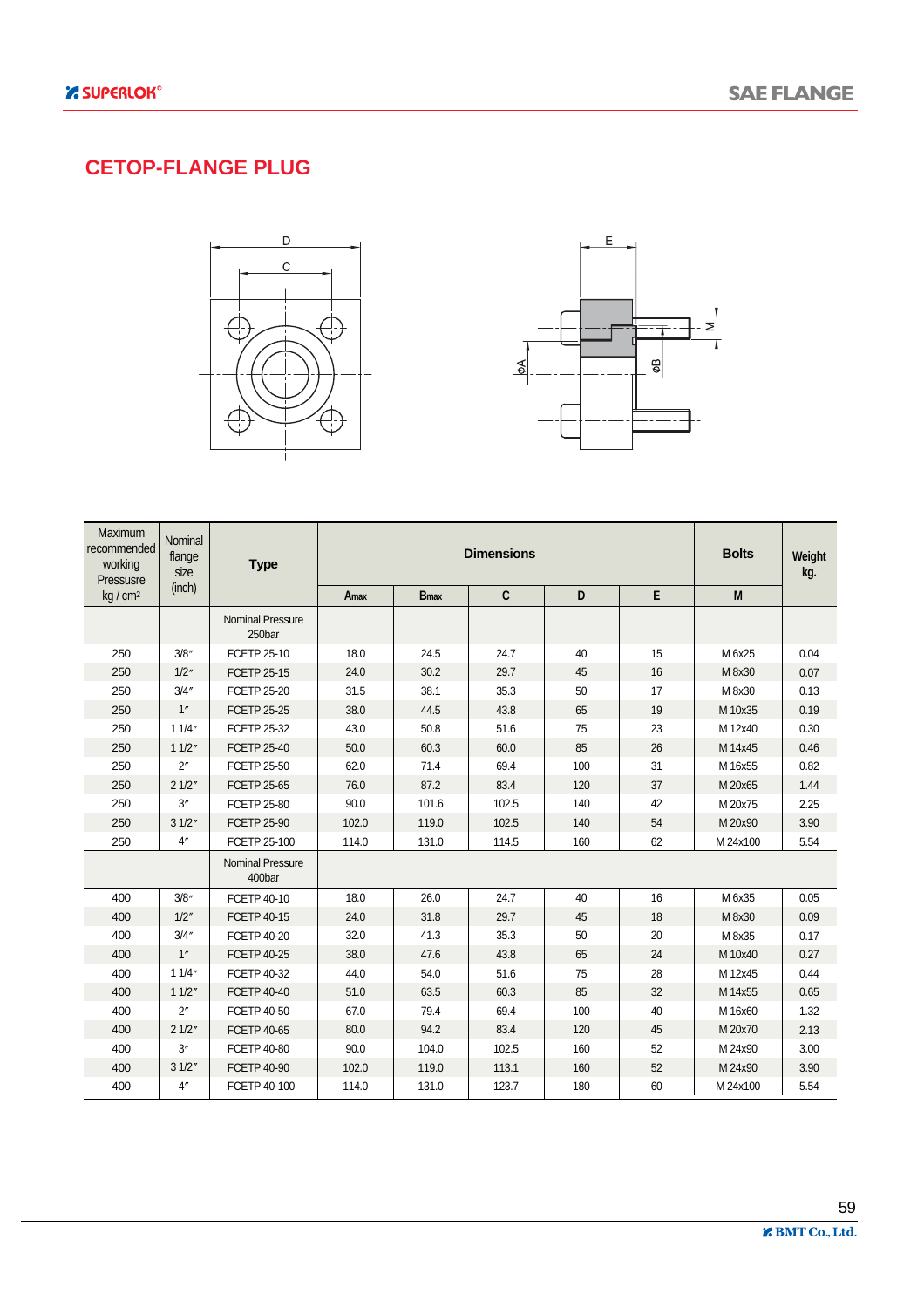#### **CETOP-FLANGE PLUG**





| Maximum<br>recommended<br>working<br>Pressusre | Nominal<br>flange<br>size | <b>Type</b>                       |       |                         | <b>Dimensions</b> |     |    | <b>Bolts</b> | Weight<br>kg. |
|------------------------------------------------|---------------------------|-----------------------------------|-------|-------------------------|-------------------|-----|----|--------------|---------------|
| kg/cm <sup>2</sup>                             | (inch)                    |                                   | Amax  | <b>B</b> <sub>max</sub> | C                 | D   | E  | M            |               |
|                                                |                           | <b>Nominal Pressure</b><br>250bar |       |                         |                   |     |    |              |               |
| 250                                            | 3/8''                     | <b>FCETP 25-10</b>                | 18.0  | 24.5                    | 24.7              | 40  | 15 | M 6x25       | 0.04          |
| 250                                            | 1/2''                     | <b>FCETP 25-15</b>                | 24.0  | 30.2                    | 29.7              | 45  | 16 | M 8x30       | 0.07          |
| 250                                            | 3/4''                     | <b>FCETP 25-20</b>                | 31.5  | 38.1                    | 35.3              | 50  | 17 | M 8x30       | 0.13          |
| 250                                            | 1''                       | <b>FCETP 25-25</b>                | 38.0  | 44.5                    | 43.8              | 65  | 19 | M 10x35      | 0.19          |
| 250                                            | 11/4"                     | FCETP 25-32                       | 43.0  | 50.8                    | 51.6              | 75  | 23 | M 12x40      | 0.30          |
| 250                                            | 11/2"                     | <b>FCETP 25-40</b>                | 50.0  | 60.3                    | 60.0              | 85  | 26 | M 14x45      | 0.46          |
| 250                                            | $2^{\prime\prime}$        | <b>FCETP 25-50</b>                | 62.0  | 71.4                    | 69.4              | 100 | 31 | M 16x55      | 0.82          |
| 250                                            | 21/2"                     | <b>FCETP 25-65</b>                | 76.0  | 87.2                    | 83.4              | 120 | 37 | M 20x65      | 1.44          |
| 250                                            | 3''                       | <b>FCETP 25-80</b>                | 90.0  | 101.6                   | 102.5             | 140 | 42 | M 20x75      | 2.25          |
| 250                                            | 31/2"                     | <b>FCETP 25-90</b>                | 102.0 | 119.0                   | 102.5             | 140 | 54 | M 20x90      | 3.90          |
| 250                                            | 4''                       | FCETP 25-100                      | 114.0 | 131.0                   | 114.5             | 160 | 62 | M 24x100     | 5.54          |
|                                                |                           | <b>Nominal Pressure</b><br>400bar |       |                         |                   |     |    |              |               |
| 400                                            | 3/8''                     | FCETP 40-10                       | 18.0  | 26.0                    | 24.7              | 40  | 16 | M 6x35       | 0.05          |
| 400                                            | 1/2''                     | <b>FCETP 40-15</b>                | 24.0  | 31.8                    | 29.7              | 45  | 18 | M 8x30       | 0.09          |
| 400                                            | 3/4''                     | <b>FCETP 40-20</b>                | 32.0  | 41.3                    | 35.3              | 50  | 20 | M 8x35       | 0.17          |
| 400                                            | 1"                        | <b>FCETP 40-25</b>                | 38.0  | 47.6                    | 43.8              | 65  | 24 | M 10x40      | 0.27          |
| 400                                            | 11/4"                     | FCETP 40-32                       | 44.0  | 54.0                    | 51.6              | 75  | 28 | M 12x45      | 0.44          |
| 400                                            | 11/2"                     | <b>FCETP 40-40</b>                | 51.0  | 63.5                    | 60.3              | 85  | 32 | M 14x55      | 0.65          |
| 400                                            | 2 <sup>''</sup>           | <b>FCETP 40-50</b>                | 67.0  | 79.4                    | 69.4              | 100 | 40 | M 16x60      | 1.32          |
| 400                                            | 21/2"                     | FCETP 40-65                       | 80.0  | 94.2                    | 83.4              | 120 | 45 | M 20x70      | 2.13          |
| 400                                            | 3''                       | <b>FCETP 40-80</b>                | 90.0  | 104.0                   | 102.5             | 160 | 52 | M 24x90      | 3.00          |
| 400                                            | 31/2"                     | <b>FCETP 40-90</b>                | 102.0 | 119.0                   | 113.1             | 160 | 52 | M 24x90      | 3.90          |
| 400                                            | 4 <sup>''</sup>           | FCETP 40-100                      | 114.0 | 131.0                   | 123.7             | 180 | 60 | M 24x100     | 5.54          |